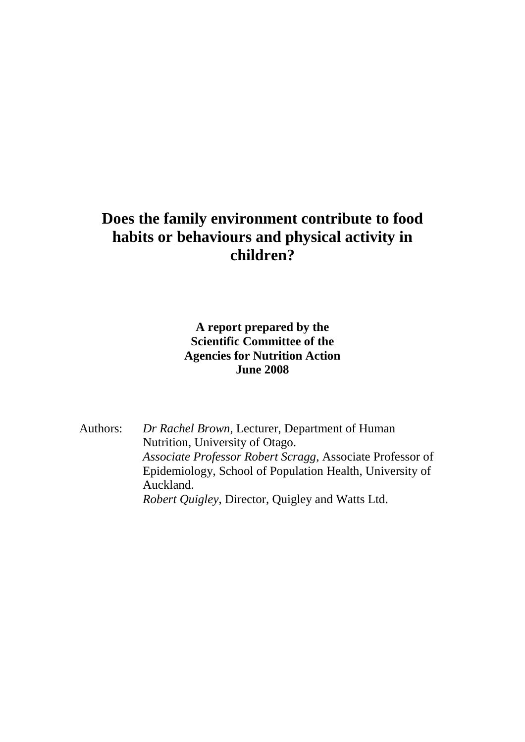# **Does the family environment contribute to food habits or behaviours and physical activity in children?**

### **A report prepared by the Scientific Committee of the Agencies for Nutrition Action June 2008**

Authors: *Dr Rachel Brown*, Lecturer, Department of Human Nutrition, University of Otago. *Associate Professor Robert Scragg*, Associate Professor of Epidemiology, School of Population Health, University of Auckland. *Robert Quigley*, Director, Quigley and Watts Ltd.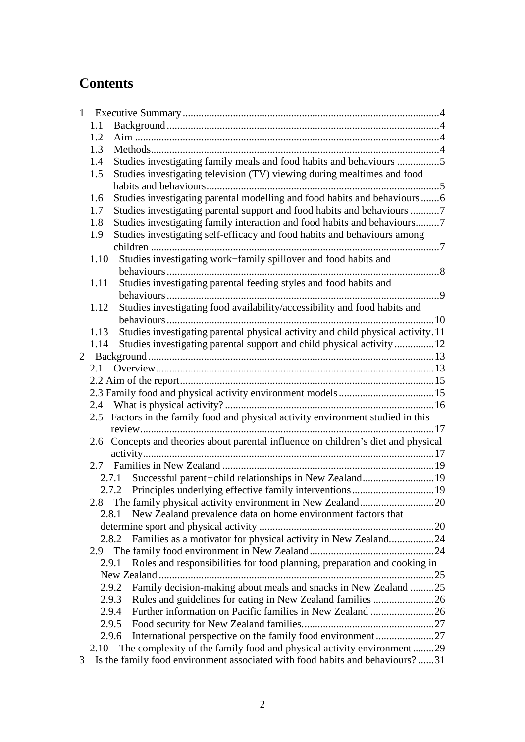# **Contents**

| $\mathbf{1}$ |      |                                                                                                                                           |  |  |
|--------------|------|-------------------------------------------------------------------------------------------------------------------------------------------|--|--|
|              | 1.1  |                                                                                                                                           |  |  |
|              | 1.2  |                                                                                                                                           |  |  |
|              | 1.3  |                                                                                                                                           |  |  |
|              | 1.4  | Studies investigating family meals and food habits and behaviours 5                                                                       |  |  |
|              | 1.5  | Studies investigating television (TV) viewing during mealtimes and food                                                                   |  |  |
|              |      |                                                                                                                                           |  |  |
|              | 1.6  | Studies investigating parental modelling and food habits and behaviours6                                                                  |  |  |
|              | 1.7  |                                                                                                                                           |  |  |
|              | 1.8  | Studies investigating family interaction and food habits and behaviours7                                                                  |  |  |
|              | 1.9  | Studies investigating self-efficacy and food habits and behaviours among                                                                  |  |  |
|              |      |                                                                                                                                           |  |  |
|              | 1.10 | Studies investigating work-family spillover and food habits and                                                                           |  |  |
|              |      |                                                                                                                                           |  |  |
|              | 1.11 | Studies investigating parental feeding styles and food habits and                                                                         |  |  |
|              |      |                                                                                                                                           |  |  |
|              | 1.12 | Studies investigating food availability/accessibility and food habits and                                                                 |  |  |
|              |      |                                                                                                                                           |  |  |
|              | 1.13 | Studies investigating parental physical activity and child physical activity.11                                                           |  |  |
|              | 1.14 | Studies investigating parental support and child physical activity12                                                                      |  |  |
|              |      |                                                                                                                                           |  |  |
|              | 2.1  |                                                                                                                                           |  |  |
|              |      |                                                                                                                                           |  |  |
|              |      |                                                                                                                                           |  |  |
|              | 2.4  |                                                                                                                                           |  |  |
|              | 2.5  | Factors in the family food and physical activity environment studied in this                                                              |  |  |
|              |      |                                                                                                                                           |  |  |
|              | 2.6  | Concepts and theories about parental influence on children's diet and physical                                                            |  |  |
|              |      |                                                                                                                                           |  |  |
|              |      |                                                                                                                                           |  |  |
|              |      | Successful parent-child relationships in New Zealand19<br>2.7.1                                                                           |  |  |
|              |      |                                                                                                                                           |  |  |
|              |      | The family physical activity environment in New Zealand20                                                                                 |  |  |
|              |      | New Zealand prevalence data on home environment factors that<br>2.8.1                                                                     |  |  |
|              |      |                                                                                                                                           |  |  |
|              |      | Families as a motivator for physical activity in New Zealand24<br>2.8.2                                                                   |  |  |
|              | 2.9  |                                                                                                                                           |  |  |
|              |      | Roles and responsibilities for food planning, preparation and cooking in<br>2.9.1                                                         |  |  |
|              |      |                                                                                                                                           |  |  |
|              |      | Family decision-making about meals and snacks in New Zealand 25<br>2.9.2                                                                  |  |  |
|              |      | 2.9.3<br>Rules and guidelines for eating in New Zealand families 26<br>Further information on Pacific families in New Zealand 26<br>2.9.4 |  |  |
|              |      | 2.9.5                                                                                                                                     |  |  |
|              |      | 2.9.6                                                                                                                                     |  |  |
|              | 2.10 | The complexity of the family food and physical activity environment29                                                                     |  |  |
| 3            |      | Is the family food environment associated with food habits and behaviours?31                                                              |  |  |
|              |      |                                                                                                                                           |  |  |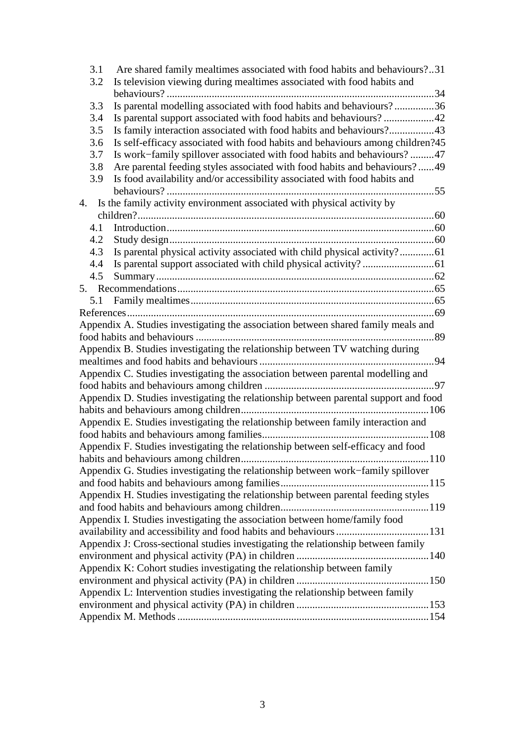| 3.1<br>3.2                                                                         | Are shared family mealtimes associated with food habits and behaviours?31<br>Is television viewing during mealtimes associated with food habits and |  |  |  |  |  |
|------------------------------------------------------------------------------------|-----------------------------------------------------------------------------------------------------------------------------------------------------|--|--|--|--|--|
|                                                                                    |                                                                                                                                                     |  |  |  |  |  |
| 3.3                                                                                | Is parental modelling associated with food habits and behaviours?36                                                                                 |  |  |  |  |  |
| 3.4                                                                                |                                                                                                                                                     |  |  |  |  |  |
| 3.5                                                                                | Is family interaction associated with food habits and behaviours?43                                                                                 |  |  |  |  |  |
| 3.6                                                                                | Is self-efficacy associated with food habits and behaviours among children?45                                                                       |  |  |  |  |  |
| 3.7                                                                                | Is work–family spillover associated with food habits and behaviours?47                                                                              |  |  |  |  |  |
| 3.8                                                                                | Are parental feeding styles associated with food habits and behaviours?49                                                                           |  |  |  |  |  |
| 3.9                                                                                | Is food availability and/or accessibility associated with food habits and                                                                           |  |  |  |  |  |
|                                                                                    |                                                                                                                                                     |  |  |  |  |  |
| 4.                                                                                 | Is the family activity environment associated with physical activity by                                                                             |  |  |  |  |  |
|                                                                                    |                                                                                                                                                     |  |  |  |  |  |
| 4.1                                                                                |                                                                                                                                                     |  |  |  |  |  |
| 4.2                                                                                |                                                                                                                                                     |  |  |  |  |  |
| 4.3                                                                                |                                                                                                                                                     |  |  |  |  |  |
|                                                                                    | Is parental physical activity associated with child physical activity?61                                                                            |  |  |  |  |  |
| 4.4                                                                                |                                                                                                                                                     |  |  |  |  |  |
| 4.5                                                                                |                                                                                                                                                     |  |  |  |  |  |
|                                                                                    |                                                                                                                                                     |  |  |  |  |  |
| 5.1                                                                                |                                                                                                                                                     |  |  |  |  |  |
|                                                                                    |                                                                                                                                                     |  |  |  |  |  |
|                                                                                    | Appendix A. Studies investigating the association between shared family meals and                                                                   |  |  |  |  |  |
|                                                                                    |                                                                                                                                                     |  |  |  |  |  |
|                                                                                    | Appendix B. Studies investigating the relationship between TV watching during                                                                       |  |  |  |  |  |
|                                                                                    |                                                                                                                                                     |  |  |  |  |  |
|                                                                                    | Appendix C. Studies investigating the association between parental modelling and                                                                    |  |  |  |  |  |
|                                                                                    |                                                                                                                                                     |  |  |  |  |  |
|                                                                                    | Appendix D. Studies investigating the relationship between parental support and food                                                                |  |  |  |  |  |
|                                                                                    |                                                                                                                                                     |  |  |  |  |  |
|                                                                                    | Appendix E. Studies investigating the relationship between family interaction and                                                                   |  |  |  |  |  |
|                                                                                    |                                                                                                                                                     |  |  |  |  |  |
|                                                                                    | Appendix F. Studies investigating the relationship between self-efficacy and food                                                                   |  |  |  |  |  |
|                                                                                    |                                                                                                                                                     |  |  |  |  |  |
| Appendix G. Studies investigating the relationship between work–family spillover   |                                                                                                                                                     |  |  |  |  |  |
|                                                                                    |                                                                                                                                                     |  |  |  |  |  |
| Appendix H. Studies investigating the relationship between parental feeding styles |                                                                                                                                                     |  |  |  |  |  |
|                                                                                    |                                                                                                                                                     |  |  |  |  |  |
| Appendix I. Studies investigating the association between home/family food         |                                                                                                                                                     |  |  |  |  |  |
|                                                                                    |                                                                                                                                                     |  |  |  |  |  |
| Appendix J: Cross-sectional studies investigating the relationship between family  |                                                                                                                                                     |  |  |  |  |  |
|                                                                                    |                                                                                                                                                     |  |  |  |  |  |
| Appendix K: Cohort studies investigating the relationship between family           |                                                                                                                                                     |  |  |  |  |  |
|                                                                                    |                                                                                                                                                     |  |  |  |  |  |
| Appendix L: Intervention studies investigating the relationship between family     |                                                                                                                                                     |  |  |  |  |  |
|                                                                                    |                                                                                                                                                     |  |  |  |  |  |
|                                                                                    |                                                                                                                                                     |  |  |  |  |  |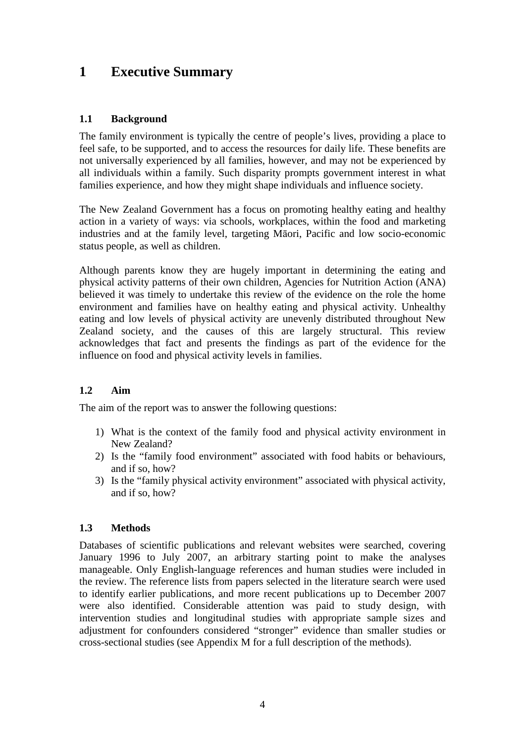## **1 Executive Summary**

### **1.1 Background**

The family environment is typically the centre of people's lives, providing a place to feel safe, to be supported, and to access the resources for daily life. These benefits are not universally experienced by all families, however, and may not be experienced by all individuals within a family. Such disparity prompts government interest in what families experience, and how they might shape individuals and influence society.

The New Zealand Government has a focus on promoting healthy eating and healthy action in a variety of ways: via schools, workplaces, within the food and marketing industries and at the family level, targeting Māori, Pacific and low socio-economic status people, as well as children.

Although parents know they are hugely important in determining the eating and physical activity patterns of their own children, Agencies for Nutrition Action (ANA) believed it was timely to undertake this review of the evidence on the role the home environment and families have on healthy eating and physical activity. Unhealthy eating and low levels of physical activity are unevenly distributed throughout New Zealand society, and the causes of this are largely structural. This review acknowledges that fact and presents the findings as part of the evidence for the influence on food and physical activity levels in families.

### **1.2 Aim**

The aim of the report was to answer the following questions:

- 1) What is the context of the family food and physical activity environment in New Zealand?
- 2) Is the "family food environment" associated with food habits or behaviours, and if so, how?
- 3) Is the "family physical activity environment" associated with physical activity, and if so, how?

### **1.3 Methods**

Databases of scientific publications and relevant websites were searched, covering January 1996 to July 2007, an arbitrary starting point to make the analyses manageable. Only English-language references and human studies were included in the review. The reference lists from papers selected in the literature search were used to identify earlier publications, and more recent publications up to December 2007 were also identified. Considerable attention was paid to study design, with intervention studies and longitudinal studies with appropriate sample sizes and adjustment for confounders considered "stronger" evidence than smaller studies or cross-sectional studies (see Appendix M for a full description of the methods).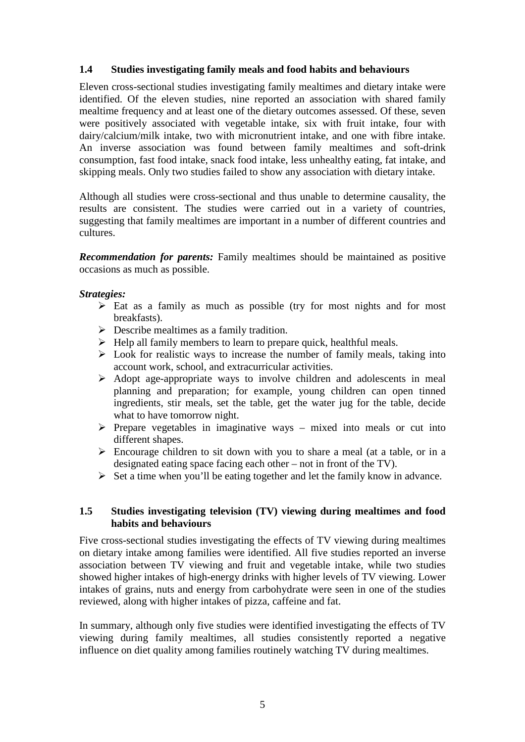### **1.4 Studies investigating family meals and food habits and behaviours**

Eleven cross-sectional studies investigating family mealtimes and dietary intake were identified. Of the eleven studies, nine reported an association with shared family mealtime frequency and at least one of the dietary outcomes assessed. Of these, seven were positively associated with vegetable intake, six with fruit intake, four with dairy/calcium/milk intake, two with micronutrient intake, and one with fibre intake. An inverse association was found between family mealtimes and soft-drink consumption, fast food intake, snack food intake, less unhealthy eating, fat intake, and skipping meals. Only two studies failed to show any association with dietary intake.

Although all studies were cross-sectional and thus unable to determine causality, the results are consistent. The studies were carried out in a variety of countries, suggesting that family mealtimes are important in a number of different countries and cultures.

*Recommendation for parents:* Family mealtimes should be maintained as positive occasions as much as possible.

### *Strategies:*

- $\triangleright$  Eat as a family as much as possible (try for most nights and for most breakfasts).
- $\triangleright$  Describe mealtimes as a family tradition.
- $\triangleright$  Help all family members to learn to prepare quick, healthful meals.
- $\triangleright$  Look for realistic ways to increase the number of family meals, taking into account work, school, and extracurricular activities.
- $\triangleright$  Adopt age-appropriate ways to involve children and adolescents in meal planning and preparation; for example, young children can open tinned ingredients, stir meals, set the table, get the water jug for the table, decide what to have tomorrow night.
- $\triangleright$  Prepare vegetables in imaginative ways mixed into meals or cut into different shapes.
- $\triangleright$  Encourage children to sit down with you to share a meal (at a table, or in a designated eating space facing each other – not in front of the TV).
- $\triangleright$  Set a time when you'll be eating together and let the family know in advance.

### **1.5 Studies investigating television (TV) viewing during mealtimes and food habits and behaviours**

Five cross-sectional studies investigating the effects of TV viewing during mealtimes on dietary intake among families were identified. All five studies reported an inverse association between TV viewing and fruit and vegetable intake, while two studies showed higher intakes of high-energy drinks with higher levels of TV viewing. Lower intakes of grains, nuts and energy from carbohydrate were seen in one of the studies reviewed, along with higher intakes of pizza, caffeine and fat.

In summary, although only five studies were identified investigating the effects of TV viewing during family mealtimes, all studies consistently reported a negative influence on diet quality among families routinely watching TV during mealtimes.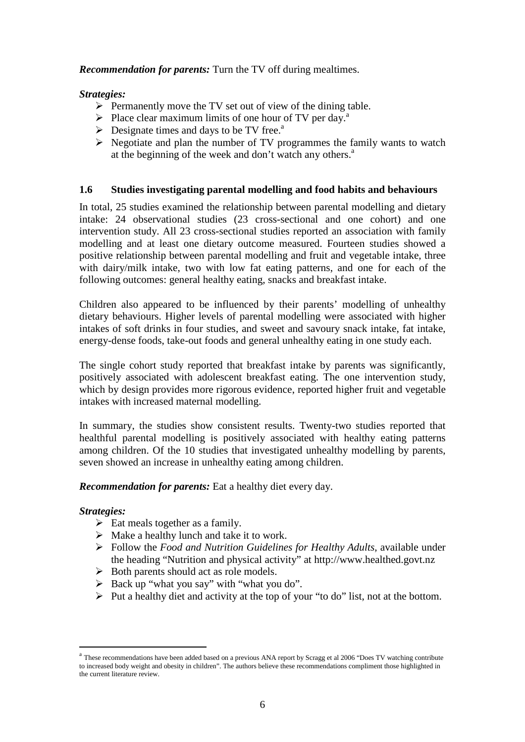### *Recommendation for parents:* Turn the TV off during mealtimes.

### *Strategies:*

- $\triangleright$  Permanently move the TV set out of view of the dining table.
- $\triangleright$  Place clear maximum limits of one hour of TV per day.<sup>a</sup>
- $\triangleright$  Designate times and days to be TV free.<sup>a</sup>
- $\triangleright$  Negotiate and plan the number of TV programmes the family wants to watch at the beginning of the week and don't watch any others. $a^a$

### **1.6 Studies investigating parental modelling and food habits and behaviours**

In total, 25 studies examined the relationship between parental modelling and dietary intake: 24 observational studies (23 cross-sectional and one cohort) and one intervention study. All 23 cross-sectional studies reported an association with family modelling and at least one dietary outcome measured. Fourteen studies showed a positive relationship between parental modelling and fruit and vegetable intake, three with dairy/milk intake, two with low fat eating patterns, and one for each of the following outcomes: general healthy eating, snacks and breakfast intake.

Children also appeared to be influenced by their parents' modelling of unhealthy dietary behaviours. Higher levels of parental modelling were associated with higher intakes of soft drinks in four studies, and sweet and savoury snack intake, fat intake, energy-dense foods, take-out foods and general unhealthy eating in one study each.

The single cohort study reported that breakfast intake by parents was significantly, positively associated with adolescent breakfast eating. The one intervention study, which by design provides more rigorous evidence, reported higher fruit and vegetable intakes with increased maternal modelling.

In summary, the studies show consistent results. Twenty-two studies reported that healthful parental modelling is positively associated with healthy eating patterns among children. Of the 10 studies that investigated unhealthy modelling by parents, seven showed an increase in unhealthy eating among children.

*Recommendation for parents:* Eat a healthy diet every day.

### *Strategies:*

 $\overline{a}$ 

- $\triangleright$  Eat meals together as a family.
- $\triangleright$  Make a healthy lunch and take it to work.
- Follow the *Food and Nutrition Guidelines for Healthy Adults*, available under the heading "Nutrition and physical activity" at http://www.healthed.govt.nz
- $\triangleright$  Both parents should act as role models.
- $\triangleright$  Back up "what you say" with "what you do".
- $\triangleright$  Put a healthy diet and activity at the top of your "to do" list, not at the bottom.

<sup>&</sup>lt;sup>a</sup> These recommendations have been added based on a previous ANA report by Scragg et al 2006 "Does TV watching contribute to increased body weight and obesity in children". The authors believe these recommendations compliment those highlighted in the current literature review.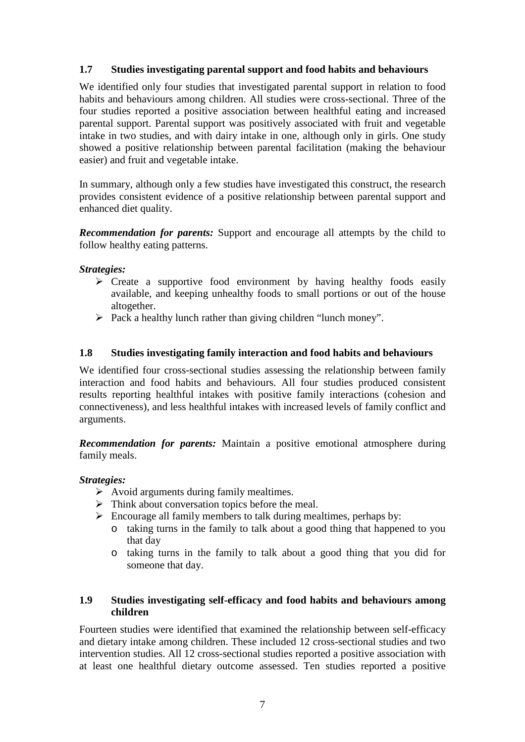### **1.7 Studies investigating parental support and food habits and behaviours**

We identified only four studies that investigated parental support in relation to food habits and behaviours among children. All studies were cross-sectional. Three of the four studies reported a positive association between healthful eating and increased parental support. Parental support was positively associated with fruit and vegetable intake in two studies, and with dairy intake in one, although only in girls. One study showed a positive relationship between parental facilitation (making the behaviour easier) and fruit and vegetable intake.

In summary, although only a few studies have investigated this construct, the research provides consistent evidence of a positive relationship between parental support and enhanced diet quality.

*Recommendation for parents:* Support and encourage all attempts by the child to follow healthy eating patterns.

### *Strategies:*

- $\triangleright$  Create a supportive food environment by having healthy foods easily available, and keeping unhealthy foods to small portions or out of the house altogether.
- $\triangleright$  Pack a healthy lunch rather than giving children "lunch money".

### **1.8 Studies investigating family interaction and food habits and behaviours**

We identified four cross-sectional studies assessing the relationship between family interaction and food habits and behaviours. All four studies produced consistent results reporting healthful intakes with positive family interactions (cohesion and connectiveness), and less healthful intakes with increased levels of family conflict and arguments.

*Recommendation for parents:* Maintain a positive emotional atmosphere during family meals.

### *Strategies:*

- $\triangleright$  Avoid arguments during family mealtimes.
- $\triangleright$  Think about conversation topics before the meal.
- $\triangleright$  Encourage all family members to talk during mealtimes, perhaps by:
	- o taking turns in the family to talk about a good thing that happened to you that day
	- o taking turns in the family to talk about a good thing that you did for someone that day.

### **1.9 Studies investigating self-efficacy and food habits and behaviours among children**

Fourteen studies were identified that examined the relationship between self-efficacy and dietary intake among children. These included 12 cross-sectional studies and two intervention studies. All 12 cross-sectional studies reported a positive association with at least one healthful dietary outcome assessed. Ten studies reported a positive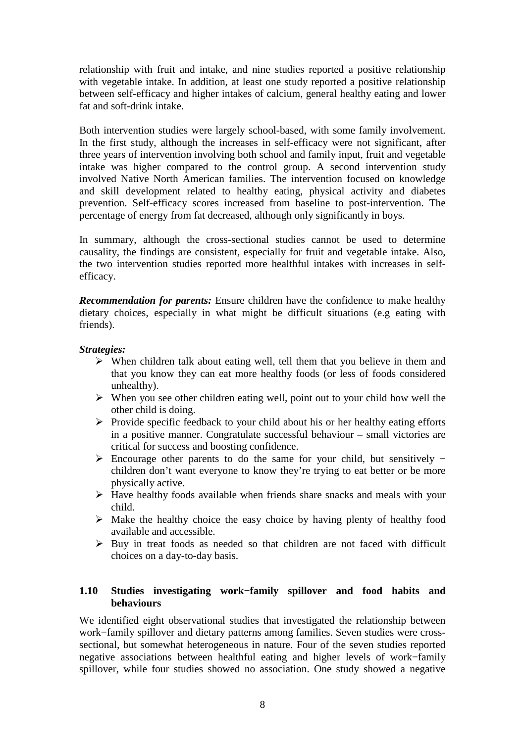relationship with fruit and intake, and nine studies reported a positive relationship with vegetable intake. In addition, at least one study reported a positive relationship between self-efficacy and higher intakes of calcium, general healthy eating and lower fat and soft-drink intake.

Both intervention studies were largely school-based, with some family involvement. In the first study, although the increases in self-efficacy were not significant, after three years of intervention involving both school and family input, fruit and vegetable intake was higher compared to the control group. A second intervention study involved Native North American families. The intervention focused on knowledge and skill development related to healthy eating, physical activity and diabetes prevention. Self-efficacy scores increased from baseline to post-intervention. The percentage of energy from fat decreased, although only significantly in boys.

In summary, although the cross-sectional studies cannot be used to determine causality, the findings are consistent, especially for fruit and vegetable intake. Also, the two intervention studies reported more healthful intakes with increases in selfefficacy.

*Recommendation for parents:* Ensure children have the confidence to make healthy dietary choices, especially in what might be difficult situations (e.g eating with friends).

### *Strategies:*

- $\triangleright$  When children talk about eating well, tell them that you believe in them and that you know they can eat more healthy foods (or less of foods considered unhealthy).
- $\triangleright$  When you see other children eating well, point out to your child how well the other child is doing.
- $\triangleright$  Provide specific feedback to your child about his or her healthy eating efforts in a positive manner. Congratulate successful behaviour – small victories are critical for success and boosting confidence.
- Encourage other parents to do the same for your child, but sensitively − children don't want everyone to know they're trying to eat better or be more physically active.
- $\triangleright$  Have healthy foods available when friends share snacks and meals with your child.
- $\triangleright$  Make the healthy choice the easy choice by having plenty of healthy food available and accessible.
- $\triangleright$  Buy in treat foods as needed so that children are not faced with difficult choices on a day-to-day basis.

### **1.10 Studies investigating work−family spillover and food habits and behaviours**

We identified eight observational studies that investigated the relationship between work−family spillover and dietary patterns among families. Seven studies were crosssectional, but somewhat heterogeneous in nature. Four of the seven studies reported negative associations between healthful eating and higher levels of work−family spillover, while four studies showed no association. One study showed a negative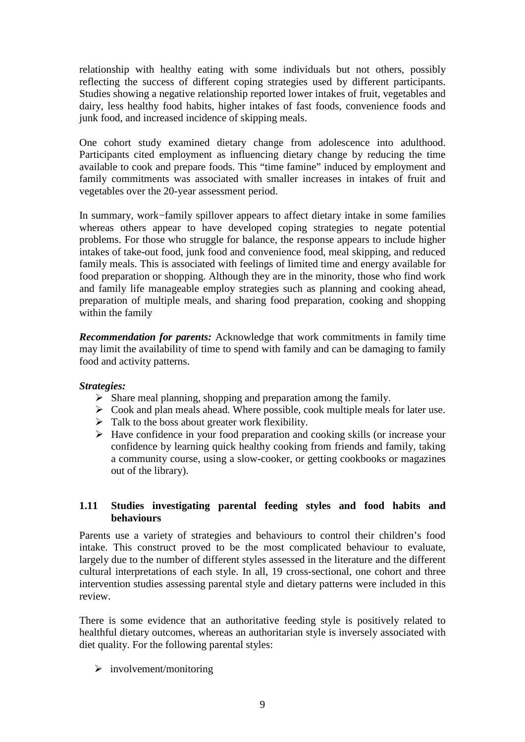relationship with healthy eating with some individuals but not others, possibly reflecting the success of different coping strategies used by different participants. Studies showing a negative relationship reported lower intakes of fruit, vegetables and dairy, less healthy food habits, higher intakes of fast foods, convenience foods and junk food, and increased incidence of skipping meals.

One cohort study examined dietary change from adolescence into adulthood. Participants cited employment as influencing dietary change by reducing the time available to cook and prepare foods. This "time famine" induced by employment and family commitments was associated with smaller increases in intakes of fruit and vegetables over the 20-year assessment period.

In summary, work−family spillover appears to affect dietary intake in some families whereas others appear to have developed coping strategies to negate potential problems. For those who struggle for balance, the response appears to include higher intakes of take-out food, junk food and convenience food, meal skipping, and reduced family meals. This is associated with feelings of limited time and energy available for food preparation or shopping. Although they are in the minority, those who find work and family life manageable employ strategies such as planning and cooking ahead, preparation of multiple meals, and sharing food preparation, cooking and shopping within the family

*Recommendation for parents:* Acknowledge that work commitments in family time may limit the availability of time to spend with family and can be damaging to family food and activity patterns.

### *Strategies:*

- $\triangleright$  Share meal planning, shopping and preparation among the family.
- $\triangleright$  Cook and plan meals ahead. Where possible, cook multiple meals for later use.
- $\triangleright$  Talk to the boss about greater work flexibility.
- $\triangleright$  Have confidence in your food preparation and cooking skills (or increase your confidence by learning quick healthy cooking from friends and family, taking a community course, using a slow-cooker, or getting cookbooks or magazines out of the library).

### **1.11 Studies investigating parental feeding styles and food habits and behaviours**

Parents use a variety of strategies and behaviours to control their children's food intake. This construct proved to be the most complicated behaviour to evaluate, largely due to the number of different styles assessed in the literature and the different cultural interpretations of each style. In all, 19 cross-sectional, one cohort and three intervention studies assessing parental style and dietary patterns were included in this review.

There is some evidence that an authoritative feeding style is positively related to healthful dietary outcomes, whereas an authoritarian style is inversely associated with diet quality. For the following parental styles:

 $\triangleright$  involvement/monitoring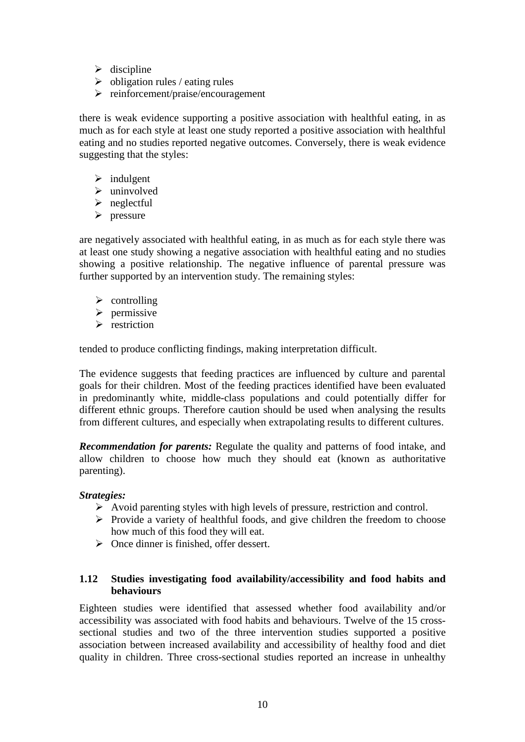- $\triangleright$  discipline
- $\triangleright$  obligation rules / eating rules
- $\triangleright$  reinforcement/praise/encouragement

there is weak evidence supporting a positive association with healthful eating, in as much as for each style at least one study reported a positive association with healthful eating and no studies reported negative outcomes. Conversely, there is weak evidence suggesting that the styles:

- $\triangleright$  indulgent
- $\blacktriangleright$  uninvolved
- $\triangleright$  neglectful
- $\triangleright$  pressure

are negatively associated with healthful eating, in as much as for each style there was at least one study showing a negative association with healthful eating and no studies showing a positive relationship. The negative influence of parental pressure was further supported by an intervention study. The remaining styles:

- $\triangleright$  controlling
- $\triangleright$  permissive
- $\triangleright$  restriction

tended to produce conflicting findings, making interpretation difficult.

The evidence suggests that feeding practices are influenced by culture and parental goals for their children. Most of the feeding practices identified have been evaluated in predominantly white, middle-class populations and could potentially differ for different ethnic groups. Therefore caution should be used when analysing the results from different cultures, and especially when extrapolating results to different cultures.

*Recommendation for parents:* Regulate the quality and patterns of food intake, and allow children to choose how much they should eat (known as authoritative parenting).

### *Strategies:*

- $\triangleright$  Avoid parenting styles with high levels of pressure, restriction and control.
- $\triangleright$  Provide a variety of healthful foods, and give children the freedom to choose how much of this food they will eat.
- $\triangleright$  Once dinner is finished, offer dessert.

### **1.12 Studies investigating food availability/accessibility and food habits and behaviours**

Eighteen studies were identified that assessed whether food availability and/or accessibility was associated with food habits and behaviours. Twelve of the 15 crosssectional studies and two of the three intervention studies supported a positive association between increased availability and accessibility of healthy food and diet quality in children. Three cross-sectional studies reported an increase in unhealthy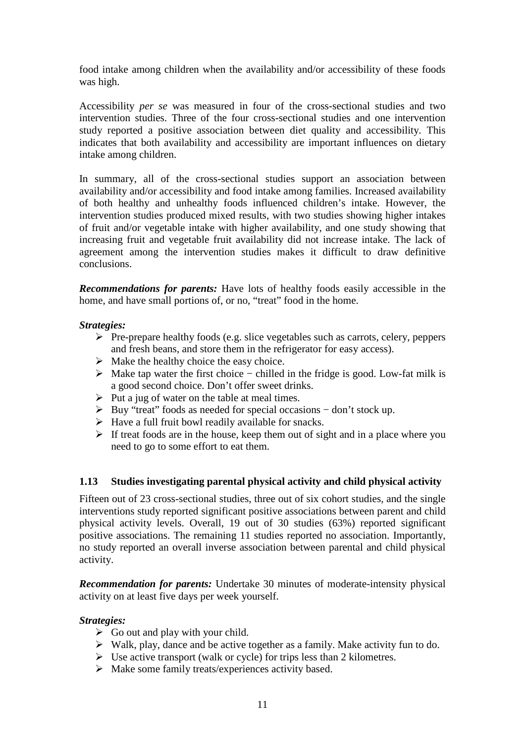food intake among children when the availability and/or accessibility of these foods was high.

Accessibility *per se* was measured in four of the cross-sectional studies and two intervention studies. Three of the four cross-sectional studies and one intervention study reported a positive association between diet quality and accessibility. This indicates that both availability and accessibility are important influences on dietary intake among children.

In summary, all of the cross-sectional studies support an association between availability and/or accessibility and food intake among families. Increased availability of both healthy and unhealthy foods influenced children's intake. However, the intervention studies produced mixed results, with two studies showing higher intakes of fruit and/or vegetable intake with higher availability, and one study showing that increasing fruit and vegetable fruit availability did not increase intake. The lack of agreement among the intervention studies makes it difficult to draw definitive conclusions.

*Recommendations for parents:* Have lots of healthy foods easily accessible in the home, and have small portions of, or no, "treat" food in the home.

### *Strategies:*

- $\triangleright$  Pre-prepare healthy foods (e.g. slice vegetables such as carrots, celery, peppers and fresh beans, and store them in the refrigerator for easy access).
- $\triangleright$  Make the healthy choice the easy choice.
- Make tap water the first choice − chilled in the fridge is good. Low-fat milk is a good second choice. Don't offer sweet drinks.
- $\triangleright$  Put a jug of water on the table at meal times.
- Buy "treat" foods as needed for special occasions − don't stock up.
- $\triangleright$  Have a full fruit bowl readily available for snacks.
- $\triangleright$  If treat foods are in the house, keep them out of sight and in a place where you need to go to some effort to eat them.

### **1.13 Studies investigating parental physical activity and child physical activity**

Fifteen out of 23 cross-sectional studies, three out of six cohort studies, and the single interventions study reported significant positive associations between parent and child physical activity levels. Overall, 19 out of 30 studies (63%) reported significant positive associations. The remaining 11 studies reported no association. Importantly, no study reported an overall inverse association between parental and child physical activity.

*Recommendation for parents:* Undertake 30 minutes of moderate-intensity physical activity on at least five days per week yourself.

### *Strategies:*

- $\triangleright$  Go out and play with your child.
- $\triangleright$  Walk, play, dance and be active together as a family. Make activity fun to do.
- $\triangleright$  Use active transport (walk or cycle) for trips less than 2 kilometres.
- $\triangleright$  Make some family treats/experiences activity based.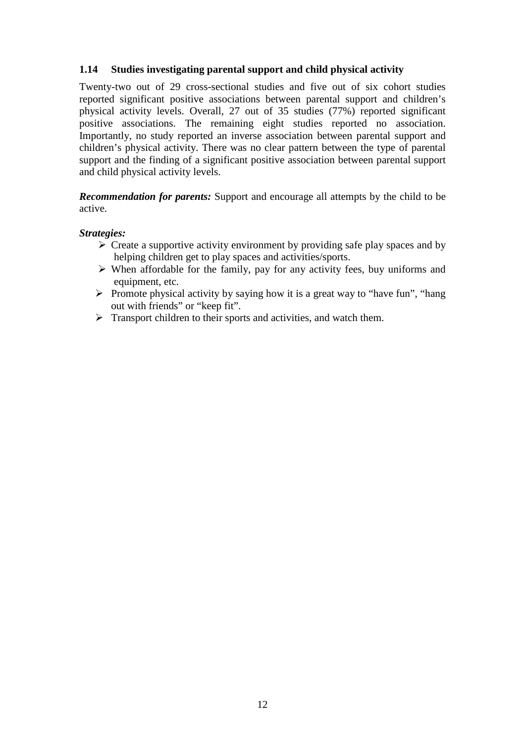### **1.14 Studies investigating parental support and child physical activity**

Twenty-two out of 29 cross-sectional studies and five out of six cohort studies reported significant positive associations between parental support and children's physical activity levels. Overall, 27 out of 35 studies (77%) reported significant positive associations. The remaining eight studies reported no association. Importantly, no study reported an inverse association between parental support and children's physical activity. There was no clear pattern between the type of parental support and the finding of a significant positive association between parental support and child physical activity levels.

*Recommendation for parents:* Support and encourage all attempts by the child to be active.

### *Strategies:*

- $\triangleright$  Create a supportive activity environment by providing safe play spaces and by helping children get to play spaces and activities/sports.
- $\triangleright$  When affordable for the family, pay for any activity fees, buy uniforms and equipment, etc.
- $\triangleright$  Promote physical activity by saying how it is a great way to "have fun", "hang out with friends" or "keep fit".
- $\triangleright$  Transport children to their sports and activities, and watch them.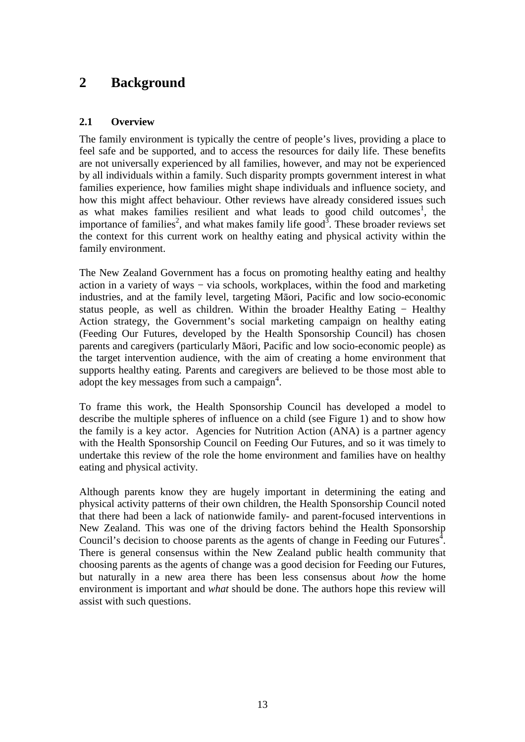## **2 Background**

### **2.1 Overview**

The family environment is typically the centre of people's lives, providing a place to feel safe and be supported, and to access the resources for daily life. These benefits are not universally experienced by all families, however, and may not be experienced by all individuals within a family. Such disparity prompts government interest in what families experience, how families might shape individuals and influence society, and how this might affect behaviour. Other reviews have already considered issues such as what makes families resilient and what leads to good child outcomes<sup>1</sup>, the importance of families<sup>2</sup>, and what makes family life good<sup>3</sup>. These broader reviews set the context for this current work on healthy eating and physical activity within the family environment.

The New Zealand Government has a focus on promoting healthy eating and healthy action in a variety of ways − via schools, workplaces, within the food and marketing industries, and at the family level, targeting Māori, Pacific and low socio-economic status people, as well as children. Within the broader Healthy Eating − Healthy Action strategy, the Government's social marketing campaign on healthy eating (Feeding Our Futures, developed by the Health Sponsorship Council) has chosen parents and caregivers (particularly Māori, Pacific and low socio-economic people) as the target intervention audience, with the aim of creating a home environment that supports healthy eating. Parents and caregivers are believed to be those most able to adopt the key messages from such a campaign<sup>4</sup>.

To frame this work, the Health Sponsorship Council has developed a model to describe the multiple spheres of influence on a child (see Figure 1) and to show how the family is a key actor. Agencies for Nutrition Action (ANA) is a partner agency with the Health Sponsorship Council on Feeding Our Futures, and so it was timely to undertake this review of the role the home environment and families have on healthy eating and physical activity.

Although parents know they are hugely important in determining the eating and physical activity patterns of their own children, the Health Sponsorship Council noted that there had been a lack of nationwide family- and parent-focused interventions in New Zealand. This was one of the driving factors behind the Health Sponsorship Council's decision to choose parents as the agents of change in Feeding our Futures<sup> $4$ </sup>. There is general consensus within the New Zealand public health community that choosing parents as the agents of change was a good decision for Feeding our Futures, but naturally in a new area there has been less consensus about *how* the home environment is important and *what* should be done. The authors hope this review will assist with such questions.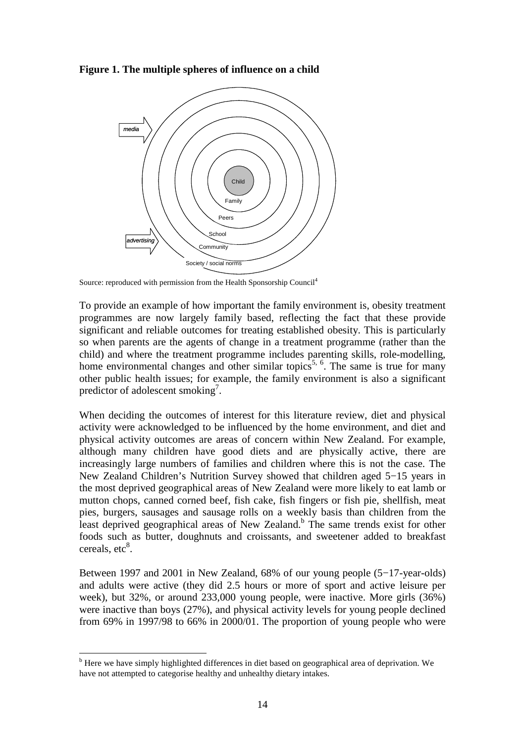**Figure 1. The multiple spheres of influence on a child** 



Source: reproduced with permission from the Health Sponsorship Council<sup>4</sup>

To provide an example of how important the family environment is, obesity treatment programmes are now largely family based, reflecting the fact that these provide significant and reliable outcomes for treating established obesity. This is particularly so when parents are the agents of change in a treatment programme (rather than the child) and where the treatment programme includes parenting skills, role-modelling, home environmental changes and other similar topics<sup>5, 6</sup>. The same is true for many other public health issues; for example, the family environment is also a significant predictor of adolescent smoking<sup>7</sup>.

When deciding the outcomes of interest for this literature review, diet and physical activity were acknowledged to be influenced by the home environment, and diet and physical activity outcomes are areas of concern within New Zealand. For example, although many children have good diets and are physically active, there are increasingly large numbers of families and children where this is not the case. The New Zealand Children's Nutrition Survey showed that children aged 5−15 years in the most deprived geographical areas of New Zealand were more likely to eat lamb or mutton chops, canned corned beef, fish cake, fish fingers or fish pie, shellfish, meat pies, burgers, sausages and sausage rolls on a weekly basis than children from the least deprived geographical areas of New Zealand.<sup>b</sup> The same trends exist for other foods such as butter, doughnuts and croissants, and sweetener added to breakfast cereals, etc<sup>8</sup>.

Between 1997 and 2001 in New Zealand, 68% of our young people (5−17-year-olds) and adults were active (they did 2.5 hours or more of sport and active leisure per week), but 32%, or around 233,000 young people, were inactive. More girls (36%) were inactive than boys (27%), and physical activity levels for young people declined from 69% in 1997/98 to 66% in 2000/01. The proportion of young people who were

 $\overline{a}$ 

<sup>&</sup>lt;sup>b</sup> Here we have simply highlighted differences in diet based on geographical area of deprivation. We have not attempted to categorise healthy and unhealthy dietary intakes.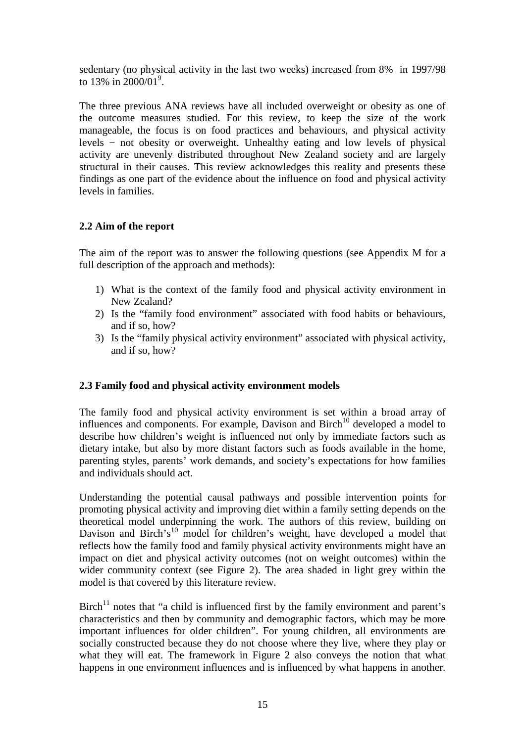sedentary (no physical activity in the last two weeks) increased from 8% in 1997/98 to 13% in  $2000/01^9$ .

The three previous ANA reviews have all included overweight or obesity as one of the outcome measures studied. For this review, to keep the size of the work manageable, the focus is on food practices and behaviours, and physical activity levels − not obesity or overweight. Unhealthy eating and low levels of physical activity are unevenly distributed throughout New Zealand society and are largely structural in their causes. This review acknowledges this reality and presents these findings as one part of the evidence about the influence on food and physical activity levels in families.

### **2.2 Aim of the report**

The aim of the report was to answer the following questions (see Appendix M for a full description of the approach and methods):

- 1) What is the context of the family food and physical activity environment in New Zealand?
- 2) Is the "family food environment" associated with food habits or behaviours, and if so, how?
- 3) Is the "family physical activity environment" associated with physical activity, and if so, how?

### **2.3 Family food and physical activity environment models**

The family food and physical activity environment is set within a broad array of influences and components. For example, Davison and Birch<sup>10</sup> developed a model to describe how children's weight is influenced not only by immediate factors such as dietary intake, but also by more distant factors such as foods available in the home, parenting styles, parents' work demands, and society's expectations for how families and individuals should act.

Understanding the potential causal pathways and possible intervention points for promoting physical activity and improving diet within a family setting depends on the theoretical model underpinning the work. The authors of this review, building on Davison and Birch's<sup>10</sup> model for children's weight, have developed a model that reflects how the family food and family physical activity environments might have an impact on diet and physical activity outcomes (not on weight outcomes) within the wider community context (see Figure 2). The area shaded in light grey within the model is that covered by this literature review.

Birch $11$  notes that "a child is influenced first by the family environment and parent's characteristics and then by community and demographic factors, which may be more important influences for older children". For young children, all environments are socially constructed because they do not choose where they live, where they play or what they will eat. The framework in Figure 2 also conveys the notion that what happens in one environment influences and is influenced by what happens in another.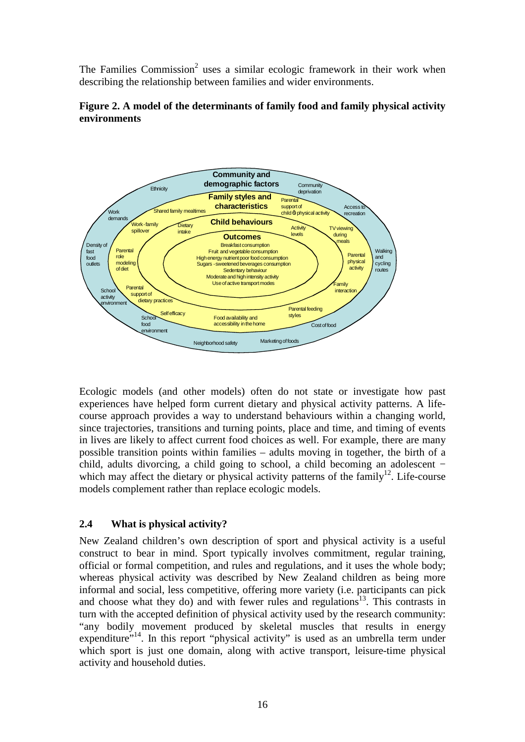The Families Commission<sup>2</sup> uses a similar ecologic framework in their work when describing the relationship between families and wider environments.





Ecologic models (and other models) often do not state or investigate how past experiences have helped form current dietary and physical activity patterns. A lifecourse approach provides a way to understand behaviours within a changing world, since trajectories, transitions and turning points, place and time, and timing of events in lives are likely to affect current food choices as well. For example, there are many possible transition points within families – adults moving in together, the birth of a child, adults divorcing, a child going to school, a child becoming an adolescent − which may affect the dietary or physical activity patterns of the family<sup>12</sup>. Life-course models complement rather than replace ecologic models.

### **2.4 What is physical activity?**

New Zealand children's own description of sport and physical activity is a useful construct to bear in mind. Sport typically involves commitment, regular training, official or formal competition, and rules and regulations, and it uses the whole body; whereas physical activity was described by New Zealand children as being more informal and social, less competitive, offering more variety (i.e. participants can pick and choose what they do) and with fewer rules and regulations<sup>13</sup>. This contrasts in turn with the accepted definition of physical activity used by the research community: "any bodily movement produced by skeletal muscles that results in energy expenditure"<sup>14</sup>. In this report "physical activity" is used as an umbrella term under which sport is just one domain, along with active transport, leisure-time physical activity and household duties.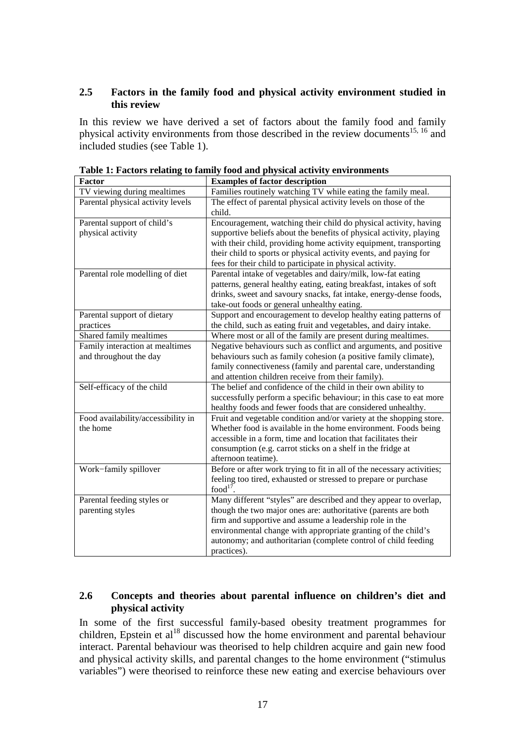### **2.5 Factors in the family food and physical activity environment studied in this review**

In this review we have derived a set of factors about the family food and family physical activity environments from those described in the review documents<sup>15, 16</sup> and included studies (see Table 1).

| r actor                            | <b>Examples of factor description</b>                                  |  |
|------------------------------------|------------------------------------------------------------------------|--|
| TV viewing during mealtimes        | Families routinely watching TV while eating the family meal.           |  |
| Parental physical activity levels  | The effect of parental physical activity levels on those of the        |  |
|                                    | child.                                                                 |  |
| Parental support of child's        | Encouragement, watching their child do physical activity, having       |  |
| physical activity                  | supportive beliefs about the benefits of physical activity, playing    |  |
|                                    | with their child, providing home activity equipment, transporting      |  |
|                                    | their child to sports or physical activity events, and paying for      |  |
|                                    | fees for their child to participate in physical activity.              |  |
| Parental role modelling of diet    | Parental intake of vegetables and dairy/milk, low-fat eating           |  |
|                                    | patterns, general healthy eating, eating breakfast, intakes of soft    |  |
|                                    | drinks, sweet and savoury snacks, fat intake, energy-dense foods,      |  |
|                                    | take-out foods or general unhealthy eating.                            |  |
| Parental support of dietary        | Support and encouragement to develop healthy eating patterns of        |  |
| practices                          | the child, such as eating fruit and vegetables, and dairy intake.      |  |
| Shared family mealtimes            | Where most or all of the family are present during mealtimes.          |  |
| Family interaction at mealtimes    | Negative behaviours such as conflict and arguments, and positive       |  |
| and throughout the day             | behaviours such as family cohesion (a positive family climate),        |  |
|                                    | family connectiveness (family and parental care, understanding         |  |
|                                    | and attention children receive from their family).                     |  |
| Self-efficacy of the child         | The belief and confidence of the child in their own ability to         |  |
|                                    | successfully perform a specific behaviour; in this case to eat more    |  |
|                                    | healthy foods and fewer foods that are considered unhealthy.           |  |
| Food availability/accessibility in | Fruit and vegetable condition and/or variety at the shopping store.    |  |
| the home                           | Whether food is available in the home environment. Foods being         |  |
|                                    | accessible in a form, time and location that facilitates their         |  |
|                                    | consumption (e.g. carrot sticks on a shelf in the fridge at            |  |
|                                    | afternoon teatime).                                                    |  |
| Work-family spillover              | Before or after work trying to fit in all of the necessary activities; |  |
|                                    | feeling too tired, exhausted or stressed to prepare or purchase        |  |
|                                    | food $17$                                                              |  |
| Parental feeding styles or         | Many different "styles" are described and they appear to overlap,      |  |
| parenting styles                   | though the two major ones are: authoritative (parents are both         |  |
|                                    | firm and supportive and assume a leadership role in the                |  |
|                                    | environmental change with appropriate granting of the child's          |  |
|                                    | autonomy; and authoritarian (complete control of child feeding         |  |
|                                    | practices).                                                            |  |

**Table 1: Factors relating to family food and physical activity environments F** Fector description

### **2.6 Concepts and theories about parental influence on children's diet and physical activity**

In some of the first successful family-based obesity treatment programmes for children, Epstein et al<sup>18</sup> discussed how the home environment and parental behaviour interact. Parental behaviour was theorised to help children acquire and gain new food and physical activity skills, and parental changes to the home environment ("stimulus variables") were theorised to reinforce these new eating and exercise behaviours over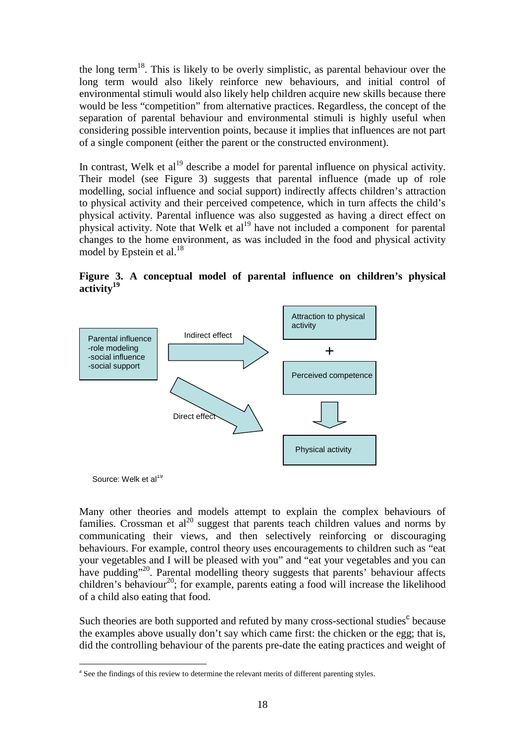the long term<sup>18</sup>. This is likely to be overly simplistic, as parental behaviour over the long term would also likely reinforce new behaviours, and initial control of environmental stimuli would also likely help children acquire new skills because there would be less "competition" from alternative practices. Regardless, the concept of the separation of parental behaviour and environmental stimuli is highly useful when considering possible intervention points, because it implies that influences are not part of a single component (either the parent or the constructed environment).

In contrast, Welk et  $al<sup>19</sup>$  describe a model for parental influence on physical activity. Their model (see Figure 3) suggests that parental influence (made up of role modelling, social influence and social support) indirectly affects children's attraction to physical activity and their perceived competence, which in turn affects the child's physical activity. Parental influence was also suggested as having a direct effect on physical activity. Note that Welk et  $al<sup>19</sup>$  have not included a component for parental changes to the home environment, as was included in the food and physical activity model by Epstein et al. $^{18}$ 

**Figure 3. A conceptual model of parental influence on children's physical activity<sup>19</sup>**



Source: Welk et al<sup>19</sup>

 $\overline{a}$ 

Many other theories and models attempt to explain the complex behaviours of families. Crossman et  $al^{20}$  suggest that parents teach children values and norms by communicating their views, and then selectively reinforcing or discouraging behaviours. For example, control theory uses encouragements to children such as "eat your vegetables and I will be pleased with you" and "eat your vegetables and you can have pudding"<sup>20</sup>. Parental modelling theory suggests that parents' behaviour affects children's behaviour<sup>20</sup>; for example, parents eating a food will increase the likelihood of a child also eating that food.

Such theories are both supported and refuted by many cross-sectional studies<sup>c</sup> because the examples above usually don't say which came first: the chicken or the egg; that is, did the controlling behaviour of the parents pre-date the eating practices and weight of

<sup>&</sup>lt;sup>a</sup> See the findings of this review to determine the relevant merits of different parenting styles.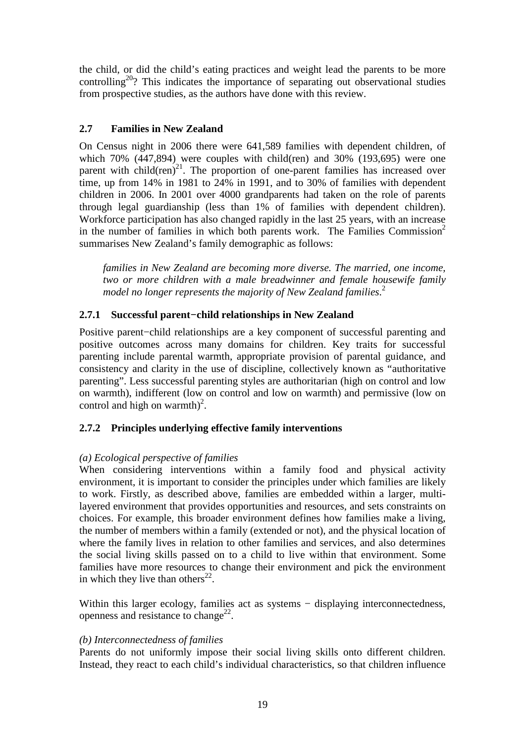the child, or did the child's eating practices and weight lead the parents to be more controlling<sup>20</sup>? This indicates the importance of separating out observational studies from prospective studies, as the authors have done with this review.

### **2.7 Families in New Zealand**

On Census night in 2006 there were 641,589 families with dependent children, of which  $70\%$  (447,894) were couples with child(ren) and  $30\%$  (193,695) were one parent with child(ren)<sup>21</sup>. The proportion of one-parent families has increased over time, up from 14% in 1981 to 24% in 1991, and to 30% of families with dependent children in 2006. In 2001 over 4000 grandparents had taken on the role of parents through legal guardianship (less than 1% of families with dependent children). Workforce participation has also changed rapidly in the last 25 years, with an increase in the number of families in which both parents work. The Families Commission<sup>2</sup> summarises New Zealand's family demographic as follows:

*families in New Zealand are becoming more diverse. The married, one income, two or more children with a male breadwinner and female housewife family model no longer represents the majority of New Zealand families*. 2

### **2.7.1 Successful parent***−***child relationships in New Zealand**

Positive parent−child relationships are a key component of successful parenting and positive outcomes across many domains for children. Key traits for successful parenting include parental warmth, appropriate provision of parental guidance, and consistency and clarity in the use of discipline, collectively known as "authoritative parenting". Less successful parenting styles are authoritarian (high on control and low on warmth), indifferent (low on control and low on warmth) and permissive (low on control and high on warmth)<sup>2</sup>.

### **2.7.2 Principles underlying effective family interventions**

### *(a) Ecological perspective of families*

When considering interventions within a family food and physical activity environment, it is important to consider the principles under which families are likely to work. Firstly, as described above, families are embedded within a larger, multilayered environment that provides opportunities and resources, and sets constraints on choices. For example, this broader environment defines how families make a living, the number of members within a family (extended or not), and the physical location of where the family lives in relation to other families and services, and also determines the social living skills passed on to a child to live within that environment. Some families have more resources to change their environment and pick the environment in which they live than others<sup>22</sup>.

Within this larger ecology, families act as systems − displaying interconnectedness, openness and resistance to change<sup>22</sup>.

### *(b) Interconnectedness of families*

Parents do not uniformly impose their social living skills onto different children. Instead, they react to each child's individual characteristics, so that children influence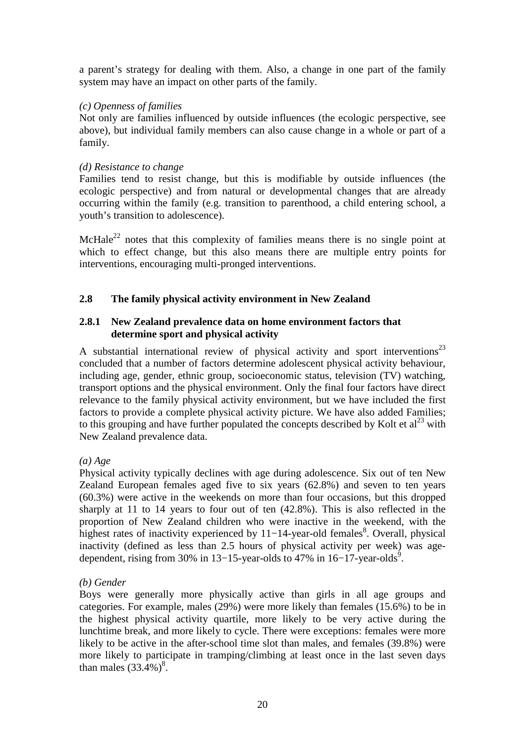a parent's strategy for dealing with them. Also, a change in one part of the family system may have an impact on other parts of the family.

### *(c) Openness of families*

Not only are families influenced by outside influences (the ecologic perspective, see above), but individual family members can also cause change in a whole or part of a family.

### *(d) Resistance to change*

Families tend to resist change, but this is modifiable by outside influences (the ecologic perspective) and from natural or developmental changes that are already occurring within the family (e.g. transition to parenthood, a child entering school, a youth's transition to adolescence).

McHale<sup>22</sup> notes that this complexity of families means there is no single point at which to effect change, but this also means there are multiple entry points for interventions, encouraging multi-pronged interventions.

### **2.8 The family physical activity environment in New Zealand**

### **2.8.1 New Zealand prevalence data on home environment factors that determine sport and physical activity**

A substantial international review of physical activity and sport interventions<sup>23</sup> concluded that a number of factors determine adolescent physical activity behaviour, including age, gender, ethnic group, socioeconomic status, television (TV) watching, transport options and the physical environment. Only the final four factors have direct relevance to the family physical activity environment, but we have included the first factors to provide a complete physical activity picture. We have also added Families; to this grouping and have further populated the concepts described by Kolt et  $al^{23}$  with New Zealand prevalence data.

### *(a) Age*

Physical activity typically declines with age during adolescence. Six out of ten New Zealand European females aged five to six years (62.8%) and seven to ten years (60.3%) were active in the weekends on more than four occasions, but this dropped sharply at 11 to 14 years to four out of ten (42.8%). This is also reflected in the proportion of New Zealand children who were inactive in the weekend, with the highest rates of inactivity experienced by 11–14-year-old females<sup>8</sup>. Overall, physical inactivity (defined as less than 2.5 hours of physical activity per week) was agedependent, rising from 30% in 13–15-year-olds to 47% in 16–17-year-olds<sup>9</sup>.

### *(b) Gender*

Boys were generally more physically active than girls in all age groups and categories. For example, males (29%) were more likely than females (15.6%) to be in the highest physical activity quartile, more likely to be very active during the lunchtime break, and more likely to cycle. There were exceptions: females were more likely to be active in the after-school time slot than males, and females (39.8%) were more likely to participate in tramping/climbing at least once in the last seven days than males  $(33.4\%)^8$ .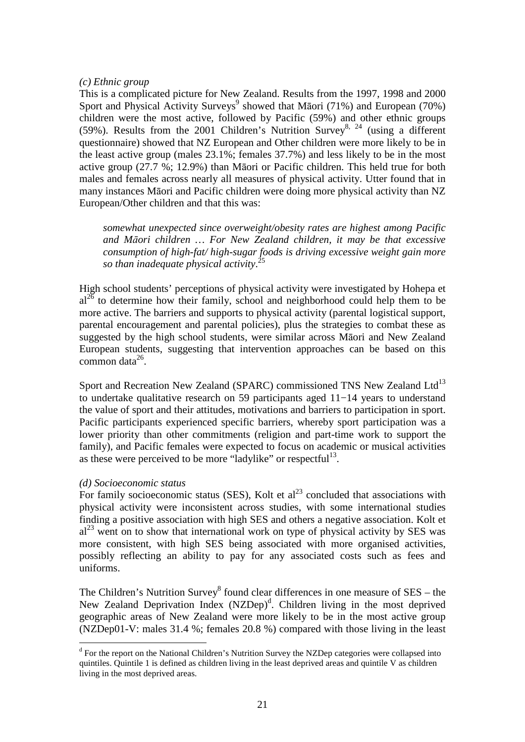### *(c) Ethnic group*

This is a complicated picture for New Zealand. Results from the 1997, 1998 and 2000 Sport and Physical Activity Surveys<sup>9</sup> showed that Māori (71%) and European (70%) children were the most active, followed by Pacific (59%) and other ethnic groups (59%). Results from the 2001 Children's Nutrition Survey<sup>8, 24</sup> (using a different questionnaire) showed that NZ European and Other children were more likely to be in the least active group (males 23.1%; females 37.7%) and less likely to be in the most active group (27.7 %; 12.9%) than Māori or Pacific children. This held true for both males and females across nearly all measures of physical activity. Utter found that in many instances Māori and Pacific children were doing more physical activity than NZ European/Other children and that this was:

*somewhat unexpected since overweight/obesity rates are highest among Pacific and Māori children … For New Zealand children, it may be that excessive consumption of high-fat/ high-sugar foods is driving excessive weight gain more so than inadequate physical activity*. 25

High school students' perceptions of physical activity were investigated by Hohepa et  $al^{26}$  to determine how their family, school and neighborhood could help them to be more active. The barriers and supports to physical activity (parental logistical support, parental encouragement and parental policies), plus the strategies to combat these as suggested by the high school students, were similar across Māori and New Zealand European students, suggesting that intervention approaches can be based on this  $common data<sup>26</sup>$ .

Sport and Recreation New Zealand (SPARC) commissioned TNS New Zealand Ltd<sup>13</sup> to undertake qualitative research on 59 participants aged 11−14 years to understand the value of sport and their attitudes, motivations and barriers to participation in sport. Pacific participants experienced specific barriers, whereby sport participation was a lower priority than other commitments (religion and part-time work to support the family), and Pacific females were expected to focus on academic or musical activities as these were perceived to be more "ladylike" or respectful $13$ .

### *(d) Socioeconomic status*

 $\overline{a}$ 

For family socioeconomic status (SES), Kolt et  $al<sup>23</sup>$  concluded that associations with physical activity were inconsistent across studies, with some international studies finding a positive association with high SES and others a negative association. Kolt et  $al<sup>23</sup>$  went on to show that international work on type of physical activity by SES was more consistent, with high SES being associated with more organised activities, possibly reflecting an ability to pay for any associated costs such as fees and uniforms.

The Children's Nutrition Survey<sup>8</sup> found clear differences in one measure of  $SES -$  the New Zealand Deprivation Index (NZDep)<sup>d</sup>. Children living in the most deprived geographic areas of New Zealand were more likely to be in the most active group (NZDep01-V: males 31.4 %; females 20.8 %) compared with those living in the least

<sup>&</sup>lt;sup>d</sup> For the report on the National Children's Nutrition Survey the NZDep categories were collapsed into quintiles. Quintile 1 is defined as children living in the least deprived areas and quintile V as children living in the most deprived areas.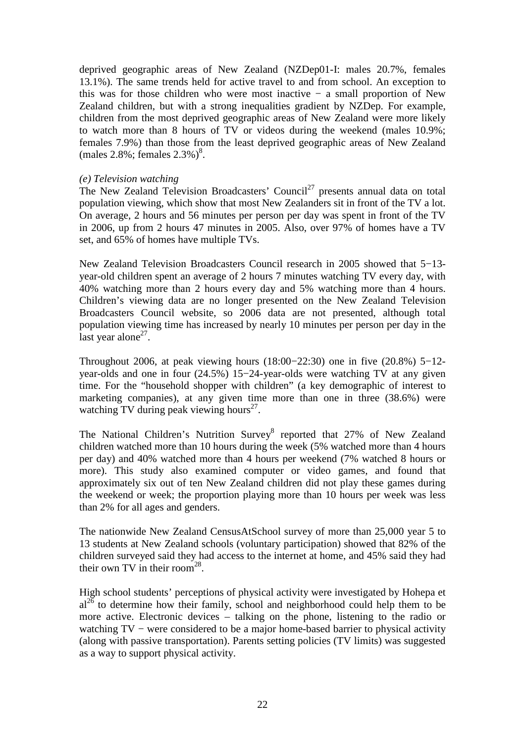deprived geographic areas of New Zealand (NZDep01-I: males 20.7%, females 13.1%). The same trends held for active travel to and from school. An exception to this was for those children who were most inactive − a small proportion of New Zealand children, but with a strong inequalities gradient by NZDep. For example, children from the most deprived geographic areas of New Zealand were more likely to watch more than 8 hours of TV or videos during the weekend (males 10.9%; females 7.9%) than those from the least deprived geographic areas of New Zealand  $(males 2.8\%; females 2.3\%)^8$ .

### *(e) Television watching*

The New Zealand Television Broadcasters' Council<sup>27</sup> presents annual data on total population viewing, which show that most New Zealanders sit in front of the TV a lot. On average, 2 hours and 56 minutes per person per day was spent in front of the TV in 2006, up from 2 hours 47 minutes in 2005. Also, over 97% of homes have a TV set, and 65% of homes have multiple TVs.

New Zealand Television Broadcasters Council research in 2005 showed that 5−13 year-old children spent an average of 2 hours 7 minutes watching TV every day, with 40% watching more than 2 hours every day and 5% watching more than 4 hours. Children's viewing data are no longer presented on the New Zealand Television Broadcasters Council website, so 2006 data are not presented, although total population viewing time has increased by nearly 10 minutes per person per day in the last year alone $2^7$ .

Throughout 2006, at peak viewing hours (18:00−22:30) one in five (20.8%) 5−12 year-olds and one in four (24.5%) 15−24-year-olds were watching TV at any given time. For the "household shopper with children" (a key demographic of interest to marketing companies), at any given time more than one in three (38.6%) were watching TV during peak viewing hours $^{27}$ .

The National Children's Nutrition Survey<sup>8</sup> reported that 27% of New Zealand children watched more than 10 hours during the week (5% watched more than 4 hours per day) and 40% watched more than 4 hours per weekend (7% watched 8 hours or more). This study also examined computer or video games, and found that approximately six out of ten New Zealand children did not play these games during the weekend or week; the proportion playing more than 10 hours per week was less than 2% for all ages and genders.

The nationwide New Zealand CensusAtSchool survey of more than 25,000 year 5 to 13 students at New Zealand schools (voluntary participation) showed that 82% of the children surveyed said they had access to the internet at home, and 45% said they had their own TV in their room<sup>28</sup>.

High school students' perceptions of physical activity were investigated by Hohepa et  $al^{26}$  to determine how their family, school and neighborhood could help them to be more active. Electronic devices – talking on the phone, listening to the radio or watching TV – were considered to be a major home-based barrier to physical activity (along with passive transportation). Parents setting policies (TV limits) was suggested as a way to support physical activity.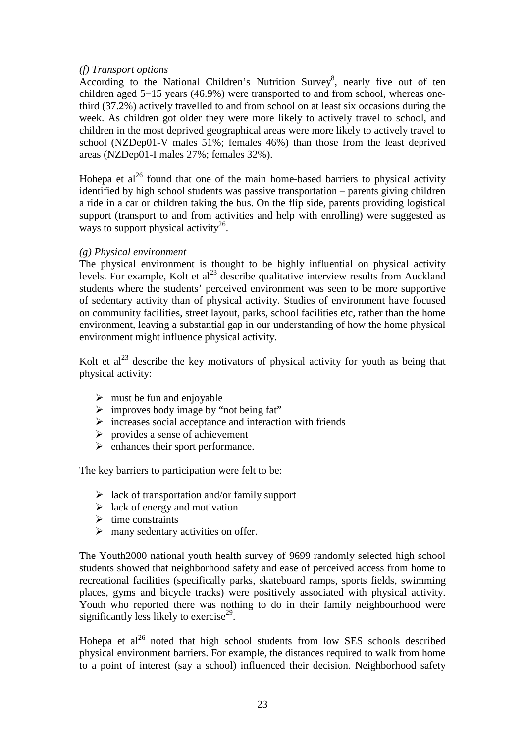### *(f) Transport options*

According to the National Children's Nutrition Survey<sup>8</sup>, nearly five out of ten children aged 5−15 years (46.9%) were transported to and from school, whereas onethird (37.2%) actively travelled to and from school on at least six occasions during the week. As children got older they were more likely to actively travel to school, and children in the most deprived geographical areas were more likely to actively travel to school (NZDep01-V males 51%; females 46%) than those from the least deprived areas (NZDep01-I males 27%; females 32%).

Hohepa et  $al^{26}$  found that one of the main home-based barriers to physical activity identified by high school students was passive transportation – parents giving children a ride in a car or children taking the bus. On the flip side, parents providing logistical support (transport to and from activities and help with enrolling) were suggested as ways to support physical activity<sup>26</sup>.

### *(g) Physical environment*

The physical environment is thought to be highly influential on physical activity levels. For example, Kolt et  $al^{23}$  describe qualitative interview results from Auckland students where the students' perceived environment was seen to be more supportive of sedentary activity than of physical activity. Studies of environment have focused on community facilities, street layout, parks, school facilities etc, rather than the home environment, leaving a substantial gap in our understanding of how the home physical environment might influence physical activity.

Kolt et  $al^{23}$  describe the key motivators of physical activity for youth as being that physical activity:

- $\triangleright$  must be fun and enjoyable
- $\triangleright$  improves body image by "not being fat"
- $\triangleright$  increases social acceptance and interaction with friends
- $\triangleright$  provides a sense of achievement
- $\triangleright$  enhances their sport performance.

The key barriers to participation were felt to be:

- $\geq$  lack of transportation and/or family support
- $\triangleright$  lack of energy and motivation
- $\triangleright$  time constraints
- $\triangleright$  many sedentary activities on offer.

The Youth2000 national youth health survey of 9699 randomly selected high school students showed that neighborhood safety and ease of perceived access from home to recreational facilities (specifically parks, skateboard ramps, sports fields, swimming places, gyms and bicycle tracks) were positively associated with physical activity. Youth who reported there was nothing to do in their family neighbourhood were significantly less likely to exercise $^{29}$ .

Hohepa et  $al^{26}$  noted that high school students from low SES schools described physical environment barriers. For example, the distances required to walk from home to a point of interest (say a school) influenced their decision. Neighborhood safety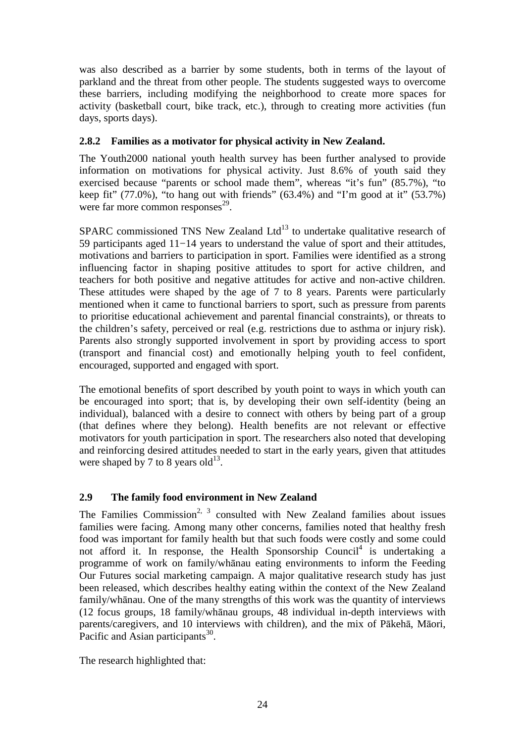was also described as a barrier by some students, both in terms of the layout of parkland and the threat from other people. The students suggested ways to overcome these barriers, including modifying the neighborhood to create more spaces for activity (basketball court, bike track, etc.), through to creating more activities (fun days, sports days).

### **2.8.2 Families as a motivator for physical activity in New Zealand.**

The Youth2000 national youth health survey has been further analysed to provide information on motivations for physical activity. Just 8.6% of youth said they exercised because "parents or school made them", whereas "it's fun" (85.7%), "to keep fit"  $(77.0\%)$ , "to hang out with friends"  $(63.4\%)$  and "I'm good at it"  $(53.7\%)$ were far more common responses<sup>29</sup>.

SPARC commissioned TNS New Zealand Ltd<sup>13</sup> to undertake qualitative research of 59 participants aged 11−14 years to understand the value of sport and their attitudes, motivations and barriers to participation in sport. Families were identified as a strong influencing factor in shaping positive attitudes to sport for active children, and teachers for both positive and negative attitudes for active and non-active children. These attitudes were shaped by the age of 7 to 8 years. Parents were particularly mentioned when it came to functional barriers to sport, such as pressure from parents to prioritise educational achievement and parental financial constraints), or threats to the children's safety, perceived or real (e.g. restrictions due to asthma or injury risk). Parents also strongly supported involvement in sport by providing access to sport (transport and financial cost) and emotionally helping youth to feel confident, encouraged, supported and engaged with sport.

The emotional benefits of sport described by youth point to ways in which youth can be encouraged into sport; that is, by developing their own self-identity (being an individual), balanced with a desire to connect with others by being part of a group (that defines where they belong). Health benefits are not relevant or effective motivators for youth participation in sport. The researchers also noted that developing and reinforcing desired attitudes needed to start in the early years, given that attitudes were shaped by 7 to 8 years old $^{13}$ .

### **2.9 The family food environment in New Zealand**

The Families Commission<sup>2, 3</sup> consulted with New Zealand families about issues families were facing. Among many other concerns, families noted that healthy fresh food was important for family health but that such foods were costly and some could not afford it. In response, the Health Sponsorship Council<sup>4</sup> is undertaking a programme of work on family/whānau eating environments to inform the Feeding Our Futures social marketing campaign. A major qualitative research study has just been released, which describes healthy eating within the context of the New Zealand family/whānau. One of the many strengths of this work was the quantity of interviews (12 focus groups, 18 family/whānau groups, 48 individual in-depth interviews with parents/caregivers, and 10 interviews with children), and the mix of Pākehā, Māori, Pacific and Asian participants<sup>30</sup>.

The research highlighted that: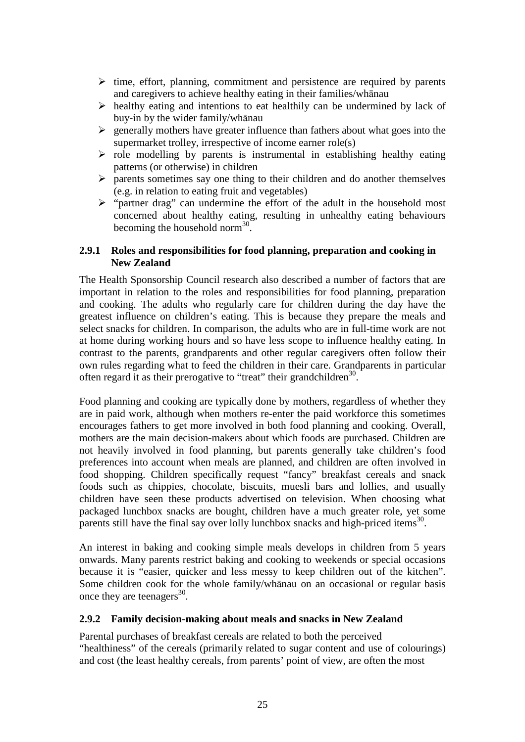- $\triangleright$  time, effort, planning, commitment and persistence are required by parents and caregivers to achieve healthy eating in their families/whānau
- $\triangleright$  healthy eating and intentions to eat healthily can be undermined by lack of buy-in by the wider family/whānau
- $\triangleright$  generally mothers have greater influence than fathers about what goes into the supermarket trolley, irrespective of income earner role(s)
- $\triangleright$  role modelling by parents is instrumental in establishing healthy eating patterns (or otherwise) in children
- $\triangleright$  parents sometimes say one thing to their children and do another themselves (e.g. in relation to eating fruit and vegetables)
- $\triangleright$  "partner drag" can undermine the effort of the adult in the household most concerned about healthy eating, resulting in unhealthy eating behaviours becoming the household norm<sup>30</sup>.

### **2.9.1 Roles and responsibilities for food planning, preparation and cooking in New Zealand**

The Health Sponsorship Council research also described a number of factors that are important in relation to the roles and responsibilities for food planning, preparation and cooking. The adults who regularly care for children during the day have the greatest influence on children's eating. This is because they prepare the meals and select snacks for children. In comparison, the adults who are in full-time work are not at home during working hours and so have less scope to influence healthy eating. In contrast to the parents, grandparents and other regular caregivers often follow their own rules regarding what to feed the children in their care. Grandparents in particular often regard it as their prerogative to "treat" their grandchildren<sup>30</sup>.

Food planning and cooking are typically done by mothers, regardless of whether they are in paid work, although when mothers re-enter the paid workforce this sometimes encourages fathers to get more involved in both food planning and cooking. Overall, mothers are the main decision-makers about which foods are purchased. Children are not heavily involved in food planning, but parents generally take children's food preferences into account when meals are planned, and children are often involved in food shopping. Children specifically request "fancy" breakfast cereals and snack foods such as chippies, chocolate, biscuits, muesli bars and lollies, and usually children have seen these products advertised on television. When choosing what packaged lunchbox snacks are bought, children have a much greater role, yet some parents still have the final say over lolly lunchbox snacks and high-priced items<sup>30</sup>.

An interest in baking and cooking simple meals develops in children from 5 years onwards. Many parents restrict baking and cooking to weekends or special occasions because it is "easier, quicker and less messy to keep children out of the kitchen". Some children cook for the whole family/whānau on an occasional or regular basis once they are teenagers<sup>30</sup>.

### **2.9.2 Family decision-making about meals and snacks in New Zealand**

Parental purchases of breakfast cereals are related to both the perceived "healthiness" of the cereals (primarily related to sugar content and use of colourings) and cost (the least healthy cereals, from parents' point of view, are often the most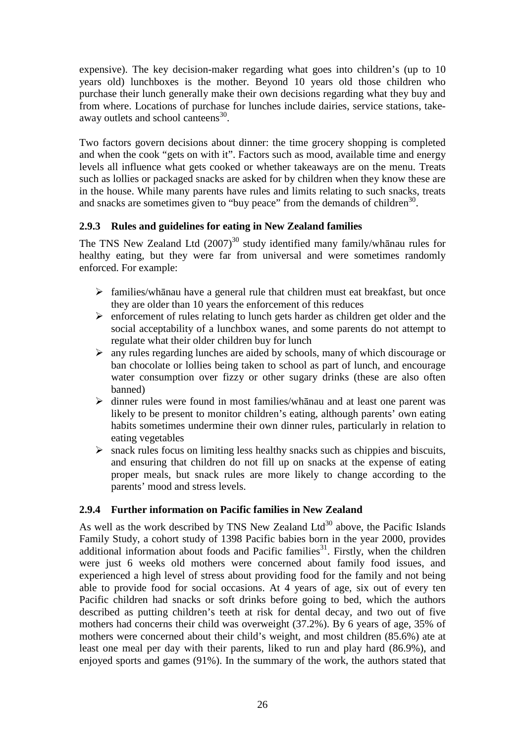expensive). The key decision-maker regarding what goes into children's (up to 10 years old) lunchboxes is the mother. Beyond 10 years old those children who purchase their lunch generally make their own decisions regarding what they buy and from where. Locations of purchase for lunches include dairies, service stations, takeaway outlets and school canteens<sup>30</sup>.

Two factors govern decisions about dinner: the time grocery shopping is completed and when the cook "gets on with it". Factors such as mood, available time and energy levels all influence what gets cooked or whether takeaways are on the menu. Treats such as lollies or packaged snacks are asked for by children when they know these are in the house. While many parents have rules and limits relating to such snacks, treats and snacks are sometimes given to "buy peace" from the demands of children $30$ .

### **2.9.3 Rules and guidelines for eating in New Zealand families**

The TNS New Zealand Ltd  $(2007)^{30}$  study identified many family/whanau rules for healthy eating, but they were far from universal and were sometimes randomly enforced. For example:

- $\triangleright$  families/whānau have a general rule that children must eat breakfast, but once they are older than 10 years the enforcement of this reduces
- $\triangleright$  enforcement of rules relating to lunch gets harder as children get older and the social acceptability of a lunchbox wanes, and some parents do not attempt to regulate what their older children buy for lunch
- $\triangleright$  any rules regarding lunches are aided by schools, many of which discourage or ban chocolate or lollies being taken to school as part of lunch, and encourage water consumption over fizzy or other sugary drinks (these are also often banned)
- $\triangleright$  dinner rules were found in most families/whanau and at least one parent was likely to be present to monitor children's eating, although parents' own eating habits sometimes undermine their own dinner rules, particularly in relation to eating vegetables
- $\triangleright$  snack rules focus on limiting less healthy snacks such as chippies and biscuits, and ensuring that children do not fill up on snacks at the expense of eating proper meals, but snack rules are more likely to change according to the parents' mood and stress levels.

### **2.9.4 Further information on Pacific families in New Zealand**

As well as the work described by TNS New Zealand Ltd<sup>30</sup> above, the Pacific Islands Family Study, a cohort study of 1398 Pacific babies born in the year 2000, provides additional information about foods and Pacific families $31$ . Firstly, when the children were just 6 weeks old mothers were concerned about family food issues, and experienced a high level of stress about providing food for the family and not being able to provide food for social occasions. At 4 years of age, six out of every ten Pacific children had snacks or soft drinks before going to bed, which the authors described as putting children's teeth at risk for dental decay, and two out of five mothers had concerns their child was overweight (37.2%). By 6 years of age, 35% of mothers were concerned about their child's weight, and most children (85.6%) ate at least one meal per day with their parents, liked to run and play hard (86.9%), and enjoyed sports and games (91%). In the summary of the work, the authors stated that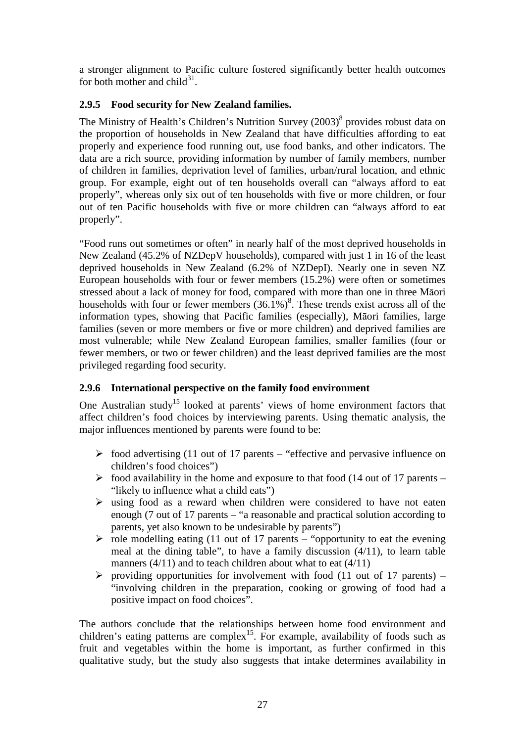a stronger alignment to Pacific culture fostered significantly better health outcomes for both mother and child $31$ .

### **2.9.5 Food security for New Zealand families.**

The Ministry of Health's Children's Nutrition Survey (2003)<sup>8</sup> provides robust data on the proportion of households in New Zealand that have difficulties affording to eat properly and experience food running out, use food banks, and other indicators. The data are a rich source, providing information by number of family members, number of children in families, deprivation level of families, urban/rural location, and ethnic group. For example, eight out of ten households overall can "always afford to eat properly", whereas only six out of ten households with five or more children, or four out of ten Pacific households with five or more children can "always afford to eat properly".

"Food runs out sometimes or often" in nearly half of the most deprived households in New Zealand (45.2% of NZDepV households), compared with just 1 in 16 of the least deprived households in New Zealand (6.2% of NZDepI). Nearly one in seven NZ European households with four or fewer members (15.2%) were often or sometimes stressed about a lack of money for food, compared with more than one in three Māori households with four or fewer members  $(36.1\%)^8$ . These trends exist across all of the information types, showing that Pacific families (especially), Māori families, large families (seven or more members or five or more children) and deprived families are most vulnerable; while New Zealand European families, smaller families (four or fewer members, or two or fewer children) and the least deprived families are the most privileged regarding food security.

### **2.9.6 International perspective on the family food environment**

One Australian study<sup>15</sup> looked at parents' views of home environment factors that affect children's food choices by interviewing parents. Using thematic analysis, the major influences mentioned by parents were found to be:

- $\geq$  food advertising (11 out of 17 parents "effective and pervasive influence on children's food choices")
- $\geq$  food availability in the home and exposure to that food (14 out of 17 parents "likely to influence what a child eats")
- $\triangleright$  using food as a reward when children were considered to have not eaten enough (7 out of 17 parents – "a reasonable and practical solution according to parents, yet also known to be undesirable by parents")
- $\triangleright$  role modelling eating (11 out of 17 parents "opportunity to eat the evening meal at the dining table", to have a family discussion (4/11), to learn table manners  $(4/11)$  and to teach children about what to eat  $(4/11)$
- $\triangleright$  providing opportunities for involvement with food (11 out of 17 parents) "involving children in the preparation, cooking or growing of food had a positive impact on food choices".

The authors conclude that the relationships between home food environment and children's eating patterns are complex<sup>15</sup>. For example, availability of foods such as fruit and vegetables within the home is important, as further confirmed in this qualitative study, but the study also suggests that intake determines availability in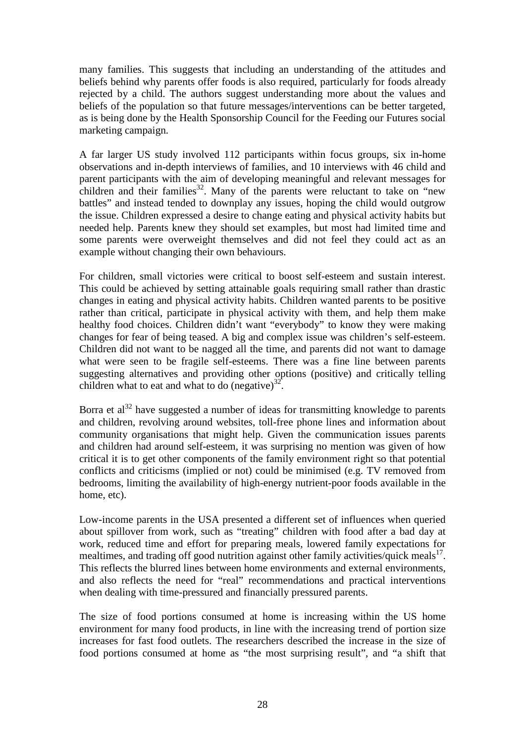many families. This suggests that including an understanding of the attitudes and beliefs behind why parents offer foods is also required, particularly for foods already rejected by a child. The authors suggest understanding more about the values and beliefs of the population so that future messages/interventions can be better targeted, as is being done by the Health Sponsorship Council for the Feeding our Futures social marketing campaign.

A far larger US study involved 112 participants within focus groups, six in-home observations and in-depth interviews of families, and 10 interviews with 46 child and parent participants with the aim of developing meaningful and relevant messages for children and their families<sup>32</sup>. Many of the parents were reluctant to take on "new" battles" and instead tended to downplay any issues, hoping the child would outgrow the issue. Children expressed a desire to change eating and physical activity habits but needed help. Parents knew they should set examples, but most had limited time and some parents were overweight themselves and did not feel they could act as an example without changing their own behaviours.

For children, small victories were critical to boost self-esteem and sustain interest. This could be achieved by setting attainable goals requiring small rather than drastic changes in eating and physical activity habits. Children wanted parents to be positive rather than critical, participate in physical activity with them, and help them make healthy food choices. Children didn't want "everybody" to know they were making changes for fear of being teased. A big and complex issue was children's self-esteem. Children did not want to be nagged all the time, and parents did not want to damage what were seen to be fragile self-esteems. There was a fine line between parents suggesting alternatives and providing other options (positive) and critically telling children what to eat and what to do  $(negative)^{32}$ .

Borra et  $a^{32}$  have suggested a number of ideas for transmitting knowledge to parents and children, revolving around websites, toll-free phone lines and information about community organisations that might help. Given the communication issues parents and children had around self-esteem, it was surprising no mention was given of how critical it is to get other components of the family environment right so that potential conflicts and criticisms (implied or not) could be minimised (e.g. TV removed from bedrooms, limiting the availability of high-energy nutrient-poor foods available in the home, etc).

Low-income parents in the USA presented a different set of influences when queried about spillover from work, such as "treating" children with food after a bad day at work, reduced time and effort for preparing meals, lowered family expectations for mealtimes, and trading off good nutrition against other family activities/quick meals<sup>17</sup>. This reflects the blurred lines between home environments and external environments, and also reflects the need for "real" recommendations and practical interventions when dealing with time-pressured and financially pressured parents.

The size of food portions consumed at home is increasing within the US home environment for many food products, in line with the increasing trend of portion size increases for fast food outlets. The researchers described the increase in the size of food portions consumed at home as "the most surprising result", and "a shift that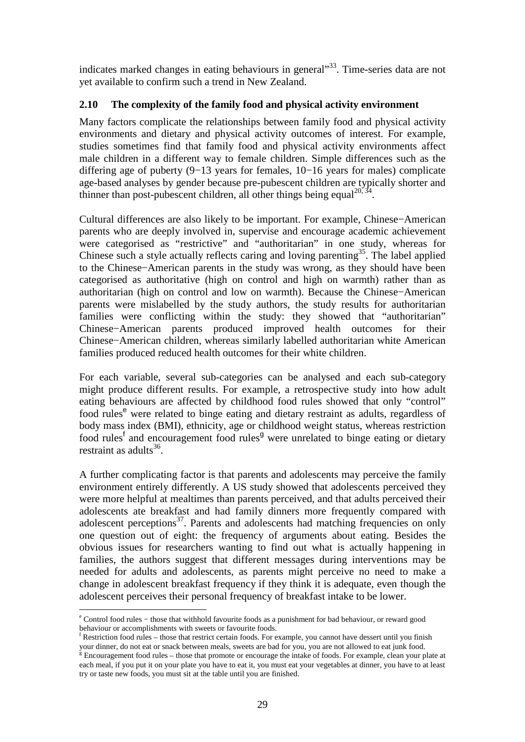indicates marked changes in eating behaviours in general"<sup>33</sup>. Time-series data are not yet available to confirm such a trend in New Zealand.

### **2.10 The complexity of the family food and physical activity environment**

Many factors complicate the relationships between family food and physical activity environments and dietary and physical activity outcomes of interest. For example, studies sometimes find that family food and physical activity environments affect male children in a different way to female children. Simple differences such as the differing age of puberty (9−13 years for females, 10−16 years for males) complicate age-based analyses by gender because pre-pubescent children are typically shorter and thinner than post-pubescent children, all other things being equal<sup>20, 34</sup>.

Cultural differences are also likely to be important. For example, Chinese−American parents who are deeply involved in, supervise and encourage academic achievement were categorised as "restrictive" and "authoritarian" in one study, whereas for Chinese such a style actually reflects caring and loving parenting<sup>35</sup>. The label applied to the Chinese−American parents in the study was wrong, as they should have been categorised as authoritative (high on control and high on warmth) rather than as authoritarian (high on control and low on warmth). Because the Chinese−American parents were mislabelled by the study authors, the study results for authoritarian families were conflicting within the study: they showed that "authoritarian" Chinese−American parents produced improved health outcomes for their Chinese−American children, whereas similarly labelled authoritarian white American families produced reduced health outcomes for their white children.

For each variable, several sub-categories can be analysed and each sub-category might produce different results. For example, a retrospective study into how adult eating behaviours are affected by childhood food rules showed that only "control" food rules<sup>e</sup> were related to binge eating and dietary restraint as adults, regardless of body mass index (BMI), ethnicity, age or childhood weight status, whereas restriction food rules<sup>f</sup> and encouragement food rules<sup>9</sup> were unrelated to binge eating or dietary restraint as adults $^{36}$ .

A further complicating factor is that parents and adolescents may perceive the family environment entirely differently. A US study showed that adolescents perceived they were more helpful at mealtimes than parents perceived, and that adults perceived their adolescents ate breakfast and had family dinners more frequently compared with adolescent perceptions $37$ . Parents and adolescents had matching frequencies on only one question out of eight: the frequency of arguments about eating. Besides the obvious issues for researchers wanting to find out what is actually happening in families, the authors suggest that different messages during interventions may be needed for adults and adolescents, as parents might perceive no need to make a change in adolescent breakfast frequency if they think it is adequate, even though the adolescent perceives their personal frequency of breakfast intake to be lower.

 $\overline{a}$ 

e Control food rules − those that withhold favourite foods as a punishment for bad behaviour, or reward good behaviour or accomplishments with sweets or favourite foods.

f Restriction food rules – those that restrict certain foods. For example, you cannot have dessert until you finish your dinner, do not eat or snack between meals, sweets are bad for you, you are not allowed to eat junk food.<br><sup>§</sup> Encouragement food rules – those that promote or encourage the intake of foods. For example, clean your plat

each meal, if you put it on your plate you have to eat it, you must eat your vegetables at dinner, you have to at least try or taste new foods, you must sit at the table until you are finished.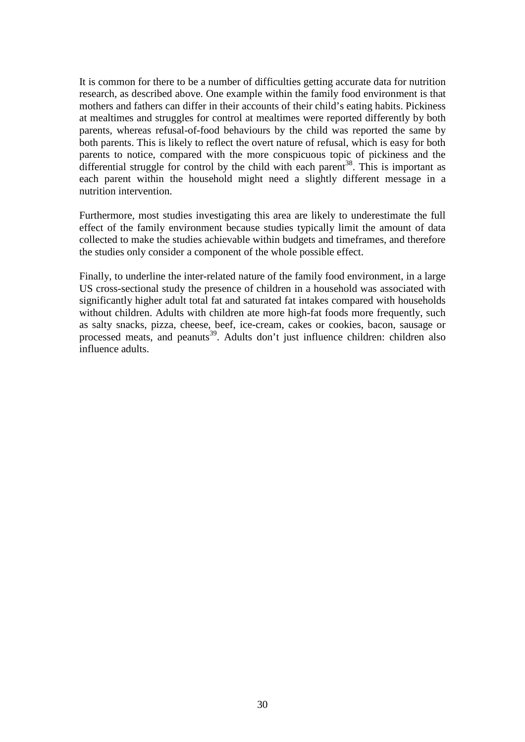It is common for there to be a number of difficulties getting accurate data for nutrition research, as described above. One example within the family food environment is that mothers and fathers can differ in their accounts of their child's eating habits. Pickiness at mealtimes and struggles for control at mealtimes were reported differently by both parents, whereas refusal-of-food behaviours by the child was reported the same by both parents. This is likely to reflect the overt nature of refusal, which is easy for both parents to notice, compared with the more conspicuous topic of pickiness and the differential struggle for control by the child with each parent<sup>38</sup>. This is important as each parent within the household might need a slightly different message in a nutrition intervention.

Furthermore, most studies investigating this area are likely to underestimate the full effect of the family environment because studies typically limit the amount of data collected to make the studies achievable within budgets and timeframes, and therefore the studies only consider a component of the whole possible effect.

Finally, to underline the inter-related nature of the family food environment, in a large US cross-sectional study the presence of children in a household was associated with significantly higher adult total fat and saturated fat intakes compared with households without children. Adults with children ate more high-fat foods more frequently, such as salty snacks, pizza, cheese, beef, ice-cream, cakes or cookies, bacon, sausage or processed meats, and peanuts<sup>39</sup>. Adults don't just influence children: children also influence adults.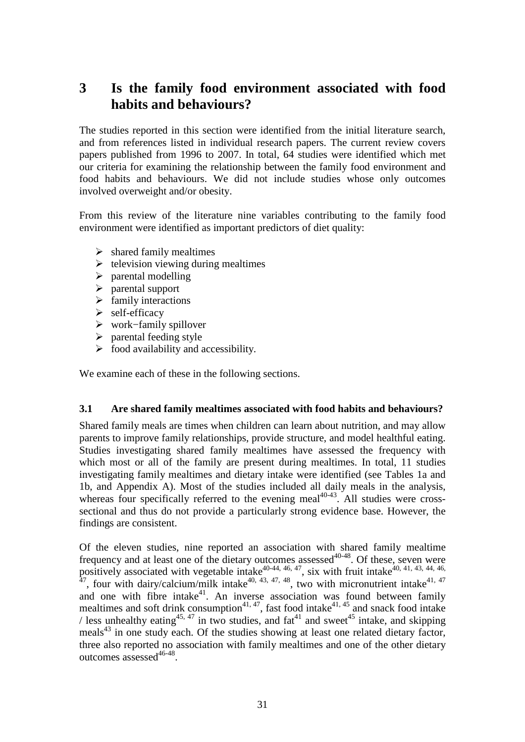## **3 Is the family food environment associated with food habits and behaviours?**

The studies reported in this section were identified from the initial literature search, and from references listed in individual research papers. The current review covers papers published from 1996 to 2007. In total, 64 studies were identified which met our criteria for examining the relationship between the family food environment and food habits and behaviours. We did not include studies whose only outcomes involved overweight and/or obesity.

From this review of the literature nine variables contributing to the family food environment were identified as important predictors of diet quality:

- $\triangleright$  shared family mealtimes
- $\triangleright$  television viewing during mealtimes
- $\triangleright$  parental modelling
- $\triangleright$  parental support
- $\triangleright$  family interactions
- $\triangleright$  self-efficacy
- work−family spillover
- $\triangleright$  parental feeding style
- $\triangleright$  food availability and accessibility.

We examine each of these in the following sections.

### **3.1 Are shared family mealtimes associated with food habits and behaviours?**

Shared family meals are times when children can learn about nutrition, and may allow parents to improve family relationships, provide structure, and model healthful eating. Studies investigating shared family mealtimes have assessed the frequency with which most or all of the family are present during mealtimes. In total, 11 studies investigating family mealtimes and dietary intake were identified (see Tables 1a and 1b, and Appendix A). Most of the studies included all daily meals in the analysis, whereas four specifically referred to the evening meal $40-43$ . All studies were crosssectional and thus do not provide a particularly strong evidence base. However, the findings are consistent.

Of the eleven studies, nine reported an association with shared family mealtime frequency and at least one of the dietary outcomes assessed $40-48$ . Of these, seven were positively associated with vegetable intake<sup>40-44, 46, 47</sup>, six with fruit intake<sup>40, 41, 43, 44, 46,</sup>  $47$ , four with dairy/calcium/milk intake $40, 43, 47, 48$ , two with micronutrient intake $41, 47$ and one with fibre intake<sup>41</sup>. An inverse association was found between family mealtimes and soft drink consumption<sup>41, 47</sup>, fast food intake<sup>41, 45</sup> and snack food intake / less unhealthy eating<sup>45, 47</sup> in two studies, and fat<sup>41</sup> and sweet<sup>45</sup> intake, and skipping meals<sup>43</sup> in one study each. Of the studies showing at least one related dietary factor, three also reported no association with family mealtimes and one of the other dietary outcomes assessed<sup>46-48</sup>.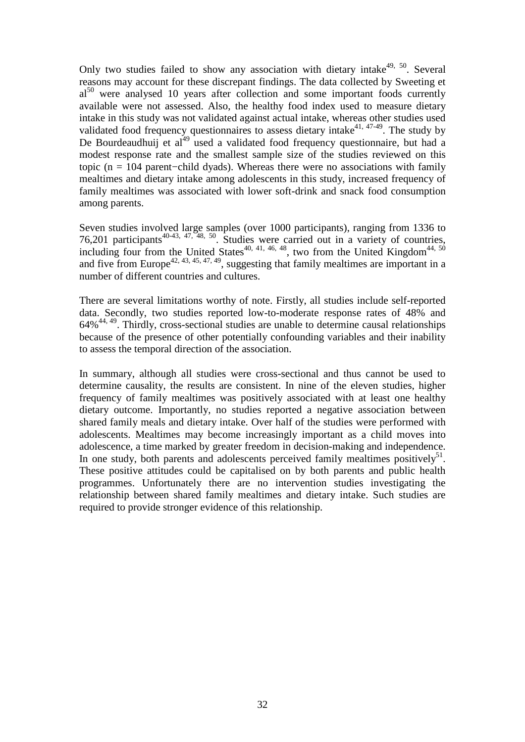Only two studies failed to show any association with dietary intake $49, 50$ . Several reasons may account for these discrepant findings. The data collected by Sweeting et  $al<sup>50</sup>$  were analysed 10 years after collection and some important foods currently available were not assessed. Also, the healthy food index used to measure dietary intake in this study was not validated against actual intake, whereas other studies used validated food frequency questionnaires to assess dietary intake<sup>41, 47-49</sup>. The study by De Bourdeaudhuij et al $^{49}$  used a validated food frequency questionnaire, but had a modest response rate and the smallest sample size of the studies reviewed on this topic (n = 104 parent−child dyads). Whereas there were no associations with family mealtimes and dietary intake among adolescents in this study, increased frequency of family mealtimes was associated with lower soft-drink and snack food consumption among parents.

Seven studies involved large samples (over 1000 participants), ranging from 1336 to 76,201 participants<sup>40-43, 47, 48, 50</sup>. Studies were carried out in a variety of countries, including four from the United States<sup>40, 41, 46, 48</sup>, two from the United Kingdom<sup>44, 50</sup> and five from Europe<sup>42, 43, 45, 47, 49</sup>, suggesting that family mealtimes are important in a number of different countries and cultures.

There are several limitations worthy of note. Firstly, all studies include self-reported data. Secondly, two studies reported low-to-moderate response rates of 48% and  $64\%$ <sup>44, 49</sup>. Thirdly, cross-sectional studies are unable to determine causal relationships because of the presence of other potentially confounding variables and their inability to assess the temporal direction of the association.

In summary, although all studies were cross-sectional and thus cannot be used to determine causality, the results are consistent. In nine of the eleven studies, higher frequency of family mealtimes was positively associated with at least one healthy dietary outcome. Importantly, no studies reported a negative association between shared family meals and dietary intake. Over half of the studies were performed with adolescents. Mealtimes may become increasingly important as a child moves into adolescence, a time marked by greater freedom in decision-making and independence. In one study, both parents and adolescents perceived family mealtimes positively $51$ . These positive attitudes could be capitalised on by both parents and public health programmes. Unfortunately there are no intervention studies investigating the relationship between shared family mealtimes and dietary intake. Such studies are required to provide stronger evidence of this relationship.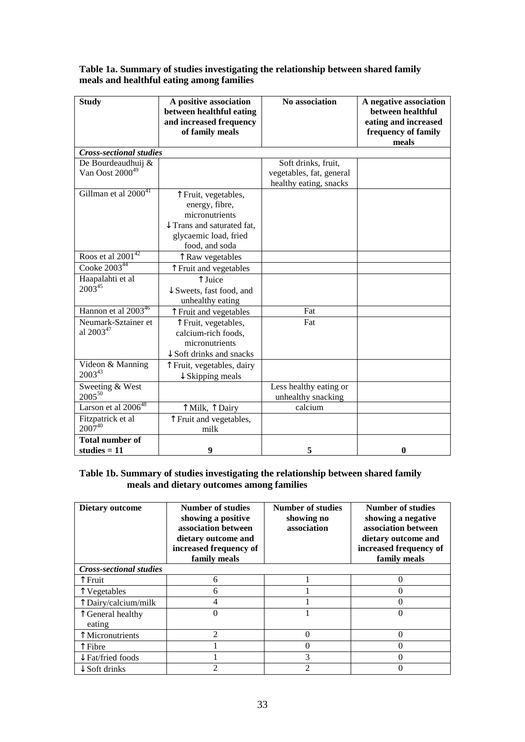| <b>Study</b>                     | A positive association<br>between healthful eating<br>and increased frequency<br>of family meals | No association           | A negative association<br>between healthful<br>eating and increased<br>frequency of family<br>meals |
|----------------------------------|--------------------------------------------------------------------------------------------------|--------------------------|-----------------------------------------------------------------------------------------------------|
| <b>Cross-sectional studies</b>   |                                                                                                  |                          |                                                                                                     |
| De Bourdeaudhuij &               |                                                                                                  | Soft drinks, fruit,      |                                                                                                     |
| Van Oost 2000 <sup>49</sup>      |                                                                                                  | vegetables, fat, general |                                                                                                     |
|                                  |                                                                                                  | healthy eating, snacks   |                                                                                                     |
| Gillman et al 2000 <sup>41</sup> | T Fruit, vegetables,                                                                             |                          |                                                                                                     |
|                                  | energy, fibre,                                                                                   |                          |                                                                                                     |
|                                  | micronutrients                                                                                   |                          |                                                                                                     |
|                                  | $\downarrow$ Trans and saturated fat.                                                            |                          |                                                                                                     |
|                                  | glycaemic load, fried                                                                            |                          |                                                                                                     |
|                                  | food, and soda                                                                                   |                          |                                                                                                     |
| Roos et al $2001^{42}$           | T Raw vegetables                                                                                 |                          |                                                                                                     |
| Cooke 2003 <sup>44</sup>         | ↑ Fruit and vegetables                                                                           |                          |                                                                                                     |
| Haapalahti et al                 | ↑ Juice                                                                                          |                          |                                                                                                     |
| $2003^{45}$                      | $\downarrow$ Sweets, fast food, and                                                              |                          |                                                                                                     |
|                                  | unhealthy eating                                                                                 |                          |                                                                                                     |
| Hannon et al 2003 <sup>46</sup>  | T Fruit and vegetables                                                                           | Fat                      |                                                                                                     |
| Neumark-Sztainer et              | ↑ Fruit, vegetables,                                                                             | Fat                      |                                                                                                     |
| al 2003 <sup>47</sup>            | calcium-rich foods,                                                                              |                          |                                                                                                     |
|                                  | micronutrients                                                                                   |                          |                                                                                                     |
|                                  | $\downarrow$ Soft drinks and snacks                                                              |                          |                                                                                                     |
| Videon & Manning                 | ↑ Fruit, vegetables, dairy                                                                       |                          |                                                                                                     |
| $2003^{43}$                      | $\downarrow$ Skipping meals                                                                      |                          |                                                                                                     |
| Sweeting & West                  |                                                                                                  | Less healthy eating or   |                                                                                                     |
| $2005^{50}$                      |                                                                                                  | unhealthy snacking       |                                                                                                     |
| Larson et al 2006 <sup>48</sup>  | ↑ Milk, ↑ Dairy                                                                                  | calcium                  |                                                                                                     |
| Fitzpatrick et al                | ↑ Fruit and vegetables,                                                                          |                          |                                                                                                     |
| $2007^{40}$                      | milk                                                                                             |                          |                                                                                                     |
| <b>Total number of</b>           |                                                                                                  |                          |                                                                                                     |
| studies $= 11$                   | 9                                                                                                | 5                        | $\bf{0}$                                                                                            |

#### **Table 1a. Summary of studies investigating the relationship between shared family meals and healthful eating among families**

#### **Table 1b. Summary of studies investigating the relationship between shared family meals and dietary outcomes among families**

| Dietary outcome                | <b>Number of studies</b><br>showing a positive<br>association between<br>dietary outcome and<br>increased frequency of<br>family meals | <b>Number of studies</b><br>showing no<br>association | <b>Number of studies</b><br>showing a negative<br>association between<br>dietary outcome and<br>increased frequency of<br>family meals |  |  |  |
|--------------------------------|----------------------------------------------------------------------------------------------------------------------------------------|-------------------------------------------------------|----------------------------------------------------------------------------------------------------------------------------------------|--|--|--|
| <b>Cross-sectional studies</b> |                                                                                                                                        |                                                       |                                                                                                                                        |  |  |  |
| Fruit                          | 6                                                                                                                                      |                                                       | 0                                                                                                                                      |  |  |  |
| Vegetables                     | 6                                                                                                                                      |                                                       | 0                                                                                                                                      |  |  |  |
| Dairy/calcium/milk             | 4                                                                                                                                      |                                                       |                                                                                                                                        |  |  |  |
| General healthy                | 0                                                                                                                                      |                                                       |                                                                                                                                        |  |  |  |
| eating                         |                                                                                                                                        |                                                       |                                                                                                                                        |  |  |  |
| Micronutrients                 | $\mathfrak{D}$                                                                                                                         | $\Omega$                                              | 0                                                                                                                                      |  |  |  |
| Fibre                          |                                                                                                                                        | 0                                                     |                                                                                                                                        |  |  |  |
| $\downarrow$ Fat/fried foods   |                                                                                                                                        | 3                                                     |                                                                                                                                        |  |  |  |
| $\downarrow$ Soft drinks       | $\mathcal{D}_{\mathcal{L}}$                                                                                                            | $\mathfrak{D}$                                        |                                                                                                                                        |  |  |  |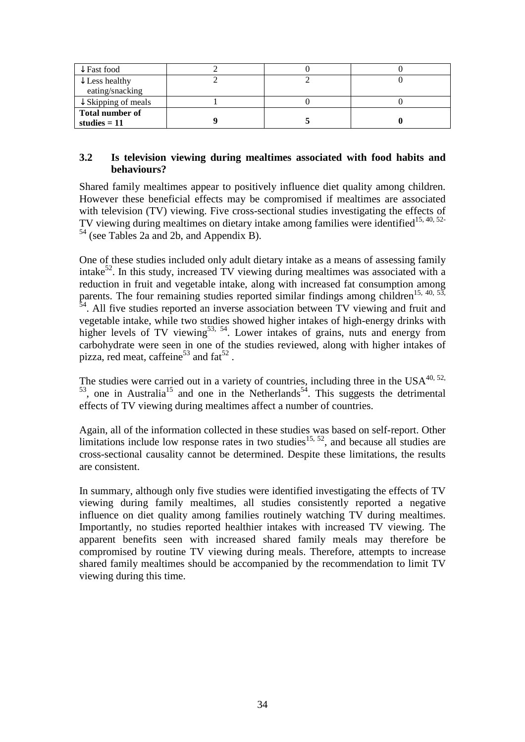| $\downarrow$ Fast food         |  |  |
|--------------------------------|--|--|
| $\downarrow$ Less healthy      |  |  |
| eating/snacking                |  |  |
| $\downarrow$ Skipping of meals |  |  |
| Total number of                |  |  |
| studies $= 11$                 |  |  |

### **3.2 Is television viewing during mealtimes associated with food habits and behaviours?**

Shared family mealtimes appear to positively influence diet quality among children. However these beneficial effects may be compromised if mealtimes are associated with television (TV) viewing. Five cross-sectional studies investigating the effects of TV viewing during mealtimes on dietary intake among families were identified<sup>15, 40, 52-</sup> <sup>54</sup> (see Tables 2a and 2b, and Appendix B).

One of these studies included only adult dietary intake as a means of assessing family intake<sup>52</sup>. In this study, increased TV viewing during mealtimes was associated with a reduction in fruit and vegetable intake, along with increased fat consumption among parents. The four remaining studies reported similar findings among children<sup>15, 40, 53,</sup> <sup>54</sup>. All five studies reported an inverse association between TV viewing and fruit and vegetable intake, while two studies showed higher intakes of high-energy drinks with higher levels of TV viewing<sup>53, 54</sup>. Lower intakes of grains, nuts and energy from carbohydrate were seen in one of the studies reviewed, along with higher intakes of pizza, red meat, caffeine<sup>53</sup> and  $fat^{52}$ .

The studies were carried out in a variety of countries, including three in the  $USA^{40, 52}$ ,  $53$ , one in Australia<sup>15</sup> and one in the Netherlands<sup>54</sup>. This suggests the detrimental effects of TV viewing during mealtimes affect a number of countries.

Again, all of the information collected in these studies was based on self-report. Other limitations include low response rates in two studies<sup>15, 52</sup>, and because all studies are cross-sectional causality cannot be determined. Despite these limitations, the results are consistent.

In summary, although only five studies were identified investigating the effects of TV viewing during family mealtimes, all studies consistently reported a negative influence on diet quality among families routinely watching TV during mealtimes. Importantly, no studies reported healthier intakes with increased TV viewing. The apparent benefits seen with increased shared family meals may therefore be compromised by routine TV viewing during meals. Therefore, attempts to increase shared family mealtimes should be accompanied by the recommendation to limit TV viewing during this time.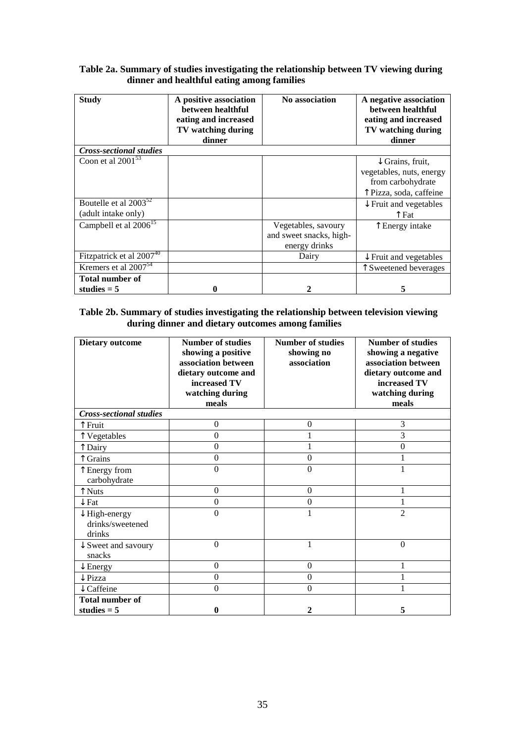#### **Table 2a. Summary of studies investigating the relationship between TV viewing during dinner and healthful eating among families**

| <b>Study</b>                                             | A positive association<br>between healthful<br>eating and increased<br>TV watching during<br>dinner | No association                                                  | A negative association<br>between healthful<br>eating and increased<br>TV watching during<br>dinner     |
|----------------------------------------------------------|-----------------------------------------------------------------------------------------------------|-----------------------------------------------------------------|---------------------------------------------------------------------------------------------------------|
| <b>Cross-sectional studies</b>                           |                                                                                                     |                                                                 |                                                                                                         |
| Coon et al $2001^{53}$                                   |                                                                                                     |                                                                 | $\downarrow$ Grains, fruit,<br>vegetables, nuts, energy<br>from carbohydrate<br>↑ Pizza, soda, caffeine |
| Boutelle et al 2003 <sup>52</sup><br>(adult intake only) |                                                                                                     |                                                                 | $\downarrow$ Fruit and vegetables<br>$\uparrow$ Fat                                                     |
| Campbell et al 2006 <sup>15</sup>                        |                                                                                                     | Vegetables, savoury<br>and sweet snacks, high-<br>energy drinks | T Energy intake                                                                                         |
| Fitzpatrick et al 2007 <sup>40</sup>                     |                                                                                                     | Dairy                                                           | $\downarrow$ Fruit and vegetables                                                                       |
| Kremers et al 2007 <sup>54</sup>                         |                                                                                                     |                                                                 | T Sweetened beverages                                                                                   |
| <b>Total number of</b><br>studies $= 5$                  |                                                                                                     |                                                                 | 5                                                                                                       |

#### **Table 2b. Summary of studies investigating the relationship between television viewing during dinner and dietary outcomes among families**

| <b>Dietary outcome</b>                                 | <b>Number of studies</b><br>showing a positive<br>association between<br>dietary outcome and<br>increased TV<br>watching during<br>meals | <b>Number of studies</b><br>showing no<br>association | <b>Number of studies</b><br>showing a negative<br>association between<br>dietary outcome and<br>increased TV<br>watching during<br>meals |
|--------------------------------------------------------|------------------------------------------------------------------------------------------------------------------------------------------|-------------------------------------------------------|------------------------------------------------------------------------------------------------------------------------------------------|
| <b>Cross-sectional studies</b>                         |                                                                                                                                          |                                                       |                                                                                                                                          |
| ↑ Fruit                                                | $\overline{0}$                                                                                                                           | $\theta$                                              | 3                                                                                                                                        |
| T Vegetables                                           | $\boldsymbol{0}$                                                                                                                         |                                                       | 3                                                                                                                                        |
| ↑ Dairy                                                | $\boldsymbol{0}$                                                                                                                         |                                                       | 0                                                                                                                                        |
| Grains                                                 | $\overline{0}$                                                                                                                           | $\theta$                                              |                                                                                                                                          |
| T Energy from<br>carbohydrate                          | $\overline{0}$                                                                                                                           | $\theta$                                              |                                                                                                                                          |
| ↑ Nuts                                                 | $\boldsymbol{0}$                                                                                                                         | $\boldsymbol{0}$                                      |                                                                                                                                          |
| $\downarrow$ Fat                                       | $\overline{0}$                                                                                                                           | $\boldsymbol{0}$                                      |                                                                                                                                          |
| $\downarrow$ High-energy<br>drinks/sweetened<br>drinks | $\overline{0}$                                                                                                                           | 1                                                     | $\overline{2}$                                                                                                                           |
| $\downarrow$ Sweet and savoury<br>snacks               | $\theta$                                                                                                                                 | 1                                                     | $\theta$                                                                                                                                 |
| $\downarrow$ Energy                                    | $\theta$                                                                                                                                 | $\theta$                                              |                                                                                                                                          |
| $\downarrow$ Pizza                                     | $\theta$                                                                                                                                 | $\theta$                                              |                                                                                                                                          |
| Caffeine                                               | $\theta$                                                                                                                                 | $\theta$                                              |                                                                                                                                          |
| <b>Total number of</b>                                 |                                                                                                                                          |                                                       |                                                                                                                                          |
| studies $= 5$                                          | $\bf{0}$                                                                                                                                 | $\mathbf{2}$                                          | 5                                                                                                                                        |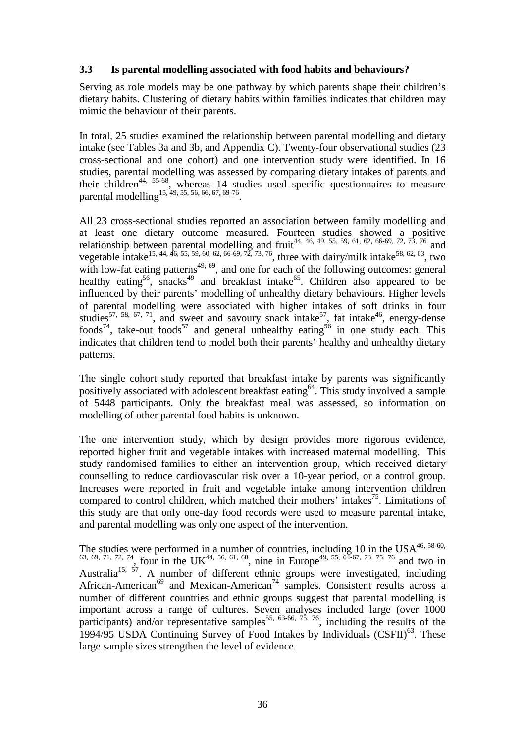### **3.3 Is parental modelling associated with food habits and behaviours?**

Serving as role models may be one pathway by which parents shape their children's dietary habits. Clustering of dietary habits within families indicates that children may mimic the behaviour of their parents.

In total, 25 studies examined the relationship between parental modelling and dietary intake (see Tables 3a and 3b, and Appendix C). Twenty-four observational studies (23 cross-sectional and one cohort) and one intervention study were identified. In 16 studies, parental modelling was assessed by comparing dietary intakes of parents and their children<sup>44, 55-68</sup>, whereas 14 studies used specific questionnaires to measure parental modelling<sup>15, 49, 55, 56, 66, 67, 69-76</sup>.

All 23 cross-sectional studies reported an association between family modelling and at least one dietary outcome measured. Fourteen studies showed a positive relationship between parental modelling and fruit<sup>44, 46, 49, 55, 59, 61, 62, 66-69, 72, 73, 76 and</sup> vegetable intake<sup>15, 44, 46, 55, 59, 60, 62, 66-69, 72, 73, 76</sup>, three with dairy/milk intake<sup>58, 62, 63</sup>, two with low-fat eating patterns<sup> $49, 69$ </sup>, and one for each of the following outcomes: general healthy eating<sup>56</sup>, snacks<sup>49</sup> and breakfast intake<sup>65</sup>. Children also appeared to be influenced by their parents' modelling of unhealthy dietary behaviours. Higher levels of parental modelling were associated with higher intakes of soft drinks in four studies<sup>57, 58, 67, 71</sup>, and sweet and savoury snack intake<sup>57</sup>, fat intake<sup>46</sup>, energy-dense foods<sup>74</sup>, take-out foods<sup>57</sup> and general unhealthy eating<sup>56</sup> in one study each. This indicates that children tend to model both their parents' healthy and unhealthy dietary patterns.

The single cohort study reported that breakfast intake by parents was significantly positively associated with adolescent breakfast eating<sup>64</sup>. This study involved a sample of 5448 participants. Only the breakfast meal was assessed, so information on modelling of other parental food habits is unknown.

The one intervention study, which by design provides more rigorous evidence, reported higher fruit and vegetable intakes with increased maternal modelling. This study randomised families to either an intervention group, which received dietary counselling to reduce cardiovascular risk over a 10-year period, or a control group. Increases were reported in fruit and vegetable intake among intervention children compared to control children, which matched their mothers' intakes<sup>75</sup>. Limitations of this study are that only one-day food records were used to measure parental intake, and parental modelling was only one aspect of the intervention.

The studies were performed in a number of countries, including 10 in the  $USA^{46, 58-60}$ ,  $^{63, 69, 71, 72, 74}$ , four in the UK<sup>44, 56, 61, 68</sup>, nine in Europe<sup>49, 55, 64-67, 73, 75, 76</sup> and two in Australia<sup>15, 57</sup>. A number of different ethnic groups were investigated, including African-American<sup>69</sup> and Mexican-American<sup>74</sup> samples. Consistent results across a number of different countries and ethnic groups suggest that parental modelling is important across a range of cultures. Seven analyses included large (over 1000 participants) and/or representative samples<sup>55, 63-66, 75, 76</sup>, including the results of the 1994/95 USDA Continuing Survey of Food Intakes by Individuals  $(CSFII)^{63}$ . These large sample sizes strengthen the level of evidence.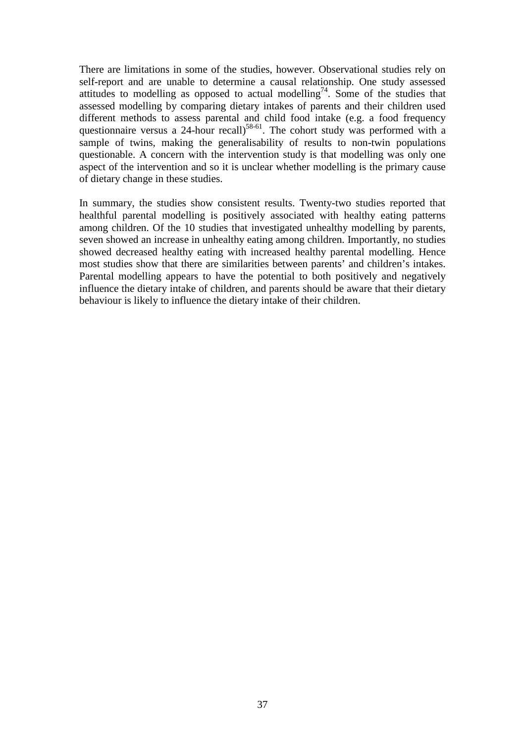There are limitations in some of the studies, however. Observational studies rely on self-report and are unable to determine a causal relationship. One study assessed attitudes to modelling as opposed to actual modelling<sup>74</sup>. Some of the studies that assessed modelling by comparing dietary intakes of parents and their children used different methods to assess parental and child food intake (e.g. a food frequency questionnaire versus a 24-hour recall)<sup>58-61</sup>. The cohort study was performed with a sample of twins, making the generalisability of results to non-twin populations questionable. A concern with the intervention study is that modelling was only one aspect of the intervention and so it is unclear whether modelling is the primary cause of dietary change in these studies.

In summary, the studies show consistent results. Twenty-two studies reported that healthful parental modelling is positively associated with healthy eating patterns among children. Of the 10 studies that investigated unhealthy modelling by parents, seven showed an increase in unhealthy eating among children. Importantly, no studies showed decreased healthy eating with increased healthy parental modelling. Hence most studies show that there are similarities between parents' and children's intakes. Parental modelling appears to have the potential to both positively and negatively influence the dietary intake of children, and parents should be aware that their dietary behaviour is likely to influence the dietary intake of their children.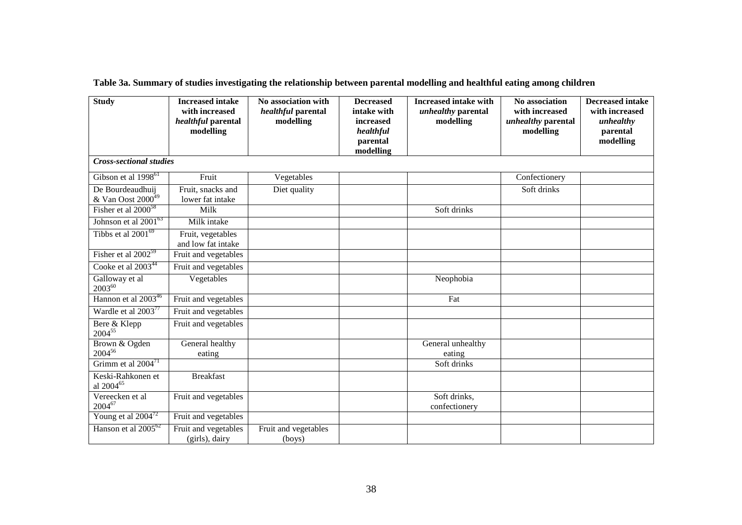| <b>Study</b>                                        | <b>Increased</b> intake<br>with increased<br>healthful parental<br>modelling | No association with<br>healthful parental<br>modelling | <b>Decreased</b><br>intake with<br>increased<br>healthful<br>parental<br>modelling | <b>Increased intake with</b><br>unhealthy parental<br>modelling | No association<br>with increased<br>unhealthy parental<br>modelling | <b>Decreased intake</b><br>with increased<br>unhealthy<br>parental<br>modelling |
|-----------------------------------------------------|------------------------------------------------------------------------------|--------------------------------------------------------|------------------------------------------------------------------------------------|-----------------------------------------------------------------|---------------------------------------------------------------------|---------------------------------------------------------------------------------|
| <b>Cross-sectional studies</b>                      |                                                                              |                                                        |                                                                                    |                                                                 |                                                                     |                                                                                 |
| Gibson et al 1998 <sup>61</sup>                     | Fruit                                                                        | Vegetables                                             |                                                                                    |                                                                 | Confectionery                                                       |                                                                                 |
| De Bourdeaudhuij<br>$&$ Van Oost 2000 <sup>49</sup> | Fruit, snacks and<br>lower fat intake                                        | Diet quality                                           |                                                                                    |                                                                 | Soft drinks                                                         |                                                                                 |
| Fisher et al $2000^{58}$                            | Milk                                                                         |                                                        |                                                                                    | Soft drinks                                                     |                                                                     |                                                                                 |
| Johnson et al 2001 <sup>63</sup>                    | Milk intake                                                                  |                                                        |                                                                                    |                                                                 |                                                                     |                                                                                 |
| Tibbs et al $2001^{69}$                             | Fruit, vegetables<br>and low fat intake                                      |                                                        |                                                                                    |                                                                 |                                                                     |                                                                                 |
| Fisher et al 2002 <sup>59</sup>                     | Fruit and vegetables                                                         |                                                        |                                                                                    |                                                                 |                                                                     |                                                                                 |
| Cooke et al 2003 <sup>44</sup>                      | Fruit and vegetables                                                         |                                                        |                                                                                    |                                                                 |                                                                     |                                                                                 |
| Galloway et al<br>$2003^{60}$                       | Vegetables                                                                   |                                                        |                                                                                    | Neophobia                                                       |                                                                     |                                                                                 |
| Hannon et al 2003 <sup>46</sup>                     | Fruit and vegetables                                                         |                                                        |                                                                                    | Fat                                                             |                                                                     |                                                                                 |
| Wardle et al $2003^{77}$                            | Fruit and vegetables                                                         |                                                        |                                                                                    |                                                                 |                                                                     |                                                                                 |
| Bere & Klepp<br>$2004^{55}$                         | Fruit and vegetables                                                         |                                                        |                                                                                    |                                                                 |                                                                     |                                                                                 |
| Brown & Ogden<br>200456                             | General healthy<br>eating                                                    |                                                        |                                                                                    | General unhealthy<br>eating                                     |                                                                     |                                                                                 |
| Grimm et al $2004^{71}$                             |                                                                              |                                                        |                                                                                    | Soft drinks                                                     |                                                                     |                                                                                 |
| Keski-Rahkonen et<br>al 2004 <sup>65</sup>          | <b>Breakfast</b>                                                             |                                                        |                                                                                    |                                                                 |                                                                     |                                                                                 |
| Vereecken et al<br>$2004^{67}$                      | Fruit and vegetables                                                         |                                                        |                                                                                    | Soft drinks,<br>confectionery                                   |                                                                     |                                                                                 |
| Young et al $2004^{72}$                             | Fruit and vegetables                                                         |                                                        |                                                                                    |                                                                 |                                                                     |                                                                                 |
| Hanson et al $2005^{62}$                            | Fruit and vegetables<br>(girls), dairy                                       | Fruit and vegetables<br>(boys)                         |                                                                                    |                                                                 |                                                                     |                                                                                 |

**Table 3a. Summary of studies investigating the relationship between parental modelling and healthful eating among children**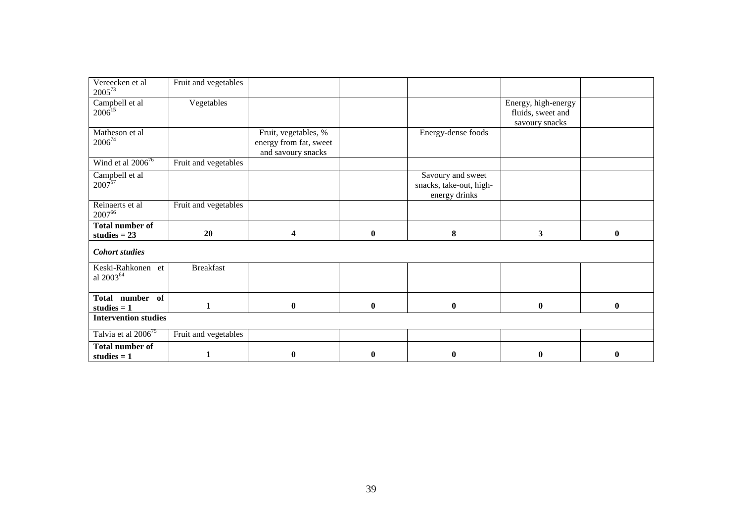| Vereecken et al<br>$2005^{73}$             | Fruit and vegetables |                                                                      |              |                                                               |                                                            |              |
|--------------------------------------------|----------------------|----------------------------------------------------------------------|--------------|---------------------------------------------------------------|------------------------------------------------------------|--------------|
| Campbell et al<br>$2006^{15}$              | Vegetables           |                                                                      |              |                                                               | Energy, high-energy<br>fluids, sweet and<br>savoury snacks |              |
| Matheson et al<br>200674                   |                      | Fruit, vegetables, %<br>energy from fat, sweet<br>and savoury snacks |              | Energy-dense foods                                            |                                                            |              |
| Wind et al $2006^{76}$                     | Fruit and vegetables |                                                                      |              |                                                               |                                                            |              |
| Campbell et al<br>$2007^{57}$              |                      |                                                                      |              | Savoury and sweet<br>snacks, take-out, high-<br>energy drinks |                                                            |              |
| Reinaerts et al<br>200766                  | Fruit and vegetables |                                                                      |              |                                                               |                                                            |              |
|                                            |                      |                                                                      |              |                                                               |                                                            |              |
| <b>Total number of</b><br>studies $= 23$   | 20                   | 4                                                                    | $\mathbf{0}$ | 8                                                             | 3                                                          | $\mathbf{0}$ |
| <b>Cohort studies</b>                      |                      |                                                                      |              |                                                               |                                                            |              |
| Keski-Rahkonen et<br>al 2003 <sup>64</sup> | <b>Breakfast</b>     |                                                                      |              |                                                               |                                                            |              |
| Total number of<br>studies $= 1$           | 1                    | $\boldsymbol{0}$                                                     | $\bf{0}$     | $\boldsymbol{0}$                                              | $\bf{0}$                                                   | $\bf{0}$     |
| <b>Intervention studies</b>                |                      |                                                                      |              |                                                               |                                                            |              |
| Talvia et al 2006 <sup>75</sup>            | Fruit and vegetables |                                                                      |              |                                                               |                                                            |              |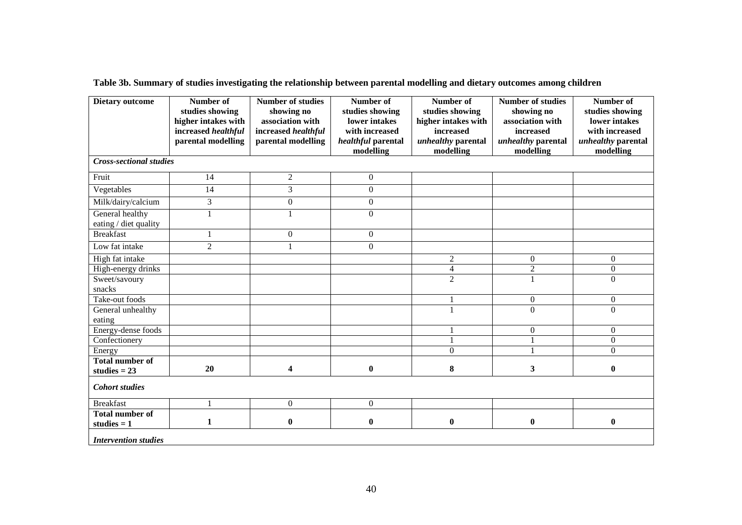| <b>Dietary outcome</b>                   | Number of<br>studies showing               | <b>Number of studies</b><br>showing no<br>association with | Number of<br>studies showing<br>lower intakes | Number of<br>studies showing     | <b>Number of studies</b><br>showing no<br>association with | Number of<br>studies showing<br>lower intakes |
|------------------------------------------|--------------------------------------------|------------------------------------------------------------|-----------------------------------------------|----------------------------------|------------------------------------------------------------|-----------------------------------------------|
|                                          | higher intakes with<br>increased healthful | increased healthful                                        | with increased                                | higher intakes with<br>increased | increased                                                  | with increased                                |
|                                          | parental modelling                         | parental modelling                                         | healthful parental                            | unhealthy parental               | unhealthy parental                                         | unhealthy parental                            |
|                                          |                                            |                                                            | modelling                                     | modelling                        | modelling                                                  | modelling                                     |
| <b>Cross-sectional studies</b>           |                                            |                                                            |                                               |                                  |                                                            |                                               |
| Fruit                                    | 14                                         | $\overline{2}$                                             | $\mathbf{0}$                                  |                                  |                                                            |                                               |
| Vegetables                               | $\overline{14}$                            | 3                                                          | $\mathbf{0}$                                  |                                  |                                                            |                                               |
| Milk/dairy/calcium                       | $\overline{3}$                             | $\boldsymbol{0}$                                           | $\Omega$                                      |                                  |                                                            |                                               |
| General healthy                          |                                            | $\mathbf{1}$                                               | $\mathbf{0}$                                  |                                  |                                                            |                                               |
| eating / diet quality                    |                                            |                                                            |                                               |                                  |                                                            |                                               |
| <b>Breakfast</b>                         |                                            | $\Omega$                                                   | $\Omega$                                      |                                  |                                                            |                                               |
| Low fat intake                           | $\overline{c}$                             |                                                            | $\boldsymbol{0}$                              |                                  |                                                            |                                               |
| High fat intake                          |                                            |                                                            |                                               | $\overline{c}$                   | $\mathbf{0}$                                               | $\overline{0}$                                |
| High-energy drinks                       |                                            |                                                            |                                               | $\overline{\mathbf{4}}$          | $\overline{c}$                                             | $\overline{0}$                                |
| Sweet/savoury                            |                                            |                                                            |                                               | $\overline{2}$                   |                                                            | $\Omega$                                      |
| snacks                                   |                                            |                                                            |                                               |                                  |                                                            |                                               |
| Take-out foods                           |                                            |                                                            |                                               |                                  | $\theta$                                                   | $\overline{0}$                                |
| General unhealthy                        |                                            |                                                            |                                               |                                  | $\mathbf{0}$                                               | $\overline{0}$                                |
| eating                                   |                                            |                                                            |                                               |                                  |                                                            |                                               |
| Energy-dense foods                       |                                            |                                                            |                                               |                                  | $\boldsymbol{0}$                                           | $\overline{0}$                                |
| Confectionery                            |                                            |                                                            |                                               |                                  | 1                                                          | $\overline{0}$                                |
| Energy                                   |                                            |                                                            |                                               | $\overline{0}$                   |                                                            | $\Omega$                                      |
| <b>Total number of</b><br>studies $= 23$ | 20                                         | 4                                                          | $\bf{0}$                                      | 8                                | 3                                                          | $\bf{0}$                                      |
| <b>Cohort studies</b>                    |                                            |                                                            |                                               |                                  |                                                            |                                               |
| <b>Breakfast</b>                         |                                            | $\mathbf{0}$                                               | $\mathbf{0}$                                  |                                  |                                                            |                                               |
| <b>Total number of</b>                   |                                            |                                                            |                                               |                                  |                                                            |                                               |
| studies $= 1$                            | 1                                          | $\boldsymbol{0}$                                           | 0                                             | $\boldsymbol{0}$                 | $\boldsymbol{0}$                                           | $\boldsymbol{0}$                              |
| <b>Intervention studies</b>              |                                            |                                                            |                                               |                                  |                                                            |                                               |

**Table 3b. Summary of studies investigating the relationship between parental modelling and dietary outcomes among children**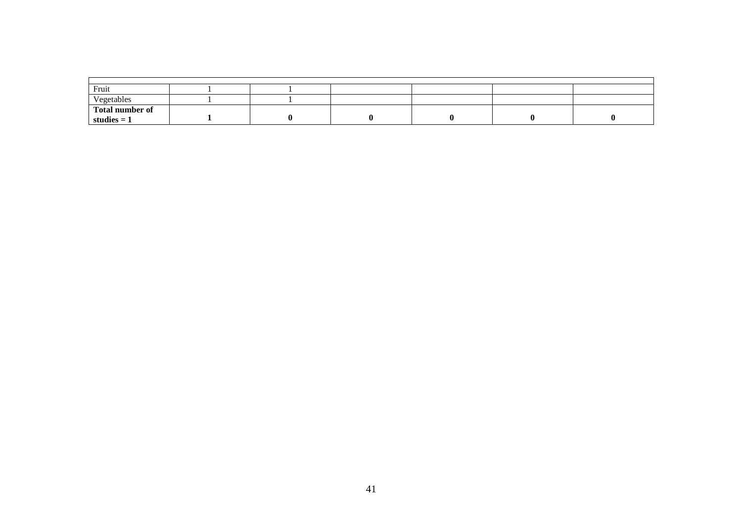| Fruit                            |  |  |  |
|----------------------------------|--|--|--|
| Vegetables<br>$ -$               |  |  |  |
| Total number of<br>studies $= 1$ |  |  |  |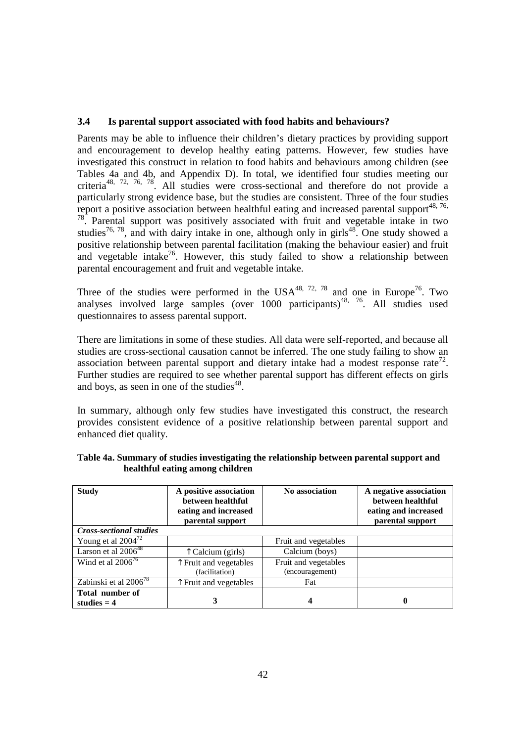## **3.4 Is parental support associated with food habits and behaviours?**

Parents may be able to influence their children's dietary practices by providing support and encouragement to develop healthy eating patterns. However, few studies have investigated this construct in relation to food habits and behaviours among children (see Tables 4a and 4b, and Appendix D). In total, we identified four studies meeting our criteria48, 72, 76, 78. All studies were cross-sectional and therefore do not provide a particularly strong evidence base, but the studies are consistent. Three of the four studies report a positive association between healthful eating and increased parental support<sup>48, 76,</sup> <sup>78</sup>. Parental support was positively associated with fruit and vegetable intake in two studies<sup>76, 78</sup>, and with dairy intake in one, although only in girls<sup>48</sup>. One study showed a positive relationship between parental facilitation (making the behaviour easier) and fruit and vegetable intake<sup>76</sup>. However, this study failed to show a relationship between parental encouragement and fruit and vegetable intake.

Three of the studies were performed in the USA<sup>48, 72, 78</sup> and one in Europe<sup>76</sup>. Two analyses involved large samples (over  $1000$  participants)<sup>48, 76</sup>. All studies used questionnaires to assess parental support.

There are limitations in some of these studies. All data were self-reported, and because all studies are cross-sectional causation cannot be inferred. The one study failing to show an association between parental support and dietary intake had a modest response rate<sup>72</sup>. Further studies are required to see whether parental support has different effects on girls and boys, as seen in one of the studies<sup>48</sup>.

In summary, although only few studies have investigated this construct, the research provides consistent evidence of a positive relationship between parental support and enhanced diet quality.

| <b>Study</b>                            | A positive association<br>between healthful<br>eating and increased<br>parental support | No association       | A negative association<br>between healthful<br>eating and increased<br>parental support |
|-----------------------------------------|-----------------------------------------------------------------------------------------|----------------------|-----------------------------------------------------------------------------------------|
| <b>Cross-sectional studies</b>          |                                                                                         |                      |                                                                                         |
| Young et al $2004^{72}$                 |                                                                                         | Fruit and vegetables |                                                                                         |
| Larson et al 2006 <sup>48</sup>         | T Calcium (girls)                                                                       | Calcium (boys)       |                                                                                         |
| Wind et al $2006^{76}$                  | ↑ Fruit and vegetables                                                                  | Fruit and vegetables |                                                                                         |
|                                         | (facilitation)                                                                          | (encouragement)      |                                                                                         |
| Zabinski et al $200\overline{6}^{78}$   | Fruit and vegetables                                                                    | Fat                  |                                                                                         |
| <b>Total number of</b><br>studies $= 4$ |                                                                                         | 4                    |                                                                                         |

| Table 4a. Summary of studies investigating the relationship between parental support and |  |
|------------------------------------------------------------------------------------------|--|
| healthful eating among children                                                          |  |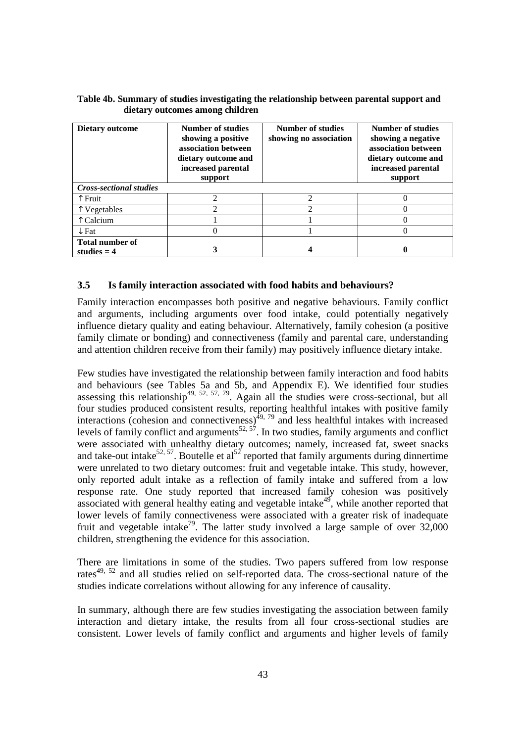| <b>Dietary outcome</b>                  | Number of studies<br>showing a positive<br>association between<br>dietary outcome and<br>increased parental<br>support | Number of studies<br>showing no association | <b>Number of studies</b><br>showing a negative<br>association between<br>dietary outcome and<br>increased parental<br>support |
|-----------------------------------------|------------------------------------------------------------------------------------------------------------------------|---------------------------------------------|-------------------------------------------------------------------------------------------------------------------------------|
| <b>Cross-sectional studies</b>          |                                                                                                                        |                                             |                                                                                                                               |
| Fruit                                   |                                                                                                                        | っ                                           |                                                                                                                               |
| Vegetables                              | 2                                                                                                                      | $\mathcal{D}$                               |                                                                                                                               |
| Calcium                                 |                                                                                                                        |                                             |                                                                                                                               |
| $\downarrow$ Fat                        |                                                                                                                        |                                             |                                                                                                                               |
| <b>Total number of</b><br>studies $= 4$ |                                                                                                                        |                                             |                                                                                                                               |

#### **Table 4b. Summary of studies investigating the relationship between parental support and dietary outcomes among children**

## **3.5 Is family interaction associated with food habits and behaviours?**

Family interaction encompasses both positive and negative behaviours. Family conflict and arguments, including arguments over food intake, could potentially negatively influence dietary quality and eating behaviour. Alternatively, family cohesion (a positive family climate or bonding) and connectiveness (family and parental care, understanding and attention children receive from their family) may positively influence dietary intake.

Few studies have investigated the relationship between family interaction and food habits and behaviours (see Tables 5a and 5b, and Appendix E). We identified four studies assessing this relationship<sup>49, 52, 57, 79</sup>. Again all the studies were cross-sectional, but all four studies produced consistent results, reporting healthful intakes with positive family interactions (cohesion and connectiveness) $^{49, 79}$  and less healthful intakes with increased levels of family conflict and arguments<sup>52, 57</sup>. In two studies, family arguments and conflict were associated with unhealthy dietary outcomes; namely, increased fat, sweet snacks and take-out intake<sup>52, 57</sup>. Boutelle et al<sup>52</sup> reported that family arguments during dinnertime were unrelated to two dietary outcomes: fruit and vegetable intake. This study, however, only reported adult intake as a reflection of family intake and suffered from a low response rate. One study reported that increased family cohesion was positively  $\frac{1}{2}$  associated with general healthy eating and vegetable intake<sup>49</sup>, while another reported that lower levels of family connectiveness were associated with a greater risk of inadequate fruit and vegetable intake<sup>79</sup>. The latter study involved a large sample of over  $32,000$ children, strengthening the evidence for this association.

There are limitations in some of the studies. Two papers suffered from low response rates<sup>49, 52</sup> and all studies relied on self-reported data. The cross-sectional nature of the studies indicate correlations without allowing for any inference of causality.

In summary, although there are few studies investigating the association between family interaction and dietary intake, the results from all four cross-sectional studies are consistent. Lower levels of family conflict and arguments and higher levels of family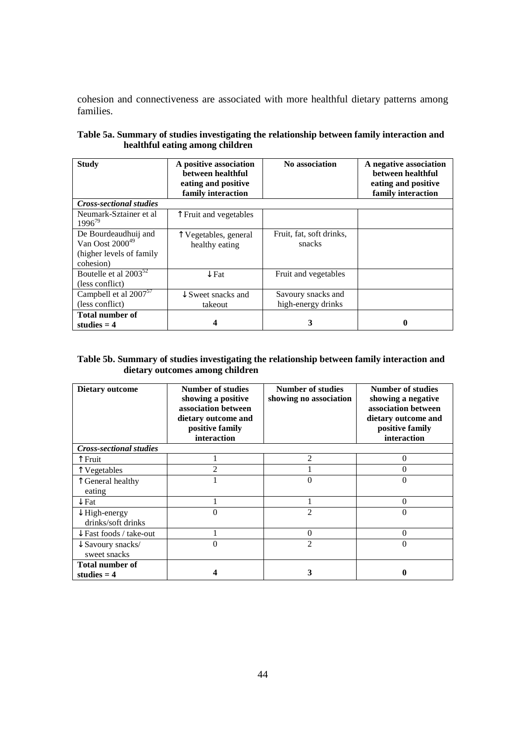cohesion and connectiveness are associated with more healthful dietary patterns among families.

| <b>Study</b>                                 | A positive association<br>between healthful<br>eating and positive<br>family interaction | No association           | A negative association<br>between healthful<br>eating and positive<br>family interaction |
|----------------------------------------------|------------------------------------------------------------------------------------------|--------------------------|------------------------------------------------------------------------------------------|
| <b>Cross-sectional studies</b>               |                                                                                          |                          |                                                                                          |
| Neumark-Sztainer et al<br>1996 <sup>79</sup> | T Fruit and vegetables                                                                   |                          |                                                                                          |
| De Bourdeaudhuij and                         | T Vegetables, general                                                                    | Fruit, fat, soft drinks, |                                                                                          |
| Van Oost $2000^{49}$                         | healthy eating                                                                           | snacks                   |                                                                                          |
| (higher levels of family)                    |                                                                                          |                          |                                                                                          |
| cohesion)                                    |                                                                                          |                          |                                                                                          |
| Boutelle et al $2003^{52}$                   | $\downarrow$ Fat                                                                         | Fruit and vegetables     |                                                                                          |
| (less conflict)                              |                                                                                          |                          |                                                                                          |
| Campbell et al $2007^{57}$                   | $\downarrow$ Sweet snacks and                                                            | Savoury snacks and       |                                                                                          |
| (less conflict)                              | takeout                                                                                  | high-energy drinks       |                                                                                          |
| <b>Total number of</b>                       |                                                                                          |                          |                                                                                          |
| studies $=$ 4                                | 4                                                                                        | 3                        | 0                                                                                        |

|                                 | Table 5a. Summary of studies investigating the relationship between family interaction and |
|---------------------------------|--------------------------------------------------------------------------------------------|
| healthful eating among children |                                                                                            |

#### **Table 5b. Summary of studies investigating the relationship between family interaction and dietary outcomes among children**

| Dietary outcome                                | Number of studies<br>showing a positive<br>association between<br>dietary outcome and<br>positive family<br>interaction | <b>Number of studies</b><br>showing no association | Number of studies<br>showing a negative<br>association between<br>dietary outcome and<br>positive family<br>interaction |
|------------------------------------------------|-------------------------------------------------------------------------------------------------------------------------|----------------------------------------------------|-------------------------------------------------------------------------------------------------------------------------|
| <b>Cross-sectional studies</b>                 |                                                                                                                         |                                                    |                                                                                                                         |
| Fruit                                          |                                                                                                                         | $\mathcal{D}_{\mathcal{L}}$                        | 0                                                                                                                       |
| Vegetables                                     | $\mathfrak{D}$                                                                                                          |                                                    |                                                                                                                         |
| General healthy<br>eating                      |                                                                                                                         | $\Omega$                                           | 0                                                                                                                       |
| $\downarrow$ Fat                               |                                                                                                                         |                                                    | 0                                                                                                                       |
| $\downarrow$ High-energy<br>drinks/soft drinks | 0                                                                                                                       | $\mathfrak{D}$                                     | 0                                                                                                                       |
| $\downarrow$ Fast foods / take-out             |                                                                                                                         | $\Omega$                                           | 0                                                                                                                       |
| $\downarrow$ Savoury snacks/<br>sweet snacks   | 0                                                                                                                       | $\mathfrak{D}$                                     | 0                                                                                                                       |
| <b>Total number of</b><br>studies $= 4$        |                                                                                                                         | 3                                                  |                                                                                                                         |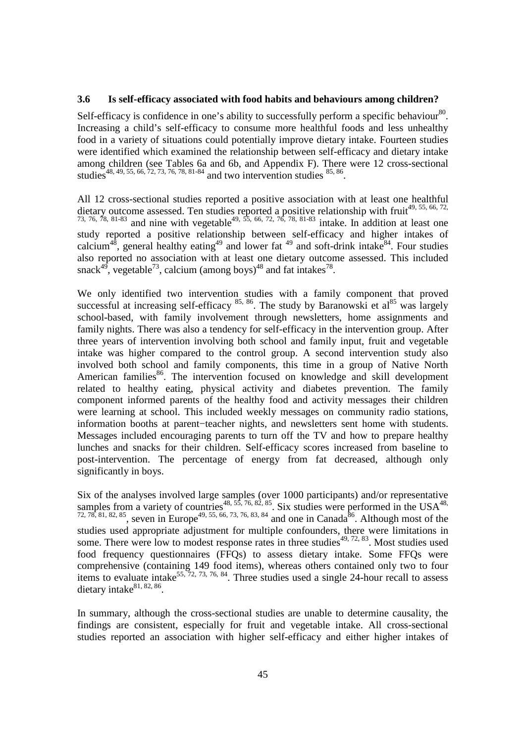## **3.6 Is self-efficacy associated with food habits and behaviours among children?**

Self-efficacy is confidence in one's ability to successfully perform a specific behaviour.<sup>80</sup>. Increasing a child's self-efficacy to consume more healthful foods and less unhealthy food in a variety of situations could potentially improve dietary intake. Fourteen studies were identified which examined the relationship between self-efficacy and dietary intake among children (see Tables 6a and 6b, and Appendix F). There were 12 cross-sectional studies<sup>48, 49, 55, 66, 72, 73, 76, 78, 81-84</sup> and two intervention studies  $85, 86$ .

All 12 cross-sectional studies reported a positive association with at least one healthful dietary outcome assessed. Ten studies reported a positive relationship with fruit<sup>49, 55, 66, 72,</sup> 73, 76, 78, 81-83 and nine with vegetable<sup>49, 55, 66, 72, 76, 78, 81-83</sup> intake. In addition at least one study reported a positive relationship between self-efficacy and higher intakes of calcium<sup>48</sup>, general healthy eating<sup>49</sup> and lower fat <sup>49</sup> and soft-drink intake<sup>84</sup>. Four studies also reported no association with at least one dietary outcome assessed. This included snack<sup>49</sup>, vegetable<sup>73</sup>, calcium (among boys)<sup>48</sup> and fat intakes<sup>78</sup>.

We only identified two intervention studies with a family component that proved successful at increasing self-efficacy  $85, 86$ . The study by Baranowski et al  $85$  was largely school-based, with family involvement through newsletters, home assignments and family nights. There was also a tendency for self-efficacy in the intervention group. After three years of intervention involving both school and family input, fruit and vegetable intake was higher compared to the control group. A second intervention study also involved both school and family components, this time in a group of Native North American families<sup>86</sup>. The intervention focused on knowledge and skill development related to healthy eating, physical activity and diabetes prevention. The family component informed parents of the healthy food and activity messages their children were learning at school. This included weekly messages on community radio stations, information booths at parent−teacher nights, and newsletters sent home with students. Messages included encouraging parents to turn off the TV and how to prepare healthy lunches and snacks for their children. Self-efficacy scores increased from baseline to post-intervention. The percentage of energy from fat decreased, although only significantly in boys.

Six of the analyses involved large samples (over 1000 participants) and/or representative samples from a variety of countries<sup>48, 55, 76, 82, 85</sup>. Six studies were performed in the USA<sup>48,</sup>  $72, 78, 81, 82, 85$ , seven in Europe<sup>49, 55, 66, 73, 76, 83, 84</sup> and one in Canada<sup>86</sup>. Although most of the studies used appropriate adjustment for multiple confounders, there were limitations in some. There were low to modest response rates in three studies $49, 72, 83$ . Most studies used food frequency questionnaires (FFQs) to assess dietary intake. Some FFQs were comprehensive (containing 149 food items), whereas others contained only two to four temptons to evaluate intake<sup>55, 72, 73, 76, 84</sup>. Three studies used a single 24-hour recall to assess dietary intake $81, 82, 86$ .

In summary, although the cross-sectional studies are unable to determine causality, the findings are consistent, especially for fruit and vegetable intake. All cross-sectional studies reported an association with higher self-efficacy and either higher intakes of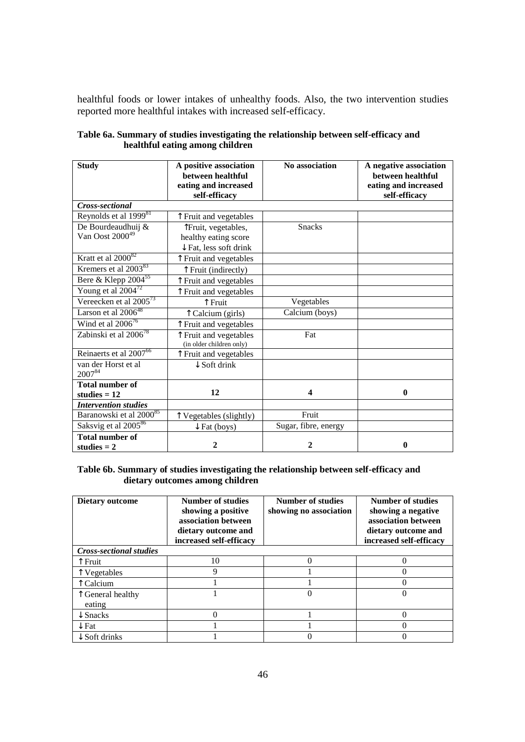healthful foods or lower intakes of unhealthy foods. Also, the two intervention studies reported more healthful intakes with increased self-efficacy.

| <b>Study</b>                             | A positive association<br>between healthful<br>eating and increased<br>self-efficacy | No association       | A negative association<br>between healthful<br>eating and increased<br>self-efficacy |
|------------------------------------------|--------------------------------------------------------------------------------------|----------------------|--------------------------------------------------------------------------------------|
| Cross-sectional                          |                                                                                      |                      |                                                                                      |
| Reynolds et al 1999 <sup>81</sup>        | T Fruit and vegetables                                                               |                      |                                                                                      |
| De Bourdeaudhuij &                       | Truit, vegetables,                                                                   | <b>Snacks</b>        |                                                                                      |
| Van Oost 2000 <sup>49</sup>              | healthy eating score                                                                 |                      |                                                                                      |
|                                          | $\downarrow$ Fat, less soft drink                                                    |                      |                                                                                      |
| Kratt et al 2000 <sup>82</sup>           | Fruit and vegetables                                                                 |                      |                                                                                      |
| Kremers et al 2003 <sup>83</sup>         | ↑ Fruit (indirectly)                                                                 |                      |                                                                                      |
| Bere & Klepp $2004^{55}$                 | T Fruit and vegetables                                                               |                      |                                                                                      |
| Young et al $2004^{72}$                  | ↑ Fruit and vegetables                                                               |                      |                                                                                      |
| Vereecken et al $2005^{73}$              | ↑ Fruit                                                                              | Vegetables           |                                                                                      |
| Larson et al $2006^{48}$                 | T Calcium (girls)                                                                    | Calcium (boys)       |                                                                                      |
| Wind et al $2006^{76}$                   | Fruit and vegetables                                                                 |                      |                                                                                      |
| Zabinski et al 2006 <sup>78</sup>        | T Fruit and vegetables<br>(in older children only)                                   | Fat                  |                                                                                      |
| Reinaerts et al 2007 <sup>66</sup>       | Fruit and vegetables                                                                 |                      |                                                                                      |
| van der Horst et al<br>200784            | $\downarrow$ Soft drink                                                              |                      |                                                                                      |
| <b>Total number of</b><br>studies $= 12$ | 12                                                                                   | 4                    | $\bf{0}$                                                                             |
| <b>Intervention studies</b>              |                                                                                      |                      |                                                                                      |
| Baranowski et al 2000 <sup>85</sup>      | T Vegetables (slightly)                                                              | Fruit                |                                                                                      |
| Saksvig et al 2005 <sup>86</sup>         | $\downarrow$ Fat (boys)                                                              | Sugar, fibre, energy |                                                                                      |
| <b>Total number of</b><br>studies $= 2$  | 2                                                                                    | 2                    | $\mathbf{0}$                                                                         |

| Table 6a. Summary of studies investigating the relationship between self-efficacy and |  |
|---------------------------------------------------------------------------------------|--|
| healthful eating among children                                                       |  |

#### **Table 6b. Summary of studies investigating the relationship between self-efficacy and dietary outcomes among children**

| <b>Dietary outcome</b>         | <b>Number of studies</b><br>showing a positive<br>association between<br>dietary outcome and<br>increased self-efficacy | <b>Number of studies</b><br>showing no association | <b>Number of studies</b><br>showing a negative<br>association between<br>dietary outcome and<br>increased self-efficacy |  |
|--------------------------------|-------------------------------------------------------------------------------------------------------------------------|----------------------------------------------------|-------------------------------------------------------------------------------------------------------------------------|--|
| <b>Cross-sectional studies</b> |                                                                                                                         |                                                    |                                                                                                                         |  |
| `Fruit                         | 10                                                                                                                      |                                                    |                                                                                                                         |  |
| Vegetables                     | Q                                                                                                                       |                                                    |                                                                                                                         |  |
| Calcium                        |                                                                                                                         |                                                    |                                                                                                                         |  |
| General healthy<br>eating      |                                                                                                                         |                                                    |                                                                                                                         |  |
| $\downarrow$ Snacks            |                                                                                                                         |                                                    |                                                                                                                         |  |
| $\downarrow$ Fat               |                                                                                                                         |                                                    |                                                                                                                         |  |
| $\downarrow$ Soft drinks       |                                                                                                                         |                                                    |                                                                                                                         |  |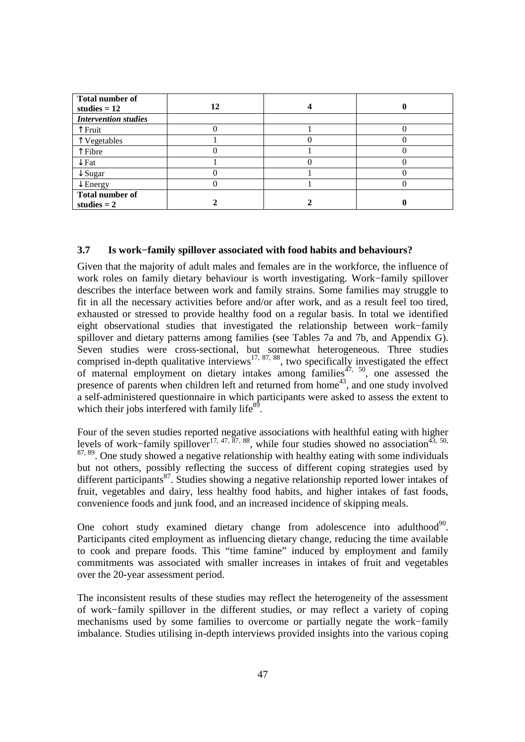| <b>Total number of</b><br>studies $= 12$ | 12 |  |
|------------------------------------------|----|--|
| <b>Intervention studies</b>              |    |  |
| Fruit                                    |    |  |
| Vegetables                               |    |  |
| Fibre                                    |    |  |
| $\downarrow$ Fat                         |    |  |
| $\downarrow$ Sugar                       |    |  |
| $\downarrow$ Energy                      |    |  |
| <b>Total number of</b><br>studies $= 2$  |    |  |

## **3.7 Is work−family spillover associated with food habits and behaviours?**

Given that the majority of adult males and females are in the workforce, the influence of work roles on family dietary behaviour is worth investigating. Work−family spillover describes the interface between work and family strains. Some families may struggle to fit in all the necessary activities before and/or after work, and as a result feel too tired, exhausted or stressed to provide healthy food on a regular basis. In total we identified eight observational studies that investigated the relationship between work−family spillover and dietary patterns among families (see Tables 7a and 7b, and Appendix G). Seven studies were cross-sectional, but somewhat heterogeneous. Three studies comprised in-depth qualitative interviews<sup>17, 87, 88</sup>, two specifically investigated the effect of maternal employment on dietary intakes among families<sup>47, 50</sup>, one assessed the presence of parents when children left and returned from home<sup>43</sup>, and one study involved a self-administered questionnaire in which participants were asked to assess the extent to which their jobs interfered with family life $8^9$ .

Four of the seven studies reported negative associations with healthful eating with higher levels of work–family spillover<sup>17, 47,  $\overline{87}$ , 88</sup>, while four studies showed no association<sup>43, 50,</sup> <sup>87, 89</sup>. One study showed a negative relationship with healthy eating with some individuals but not others, possibly reflecting the success of different coping strategies used by different participants<sup>87</sup>. Studies showing a negative relationship reported lower intakes of fruit, vegetables and dairy, less healthy food habits, and higher intakes of fast foods, convenience foods and junk food, and an increased incidence of skipping meals.

One cohort study examined dietary change from adolescence into adulthood<sup>90</sup>. Participants cited employment as influencing dietary change, reducing the time available to cook and prepare foods. This "time famine" induced by employment and family commitments was associated with smaller increases in intakes of fruit and vegetables over the 20-year assessment period.

The inconsistent results of these studies may reflect the heterogeneity of the assessment of work−family spillover in the different studies, or may reflect a variety of coping mechanisms used by some families to overcome or partially negate the work−family imbalance. Studies utilising in-depth interviews provided insights into the various coping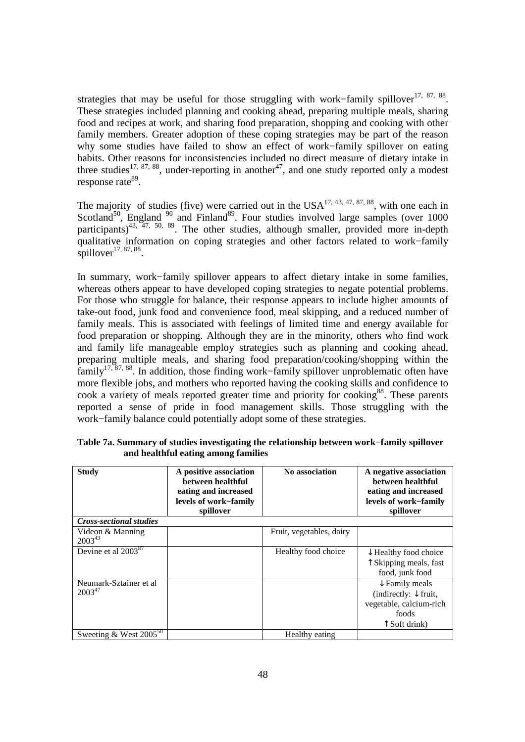strategies that may be useful for those struggling with work–family spillover<sup>17, 87, 88</sup>. These strategies included planning and cooking ahead, preparing multiple meals, sharing food and recipes at work, and sharing food preparation, shopping and cooking with other family members. Greater adoption of these coping strategies may be part of the reason why some studies have failed to show an effect of work−family spillover on eating habits. Other reasons for inconsistencies included no direct measure of dietary intake in three studies<sup>17, 87, 88</sup>, under-reporting in another<sup>47</sup>, and one study reported only a modest response rate<sup>89</sup>.

The majority of studies (five) were carried out in the  $USA^{17, 43, 47, 87, 88}$ , with one each in Scotland<sup>50</sup>, England<sup>90</sup> and Finland<sup>89</sup>. Four studies involved large samples (over 1000 participants)<sup>43, 47, 50, 89</sup>. The other studies, although smaller, provided more in-depth qualitative information on coping strategies and other factors related to work−family spillover $^{17, 87, 88}$ .

In summary, work−family spillover appears to affect dietary intake in some families, whereas others appear to have developed coping strategies to negate potential problems. For those who struggle for balance, their response appears to include higher amounts of take-out food, junk food and convenience food, meal skipping, and a reduced number of family meals. This is associated with feelings of limited time and energy available for food preparation or shopping. Although they are in the minority, others who find work and family life manageable employ strategies such as planning and cooking ahead, preparing multiple meals, and sharing food preparation/cooking/shopping within the family17, 87, 88. In addition, those finding work−family spillover unproblematic often have more flexible jobs, and mothers who reported having the cooking skills and confidence to cook a variety of meals reported greater time and priority for cooking<sup>88</sup>. These parents reported a sense of pride in food management skills. Those struggling with the work−family balance could potentially adopt some of these strategies.

| <b>Study</b>                          | A positive association<br>between healthful<br>eating and increased<br>levels of work-family<br>spillover | <b>No association</b>    | A negative association<br>between healthful<br>eating and increased<br>levels of work-family<br>spillover                   |
|---------------------------------------|-----------------------------------------------------------------------------------------------------------|--------------------------|-----------------------------------------------------------------------------------------------------------------------------|
| <b>Cross-sectional studies</b>        |                                                                                                           |                          |                                                                                                                             |
| Videon & Manning<br>$2003^{43}$       |                                                                                                           | Fruit, vegetables, dairy |                                                                                                                             |
| Devine et al 2003 <sup>87</sup>       |                                                                                                           | Healthy food choice      | $\downarrow$ Healthy food choice<br>↑ Skipping meals, fast<br>food, junk food                                               |
| Neumark-Sztainer et al<br>$2003^{47}$ |                                                                                                           |                          | $\downarrow$ Family meals<br>(indirectly: $\downarrow$ fruit,<br>vegetable, calcium-rich<br>foods<br>$\uparrow$ Soft drink) |
| Sweeting & West $2005^{50}$           |                                                                                                           | Healthy eating           |                                                                                                                             |

**Table 7a. Summary of studies investigating the relationship between work−family spillover and healthful eating among families**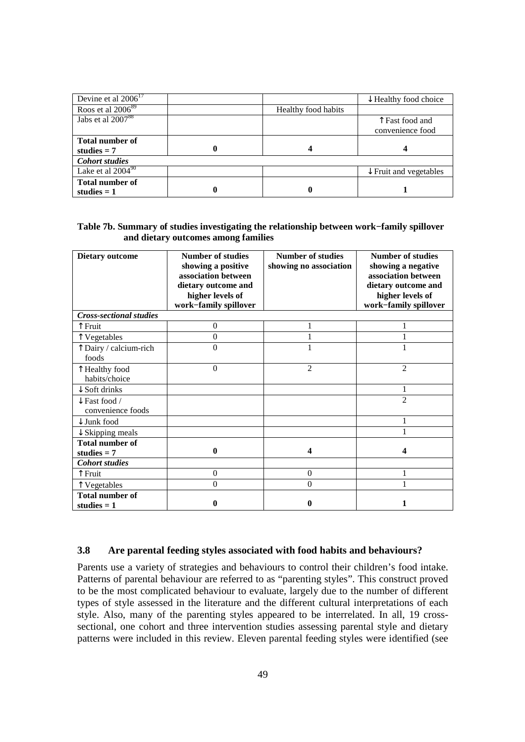| Devine et al $2006^{17}$ |   |                     | $\downarrow$ Healthy food choice  |
|--------------------------|---|---------------------|-----------------------------------|
| Roos et al $2006^{89}$   |   | Healthy food habits |                                   |
| Jabs et al $2007^{88}$   |   |                     | Fast food and                     |
|                          |   |                     | convenience food                  |
| <b>Total number of</b>   |   |                     |                                   |
| studies $= 7$            | 0 |                     |                                   |
| <b>Cohort studies</b>    |   |                     |                                   |
| Lake et al $2004^{90}$   |   |                     | $\downarrow$ Fruit and vegetables |
| <b>Total number of</b>   |   |                     |                                   |
| studies $= 1$            | 0 | 0                   |                                   |

#### **Table 7b. Summary of studies investigating the relationship between work−family spillover and dietary outcomes among families**

| <b>Dietary outcome</b>                        | <b>Number of studies</b><br>showing a positive<br>association between<br>dietary outcome and<br>higher levels of<br>work-family spillover | <b>Number of studies</b><br>showing no association | <b>Number of studies</b><br>showing a negative<br>association between<br>dietary outcome and<br>higher levels of<br>work-family spillover |
|-----------------------------------------------|-------------------------------------------------------------------------------------------------------------------------------------------|----------------------------------------------------|-------------------------------------------------------------------------------------------------------------------------------------------|
| <b>Cross-sectional studies</b>                |                                                                                                                                           |                                                    |                                                                                                                                           |
| ↑ Fruit                                       | $\overline{0}$                                                                                                                            |                                                    |                                                                                                                                           |
| Vegetables                                    | $\boldsymbol{0}$                                                                                                                          |                                                    |                                                                                                                                           |
| T Dairy / calcium-rich<br>foods               | 0                                                                                                                                         |                                                    |                                                                                                                                           |
| T Healthy food<br>habits/choice               | $\theta$                                                                                                                                  | $\overline{2}$                                     | $\overline{c}$                                                                                                                            |
| $\downarrow$ Soft drinks                      |                                                                                                                                           |                                                    |                                                                                                                                           |
| $\downarrow$ Fast food /<br>convenience foods |                                                                                                                                           |                                                    | $\mathfrak{D}$                                                                                                                            |
| $\downarrow$ Junk food                        |                                                                                                                                           |                                                    |                                                                                                                                           |
| $\downarrow$ Skipping meals                   |                                                                                                                                           |                                                    |                                                                                                                                           |
| <b>Total number of</b><br>studies $= 7$       | 0                                                                                                                                         | 4                                                  | 4                                                                                                                                         |
| <b>Cohort studies</b>                         |                                                                                                                                           |                                                    |                                                                                                                                           |
| ↑ Fruit                                       | 0                                                                                                                                         | $\overline{0}$                                     |                                                                                                                                           |
| T Vegetables                                  | 0                                                                                                                                         | $\theta$                                           |                                                                                                                                           |
| <b>Total number of</b><br>studies $= 1$       | 0                                                                                                                                         | $\boldsymbol{0}$                                   | 1                                                                                                                                         |

#### **3.8 Are parental feeding styles associated with food habits and behaviours?**

Parents use a variety of strategies and behaviours to control their children's food intake. Patterns of parental behaviour are referred to as "parenting styles". This construct proved to be the most complicated behaviour to evaluate, largely due to the number of different types of style assessed in the literature and the different cultural interpretations of each style. Also, many of the parenting styles appeared to be interrelated. In all, 19 crosssectional, one cohort and three intervention studies assessing parental style and dietary patterns were included in this review. Eleven parental feeding styles were identified (see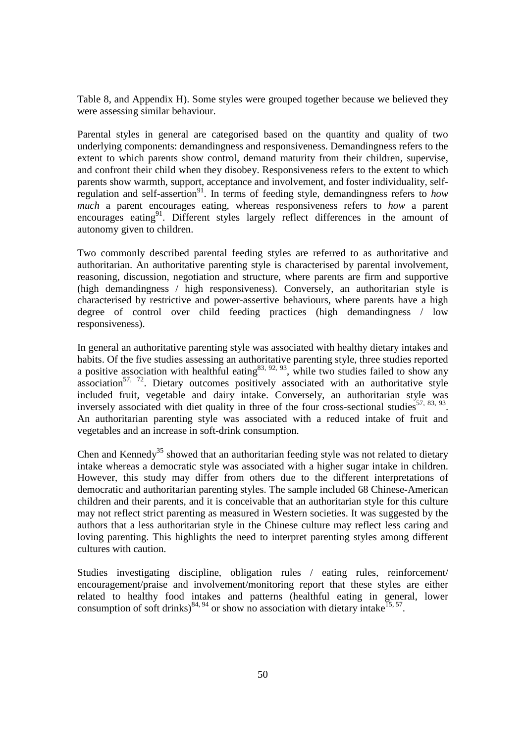Table 8, and Appendix H). Some styles were grouped together because we believed they were assessing similar behaviour.

Parental styles in general are categorised based on the quantity and quality of two underlying components: demandingness and responsiveness. Demandingness refers to the extent to which parents show control, demand maturity from their children, supervise, and confront their child when they disobey. Responsiveness refers to the extent to which parents show warmth, support, acceptance and involvement, and foster individuality, selfregulation and self-assertion<sup>91</sup>. In terms of feeding style, demandingness refers to *how* regulation *much* a parent encourages eating, whereas responsiveness refers to *how* a parent encourages eating<sup>91</sup>. Different styles largely reflect differences in the amount of autonomy given to children.

Two commonly described parental feeding styles are referred to as authoritative and authoritarian. An authoritative parenting style is characterised by parental involvement, reasoning, discussion, negotiation and structure, where parents are firm and supportive (high demandingness / high responsiveness). Conversely, an authoritarian style is characterised by restrictive and power-assertive behaviours, where parents have a high degree of control over child feeding practices (high demandingness / low responsiveness).

In general an authoritative parenting style was associated with healthy dietary intakes and habits. Of the five studies assessing an authoritative parenting style, three studies reported a positive association with healthful eating  $83, 92, 93$ , while two studies failed to show any association<sup>57, 72</sup>. Dietary outcomes positively associated with an authoritative style included fruit, vegetable and dairy intake. Conversely, an authoritarian style was inversely associated with diet quality in three of the four cross-sectional studies<sup>57, 83, 93</sup>. An authoritarian parenting style was associated with a reduced intake of fruit and vegetables and an increase in soft-drink consumption.

Chen and Kennedy<sup>35</sup> showed that an authoritarian feeding style was not related to dietary intake whereas a democratic style was associated with a higher sugar intake in children. However, this study may differ from others due to the different interpretations of democratic and authoritarian parenting styles. The sample included 68 Chinese-American children and their parents, and it is conceivable that an authoritarian style for this culture may not reflect strict parenting as measured in Western societies. It was suggested by the authors that a less authoritarian style in the Chinese culture may reflect less caring and loving parenting. This highlights the need to interpret parenting styles among different cultures with caution.

Studies investigating discipline, obligation rules / eating rules, reinforcement/ encouragement/praise and involvement/monitoring report that these styles are either related to healthy food intakes and patterns (healthful eating in general, lower consumption of soft drinks)<sup>84, 94</sup> or show no association with dietary intake<sup>15, 57</sup>.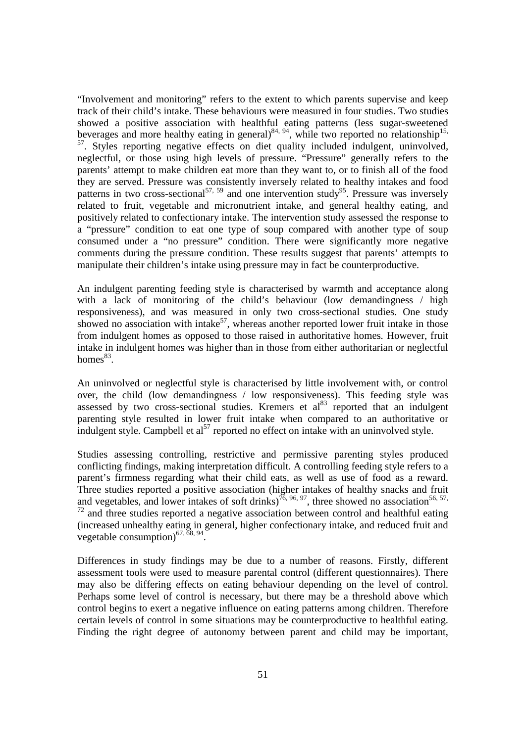"Involvement and monitoring" refers to the extent to which parents supervise and keep track of their child's intake. These behaviours were measured in four studies. Two studies showed a positive association with healthful eating patterns (less sugar-sweetened beverages and more healthy eating in general) $84, 94$ , while two reported no relationship<sup>15,</sup> <sup>57</sup>. Styles reporting negative effects on diet quality included indulgent, uninvolved, neglectful, or those using high levels of pressure. "Pressure" generally refers to the parents' attempt to make children eat more than they want to, or to finish all of the food they are served. Pressure was consistently inversely related to healthy intakes and food patterns in two cross-sectional<sup>57, 59</sup> and one intervention study<sup>95</sup>. Pressure was inversely related to fruit, vegetable and micronutrient intake, and general healthy eating, and positively related to confectionary intake. The intervention study assessed the response to a "pressure" condition to eat one type of soup compared with another type of soup consumed under a "no pressure" condition. There were significantly more negative comments during the pressure condition. These results suggest that parents' attempts to manipulate their children's intake using pressure may in fact be counterproductive.

An indulgent parenting feeding style is characterised by warmth and acceptance along with a lack of monitoring of the child's behaviour (low demandingness / high responsiveness), and was measured in only two cross-sectional studies. One study showed no association with intake<sup>57</sup>, whereas another reported lower fruit intake in those from indulgent homes as opposed to those raised in authoritative homes. However, fruit intake in indulgent homes was higher than in those from either authoritarian or neglectful homes $83$ .

An uninvolved or neglectful style is characterised by little involvement with, or control over, the child (low demandingness / low responsiveness). This feeding style was assessed by two cross-sectional studies. Kremers et  $al^{83}$  reported that an indulgent parenting style resulted in lower fruit intake when compared to an authoritative or indulgent style. Campbell et al<sup>57</sup> reported no effect on intake with an uninvolved style.

Studies assessing controlling, restrictive and permissive parenting styles produced conflicting findings, making interpretation difficult. A controlling feeding style refers to a parent's firmness regarding what their child eats, as well as use of food as a reward. Three studies reported a positive association (higher intakes of healthy snacks and fruit and vegetables, and lower intakes of soft drinks)<sup>76, 96, 97</sup>, three showed no association<sup>56, 57,</sup>  $72$  and three studies reported a negative association between control and healthful eating (increased unhealthy eating in general, higher confectionary intake, and reduced fruit and vegetable consumption)<sup>67,  $\overline{68}$ ,  $94$ .</sup>

Differences in study findings may be due to a number of reasons. Firstly, different assessment tools were used to measure parental control (different questionnaires). There may also be differing effects on eating behaviour depending on the level of control. Perhaps some level of control is necessary, but there may be a threshold above which control begins to exert a negative influence on eating patterns among children. Therefore certain levels of control in some situations may be counterproductive to healthful eating. Finding the right degree of autonomy between parent and child may be important,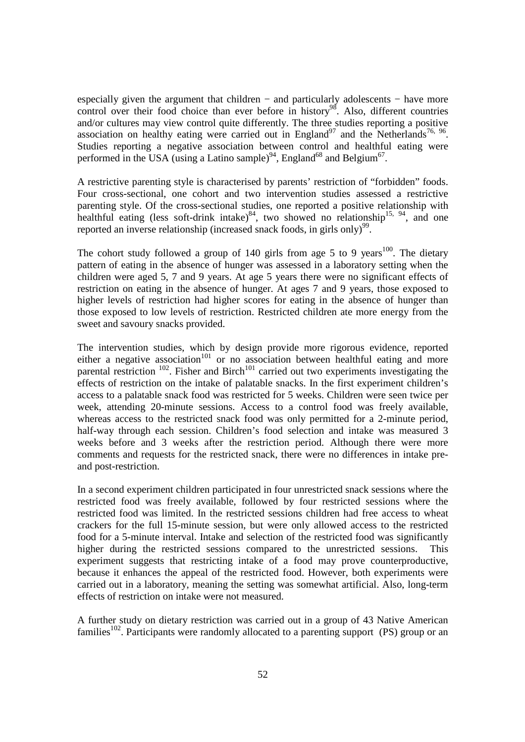especially given the argument that children – and particularly adolescents – have more control over their food choice than ever before in history<sup>98</sup>. Also, different countries and/or cultures may view control quite differently. The three studies reporting a positive association on healthy eating were carried out in England<sup>97</sup> and the Netherlands<sup>76, 96</sup>. Studies reporting a negative association between control and healthful eating were performed in the USA (using a Latino sample)<sup>94</sup>, England<sup>68</sup> and Belgium<sup>67</sup>.

A restrictive parenting style is characterised by parents' restriction of "forbidden" foods. Four cross-sectional, one cohort and two intervention studies assessed a restrictive parenting style. Of the cross-sectional studies, one reported a positive relationship with healthful eating (less soft-drink intake) $84$ , two showed no relationship<sup>15, 94</sup>, and one reported an inverse relationship (increased snack foods, in girls only)<sup>99</sup>.

The cohort study followed a group of 140 girls from age 5 to 9 years<sup>100</sup>. The dietary pattern of eating in the absence of hunger was assessed in a laboratory setting when the children were aged 5, 7 and 9 years. At age 5 years there were no significant effects of restriction on eating in the absence of hunger. At ages 7 and 9 years, those exposed to higher levels of restriction had higher scores for eating in the absence of hunger than those exposed to low levels of restriction. Restricted children ate more energy from the sweet and savoury snacks provided.

The intervention studies, which by design provide more rigorous evidence, reported either a negative association<sup>101</sup> or no association between healthful eating and more parental restriction  $102$ . Fisher and Birch<sup>101</sup> carried out two experiments investigating the effects of restriction on the intake of palatable snacks. In the first experiment children's access to a palatable snack food was restricted for 5 weeks. Children were seen twice per week, attending 20-minute sessions. Access to a control food was freely available, whereas access to the restricted snack food was only permitted for a 2-minute period, half-way through each session. Children's food selection and intake was measured 3 weeks before and 3 weeks after the restriction period. Although there were more comments and requests for the restricted snack, there were no differences in intake preand post-restriction.

In a second experiment children participated in four unrestricted snack sessions where the restricted food was freely available, followed by four restricted sessions where the restricted food was limited. In the restricted sessions children had free access to wheat crackers for the full 15-minute session, but were only allowed access to the restricted food for a 5-minute interval. Intake and selection of the restricted food was significantly higher during the restricted sessions compared to the unrestricted sessions. This experiment suggests that restricting intake of a food may prove counterproductive, because it enhances the appeal of the restricted food. However, both experiments were carried out in a laboratory, meaning the setting was somewhat artificial. Also, long-term effects of restriction on intake were not measured.

A further study on dietary restriction was carried out in a group of 43 Native American families<sup>102</sup>. Participants were randomly allocated to a parenting support (PS) group or an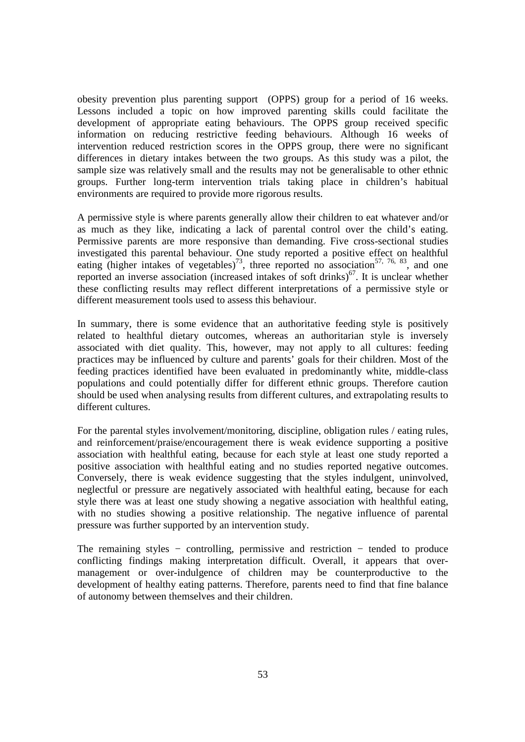obesity prevention plus parenting support (OPPS) group for a period of 16 weeks. Lessons included a topic on how improved parenting skills could facilitate the development of appropriate eating behaviours. The OPPS group received specific information on reducing restrictive feeding behaviours. Although 16 weeks of intervention reduced restriction scores in the OPPS group, there were no significant differences in dietary intakes between the two groups. As this study was a pilot, the sample size was relatively small and the results may not be generalisable to other ethnic groups. Further long-term intervention trials taking place in children's habitual environments are required to provide more rigorous results.

A permissive style is where parents generally allow their children to eat whatever and/or as much as they like, indicating a lack of parental control over the child's eating. Permissive parents are more responsive than demanding. Five cross-sectional studies investigated this parental behaviour. One study reported a positive effect on healthful eating (higher intakes of vegetables)<sup>73</sup>, three reported no association<sup>57, 76, 83</sup>, and one reported an inverse association (increased intakes of soft drinks) $67$ . It is unclear whether these conflicting results may reflect different interpretations of a permissive style or different measurement tools used to assess this behaviour.

In summary, there is some evidence that an authoritative feeding style is positively related to healthful dietary outcomes, whereas an authoritarian style is inversely associated with diet quality. This, however, may not apply to all cultures: feeding practices may be influenced by culture and parents' goals for their children. Most of the feeding practices identified have been evaluated in predominantly white, middle-class populations and could potentially differ for different ethnic groups. Therefore caution should be used when analysing results from different cultures, and extrapolating results to different cultures.

For the parental styles involvement/monitoring, discipline, obligation rules / eating rules, and reinforcement/praise/encouragement there is weak evidence supporting a positive association with healthful eating, because for each style at least one study reported a positive association with healthful eating and no studies reported negative outcomes. Conversely, there is weak evidence suggesting that the styles indulgent, uninvolved, neglectful or pressure are negatively associated with healthful eating, because for each style there was at least one study showing a negative association with healthful eating, with no studies showing a positive relationship. The negative influence of parental pressure was further supported by an intervention study.

The remaining styles − controlling, permissive and restriction − tended to produce conflicting findings making interpretation difficult. Overall, it appears that overmanagement or over-indulgence of children may be counterproductive to the development of healthy eating patterns. Therefore, parents need to find that fine balance of autonomy between themselves and their children.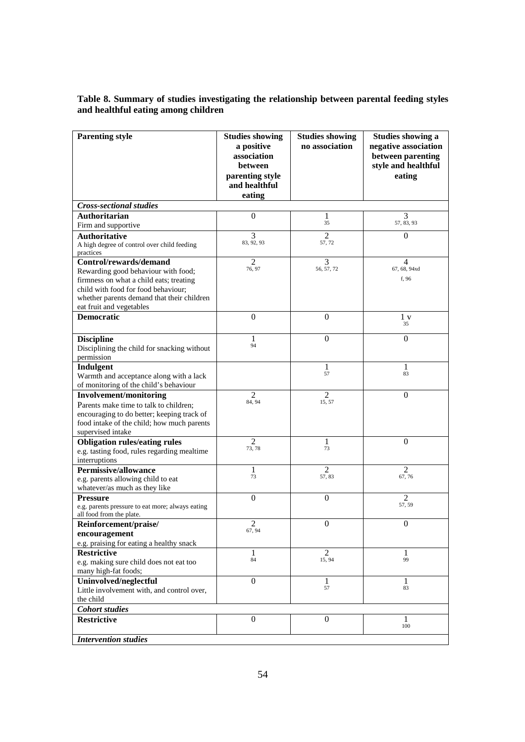## **Table 8. Summary of studies investigating the relationship between parental feeding styles and healthful eating among children**

| <b>Parenting style</b>                                                            | <b>Studies showing</b>    | <b>Studies showing</b>   | <b>Studies showing a</b>                 |
|-----------------------------------------------------------------------------------|---------------------------|--------------------------|------------------------------------------|
|                                                                                   | a positive<br>association | no association           | negative association                     |
|                                                                                   | between                   |                          | between parenting<br>style and healthful |
|                                                                                   | parenting style           |                          | eating                                   |
|                                                                                   | and healthful             |                          |                                          |
|                                                                                   | eating                    |                          |                                          |
| <b>Cross-sectional studies</b>                                                    |                           |                          |                                          |
| Authoritarian<br>Firm and supportive                                              | 0                         | 1<br>35                  | 3<br>57, 83, 93                          |
| <b>Authoritative</b>                                                              | 3                         | $\mathfrak{D}$           | $\overline{0}$                           |
| A high degree of control over child feeding                                       | 83, 92, 93                | 57, 72                   |                                          |
| practices                                                                         |                           |                          |                                          |
| Control/rewards/demand                                                            | 2                         | 3                        | 4                                        |
| Rewarding good behaviour with food;                                               | 76, 97                    | 56, 57, 72               | 67, 68, 94xd                             |
| firmness on what a child eats; treating                                           |                           |                          | f, 96                                    |
| child with food for food behaviour;<br>whether parents demand that their children |                           |                          |                                          |
| eat fruit and vegetables                                                          |                           |                          |                                          |
| <b>Democratic</b>                                                                 | $\boldsymbol{0}$          | $\theta$                 | $1\ {\rm v}$                             |
|                                                                                   |                           |                          | 35                                       |
| <b>Discipline</b>                                                                 | 1                         | $\theta$                 | $\overline{0}$                           |
| Disciplining the child for snacking without                                       | 94                        |                          |                                          |
| permission                                                                        |                           |                          |                                          |
| Indulgent                                                                         |                           | 1<br>57                  | 1<br>83                                  |
| Warmth and acceptance along with a lack                                           |                           |                          |                                          |
| of monitoring of the child's behaviour                                            | 2                         | $\overline{c}$           | $\overline{0}$                           |
| <b>Involvement/monitoring</b><br>Parents make time to talk to children;           | 84, 94                    | 15, 57                   |                                          |
| encouraging to do better; keeping track of                                        |                           |                          |                                          |
| food intake of the child; how much parents                                        |                           |                          |                                          |
| supervised intake                                                                 |                           |                          |                                          |
| <b>Obligation rules/eating rules</b>                                              | $\overline{c}$            | 1                        | $\overline{0}$                           |
| e.g. tasting food, rules regarding mealtime                                       | 73, 78                    | 73                       |                                          |
| interruptions                                                                     |                           |                          |                                          |
| <b>Permissive/allowance</b>                                                       | 1<br>73                   | $\overline{c}$<br>57, 83 | 2                                        |
| e.g. parents allowing child to eat                                                |                           |                          | 67, 76                                   |
| whatever/as much as they like                                                     |                           |                          |                                          |
| <b>Pressure</b><br>e.g. parents pressure to eat more; always eating               | $\boldsymbol{0}$          | $\boldsymbol{0}$         | $\overline{c}$<br>57, 59                 |
| all food from the plate.                                                          |                           |                          |                                          |
| Reinforcement/praise/                                                             | $\overline{c}$            | $\boldsymbol{0}$         | 0                                        |
| encouragement                                                                     | 67, 94                    |                          |                                          |
| e.g. praising for eating a healthy snack                                          |                           |                          |                                          |
| <b>Restrictive</b>                                                                | 1<br>84                   | $\overline{2}$<br>15, 94 | 1<br>99                                  |
| e.g. making sure child does not eat too                                           |                           |                          |                                          |
| many high-fat foods;                                                              | $\boldsymbol{0}$          | 1                        | 1                                        |
| Uninvolved/neglectful<br>Little involvement with, and control over,               |                           | 57                       | 83                                       |
| the child                                                                         |                           |                          |                                          |
| <b>Cohort studies</b>                                                             |                           |                          |                                          |
| <b>Restrictive</b>                                                                | $\theta$                  | $\Omega$                 | 1                                        |
|                                                                                   |                           |                          | 100                                      |
| <b>Intervention studies</b>                                                       |                           |                          |                                          |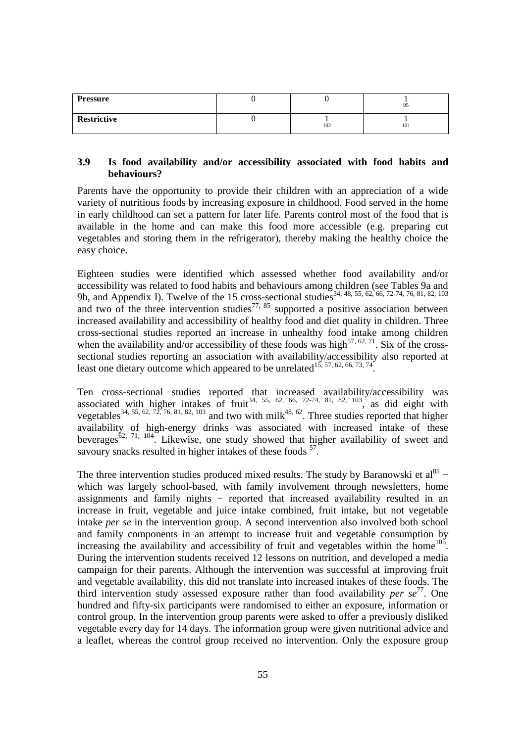| <b>Pressure</b> |     | 95  |
|-----------------|-----|-----|
| Restrictive     | 102 | 101 |

## **3.9 Is food availability and/or accessibility associated with food habits and behaviours?**

Parents have the opportunity to provide their children with an appreciation of a wide variety of nutritious foods by increasing exposure in childhood. Food served in the home in early childhood can set a pattern for later life. Parents control most of the food that is available in the home and can make this food more accessible (e.g. preparing cut vegetables and storing them in the refrigerator), thereby making the healthy choice the easy choice.

Eighteen studies were identified which assessed whether food availability and/or accessibility was related to food habits and behaviours among children (see Tables 9a and 9b, and Appendix I). Twelve of the 15 cross-sectional studies<sup>34, 48, 55, 62, 66, 72-74, 76, 81, 82, 103</sup> and two of the three intervention studies<sup>77, 85</sup> supported a positive association between increased availability and accessibility of healthy food and diet quality in children. Three cross-sectional studies reported an increase in unhealthy food intake among children when the availability and/or accessibility of these foods was high<sup>57, 62, 71</sup>. Six of the crosssectional studies reporting an association with availability/accessibility also reported at least one dietary outcome which appeared to be unrelated<sup>15, 57, 62, 66, 73, 74</sup>.

Ten cross-sectional studies reported that increased availability/accessibility was associated with higher intakes of fruit<sup>34, 55, 62, 66, 72-74, 81, 82, 103</sup>, as did eight with vegetables<sup>34, 55, 62, 72, 76, 81, 82, 103</sup> and two with milk<sup>48, 62</sup>. Three studies reported that higher availability of high-energy drinks was associated with increased intake of these beverages<sup> $\delta$ 2, 71, 104</sup>. Likewise, one study showed that higher availability of sweet and savoury snacks resulted in higher intakes of these foods <sup>57</sup>.

The three intervention studies produced mixed results. The study by Baranowski et  $al^{85}$  – which was largely school-based, with family involvement through newsletters, home assignments and family nights – reported that increased availability resulted in an increase in fruit, vegetable and juice intake combined, fruit intake, but not vegetable intake *per se* in the intervention group. A second intervention also involved both school and family components in an attempt to increase fruit and vegetable consumption by increasing the availability and accessibility of fruit and vegetables within the home<sup>105</sup>. During the intervention students received 12 lessons on nutrition, and developed a media campaign for their parents. Although the intervention was successful at improving fruit and vegetable availability, this did not translate into increased intakes of these foods. The third intervention study assessed exposure rather than food availability *per se* <sup>77</sup>. One hundred and fifty-six participants were randomised to either an exposure, information or control group. In the intervention group parents were asked to offer a previously disliked vegetable every day for 14 days. The information group were given nutritional advice and a leaflet, whereas the control group received no intervention. Only the exposure group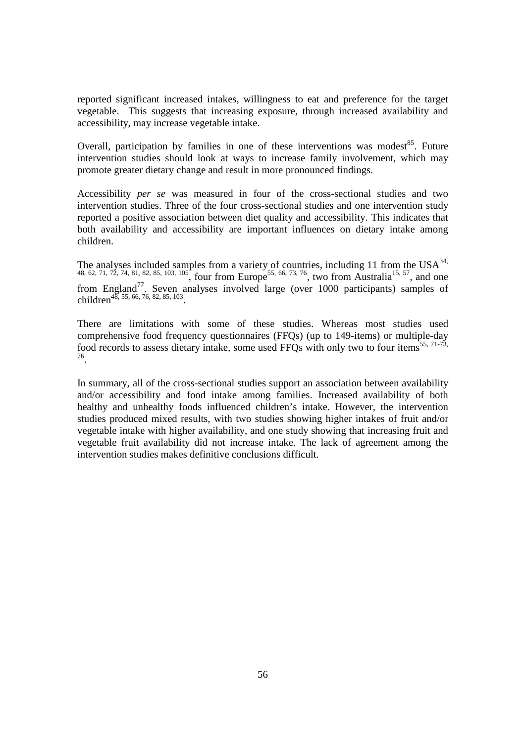reported significant increased intakes, willingness to eat and preference for the target vegetable. This suggests that increasing exposure, through increased availability and accessibility, may increase vegetable intake.

Overall, participation by families in one of these interventions was modest<sup>85</sup>. Future intervention studies should look at ways to increase family involvement, which may promote greater dietary change and result in more pronounced findings.

Accessibility *per se* was measured in four of the cross-sectional studies and two intervention studies. Three of the four cross-sectional studies and one intervention study reported a positive association between diet quality and accessibility. This indicates that both availability and accessibility are important influences on dietary intake among children.

The analyses included samples from a variety of countries, including 11 from the  $USA^{34}$ , 48, 62, 71, 72, 74, 81, 82, 85, 103, 105, four from Europe<sup>55, 66, 73, 76</sup>, two from Australia<sup>15, 57</sup>, and one from England<sup>77</sup>. Seven analyses involved large (over 1000 participants) samples of children<sup>48, 55, 66, 76, 82, 85, 103</sup>.

There are limitations with some of these studies. Whereas most studies used comprehensive food frequency questionnaires (FFQs) (up to 149-items) or multiple-day food records to assess dietary intake, some used FFQs with only two to four items<sup>55, 71-73</sup>, 76 .

In summary, all of the cross-sectional studies support an association between availability and/or accessibility and food intake among families. Increased availability of both healthy and unhealthy foods influenced children's intake. However, the intervention studies produced mixed results, with two studies showing higher intakes of fruit and/or vegetable intake with higher availability, and one study showing that increasing fruit and vegetable fruit availability did not increase intake. The lack of agreement among the intervention studies makes definitive conclusions difficult.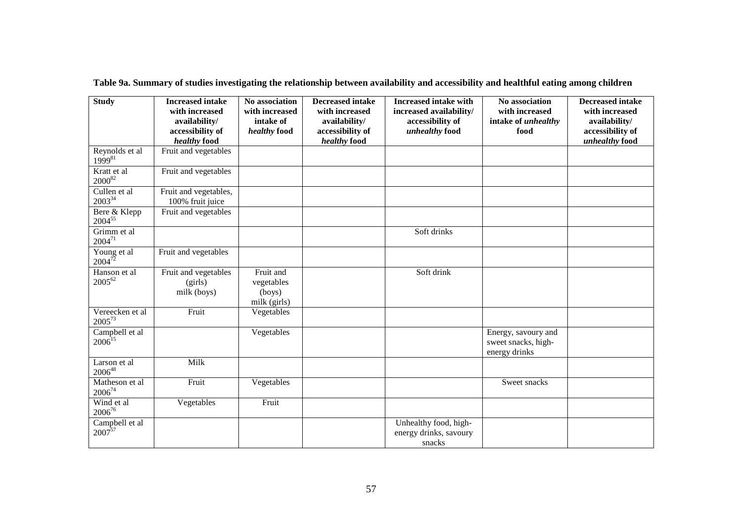| <b>Study</b>                   | <b>Increased intake</b><br>with increased<br>availability/ | No association<br>with increased<br>intake of           | <b>Decreased intake</b><br>with increased<br>availability/ | <b>Increased intake with</b><br>increased availability/<br>accessibility of | No association<br>with increased<br>intake of unhealthy     | <b>Decreased intake</b><br>with increased<br>availability/ |
|--------------------------------|------------------------------------------------------------|---------------------------------------------------------|------------------------------------------------------------|-----------------------------------------------------------------------------|-------------------------------------------------------------|------------------------------------------------------------|
|                                | accessibility of<br>healthy food                           | healthy food                                            | accessibility of<br>healthy food                           | unhealthy food                                                              | food                                                        | accessibility of<br>unhealthy food                         |
| Reynolds et al<br>$1999^{81}$  | Fruit and vegetables                                       |                                                         |                                                            |                                                                             |                                                             |                                                            |
| Kratt et al<br>$2000^{82}$     | Fruit and vegetables                                       |                                                         |                                                            |                                                                             |                                                             |                                                            |
| Cullen et al<br>$2003^{34}$    | Fruit and vegetables,<br>100% fruit juice                  |                                                         |                                                            |                                                                             |                                                             |                                                            |
| Bere & Klepp<br>$2004^{55}$    | Fruit and vegetables                                       |                                                         |                                                            |                                                                             |                                                             |                                                            |
| Grimm et al<br>$2004^{71}$     |                                                            |                                                         |                                                            | Soft drinks                                                                 |                                                             |                                                            |
| Young et al<br>$2004^{72}$     | Fruit and vegetables                                       |                                                         |                                                            |                                                                             |                                                             |                                                            |
| Hanson et al<br>$2005^{62}$    | Fruit and vegetables<br>(girls)<br>milk (boys)             | Fruit and<br>vegetables<br>$($ boys $)$<br>milk (girls) |                                                            | Soft drink                                                                  |                                                             |                                                            |
| Vereecken et al<br>$2005^{73}$ | Fruit                                                      | Vegetables                                              |                                                            |                                                                             |                                                             |                                                            |
| Campbell et al<br>$2006^{15}$  |                                                            | Vegetables                                              |                                                            |                                                                             | Energy, savoury and<br>sweet snacks, high-<br>energy drinks |                                                            |
| Larson et al<br>$2006^{48}$    | Milk                                                       |                                                         |                                                            |                                                                             |                                                             |                                                            |
| Matheson et al<br>$2006^{74}$  | Fruit                                                      | Vegetables                                              |                                                            |                                                                             | Sweet snacks                                                |                                                            |
| Wind et al<br>$2006^{76}$      | Vegetables                                                 | Fruit                                                   |                                                            |                                                                             |                                                             |                                                            |
| Campbell et al<br>$2007^{57}$  |                                                            |                                                         |                                                            | Unhealthy food, high-<br>energy drinks, savoury<br>snacks                   |                                                             |                                                            |

**Table 9a. Summary of studies investigating the relationship between availability and accessibility and healthful eating among children**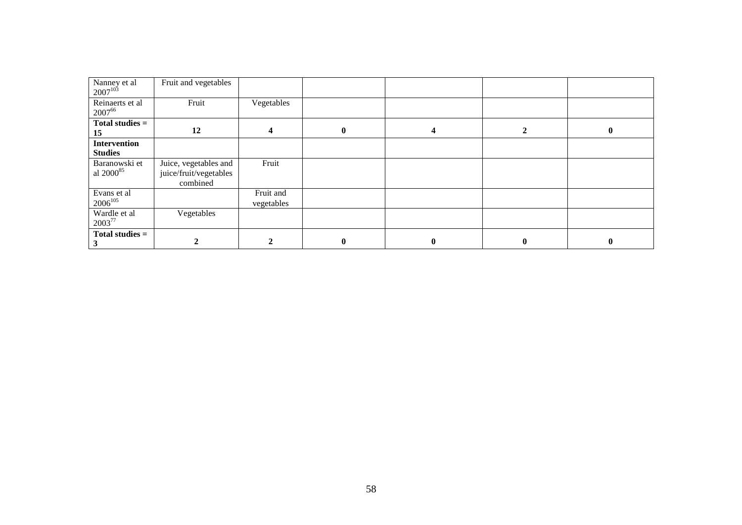| Nanney et al<br>$2007^{103}$           | Fruit and vegetables                                        |                         |              |          |              |          |
|----------------------------------------|-------------------------------------------------------------|-------------------------|--------------|----------|--------------|----------|
| Reinaerts et al<br>200766              | Fruit                                                       | Vegetables              |              |          |              |          |
| Total studies =<br>15                  | 12                                                          | 4                       | $\mathbf{0}$ | 4        | 2            | $\bf{0}$ |
| <b>Intervention</b><br><b>Studies</b>  |                                                             |                         |              |          |              |          |
| Baranowski et<br>al 2000 <sup>85</sup> | Juice, vegetables and<br>juice/fruit/vegetables<br>combined | Fruit                   |              |          |              |          |
| Evans et al<br>$2006^{105}$            |                                                             | Fruit and<br>vegetables |              |          |              |          |
| Wardle et al<br>2003 <sup>77</sup>     | Vegetables                                                  |                         |              |          |              |          |
| Total studies $=$                      |                                                             |                         | $\mathbf{0}$ | $\bf{0}$ | $\mathbf{0}$ | $\bf{0}$ |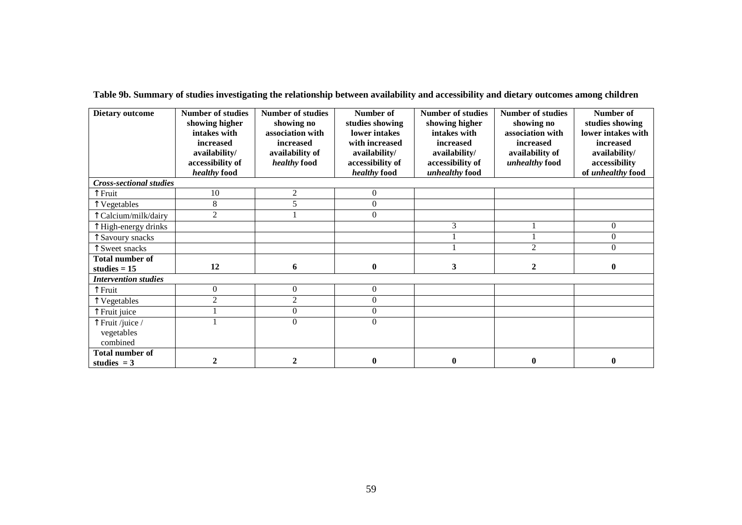| <b>Dietary outcome</b>                   | <b>Number of studies</b><br>showing higher<br>intakes with<br>increased<br>availability/<br>accessibility of<br>healthy food | <b>Number of studies</b><br>showing no<br>association with<br>increased<br>availability of<br><i>healthy</i> food | Number of<br>studies showing<br>lower intakes<br>with increased<br>availability/<br>accessibility of<br>healthy food | <b>Number of studies</b><br>showing higher<br>intakes with<br>increased<br>availability/<br>accessibility of<br>unhealthy food | <b>Number of studies</b><br>showing no<br>association with<br>increased<br>availability of<br>unhealthy food | Number of<br>studies showing<br>lower intakes with<br>increased<br>availability/<br>accessibility<br>of unhealthy food |
|------------------------------------------|------------------------------------------------------------------------------------------------------------------------------|-------------------------------------------------------------------------------------------------------------------|----------------------------------------------------------------------------------------------------------------------|--------------------------------------------------------------------------------------------------------------------------------|--------------------------------------------------------------------------------------------------------------|------------------------------------------------------------------------------------------------------------------------|
| <b>Cross-sectional studies</b>           |                                                                                                                              |                                                                                                                   |                                                                                                                      |                                                                                                                                |                                                                                                              |                                                                                                                        |
| ↑ Fruit                                  | 10                                                                                                                           | 2                                                                                                                 | $\overline{0}$                                                                                                       |                                                                                                                                |                                                                                                              |                                                                                                                        |
| Vegetables                               | 8                                                                                                                            | 5                                                                                                                 | $\overline{0}$                                                                                                       |                                                                                                                                |                                                                                                              |                                                                                                                        |
| Calcium/milk/dairy                       | $\overline{2}$                                                                                                               |                                                                                                                   | $\Omega$                                                                                                             |                                                                                                                                |                                                                                                              |                                                                                                                        |
| High-energy drinks                       |                                                                                                                              |                                                                                                                   |                                                                                                                      | 3                                                                                                                              |                                                                                                              | $\overline{0}$                                                                                                         |
| Savoury snacks                           |                                                                                                                              |                                                                                                                   |                                                                                                                      |                                                                                                                                |                                                                                                              | $\Omega$                                                                                                               |
| Sweet snacks                             |                                                                                                                              |                                                                                                                   |                                                                                                                      |                                                                                                                                | $\overline{c}$                                                                                               | $\theta$                                                                                                               |
| <b>Total number of</b><br>studies $= 15$ | 12                                                                                                                           | 6                                                                                                                 | $\bf{0}$                                                                                                             | 3                                                                                                                              | $\mathbf 2$                                                                                                  | $\bf{0}$                                                                                                               |
| <b>Intervention studies</b>              |                                                                                                                              |                                                                                                                   |                                                                                                                      |                                                                                                                                |                                                                                                              |                                                                                                                        |
| ↑ Fruit                                  | $\overline{0}$                                                                                                               | $\boldsymbol{0}$                                                                                                  | $\overline{0}$                                                                                                       |                                                                                                                                |                                                                                                              |                                                                                                                        |
| Vegetables                               | $\overline{2}$                                                                                                               | $\overline{2}$                                                                                                    | $\boldsymbol{0}$                                                                                                     |                                                                                                                                |                                                                                                              |                                                                                                                        |
| Fruit juice                              |                                                                                                                              | $\boldsymbol{0}$                                                                                                  | $\boldsymbol{0}$                                                                                                     |                                                                                                                                |                                                                                                              |                                                                                                                        |
| Fruit /juice /                           |                                                                                                                              | $\overline{0}$                                                                                                    | $\mathbf{0}$                                                                                                         |                                                                                                                                |                                                                                                              |                                                                                                                        |
| vegetables                               |                                                                                                                              |                                                                                                                   |                                                                                                                      |                                                                                                                                |                                                                                                              |                                                                                                                        |
| combined                                 |                                                                                                                              |                                                                                                                   |                                                                                                                      |                                                                                                                                |                                                                                                              |                                                                                                                        |
| <b>Total number of</b><br>studies $= 3$  | $\mathbf{2}$                                                                                                                 | $\mathbf 2$                                                                                                       | $\mathbf{0}$                                                                                                         | $\bf{0}$                                                                                                                       | $\mathbf{0}$                                                                                                 | $\mathbf{0}$                                                                                                           |

**Table 9b. Summary of studies investigating the relationship between availability and accessibility and dietary outcomes among children**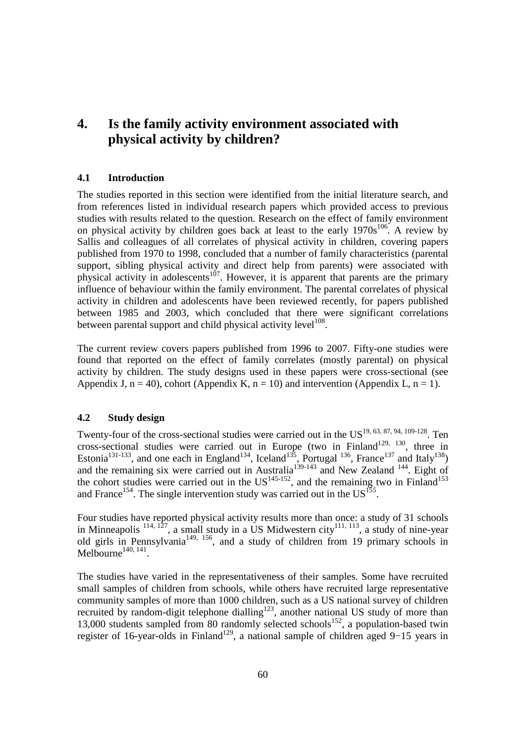## **4. Is the family activity environment associated with physical activity by children?**

## **4.1 Introduction**

The studies reported in this section were identified from the initial literature search, and from references listed in individual research papers which provided access to previous studies with results related to the question. Research on the effect of family environment on physical activity by children goes back at least to the early  $1970s^{106}$ . A review by Sallis and colleagues of all correlates of physical activity in children, covering papers published from 1970 to 1998, concluded that a number of family characteristics (parental support, sibling physical activity and direct help from parents) were associated with physical activity in adolescents<sup>107</sup>. However, it is apparent that parents are the primary influence of behaviour within the family environment. The parental correlates of physical activity in children and adolescents have been reviewed recently, for papers published between 1985 and 2003, which concluded that there were significant correlations between parental support and child physical activity level<sup>108</sup>.

The current review covers papers published from 1996 to 2007. Fifty-one studies were found that reported on the effect of family correlates (mostly parental) on physical activity by children. The study designs used in these papers were cross-sectional (see Appendix J,  $n = 40$ ), cohort (Appendix K,  $n = 10$ ) and intervention (Appendix L,  $n = 1$ ).

#### **4.2 Study design**

Twenty-four of the cross-sectional studies were carried out in the US<sup>19, 63, 87, 94, 109-128</sup>. Ten cross-sectional studies were carried out in Europe (two in Finland<sup>129, 130</sup>, three in Estonia<sup>131-133</sup>, and one each in England<sup>134</sup>, Iceland<sup>135</sup>, Portugal <sup>136</sup>, France<sup>137</sup> and Italy<sup>138</sup>) and the remaining six were carried out in Australia<sup>139-143</sup> and New Zealand  $144$ . Eight of the cohort studies were carried out in the  $US^{145-152}$ , and the remaining two in Finland<sup>153</sup> and France<sup>154</sup>. The single intervention study was carried out in the  $US^{155}$ .

Four studies have reported physical activity results more than once: a study of 31 schools in Minneapolis  $^{114, 127}$ , a small study in a US Midwestern city  $^{111, 113}$ , a study of nine-year old girls in Pennsylvania<sup>149, 156</sup>, and a study of children from 19 primary schools in Melbourne $^{140, 141}$ .

The studies have varied in the representativeness of their samples. Some have recruited small samples of children from schools, while others have recruited large representative community samples of more than 1000 children, such as a US national survey of children recruited by random-digit telephone dialling<sup>123</sup>, another national US study of more than 13,000 students sampled from 80 randomly selected schools<sup>152</sup>, a population-based twin register of 16-year-olds in Finland<sup>129</sup>, a national sample of children aged 9–15 years in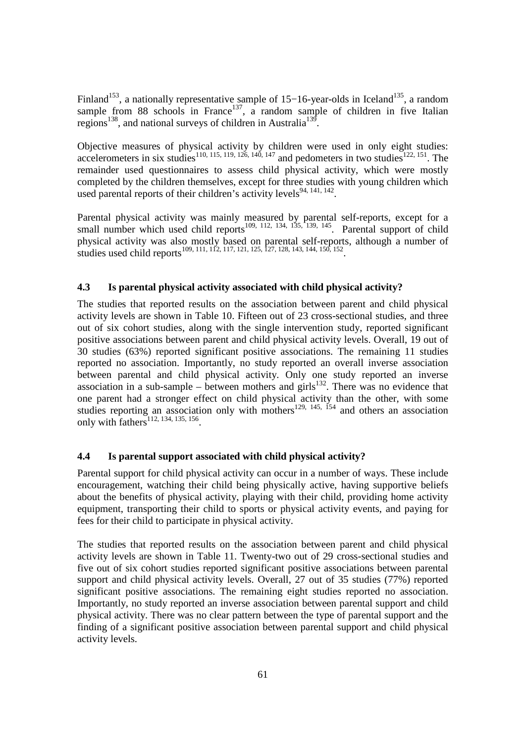Finland<sup>153</sup>, a nationally representative sample of 15–16-year-olds in Iceland<sup>135</sup>, a random sample from 88 schools in France<sup>137</sup>, a random sample of children in five Italian regions<sup>138</sup>, and national surveys of children in Australia<sup>139</sup>.

Objective measures of physical activity by children were used in only eight studies: accelerometers in six studies<sup>110, 115, 119, 126, 140, 147</sup> and pedometers in two studies<sup>122, 151</sup>. The remainder used questionnaires to assess child physical activity, which were mostly completed by the children themselves, except for three studies with young children which used parental reports of their children's activity levels<sup>94, 141, 142</sup>.

Parental physical activity was mainly measured by parental self-reports, except for a small number which used child reports<sup>109, 112, 134, 135, 139, 145</sup>. Parental support of child physical activity was also mostly based on parental self-reports, although a number of studies used child reports<sup>109, 111, 112, 117, 121, 125, 127, 128, 143, 144, 150, 152</sup>.

#### **4.3 Is parental physical activity associated with child physical activity?**

The studies that reported results on the association between parent and child physical activity levels are shown in Table 10. Fifteen out of 23 cross-sectional studies, and three out of six cohort studies, along with the single intervention study, reported significant positive associations between parent and child physical activity levels. Overall, 19 out of 30 studies (63%) reported significant positive associations. The remaining 11 studies reported no association. Importantly, no study reported an overall inverse association between parental and child physical activity. Only one study reported an inverse  $\frac{1}{2}$  association in a sub-sample – between mothers and girls<sup>132</sup>. There was no evidence that one parent had a stronger effect on child physical activity than the other, with some studies reporting an association only with mothers<sup>129, 145, 154</sup> and others an association only with  $fathers$ <sup>112, 134, 135, 156</sup>.

#### **4.4 Is parental support associated with child physical activity?**

Parental support for child physical activity can occur in a number of ways. These include encouragement, watching their child being physically active, having supportive beliefs about the benefits of physical activity, playing with their child, providing home activity equipment, transporting their child to sports or physical activity events, and paying for fees for their child to participate in physical activity.

The studies that reported results on the association between parent and child physical activity levels are shown in Table 11. Twenty-two out of 29 cross-sectional studies and five out of six cohort studies reported significant positive associations between parental support and child physical activity levels. Overall, 27 out of 35 studies (77%) reported significant positive associations. The remaining eight studies reported no association. Importantly, no study reported an inverse association between parental support and child physical activity. There was no clear pattern between the type of parental support and the finding of a significant positive association between parental support and child physical activity levels.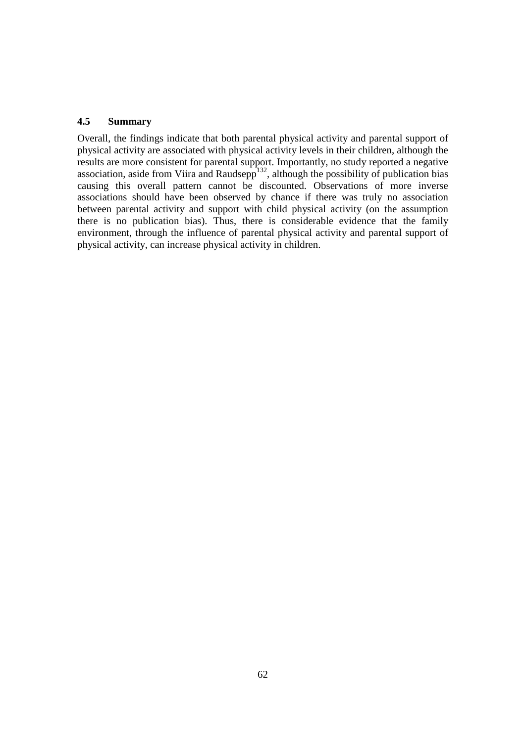## **4.5 Summary**

Overall, the findings indicate that both parental physical activity and parental support of physical activity are associated with physical activity levels in their children, although the results are more consistent for parental support. Importantly, no study reported a negative association, aside from Viira and Raudsepp $132$ , although the possibility of publication bias causing this overall pattern cannot be discounted. Observations of more inverse associations should have been observed by chance if there was truly no association between parental activity and support with child physical activity (on the assumption there is no publication bias). Thus, there is considerable evidence that the family environment, through the influence of parental physical activity and parental support of physical activity, can increase physical activity in children.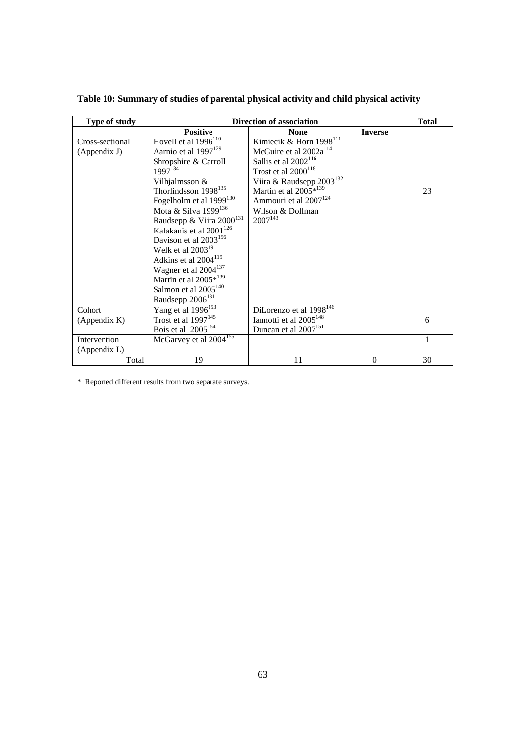| Type of study   |                                               | <b>Direction of association</b>                  |                | <b>Total</b> |
|-----------------|-----------------------------------------------|--------------------------------------------------|----------------|--------------|
|                 | <b>Positive</b>                               | <b>None</b>                                      | <b>Inverse</b> |              |
| Cross-sectional | Hovell et al $\overline{1996}$ <sup>110</sup> | Kimiecik & Horn $\overline{1998}$ <sup>III</sup> |                |              |
| (Appendix J)    | Aarnio et al 1997 <sup>129</sup>              | McGuire et al $2002a^{114}$                      |                |              |
|                 | Shropshire & Carroll                          | Sallis et al 2002 <sup>116</sup>                 |                |              |
|                 | $1997^{134}$                                  | Trost et al 2000 <sup>118</sup>                  |                |              |
|                 | Vilhjalmsson &                                | Viira & Raudsepp $2003^{132}$                    |                |              |
|                 | Thorlindsson 1998 <sup>135</sup>              | Martin et al 2005*139                            |                | 23           |
|                 | Fogelholm et al 1999 <sup>130</sup>           | Ammouri et al 2007 <sup>124</sup>                |                |              |
|                 | Mota & Silva 1999 <sup>136</sup>              | Wilson & Dollman                                 |                |              |
|                 | Raudsepp & Viira 2000 <sup>131</sup>          | $2007^{143}$                                     |                |              |
|                 | Kalakanis et al 2001 <sup>126</sup>           |                                                  |                |              |
|                 | Davison et al 2003 <sup>156</sup>             |                                                  |                |              |
|                 | Welk et al $2003^{19}$                        |                                                  |                |              |
|                 | Adkins et al 2004 <sup>119</sup>              |                                                  |                |              |
|                 | Wagner et al 2004 <sup>137</sup>              |                                                  |                |              |
|                 | Martin et al 2005*139                         |                                                  |                |              |
|                 | Salmon et al 2005 <sup>140</sup>              |                                                  |                |              |
|                 | Raudsepp 2006 <sup>131</sup>                  |                                                  |                |              |
| Cohort          | Yang et al 1996 <sup>153</sup>                | DiLorenzo et al 1998 <sup>146</sup>              |                |              |
| (Appendix K)    | Trost et al 1997 <sup>145</sup>               | Iannotti et al 2005 <sup>148</sup>               |                | 6            |
|                 | Bois et al 2005 <sup>154</sup>                | Duncan et al 2007 <sup>151</sup>                 |                |              |
| Intervention    | McGarvey et al 2004 <sup>155</sup>            |                                                  |                | $\mathbf{1}$ |
| (Appendix L)    |                                               |                                                  |                |              |
| Total           | 19                                            | 11                                               | $\Omega$       | 30           |

**Table 10: Summary of studies of parental physical activity and child physical activity** 

\* Reported different results from two separate surveys.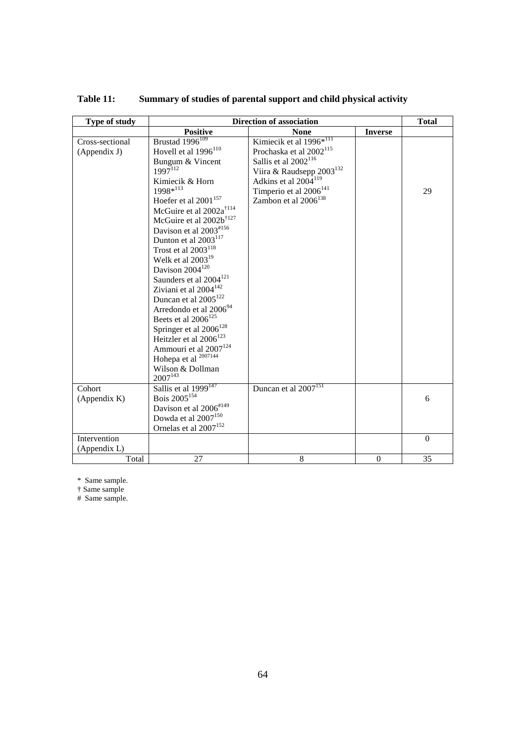| Type of study   |                                     | Direction of association            |                |          |  |  |
|-----------------|-------------------------------------|-------------------------------------|----------------|----------|--|--|
|                 | <b>Positive</b>                     | <b>None</b>                         | <b>Inverse</b> |          |  |  |
| Cross-sectional | Brustad 1996 <sup>109</sup>         | Kimiecik et al 1996 <sup>*111</sup> |                |          |  |  |
| (Appendix J)    | Hovell et al $1996$ <sup>110</sup>  | Prochaska et al 2002 <sup>115</sup> |                |          |  |  |
|                 | Bungum & Vincent                    | Sallis et al 2002 <sup>116</sup>    |                |          |  |  |
|                 | $1997^{112}$                        | Viira & Raudsepp $2003^{132}$       |                |          |  |  |
|                 | Kimiecik & Horn                     | Adkins et al 2004 <sup>119</sup>    |                |          |  |  |
|                 | 1998*113                            | Timperio et al 2006 <sup>141</sup>  |                | 29       |  |  |
|                 | Hoefer et al 2001 <sup>157</sup>    | Zambon et al 2006 <sup>138</sup>    |                |          |  |  |
|                 | McGuire et al 2002a <sup>†114</sup> |                                     |                |          |  |  |
|                 | McGuire et al $2002b^{\dagger127}$  |                                     |                |          |  |  |
|                 | Davison et al $2003^{*156}$         |                                     |                |          |  |  |
|                 | Dunton et al 2003 <sup>117</sup>    |                                     |                |          |  |  |
|                 | Trost et al $2003^{118}$            |                                     |                |          |  |  |
|                 | Welk et al $2003^{19}$              |                                     |                |          |  |  |
|                 | Davison 2004 <sup>120</sup>         |                                     |                |          |  |  |
|                 | Saunders et al 2004 <sup>121</sup>  |                                     |                |          |  |  |
|                 | Ziviani et al $2004^{142}$          |                                     |                |          |  |  |
|                 | Duncan et al $2005^{122}$           |                                     |                |          |  |  |
|                 | Arredondo et al 2006 <sup>94</sup>  |                                     |                |          |  |  |
|                 | Beets et al $2006^{125}$            |                                     |                |          |  |  |
|                 | Springer et al 2006 <sup>128</sup>  |                                     |                |          |  |  |
|                 | Heitzler et al 2006 <sup>123</sup>  |                                     |                |          |  |  |
|                 | Ammouri et al 2007 <sup>124</sup>   |                                     |                |          |  |  |
|                 | Hohepa et al 2007144                |                                     |                |          |  |  |
|                 | Wilson & Dollman                    |                                     |                |          |  |  |
|                 | $2007^{143}$                        |                                     |                |          |  |  |
| Cohort          | Sallis et al 1999 <sup>147</sup>    | Duncan et al 2007 <sup>151</sup>    |                |          |  |  |
| (Appendix K)    | Bois 2005 <sup>154</sup>            |                                     |                | 6        |  |  |
|                 | Davison et al 2006#149              |                                     |                |          |  |  |
|                 | Dowda et al 2007 <sup>150</sup>     |                                     |                |          |  |  |
|                 | Ornelas et al 2007 <sup>152</sup>   |                                     |                |          |  |  |
| Intervention    |                                     |                                     |                | $\theta$ |  |  |
| (Appendix L)    |                                     |                                     |                |          |  |  |
| Total           | 27                                  | 8                                   | $\overline{0}$ | 35       |  |  |

**Table 11: Summary of studies of parental support and child physical activity** 

\* Same sample.

† Same sample

# Same sample.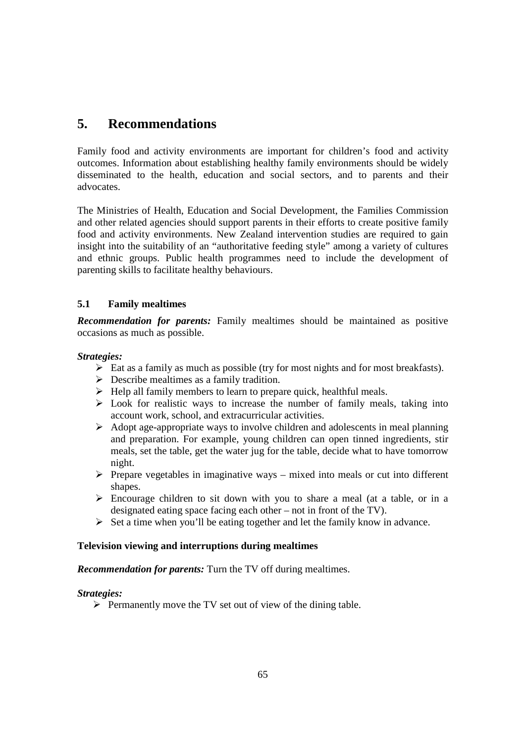# **5. Recommendations**

Family food and activity environments are important for children's food and activity outcomes. Information about establishing healthy family environments should be widely disseminated to the health, education and social sectors, and to parents and their advocates.

The Ministries of Health, Education and Social Development, the Families Commission and other related agencies should support parents in their efforts to create positive family food and activity environments. New Zealand intervention studies are required to gain insight into the suitability of an "authoritative feeding style" among a variety of cultures and ethnic groups. Public health programmes need to include the development of parenting skills to facilitate healthy behaviours.

## **5.1 Family mealtimes**

*Recommendation for parents:* Family mealtimes should be maintained as positive occasions as much as possible.

## *Strategies:*

- $\triangleright$  Eat as a family as much as possible (try for most nights and for most breakfasts).
- $\triangleright$  Describe mealtimes as a family tradition.
- $\triangleright$  Help all family members to learn to prepare quick, healthful meals.
- $\triangleright$  Look for realistic ways to increase the number of family meals, taking into account work, school, and extracurricular activities.
- $\triangleright$  Adopt age-appropriate ways to involve children and adolescents in meal planning and preparation. For example, young children can open tinned ingredients, stir meals, set the table, get the water jug for the table, decide what to have tomorrow night.
- $\triangleright$  Prepare vegetables in imaginative ways mixed into meals or cut into different shapes.
- $\triangleright$  Encourage children to sit down with you to share a meal (at a table, or in a designated eating space facing each other – not in front of the TV).
- $\triangleright$  Set a time when you'll be eating together and let the family know in advance.

## **Television viewing and interruptions during mealtimes**

## *Recommendation for parents:* Turn the TV off during mealtimes.

#### *Strategies:*

 $\triangleright$  Permanently move the TV set out of view of the dining table.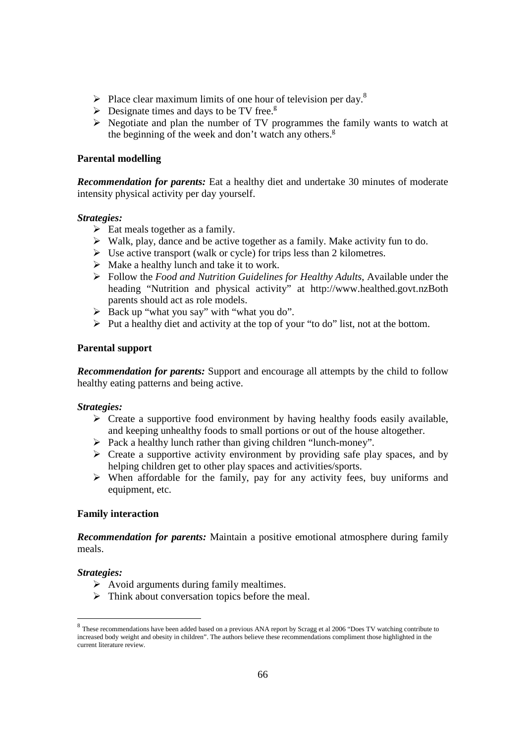- Place clear maximum limits of one hour of television per day.<sup>8</sup>
- $\triangleright$  Designate times and days to be TV free.<sup>g</sup>
- $\triangleright$  Negotiate and plan the number of TV programmes the family wants to watch at the beginning of the week and don't watch any others. $g$

## **Parental modelling**

*Recommendation for parents:* Eat a healthy diet and undertake 30 minutes of moderate intensity physical activity per day yourself.

#### *Strategies:*

- $\triangleright$  Eat meals together as a family.
- $\triangleright$  Walk, play, dance and be active together as a family. Make activity fun to do.
- $\triangleright$  Use active transport (walk or cycle) for trips less than 2 kilometres.
- $\triangleright$  Make a healthy lunch and take it to work.
- Follow the *Food and Nutrition Guidelines for Healthy Adults*, Available under the heading "Nutrition and physical activity" at http://www.healthed.govt.nzBoth parents should act as role models.
- $\triangleright$  Back up "what you say" with "what you do".
- $\triangleright$  Put a healthy diet and activity at the top of your "to do" list, not at the bottom.

#### **Parental support**

*Recommendation for parents:* Support and encourage all attempts by the child to follow healthy eating patterns and being active.

## *Strategies:*

- $\triangleright$  Create a supportive food environment by having healthy foods easily available, and keeping unhealthy foods to small portions or out of the house altogether.
- $\triangleright$  Pack a healthy lunch rather than giving children "lunch-money".
- $\triangleright$  Create a supportive activity environment by providing safe play spaces, and by helping children get to other play spaces and activities/sports.
- $\triangleright$  When affordable for the family, pay for any activity fees, buy uniforms and equipment, etc.

## **Family interaction**

*Recommendation for parents:* Maintain a positive emotional atmosphere during family meals.

#### *Strategies:*

- $\triangleright$  Avoid arguments during family mealtimes.
- $\triangleright$  Think about conversation topics before the meal.

These recommendations have been added based on a previous ANA report by Scragg et al 2006 "Does TV watching contribute to increased body weight and obesity in children". The authors believe these recommendations compliment those highlighted in the current literature review.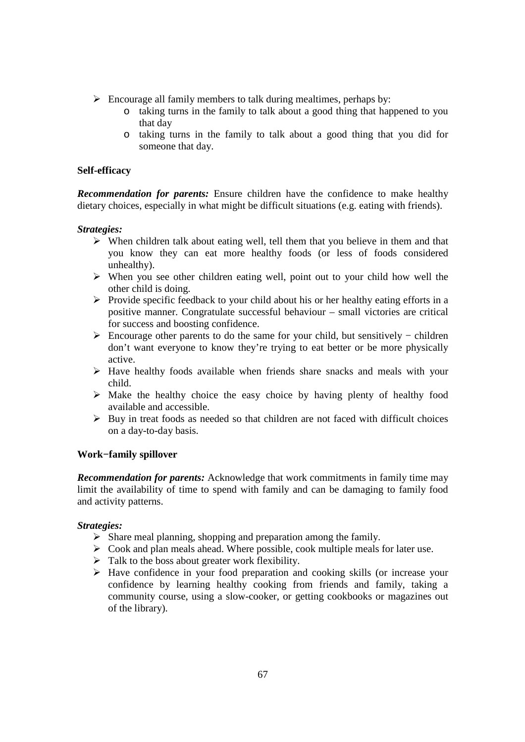- $\triangleright$  Encourage all family members to talk during mealtimes, perhaps by:
	- o taking turns in the family to talk about a good thing that happened to you that day
	- o taking turns in the family to talk about a good thing that you did for someone that day.

## **Self-efficacy**

*Recommendation for parents:* Ensure children have the confidence to make healthy dietary choices, especially in what might be difficult situations (e.g. eating with friends).

## *Strategies:*

- $\triangleright$  When children talk about eating well, tell them that you believe in them and that you know they can eat more healthy foods (or less of foods considered unhealthy).
- $\triangleright$  When you see other children eating well, point out to your child how well the other child is doing.
- $\triangleright$  Provide specific feedback to your child about his or her healthy eating efforts in a positive manner. Congratulate successful behaviour – small victories are critical for success and boosting confidence.
- Encourage other parents to do the same for your child, but sensitively − children don't want everyone to know they're trying to eat better or be more physically active.
- Have healthy foods available when friends share snacks and meals with your child.
- $\triangleright$  Make the healthy choice the easy choice by having plenty of healthy food available and accessible.
- $\triangleright$  Buy in treat foods as needed so that children are not faced with difficult choices on a day-to-day basis.

#### **Work−family spillover**

*Recommendation for parents:* Acknowledge that work commitments in family time may limit the availability of time to spend with family and can be damaging to family food and activity patterns.

#### *Strategies:*

- $\triangleright$  Share meal planning, shopping and preparation among the family.
- $\triangleright$  Cook and plan meals ahead. Where possible, cook multiple meals for later use.
- $\triangleright$  Talk to the boss about greater work flexibility.
- $\triangleright$  Have confidence in your food preparation and cooking skills (or increase your confidence by learning healthy cooking from friends and family, taking a community course, using a slow-cooker, or getting cookbooks or magazines out of the library).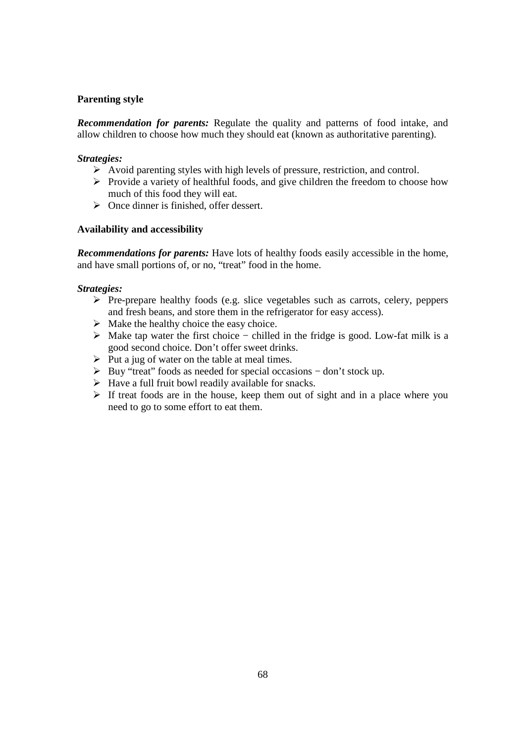## **Parenting style**

*Recommendation for parents:* Regulate the quality and patterns of food intake, and allow children to choose how much they should eat (known as authoritative parenting).

## *Strategies:*

- Avoid parenting styles with high levels of pressure, restriction, and control.
- $\triangleright$  Provide a variety of healthful foods, and give children the freedom to choose how much of this food they will eat.
- $\triangleright$  Once dinner is finished, offer dessert.

## **Availability and accessibility**

*Recommendations for parents:* Have lots of healthy foods easily accessible in the home, and have small portions of, or no, "treat" food in the home.

## *Strategies:*

- $\triangleright$  Pre-prepare healthy foods (e.g. slice vegetables such as carrots, celery, peppers and fresh beans, and store them in the refrigerator for easy access).
- $\triangleright$  Make the healthy choice the easy choice.
- Make tap water the first choice − chilled in the fridge is good. Low-fat milk is a good second choice. Don't offer sweet drinks.
- $\triangleright$  Put a jug of water on the table at meal times.
- Buy "treat" foods as needed for special occasions − don't stock up.
- $\triangleright$  Have a full fruit bowl readily available for snacks.
- $\triangleright$  If treat foods are in the house, keep them out of sight and in a place where you need to go to some effort to eat them.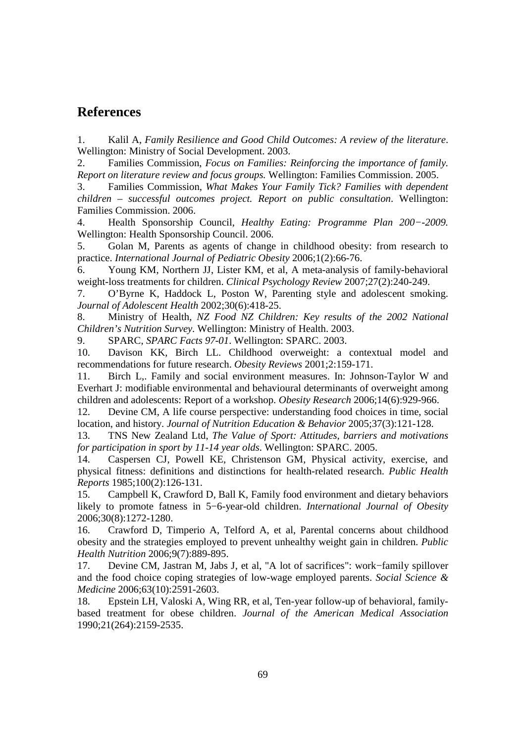## **References**

1. Kalil A, *Family Resilience and Good Child Outcomes: A review of the literature*. Wellington: Ministry of Social Development. 2003.

2. Families Commission, *Focus on Families: Reinforcing the importance of family. Report on literature review and focus groups.* Wellington: Families Commission. 2005.

3. Families Commission, *What Makes Your Family Tick? Families with dependent children – successful outcomes project. Report on public consultation*. Wellington: Families Commission. 2006.

4. Health Sponsorship Council, *Healthy Eating: Programme Plan 200−-2009.*  Wellington: Health Sponsorship Council. 2006.

5. Golan M, Parents as agents of change in childhood obesity: from research to practice. *International Journal of Pediatric Obesity* 2006;1(2):66-76.

6. Young KM, Northern JJ, Lister KM, et al, A meta-analysis of family-behavioral weight-loss treatments for children. *Clinical Psychology Review* 2007;27(2):240-249.

7. O'Byrne K, Haddock L, Poston W, Parenting style and adolescent smoking. *Journal of Adolescent Health* 2002;30(6):418-25.

8. Ministry of Health, *NZ Food NZ Children: Key results of the 2002 National Children's Nutrition Survey*. Wellington: Ministry of Health. 2003.

9. SPARC, *SPARC Facts 97-01*. Wellington: SPARC. 2003.

10. Davison KK, Birch LL. Childhood overweight: a contextual model and recommendations for future research. *Obesity Reviews* 2001;2:159-171.

11. Birch L,. Family and social environment measures. In: Johnson-Taylor W and Everhart J: modifiable environmental and behavioural determinants of overweight among children and adolescents: Report of a workshop. *Obesity Research* 2006;14(6):929-966.

12. Devine CM, A life course perspective: understanding food choices in time, social location, and history. *Journal of Nutrition Education & Behavior* 2005;37(3):121-128.

13. TNS New Zealand Ltd, *The Value of Sport: Attitudes, barriers and motivations for participation in sport by 11-14 year olds*. Wellington: SPARC. 2005.

14. Caspersen CJ, Powell KE, Christenson GM, Physical activity, exercise, and physical fitness: definitions and distinctions for health-related research. *Public Health Reports* 1985;100(2):126-131.

15. Campbell K, Crawford D, Ball K, Family food environment and dietary behaviors likely to promote fatness in 5−6-year-old children. *International Journal of Obesity* 2006;30(8):1272-1280.

16. Crawford D, Timperio A, Telford A, et al, Parental concerns about childhood obesity and the strategies employed to prevent unhealthy weight gain in children. *Public Health Nutrition* 2006;9(7):889-895.

17. Devine CM, Jastran M, Jabs J, et al, "A lot of sacrifices": work−family spillover and the food choice coping strategies of low-wage employed parents. *Social Science & Medicine* 2006;63(10):2591-2603.

18. Epstein LH, Valoski A, Wing RR, et al, Ten-year follow-up of behavioral, familybased treatment for obese children. *Journal of the American Medical Association* 1990;21(264):2159-2535.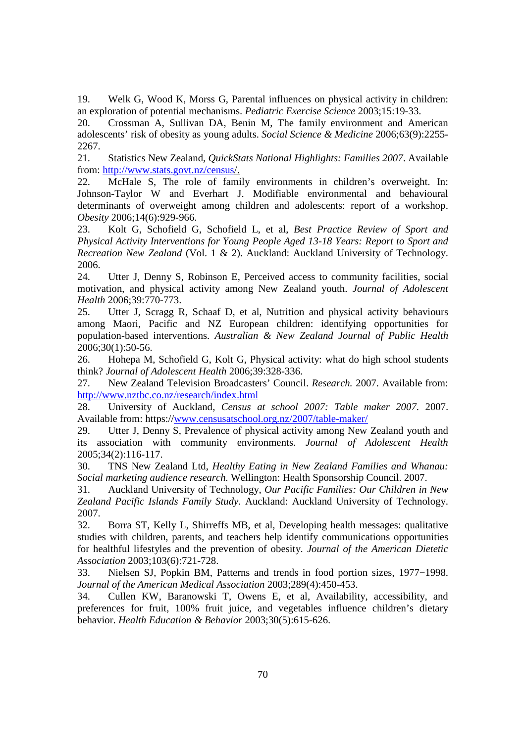19. Welk G, Wood K, Morss G, Parental influences on physical activity in children: an exploration of potential mechanisms. *Pediatric Exercise Science* 2003;15:19-33.

20. Crossman A, Sullivan DA, Benin M, The family environment and American adolescents' risk of obesity as young adults. *Social Science & Medicine* 2006;63(9):2255- 2267.

21. Statistics New Zealand, *QuickStats National Highlights: Families 2007*. Available from: http://www.stats.govt.nz/census/.

22. McHale S, The role of family environments in children's overweight. In: Johnson-Taylor W and Everhart J. Modifiable environmental and behavioural determinants of overweight among children and adolescents: report of a workshop. *Obesity* 2006;14(6):929-966.

23. Kolt G, Schofield G, Schofield L, et al, *Best Practice Review of Sport and Physical Activity Interventions for Young People Aged 13-18 Years: Report to Sport and Recreation New Zealand* (Vol. 1 & 2). Auckland: Auckland University of Technology. 2006.

24. Utter J, Denny S, Robinson E, Perceived access to community facilities, social motivation, and physical activity among New Zealand youth. *Journal of Adolescent Health* 2006;39:770-773.

25. Utter J, Scragg R, Schaaf D, et al, Nutrition and physical activity behaviours among Maori, Pacific and NZ European children: identifying opportunities for population-based interventions. *Australian & New Zealand Journal of Public Health* 2006;30(1):50-56.

26. Hohepa M, Schofield G, Kolt G, Physical activity: what do high school students think? *Journal of Adolescent Health* 2006;39:328-336.

27. New Zealand Television Broadcasters' Council. *Research.* 2007. Available from: http://www.nztbc.co.nz/research/index.html

28. University of Auckland, *Census at school 2007: Table maker 2007*. 2007. Available from: https://www.censusatschool.org.nz/2007/table-maker/

29. Utter J, Denny S, Prevalence of physical activity among New Zealand youth and its association with community environments. *Journal of Adolescent Health* 2005;34(2):116-117.

30. TNS New Zealand Ltd, *Healthy Eating in New Zealand Families and Whanau: Social marketing audience research.* Wellington: Health Sponsorship Council. 2007.

31. Auckland University of Technology, *Our Pacific Families: Our Children in New Zealand Pacific Islands Family Study*. Auckland: Auckland University of Technology. 2007.

32. Borra ST, Kelly L, Shirreffs MB, et al, Developing health messages: qualitative studies with children, parents, and teachers help identify communications opportunities for healthful lifestyles and the prevention of obesity. *Journal of the American Dietetic Association* 2003;103(6):721-728.

33. Nielsen SJ, Popkin BM, Patterns and trends in food portion sizes, 1977−1998. *Journal of the American Medical Association* 2003;289(4):450-453.

34. Cullen KW, Baranowski T, Owens E, et al, Availability, accessibility, and preferences for fruit, 100% fruit juice, and vegetables influence children's dietary behavior. *Health Education & Behavior* 2003;30(5):615-626.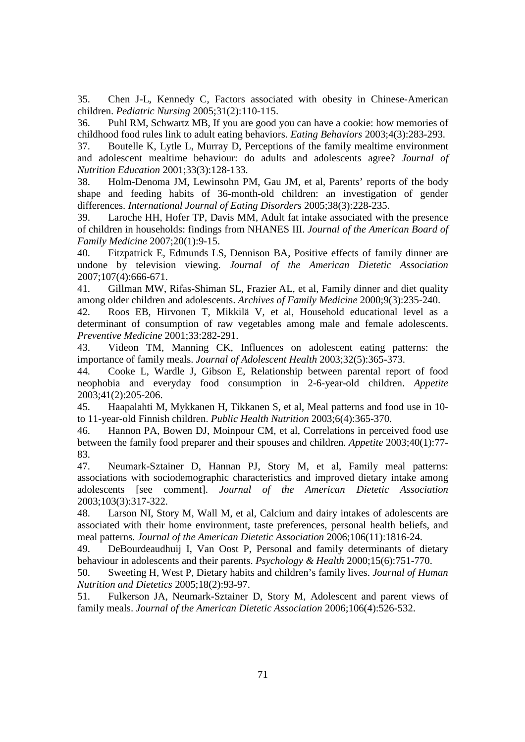35. Chen J-L, Kennedy C, Factors associated with obesity in Chinese-American children. *Pediatric Nursing* 2005;31(2):110-115.

36. Puhl RM, Schwartz MB, If you are good you can have a cookie: how memories of childhood food rules link to adult eating behaviors. *Eating Behaviors* 2003;4(3):283-293.

37. Boutelle K, Lytle L, Murray D, Perceptions of the family mealtime environment and adolescent mealtime behaviour: do adults and adolescents agree? *Journal of Nutrition Education* 2001;33(3):128-133.

38. Holm-Denoma JM, Lewinsohn PM, Gau JM, et al, Parents' reports of the body shape and feeding habits of 36-month-old children: an investigation of gender differences. *International Journal of Eating Disorders* 2005;38(3):228-235.

39. Laroche HH, Hofer TP, Davis MM, Adult fat intake associated with the presence of children in households: findings from NHANES III. *Journal of the American Board of Family Medicine* 2007;20(1):9-15.

40. Fitzpatrick E, Edmunds LS, Dennison BA, Positive effects of family dinner are undone by television viewing. *Journal of the American Dietetic Association* 2007;107(4):666-671.

41. Gillman MW, Rifas-Shiman SL, Frazier AL, et al, Family dinner and diet quality among older children and adolescents. *Archives of Family Medicine* 2000;9(3):235-240.

42. Roos EB, Hirvonen T, Mikkilä V, et al, Household educational level as a determinant of consumption of raw vegetables among male and female adolescents. *Preventive Medicine* 2001;33:282-291.

43. Videon TM, Manning CK, Influences on adolescent eating patterns: the importance of family meals. *Journal of Adolescent Health* 2003;32(5):365-373.

44. Cooke L, Wardle J, Gibson E, Relationship between parental report of food neophobia and everyday food consumption in 2-6-year-old children. *Appetite*  2003;41(2):205-206.

45. Haapalahti M, Mykkanen H, Tikkanen S, et al, Meal patterns and food use in 10 to 11-year-old Finnish children. *Public Health Nutrition* 2003;6(4):365-370.

46. Hannon PA, Bowen DJ, Moinpour CM, et al, Correlations in perceived food use between the family food preparer and their spouses and children. *Appetite* 2003;40(1):77- 83.

47. Neumark-Sztainer D, Hannan PJ, Story M, et al, Family meal patterns: associations with sociodemographic characteristics and improved dietary intake among adolescents [see comment]. *Journal of the American Dietetic Association* 2003;103(3):317-322.

48. Larson NI, Story M, Wall M, et al, Calcium and dairy intakes of adolescents are associated with their home environment, taste preferences, personal health beliefs, and meal patterns. *Journal of the American Dietetic Association* 2006;106(11):1816-24.

49. DeBourdeaudhuij I, Van Oost P, Personal and family determinants of dietary behaviour in adolescents and their parents. *Psychology & Health* 2000;15(6):751-770.

50. Sweeting H, West P, Dietary habits and children's family lives. *Journal of Human Nutrition and Dietetics* 2005;18(2):93-97.

51. Fulkerson JA, Neumark-Sztainer D, Story M, Adolescent and parent views of family meals. *Journal of the American Dietetic Association* 2006;106(4):526-532.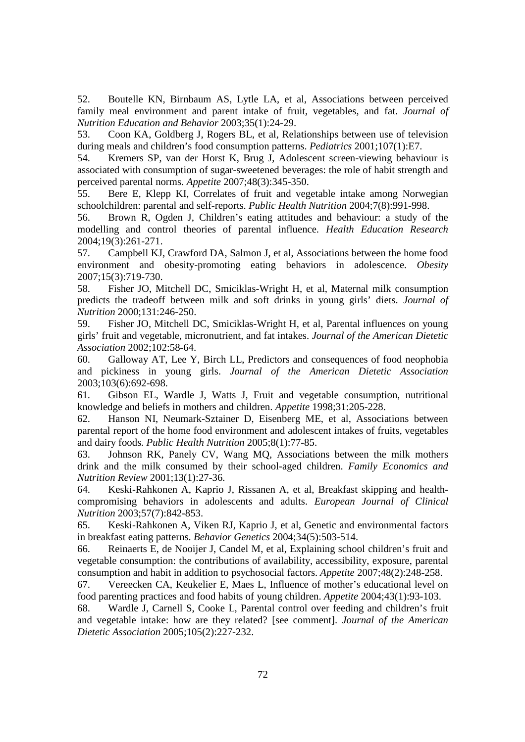52. Boutelle KN, Birnbaum AS, Lytle LA, et al, Associations between perceived family meal environment and parent intake of fruit, vegetables, and fat. *Journal of Nutrition Education and Behavior* 2003;35(1):24-29.

53. Coon KA, Goldberg J, Rogers BL, et al, Relationships between use of television during meals and children's food consumption patterns. *Pediatrics* 2001;107(1):E7.

54. Kremers SP, van der Horst K, Brug J, Adolescent screen-viewing behaviour is associated with consumption of sugar-sweetened beverages: the role of habit strength and perceived parental norms. *Appetite* 2007;48(3):345-350.

55. Bere E, Klepp KI, Correlates of fruit and vegetable intake among Norwegian schoolchildren: parental and self-reports. *Public Health Nutrition* 2004;7(8):991-998.

56. Brown R, Ogden J, Children's eating attitudes and behaviour: a study of the modelling and control theories of parental influence. *Health Education Research* 2004;19(3):261-271.

57. Campbell KJ, Crawford DA, Salmon J, et al, Associations between the home food environment and obesity-promoting eating behaviors in adolescence. *Obesity* 2007;15(3):719-730.

58. Fisher JO, Mitchell DC, Smiciklas-Wright H, et al, Maternal milk consumption predicts the tradeoff between milk and soft drinks in young girls' diets. *Journal of Nutrition* 2000;131:246-250.

59. Fisher JO, Mitchell DC, Smiciklas-Wright H, et al, Parental influences on young girls' fruit and vegetable, micronutrient, and fat intakes. *Journal of the American Dietetic Association* 2002;102:58-64.

60. Galloway AT, Lee Y, Birch LL, Predictors and consequences of food neophobia and pickiness in young girls. *Journal of the American Dietetic Association*  2003;103(6):692-698.

61. Gibson EL, Wardle J, Watts J, Fruit and vegetable consumption, nutritional knowledge and beliefs in mothers and children. *Appetite* 1998;31:205-228.

62. Hanson NI, Neumark-Sztainer D, Eisenberg ME, et al, Associations between parental report of the home food environment and adolescent intakes of fruits, vegetables and dairy foods. *Public Health Nutrition* 2005;8(1):77-85.

63. Johnson RK, Panely CV, Wang MQ, Associations between the milk mothers drink and the milk consumed by their school-aged children. *Family Economics and Nutrition Review* 2001;13(1):27-36.

64. Keski-Rahkonen A, Kaprio J, Rissanen A, et al, Breakfast skipping and healthcompromising behaviors in adolescents and adults. *European Journal of Clinical Nutrition* 2003;57(7):842-853.

65. Keski-Rahkonen A, Viken RJ, Kaprio J, et al, Genetic and environmental factors in breakfast eating patterns. *Behavior Genetics* 2004;34(5):503-514.

66. Reinaerts E, de Nooijer J, Candel M, et al, Explaining school children's fruit and vegetable consumption: the contributions of availability, accessibility, exposure, parental consumption and habit in addition to psychosocial factors. *Appetite* 2007;48(2):248-258.

67. Vereecken CA, Keukelier E, Maes L, Influence of mother's educational level on food parenting practices and food habits of young children. *Appetite* 2004;43(1):93-103.

68. Wardle J, Carnell S, Cooke L, Parental control over feeding and children's fruit and vegetable intake: how are they related? [see comment]. *Journal of the American Dietetic Association* 2005;105(2):227-232.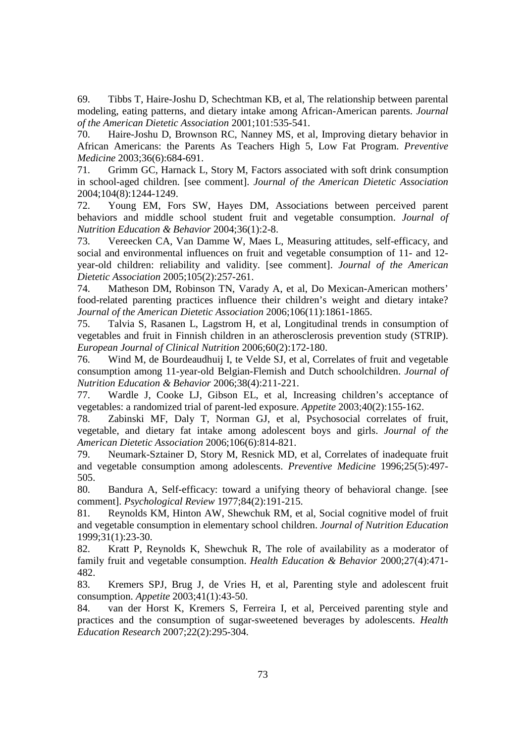69. Tibbs T, Haire-Joshu D, Schechtman KB, et al, The relationship between parental modeling, eating patterns, and dietary intake among African-American parents. *Journal of the American Dietetic Association* 2001;101:535-541.

70. Haire-Joshu D, Brownson RC, Nanney MS, et al, Improving dietary behavior in African Americans: the Parents As Teachers High 5, Low Fat Program. *Preventive Medicine* 2003;36(6):684-691.

71. Grimm GC, Harnack L, Story M, Factors associated with soft drink consumption in school-aged children. [see comment]. *Journal of the American Dietetic Association* 2004;104(8):1244-1249.

72. Young EM, Fors SW, Hayes DM, Associations between perceived parent behaviors and middle school student fruit and vegetable consumption. *Journal of Nutrition Education & Behavior* 2004;36(1):2-8.

73. Vereecken CA, Van Damme W, Maes L, Measuring attitudes, self-efficacy, and social and environmental influences on fruit and vegetable consumption of 11- and 12 year-old children: reliability and validity. [see comment]. *Journal of the American Dietetic Association* 2005;105(2):257-261.

74. Matheson DM, Robinson TN, Varady A, et al, Do Mexican-American mothers' food-related parenting practices influence their children's weight and dietary intake? *Journal of the American Dietetic Association* 2006;106(11):1861-1865.

75. Talvia S, Rasanen L, Lagstrom H, et al, Longitudinal trends in consumption of vegetables and fruit in Finnish children in an atherosclerosis prevention study (STRIP). *European Journal of Clinical Nutrition* 2006;60(2):172-180.

76. Wind M, de Bourdeaudhuij I, te Velde SJ, et al, Correlates of fruit and vegetable consumption among 11-year-old Belgian-Flemish and Dutch schoolchildren. *Journal of Nutrition Education & Behavior* 2006;38(4):211-221.

77. Wardle J, Cooke LJ, Gibson EL, et al, Increasing children's acceptance of vegetables: a randomized trial of parent-led exposure. *Appetite* 2003;40(2):155-162.

78. Zabinski MF, Daly T, Norman GJ, et al, Psychosocial correlates of fruit, vegetable, and dietary fat intake among adolescent boys and girls. *Journal of the American Dietetic Association* 2006;106(6):814-821.

79. Neumark-Sztainer D, Story M, Resnick MD, et al, Correlates of inadequate fruit and vegetable consumption among adolescents. *Preventive Medicine* 1996;25(5):497- 505.

80. Bandura A, Self-efficacy: toward a unifying theory of behavioral change. [see comment]. *Psychological Review* 1977;84(2):191-215.

81. Reynolds KM, Hinton AW, Shewchuk RM, et al, Social cognitive model of fruit and vegetable consumption in elementary school children. *Journal of Nutrition Education* 1999;31(1):23-30.

82. Kratt P, Reynolds K, Shewchuk R, The role of availability as a moderator of family fruit and vegetable consumption. *Health Education & Behavior* 2000;27(4):471- 482.

83. Kremers SPJ, Brug J, de Vries H, et al, Parenting style and adolescent fruit consumption. *Appetite* 2003;41(1):43-50.

84. van der Horst K, Kremers S, Ferreira I, et al, Perceived parenting style and practices and the consumption of sugar-sweetened beverages by adolescents. *Health Education Research* 2007;22(2):295-304.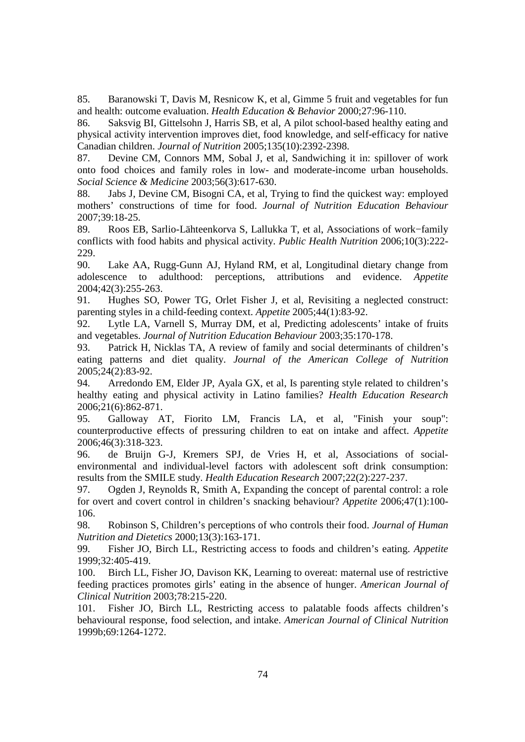85. Baranowski T, Davis M, Resnicow K, et al, Gimme 5 fruit and vegetables for fun and health: outcome evaluation. *Health Education & Behavior* 2000;27:96-110.

86. Saksvig BI, Gittelsohn J, Harris SB, et al, A pilot school-based healthy eating and physical activity intervention improves diet, food knowledge, and self-efficacy for native Canadian children. *Journal of Nutrition* 2005;135(10):2392-2398.

87. Devine CM, Connors MM, Sobal J, et al, Sandwiching it in: spillover of work onto food choices and family roles in low- and moderate-income urban households. *Social Science & Medicine* 2003;56(3):617-630.

88. Jabs J, Devine CM, Bisogni CA, et al, Trying to find the quickest way: employed mothers' constructions of time for food. *Journal of Nutrition Education Behaviour* 2007;39:18-25.

89. Roos EB, Sarlio-Lähteenkorva S, Lallukka T, et al, Associations of work−family conflicts with food habits and physical activity. *Public Health Nutrition* 2006;10(3):222- 229.

90. Lake AA, Rugg-Gunn AJ, Hyland RM, et al, Longitudinal dietary change from adolescence to adulthood: perceptions, attributions and evidence. *Appetite* 2004;42(3):255-263.

91. Hughes SO, Power TG, Orlet Fisher J, et al, Revisiting a neglected construct: parenting styles in a child-feeding context. *Appetite* 2005;44(1):83-92.

92. Lytle LA, Varnell S, Murray DM, et al, Predicting adolescents' intake of fruits and vegetables. *Journal of Nutrition Education Behaviour* 2003;35:170-178.

93. Patrick H, Nicklas TA, A review of family and social determinants of children's eating patterns and diet quality. *Journal of the American College of Nutrition* 2005;24(2):83-92.

94. Arredondo EM, Elder JP, Ayala GX, et al, Is parenting style related to children's healthy eating and physical activity in Latino families? *Health Education Research*  2006;21(6):862-871.

95. Galloway AT, Fiorito LM, Francis LA, et al, "Finish your soup": counterproductive effects of pressuring children to eat on intake and affect. *Appetite* 2006;46(3):318-323.

96. de Bruijn G-J, Kremers SPJ, de Vries H, et al, Associations of socialenvironmental and individual-level factors with adolescent soft drink consumption: results from the SMILE study. *Health Education Research* 2007;22(2):227-237.

97. Ogden J, Reynolds R, Smith A, Expanding the concept of parental control: a role for overt and covert control in children's snacking behaviour? *Appetite* 2006;47(1):100- 106.

98. Robinson S, Children's perceptions of who controls their food. *Journal of Human Nutrition and Dietetics* 2000;13(3):163-171.

99. Fisher JO, Birch LL, Restricting access to foods and children's eating. *Appetite* 1999;32:405-419.

100. Birch LL, Fisher JO, Davison KK, Learning to overeat: maternal use of restrictive feeding practices promotes girls' eating in the absence of hunger. *American Journal of Clinical Nutrition* 2003;78:215-220.

101. Fisher JO, Birch LL, Restricting access to palatable foods affects children's behavioural response, food selection, and intake. *American Journal of Clinical Nutrition* 1999b;69:1264-1272.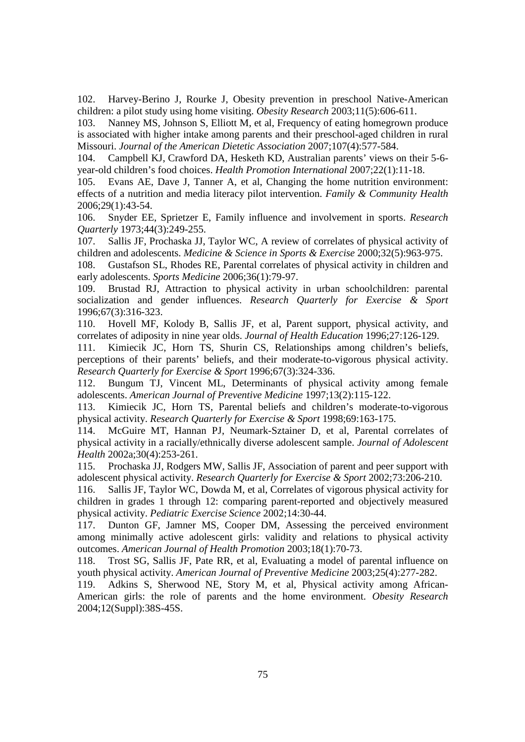102. Harvey-Berino J, Rourke J, Obesity prevention in preschool Native-American children: a pilot study using home visiting. *Obesity Research* 2003;11(5):606-611.

103. Nanney MS, Johnson S, Elliott M, et al, Frequency of eating homegrown produce is associated with higher intake among parents and their preschool-aged children in rural Missouri. *Journal of the American Dietetic Association* 2007;107(4):577-584.

104. Campbell KJ, Crawford DA, Hesketh KD, Australian parents' views on their 5-6 year-old children's food choices. *Health Promotion International* 2007;22(1):11-18.

105. Evans AE, Dave J, Tanner A, et al, Changing the home nutrition environment: effects of a nutrition and media literacy pilot intervention. *Family & Community Health*  2006;29(1):43-54.

106. Snyder EE, Sprietzer E, Family influence and involvement in sports. *Research Quarterly* 1973;44(3):249-255.

107. Sallis JF, Prochaska JJ, Taylor WC, A review of correlates of physical activity of children and adolescents. *Medicine & Science in Sports & Exercise* 2000;32(5):963-975.

108. Gustafson SL, Rhodes RE, Parental correlates of physical activity in children and early adolescents. *Sports Medicine* 2006;36(1):79-97.

109. Brustad RJ, Attraction to physical activity in urban schoolchildren: parental socialization and gender influences. *Research Quarterly for Exercise & Sport* 1996;67(3):316-323.

110. Hovell MF, Kolody B, Sallis JF, et al, Parent support, physical activity, and correlates of adiposity in nine year olds. *Journal of Health Education* 1996;27:126-129.

111. Kimiecik JC, Horn TS, Shurin CS, Relationships among children's beliefs, perceptions of their parents' beliefs, and their moderate-to-vigorous physical activity. *Research Quarterly for Exercise & Sport* 1996;67(3):324-336.

112. Bungum TJ, Vincent ML, Determinants of physical activity among female adolescents. *American Journal of Preventive Medicine* 1997;13(2):115-122.

113. Kimiecik JC, Horn TS, Parental beliefs and children's moderate-to-vigorous physical activity. *Research Quarterly for Exercise & Sport* 1998;69:163-175.

114. McGuire MT, Hannan PJ, Neumark-Sztainer D, et al, Parental correlates of physical activity in a racially/ethnically diverse adolescent sample. *Journal of Adolescent Health* 2002a;30(4):253-261.

115. Prochaska JJ, Rodgers MW, Sallis JF, Association of parent and peer support with adolescent physical activity. *Research Quarterly for Exercise & Sport* 2002;73:206-210.

116. Sallis JF, Taylor WC, Dowda M, et al, Correlates of vigorous physical activity for children in grades 1 through 12: comparing parent-reported and objectively measured physical activity. *Pediatric Exercise Science* 2002;14:30-44.

117. Dunton GF, Jamner MS, Cooper DM, Assessing the perceived environment among minimally active adolescent girls: validity and relations to physical activity outcomes. *American Journal of Health Promotion* 2003;18(1):70-73.

118. Trost SG, Sallis JF, Pate RR, et al, Evaluating a model of parental influence on youth physical activity. *American Journal of Preventive Medicine* 2003;25(4):277-282.

119. Adkins S, Sherwood NE, Story M, et al, Physical activity among African-American girls: the role of parents and the home environment. *Obesity Research* 2004;12(Suppl):38S-45S.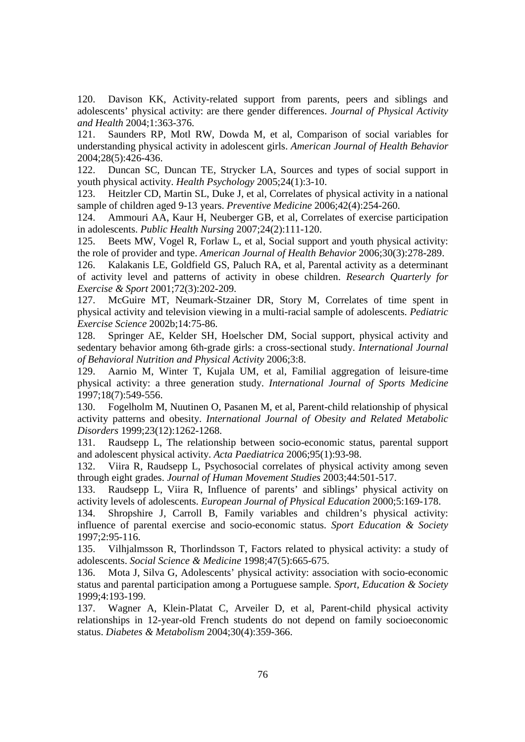120. Davison KK, Activity-related support from parents, peers and siblings and adolescents' physical activity: are there gender differences. *Journal of Physical Activity and Health* 2004;1:363-376.

121. Saunders RP, Motl RW, Dowda M, et al, Comparison of social variables for understanding physical activity in adolescent girls. *American Journal of Health Behavior* 2004;28(5):426-436.

122. Duncan SC, Duncan TE, Strycker LA, Sources and types of social support in youth physical activity. *Health Psychology* 2005;24(1):3-10.

123. Heitzler CD, Martin SL, Duke J, et al, Correlates of physical activity in a national sample of children aged 9-13 years. *Preventive Medicine* 2006;42(4):254-260.

124. Ammouri AA, Kaur H, Neuberger GB, et al, Correlates of exercise participation in adolescents. *Public Health Nursing* 2007;24(2):111-120.

125. Beets MW, Vogel R, Forlaw L, et al, Social support and youth physical activity: the role of provider and type. *American Journal of Health Behavior* 2006;30(3):278-289.

126. Kalakanis LE, Goldfield GS, Paluch RA, et al, Parental activity as a determinant of activity level and patterns of activity in obese children. *Research Quarterly for Exercise & Sport* 2001;72(3):202-209.

127. McGuire MT, Neumark-Stzainer DR, Story M, Correlates of time spent in physical activity and television viewing in a multi-racial sample of adolescents. *Pediatric Exercise Science* 2002b;14:75-86.

128. Springer AE, Kelder SH, Hoelscher DM, Social support, physical activity and sedentary behavior among 6th-grade girls: a cross-sectional study. *International Journal of Behavioral Nutrition and Physical Activity* 2006;3:8.

129. Aarnio M, Winter T, Kujala UM, et al, Familial aggregation of leisure-time physical activity: a three generation study. *International Journal of Sports Medicine* 1997;18(7):549-556.

130. Fogelholm M, Nuutinen O, Pasanen M, et al, Parent-child relationship of physical activity patterns and obesity. *International Journal of Obesity and Related Metabolic Disorders* 1999;23(12):1262-1268.

131. Raudsepp L, The relationship between socio-economic status, parental support and adolescent physical activity. *Acta Paediatrica* 2006;95(1):93-98.

132. Viira R, Raudsepp L, Psychosocial correlates of physical activity among seven through eight grades. *Journal of Human Movement Studies* 2003;44:501-517.

133. Raudsepp L, Viira R, Influence of parents' and siblings' physical activity on activity levels of adolescents. *European Journal of Physical Education* 2000;5:169-178.

134. Shropshire J, Carroll B, Family variables and children's physical activity: influence of parental exercise and socio-economic status. *Sport Education & Society*  1997;2:95-116.

135. Vilhjalmsson R, Thorlindsson T, Factors related to physical activity: a study of adolescents. *Social Science & Medicine* 1998;47(5):665-675.

136. Mota J, Silva G, Adolescents' physical activity: association with socio-economic status and parental participation among a Portuguese sample. *Sport, Education & Society* 1999;4:193-199.

137. Wagner A, Klein-Platat C, Arveiler D, et al, Parent-child physical activity relationships in 12-year-old French students do not depend on family socioeconomic status. *Diabetes & Metabolism* 2004;30(4):359-366.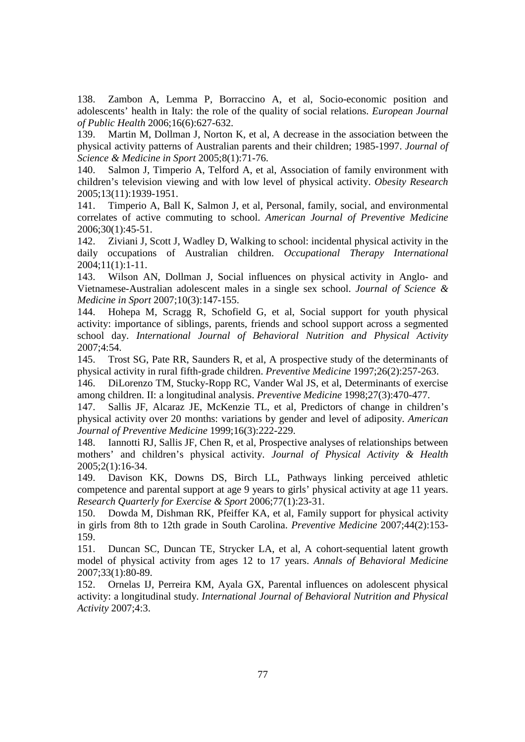138. Zambon A, Lemma P, Borraccino A, et al, Socio-economic position and adolescents' health in Italy: the role of the quality of social relations. *European Journal of Public Health* 2006;16(6):627-632.

139. Martin M, Dollman J, Norton K, et al, A decrease in the association between the physical activity patterns of Australian parents and their children; 1985-1997. *Journal of Science & Medicine in Sport* 2005;8(1):71-76.

140. Salmon J, Timperio A, Telford A, et al, Association of family environment with children's television viewing and with low level of physical activity. *Obesity Research* 2005;13(11):1939-1951.

141. Timperio A, Ball K, Salmon J, et al, Personal, family, social, and environmental correlates of active commuting to school. *American Journal of Preventive Medicine* 2006;30(1):45-51.

142. Ziviani J, Scott J, Wadley D, Walking to school: incidental physical activity in the daily occupations of Australian children. *Occupational Therapy International* 2004;11(1):1-11.

143. Wilson AN, Dollman J, Social influences on physical activity in Anglo- and Vietnamese-Australian adolescent males in a single sex school. *Journal of Science & Medicine in Sport* 2007;10(3):147-155.

144. Hohepa M, Scragg R, Schofield G, et al, Social support for youth physical activity: importance of siblings, parents, friends and school support across a segmented school day. *International Journal of Behavioral Nutrition and Physical Activity* 2007;4:54.

145. Trost SG, Pate RR, Saunders R, et al, A prospective study of the determinants of physical activity in rural fifth-grade children. *Preventive Medicine* 1997;26(2):257-263.

146. DiLorenzo TM, Stucky-Ropp RC, Vander Wal JS, et al, Determinants of exercise among children. II: a longitudinal analysis. *Preventive Medicine* 1998;27(3):470-477.

147. Sallis JF, Alcaraz JE, McKenzie TL, et al, Predictors of change in children's physical activity over 20 months: variations by gender and level of adiposity. *American Journal of Preventive Medicine* 1999;16(3):222-229.

148. Iannotti RJ, Sallis JF, Chen R, et al, Prospective analyses of relationships between mothers' and children's physical activity. *Journal of Physical Activity & Health* 2005;2(1):16-34.

149. Davison KK, Downs DS, Birch LL, Pathways linking perceived athletic competence and parental support at age 9 years to girls' physical activity at age 11 years. *Research Quarterly for Exercise & Sport* 2006;77(1):23-31.

150. Dowda M, Dishman RK, Pfeiffer KA, et al, Family support for physical activity in girls from 8th to 12th grade in South Carolina. *Preventive Medicine* 2007;44(2):153- 159.

151. Duncan SC, Duncan TE, Strycker LA, et al, A cohort-sequential latent growth model of physical activity from ages 12 to 17 years. *Annals of Behavioral Medicine* 2007;33(1):80-89.

152. Ornelas IJ, Perreira KM, Ayala GX, Parental influences on adolescent physical activity: a longitudinal study. *International Journal of Behavioral Nutrition and Physical Activity* 2007;4:3.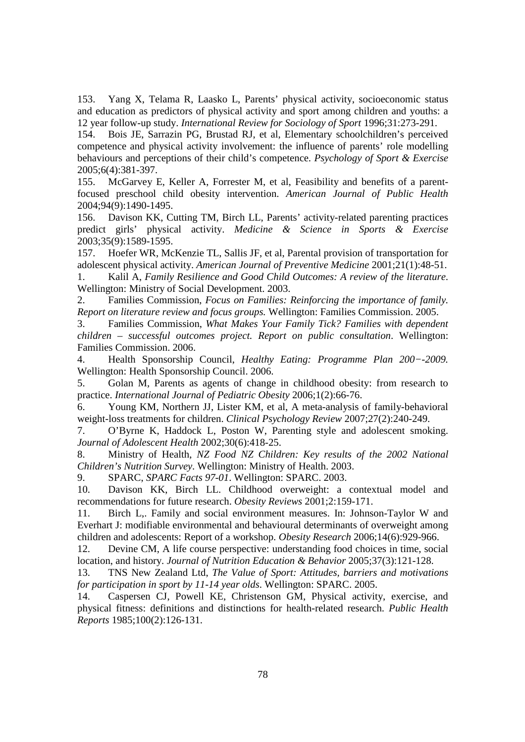153. Yang X, Telama R, Laasko L, Parents' physical activity, socioeconomic status and education as predictors of physical activity and sport among children and youths: a 12 year follow-up study. *International Review for Sociology of Sport* 1996;31:273-291.

154. Bois JE, Sarrazin PG, Brustad RJ, et al, Elementary schoolchildren's perceived competence and physical activity involvement: the influence of parents' role modelling behaviours and perceptions of their child's competence. *Psychology of Sport & Exercise* 2005;6(4):381-397.

155. McGarvey E, Keller A, Forrester M, et al, Feasibility and benefits of a parentfocused preschool child obesity intervention. *American Journal of Public Health* 2004;94(9):1490-1495.

156. Davison KK, Cutting TM, Birch LL, Parents' activity-related parenting practices predict girls' physical activity. *Medicine & Science in Sports & Exercise* 2003;35(9):1589-1595.

157. Hoefer WR, McKenzie TL, Sallis JF, et al, Parental provision of transportation for adolescent physical activity. *American Journal of Preventive Medicine* 2001;21(1):48-51.

1. Kalil A, *Family Resilience and Good Child Outcomes: A review of the literature*. Wellington: Ministry of Social Development. 2003.

2. Families Commission, *Focus on Families: Reinforcing the importance of family. Report on literature review and focus groups.* Wellington: Families Commission. 2005.

3. Families Commission, *What Makes Your Family Tick? Families with dependent children – successful outcomes project. Report on public consultation*. Wellington: Families Commission. 2006.

4. Health Sponsorship Council, *Healthy Eating: Programme Plan 200−-2009.*  Wellington: Health Sponsorship Council. 2006.

5. Golan M, Parents as agents of change in childhood obesity: from research to practice. *International Journal of Pediatric Obesity* 2006;1(2):66-76.

6. Young KM, Northern JJ, Lister KM, et al, A meta-analysis of family-behavioral weight-loss treatments for children. *Clinical Psychology Review* 2007;27(2):240-249.

7. O'Byrne K, Haddock L, Poston W, Parenting style and adolescent smoking. *Journal of Adolescent Health* 2002;30(6):418-25.

8. Ministry of Health, *NZ Food NZ Children: Key results of the 2002 National Children's Nutrition Survey*. Wellington: Ministry of Health. 2003.

9. SPARC, *SPARC Facts 97-01*. Wellington: SPARC. 2003.

10. Davison KK, Birch LL. Childhood overweight: a contextual model and recommendations for future research. *Obesity Reviews* 2001;2:159-171.

11. Birch L,. Family and social environment measures. In: Johnson-Taylor W and Everhart J: modifiable environmental and behavioural determinants of overweight among children and adolescents: Report of a workshop. *Obesity Research* 2006;14(6):929-966.

12. Devine CM, A life course perspective: understanding food choices in time, social location, and history. *Journal of Nutrition Education & Behavior* 2005;37(3):121-128.

13. TNS New Zealand Ltd, *The Value of Sport: Attitudes, barriers and motivations for participation in sport by 11-14 year olds*. Wellington: SPARC. 2005.

14. Caspersen CJ, Powell KE, Christenson GM, Physical activity, exercise, and physical fitness: definitions and distinctions for health-related research. *Public Health Reports* 1985;100(2):126-131.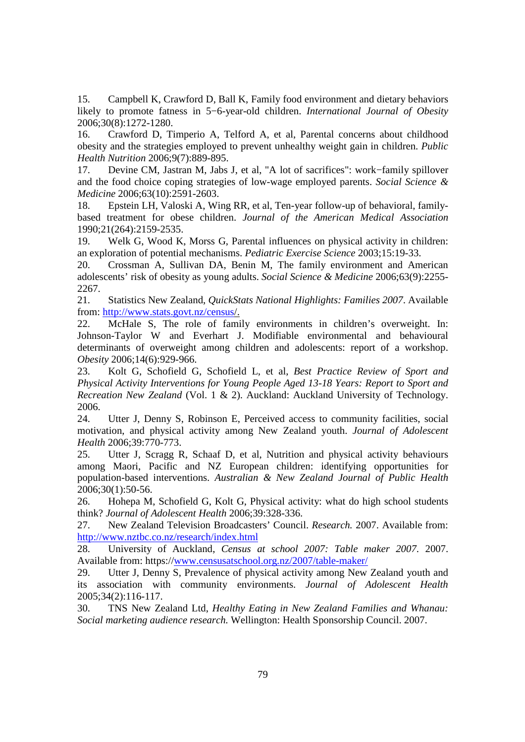15. Campbell K, Crawford D, Ball K, Family food environment and dietary behaviors likely to promote fatness in 5−6-year-old children. *International Journal of Obesity* 2006;30(8):1272-1280.

16. Crawford D, Timperio A, Telford A, et al, Parental concerns about childhood obesity and the strategies employed to prevent unhealthy weight gain in children. *Public Health Nutrition* 2006;9(7):889-895.

17. Devine CM, Jastran M, Jabs J, et al, "A lot of sacrifices": work−family spillover and the food choice coping strategies of low-wage employed parents. *Social Science & Medicine* 2006;63(10):2591-2603.

18. Epstein LH, Valoski A, Wing RR, et al, Ten-year follow-up of behavioral, familybased treatment for obese children. *Journal of the American Medical Association* 1990;21(264):2159-2535.

19. Welk G, Wood K, Morss G, Parental influences on physical activity in children: an exploration of potential mechanisms. *Pediatric Exercise Science* 2003;15:19-33.

20. Crossman A, Sullivan DA, Benin M, The family environment and American adolescents' risk of obesity as young adults. *Social Science & Medicine* 2006;63(9):2255- 2267.

21. Statistics New Zealand, *QuickStats National Highlights: Families 2007*. Available from: http://www.stats.govt.nz/census/.

22. McHale S, The role of family environments in children's overweight. In: Johnson-Taylor W and Everhart J. Modifiable environmental and behavioural determinants of overweight among children and adolescents: report of a workshop. *Obesity* 2006;14(6):929-966.

23. Kolt G, Schofield G, Schofield L, et al, *Best Practice Review of Sport and Physical Activity Interventions for Young People Aged 13-18 Years: Report to Sport and Recreation New Zealand* (Vol. 1 & 2). Auckland: Auckland University of Technology. 2006.

24. Utter J, Denny S, Robinson E, Perceived access to community facilities, social motivation, and physical activity among New Zealand youth. *Journal of Adolescent Health* 2006;39:770-773.

25. Utter J, Scragg R, Schaaf D, et al, Nutrition and physical activity behaviours among Maori, Pacific and NZ European children: identifying opportunities for population-based interventions. *Australian & New Zealand Journal of Public Health* 2006;30(1):50-56.

26. Hohepa M, Schofield G, Kolt G, Physical activity: what do high school students think? *Journal of Adolescent Health* 2006;39:328-336.

27. New Zealand Television Broadcasters' Council. *Research.* 2007. Available from: http://www.nztbc.co.nz/research/index.html

28. University of Auckland, *Census at school 2007: Table maker 2007*. 2007. Available from: https://www.censusatschool.org.nz/2007/table-maker/

29. Utter J, Denny S, Prevalence of physical activity among New Zealand youth and its association with community environments. *Journal of Adolescent Health* 2005;34(2):116-117.

30. TNS New Zealand Ltd, *Healthy Eating in New Zealand Families and Whanau: Social marketing audience research.* Wellington: Health Sponsorship Council. 2007.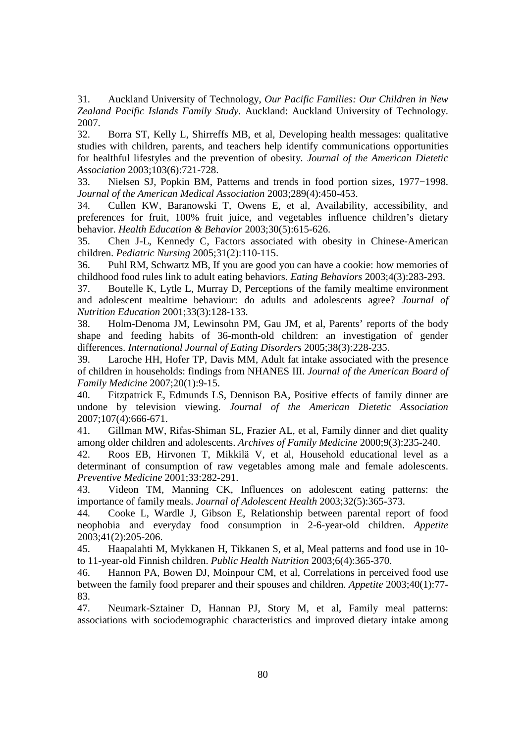31. Auckland University of Technology, *Our Pacific Families: Our Children in New Zealand Pacific Islands Family Study*. Auckland: Auckland University of Technology. 2007.

32. Borra ST, Kelly L, Shirreffs MB, et al, Developing health messages: qualitative studies with children, parents, and teachers help identify communications opportunities for healthful lifestyles and the prevention of obesity. *Journal of the American Dietetic Association* 2003;103(6):721-728.

33. Nielsen SJ, Popkin BM, Patterns and trends in food portion sizes, 1977−1998. *Journal of the American Medical Association* 2003;289(4):450-453.

34. Cullen KW, Baranowski T, Owens E, et al, Availability, accessibility, and preferences for fruit, 100% fruit juice, and vegetables influence children's dietary behavior. *Health Education & Behavior* 2003;30(5):615-626.

35. Chen J-L, Kennedy C, Factors associated with obesity in Chinese-American children. *Pediatric Nursing* 2005;31(2):110-115.

36. Puhl RM, Schwartz MB, If you are good you can have a cookie: how memories of childhood food rules link to adult eating behaviors. *Eating Behaviors* 2003;4(3):283-293.

37. Boutelle K, Lytle L, Murray D, Perceptions of the family mealtime environment and adolescent mealtime behaviour: do adults and adolescents agree? *Journal of Nutrition Education* 2001;33(3):128-133.

38. Holm-Denoma JM, Lewinsohn PM, Gau JM, et al, Parents' reports of the body shape and feeding habits of 36-month-old children: an investigation of gender differences. *International Journal of Eating Disorders* 2005;38(3):228-235.

39. Laroche HH, Hofer TP, Davis MM, Adult fat intake associated with the presence of children in households: findings from NHANES III. *Journal of the American Board of Family Medicine* 2007;20(1):9-15.

40. Fitzpatrick E, Edmunds LS, Dennison BA, Positive effects of family dinner are undone by television viewing. *Journal of the American Dietetic Association* 2007;107(4):666-671.

41. Gillman MW, Rifas-Shiman SL, Frazier AL, et al, Family dinner and diet quality among older children and adolescents. *Archives of Family Medicine* 2000;9(3):235-240.

42. Roos EB, Hirvonen T, Mikkilä V, et al, Household educational level as a determinant of consumption of raw vegetables among male and female adolescents. *Preventive Medicine* 2001;33:282-291.

43. Videon TM, Manning CK, Influences on adolescent eating patterns: the importance of family meals. *Journal of Adolescent Health* 2003;32(5):365-373.

44. Cooke L, Wardle J, Gibson E, Relationship between parental report of food neophobia and everyday food consumption in 2-6-year-old children. *Appetite*  2003;41(2):205-206.

45. Haapalahti M, Mykkanen H, Tikkanen S, et al, Meal patterns and food use in 10 to 11-year-old Finnish children. *Public Health Nutrition* 2003;6(4):365-370.

46. Hannon PA, Bowen DJ, Moinpour CM, et al, Correlations in perceived food use between the family food preparer and their spouses and children. *Appetite* 2003;40(1):77- 83.

47. Neumark-Sztainer D, Hannan PJ, Story M, et al, Family meal patterns: associations with sociodemographic characteristics and improved dietary intake among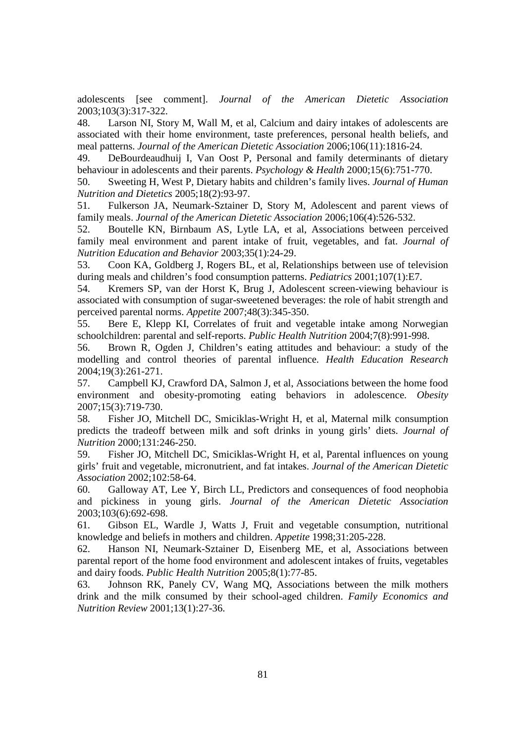adolescents [see comment]. *Journal of the American Dietetic Association* 2003;103(3):317-322.

48. Larson NI, Story M, Wall M, et al, Calcium and dairy intakes of adolescents are associated with their home environment, taste preferences, personal health beliefs, and meal patterns. *Journal of the American Dietetic Association* 2006;106(11):1816-24.

49. DeBourdeaudhuij I, Van Oost P, Personal and family determinants of dietary behaviour in adolescents and their parents. *Psychology & Health* 2000;15(6):751-770.

50. Sweeting H, West P, Dietary habits and children's family lives. *Journal of Human Nutrition and Dietetics* 2005;18(2):93-97.

51. Fulkerson JA, Neumark-Sztainer D, Story M, Adolescent and parent views of family meals. *Journal of the American Dietetic Association* 2006;106(4):526-532.

52. Boutelle KN, Birnbaum AS, Lytle LA, et al, Associations between perceived family meal environment and parent intake of fruit, vegetables, and fat. *Journal of Nutrition Education and Behavior* 2003;35(1):24-29.

53. Coon KA, Goldberg J, Rogers BL, et al, Relationships between use of television during meals and children's food consumption patterns. *Pediatrics* 2001;107(1):E7.

54. Kremers SP, van der Horst K, Brug J, Adolescent screen-viewing behaviour is associated with consumption of sugar-sweetened beverages: the role of habit strength and perceived parental norms. *Appetite* 2007;48(3):345-350.

55. Bere E, Klepp KI, Correlates of fruit and vegetable intake among Norwegian schoolchildren: parental and self-reports. *Public Health Nutrition* 2004;7(8):991-998.

56. Brown R, Ogden J, Children's eating attitudes and behaviour: a study of the modelling and control theories of parental influence. *Health Education Research* 2004;19(3):261-271.

57. Campbell KJ, Crawford DA, Salmon J, et al, Associations between the home food environment and obesity-promoting eating behaviors in adolescence. *Obesity* 2007;15(3):719-730.

58. Fisher JO, Mitchell DC, Smiciklas-Wright H, et al, Maternal milk consumption predicts the tradeoff between milk and soft drinks in young girls' diets. *Journal of Nutrition* 2000;131:246-250.

59. Fisher JO, Mitchell DC, Smiciklas-Wright H, et al, Parental influences on young girls' fruit and vegetable, micronutrient, and fat intakes. *Journal of the American Dietetic Association* 2002;102:58-64.

60. Galloway AT, Lee Y, Birch LL, Predictors and consequences of food neophobia and pickiness in young girls. *Journal of the American Dietetic Association*  2003;103(6):692-698.

61. Gibson EL, Wardle J, Watts J, Fruit and vegetable consumption, nutritional knowledge and beliefs in mothers and children. *Appetite* 1998;31:205-228.

62. Hanson NI, Neumark-Sztainer D, Eisenberg ME, et al, Associations between parental report of the home food environment and adolescent intakes of fruits, vegetables and dairy foods. *Public Health Nutrition* 2005;8(1):77-85.

63. Johnson RK, Panely CV, Wang MQ, Associations between the milk mothers drink and the milk consumed by their school-aged children. *Family Economics and Nutrition Review* 2001;13(1):27-36.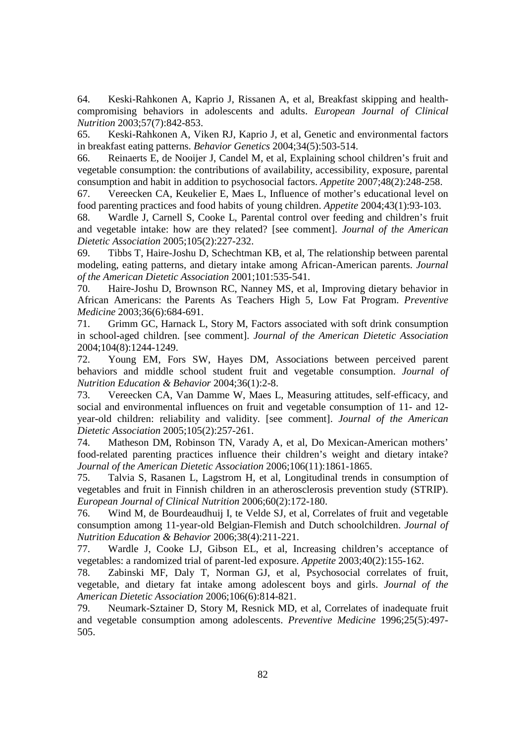64. Keski-Rahkonen A, Kaprio J, Rissanen A, et al, Breakfast skipping and healthcompromising behaviors in adolescents and adults. *European Journal of Clinical Nutrition* 2003;57(7):842-853.

65. Keski-Rahkonen A, Viken RJ, Kaprio J, et al, Genetic and environmental factors in breakfast eating patterns. *Behavior Genetics* 2004;34(5):503-514.

66. Reinaerts E, de Nooijer J, Candel M, et al, Explaining school children's fruit and vegetable consumption: the contributions of availability, accessibility, exposure, parental consumption and habit in addition to psychosocial factors. *Appetite* 2007;48(2):248-258.

67. Vereecken CA, Keukelier E, Maes L, Influence of mother's educational level on food parenting practices and food habits of young children. *Appetite* 2004;43(1):93-103.

68. Wardle J, Carnell S, Cooke L, Parental control over feeding and children's fruit and vegetable intake: how are they related? [see comment]. *Journal of the American Dietetic Association* 2005;105(2):227-232.

69. Tibbs T, Haire-Joshu D, Schechtman KB, et al, The relationship between parental modeling, eating patterns, and dietary intake among African-American parents. *Journal of the American Dietetic Association* 2001;101:535-541.

70. Haire-Joshu D, Brownson RC, Nanney MS, et al, Improving dietary behavior in African Americans: the Parents As Teachers High 5, Low Fat Program. *Preventive Medicine* 2003;36(6):684-691.

71. Grimm GC, Harnack L, Story M, Factors associated with soft drink consumption in school-aged children. [see comment]. *Journal of the American Dietetic Association* 2004;104(8):1244-1249.

72. Young EM, Fors SW, Hayes DM, Associations between perceived parent behaviors and middle school student fruit and vegetable consumption. *Journal of Nutrition Education & Behavior* 2004;36(1):2-8.

73. Vereecken CA, Van Damme W, Maes L, Measuring attitudes, self-efficacy, and social and environmental influences on fruit and vegetable consumption of 11- and 12 year-old children: reliability and validity. [see comment]. *Journal of the American Dietetic Association* 2005;105(2):257-261.

74. Matheson DM, Robinson TN, Varady A, et al, Do Mexican-American mothers' food-related parenting practices influence their children's weight and dietary intake? *Journal of the American Dietetic Association* 2006;106(11):1861-1865.

75. Talvia S, Rasanen L, Lagstrom H, et al, Longitudinal trends in consumption of vegetables and fruit in Finnish children in an atherosclerosis prevention study (STRIP). *European Journal of Clinical Nutrition* 2006;60(2):172-180.

76. Wind M, de Bourdeaudhuij I, te Velde SJ, et al, Correlates of fruit and vegetable consumption among 11-year-old Belgian-Flemish and Dutch schoolchildren. *Journal of Nutrition Education & Behavior* 2006;38(4):211-221.

77. Wardle J, Cooke LJ, Gibson EL, et al, Increasing children's acceptance of vegetables: a randomized trial of parent-led exposure. *Appetite* 2003;40(2):155-162.

78. Zabinski MF, Daly T, Norman GJ, et al, Psychosocial correlates of fruit, vegetable, and dietary fat intake among adolescent boys and girls. *Journal of the American Dietetic Association* 2006;106(6):814-821.

79. Neumark-Sztainer D, Story M, Resnick MD, et al, Correlates of inadequate fruit and vegetable consumption among adolescents. *Preventive Medicine* 1996;25(5):497- 505.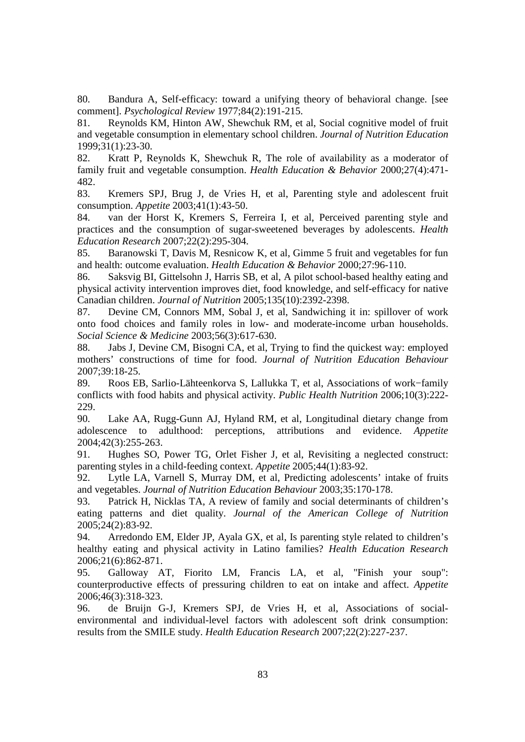80. Bandura A, Self-efficacy: toward a unifying theory of behavioral change. [see comment]. *Psychological Review* 1977;84(2):191-215.

81. Reynolds KM, Hinton AW, Shewchuk RM, et al, Social cognitive model of fruit and vegetable consumption in elementary school children. *Journal of Nutrition Education* 1999;31(1):23-30.

82. Kratt P, Reynolds K, Shewchuk R, The role of availability as a moderator of family fruit and vegetable consumption. *Health Education & Behavior* 2000;27(4):471- 482.

83. Kremers SPJ, Brug J, de Vries H, et al, Parenting style and adolescent fruit consumption. *Appetite* 2003;41(1):43-50.

84. van der Horst K, Kremers S, Ferreira I, et al, Perceived parenting style and practices and the consumption of sugar-sweetened beverages by adolescents. *Health Education Research* 2007;22(2):295-304.

85. Baranowski T, Davis M, Resnicow K, et al, Gimme 5 fruit and vegetables for fun and health: outcome evaluation. *Health Education & Behavior* 2000;27:96-110.

86. Saksvig BI, Gittelsohn J, Harris SB, et al, A pilot school-based healthy eating and physical activity intervention improves diet, food knowledge, and self-efficacy for native Canadian children. *Journal of Nutrition* 2005;135(10):2392-2398.

87. Devine CM, Connors MM, Sobal J, et al, Sandwiching it in: spillover of work onto food choices and family roles in low- and moderate-income urban households. *Social Science & Medicine* 2003;56(3):617-630.

88. Jabs J, Devine CM, Bisogni CA, et al, Trying to find the quickest way: employed mothers' constructions of time for food. *Journal of Nutrition Education Behaviour* 2007;39:18-25.

89. Roos EB, Sarlio-Lähteenkorva S, Lallukka T, et al, Associations of work−family conflicts with food habits and physical activity. *Public Health Nutrition* 2006;10(3):222- 229.

90. Lake AA, Rugg-Gunn AJ, Hyland RM, et al, Longitudinal dietary change from adolescence to adulthood: perceptions, attributions and evidence. *Appetite* 2004;42(3):255-263.

91. Hughes SO, Power TG, Orlet Fisher J, et al, Revisiting a neglected construct: parenting styles in a child-feeding context. *Appetite* 2005;44(1):83-92.

92. Lytle LA, Varnell S, Murray DM, et al, Predicting adolescents' intake of fruits and vegetables. *Journal of Nutrition Education Behaviour* 2003;35:170-178.

93. Patrick H, Nicklas TA, A review of family and social determinants of children's eating patterns and diet quality. *Journal of the American College of Nutrition* 2005;24(2):83-92.

94. Arredondo EM, Elder JP, Ayala GX, et al, Is parenting style related to children's healthy eating and physical activity in Latino families? *Health Education Research*  2006;21(6):862-871.

95. Galloway AT, Fiorito LM, Francis LA, et al, "Finish your soup": counterproductive effects of pressuring children to eat on intake and affect. *Appetite* 2006;46(3):318-323.

96. de Bruijn G-J, Kremers SPJ, de Vries H, et al, Associations of socialenvironmental and individual-level factors with adolescent soft drink consumption: results from the SMILE study. *Health Education Research* 2007;22(2):227-237.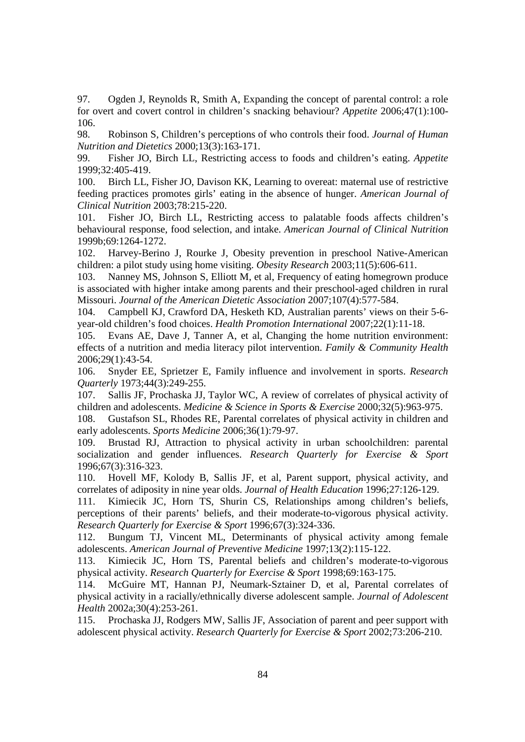97. Ogden J, Reynolds R, Smith A, Expanding the concept of parental control: a role for overt and covert control in children's snacking behaviour? *Appetite* 2006;47(1):100- 106.

98. Robinson S, Children's perceptions of who controls their food. *Journal of Human Nutrition and Dietetics* 2000;13(3):163-171.

99. Fisher JO, Birch LL, Restricting access to foods and children's eating. *Appetite* 1999;32:405-419.

100. Birch LL, Fisher JO, Davison KK, Learning to overeat: maternal use of restrictive feeding practices promotes girls' eating in the absence of hunger. *American Journal of Clinical Nutrition* 2003;78:215-220.

101. Fisher JO, Birch LL, Restricting access to palatable foods affects children's behavioural response, food selection, and intake. *American Journal of Clinical Nutrition* 1999b;69:1264-1272.

102. Harvey-Berino J, Rourke J, Obesity prevention in preschool Native-American children: a pilot study using home visiting. *Obesity Research* 2003;11(5):606-611.

103. Nanney MS, Johnson S, Elliott M, et al, Frequency of eating homegrown produce is associated with higher intake among parents and their preschool-aged children in rural Missouri. *Journal of the American Dietetic Association* 2007;107(4):577-584.

104. Campbell KJ, Crawford DA, Hesketh KD, Australian parents' views on their 5-6 year-old children's food choices. *Health Promotion International* 2007;22(1):11-18.

105. Evans AE, Dave J, Tanner A, et al, Changing the home nutrition environment: effects of a nutrition and media literacy pilot intervention. *Family & Community Health*  2006;29(1):43-54.

106. Snyder EE, Sprietzer E, Family influence and involvement in sports. *Research Quarterly* 1973;44(3):249-255.

107. Sallis JF, Prochaska JJ, Taylor WC, A review of correlates of physical activity of children and adolescents. *Medicine & Science in Sports & Exercise* 2000;32(5):963-975.

108. Gustafson SL, Rhodes RE, Parental correlates of physical activity in children and early adolescents. *Sports Medicine* 2006;36(1):79-97.

109. Brustad RJ, Attraction to physical activity in urban schoolchildren: parental socialization and gender influences. *Research Quarterly for Exercise & Sport* 1996;67(3):316-323.

110. Hovell MF, Kolody B, Sallis JF, et al, Parent support, physical activity, and correlates of adiposity in nine year olds. *Journal of Health Education* 1996;27:126-129.

111. Kimiecik JC, Horn TS, Shurin CS, Relationships among children's beliefs, perceptions of their parents' beliefs, and their moderate-to-vigorous physical activity. *Research Quarterly for Exercise & Sport* 1996;67(3):324-336.

112. Bungum TJ, Vincent ML, Determinants of physical activity among female adolescents. *American Journal of Preventive Medicine* 1997;13(2):115-122.

113. Kimiecik JC, Horn TS, Parental beliefs and children's moderate-to-vigorous physical activity. *Research Quarterly for Exercise & Sport* 1998;69:163-175.

114. McGuire MT, Hannan PJ, Neumark-Sztainer D, et al, Parental correlates of physical activity in a racially/ethnically diverse adolescent sample. *Journal of Adolescent Health* 2002a;30(4):253-261.

115. Prochaska JJ, Rodgers MW, Sallis JF, Association of parent and peer support with adolescent physical activity. *Research Quarterly for Exercise & Sport* 2002;73:206-210.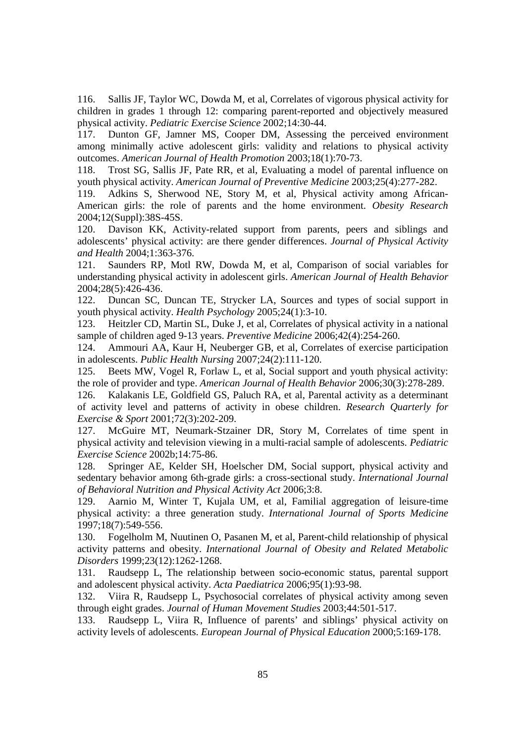116. Sallis JF, Taylor WC, Dowda M, et al, Correlates of vigorous physical activity for children in grades 1 through 12: comparing parent-reported and objectively measured physical activity. *Pediatric Exercise Science* 2002;14:30-44.

117. Dunton GF, Jamner MS, Cooper DM, Assessing the perceived environment among minimally active adolescent girls: validity and relations to physical activity outcomes. *American Journal of Health Promotion* 2003;18(1):70-73.

118. Trost SG, Sallis JF, Pate RR, et al, Evaluating a model of parental influence on youth physical activity. *American Journal of Preventive Medicine* 2003;25(4):277-282.

119. Adkins S, Sherwood NE, Story M, et al, Physical activity among African-American girls: the role of parents and the home environment. *Obesity Research* 2004;12(Suppl):38S-45S.

120. Davison KK, Activity-related support from parents, peers and siblings and adolescents' physical activity: are there gender differences. *Journal of Physical Activity and Health* 2004;1:363-376.

121. Saunders RP, Motl RW, Dowda M, et al, Comparison of social variables for understanding physical activity in adolescent girls. *American Journal of Health Behavior* 2004;28(5):426-436.

122. Duncan SC, Duncan TE, Strycker LA, Sources and types of social support in youth physical activity. *Health Psychology* 2005;24(1):3-10.

123. Heitzler CD, Martin SL, Duke J, et al, Correlates of physical activity in a national sample of children aged 9-13 years. *Preventive Medicine* 2006;42(4):254-260.

124. Ammouri AA, Kaur H, Neuberger GB, et al, Correlates of exercise participation in adolescents. *Public Health Nursing* 2007;24(2):111-120.

125. Beets MW, Vogel R, Forlaw L, et al, Social support and youth physical activity: the role of provider and type. *American Journal of Health Behavior* 2006;30(3):278-289.

126. Kalakanis LE, Goldfield GS, Paluch RA, et al, Parental activity as a determinant of activity level and patterns of activity in obese children. *Research Quarterly for Exercise & Sport* 2001;72(3):202-209.

127. McGuire MT, Neumark-Stzainer DR, Story M, Correlates of time spent in physical activity and television viewing in a multi-racial sample of adolescents. *Pediatric Exercise Science* 2002b;14:75-86.

128. Springer AE, Kelder SH, Hoelscher DM, Social support, physical activity and sedentary behavior among 6th-grade girls: a cross-sectional study. *International Journal of Behavioral Nutrition and Physical Activity Act* 2006;3:8.

129. Aarnio M, Winter T, Kujala UM, et al, Familial aggregation of leisure-time physical activity: a three generation study. *International Journal of Sports Medicine* 1997;18(7):549-556.

130. Fogelholm M, Nuutinen O, Pasanen M, et al, Parent-child relationship of physical activity patterns and obesity. *International Journal of Obesity and Related Metabolic Disorders* 1999;23(12):1262-1268.

131. Raudsepp L, The relationship between socio-economic status, parental support and adolescent physical activity. *Acta Paediatrica* 2006;95(1):93-98.

132. Viira R, Raudsepp L, Psychosocial correlates of physical activity among seven through eight grades. *Journal of Human Movement Studies* 2003;44:501-517.

133. Raudsepp L, Viira R, Influence of parents' and siblings' physical activity on activity levels of adolescents. *European Journal of Physical Education* 2000;5:169-178.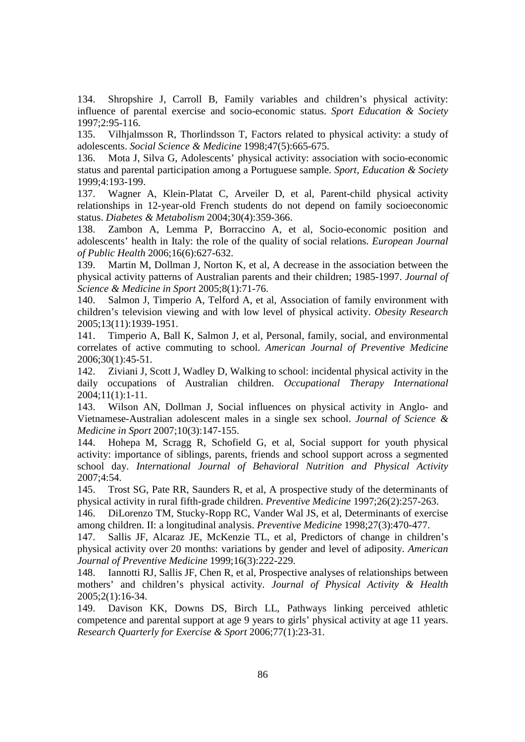134. Shropshire J, Carroll B, Family variables and children's physical activity: influence of parental exercise and socio-economic status. *Sport Education & Society*  1997;2:95-116.

135. Vilhjalmsson R, Thorlindsson T, Factors related to physical activity: a study of adolescents. *Social Science & Medicine* 1998;47(5):665-675.

136. Mota J, Silva G, Adolescents' physical activity: association with socio-economic status and parental participation among a Portuguese sample. *Sport, Education & Society* 1999;4:193-199.

137. Wagner A, Klein-Platat C, Arveiler D, et al, Parent-child physical activity relationships in 12-year-old French students do not depend on family socioeconomic status. *Diabetes & Metabolism* 2004;30(4):359-366.

138. Zambon A, Lemma P, Borraccino A, et al, Socio-economic position and adolescents' health in Italy: the role of the quality of social relations. *European Journal of Public Health* 2006;16(6):627-632.

139. Martin M, Dollman J, Norton K, et al, A decrease in the association between the physical activity patterns of Australian parents and their children; 1985-1997. *Journal of Science & Medicine in Sport* 2005;8(1):71-76.

140. Salmon J, Timperio A, Telford A, et al, Association of family environment with children's television viewing and with low level of physical activity. *Obesity Research* 2005;13(11):1939-1951.

141. Timperio A, Ball K, Salmon J, et al, Personal, family, social, and environmental correlates of active commuting to school. *American Journal of Preventive Medicine* 2006;30(1):45-51.

142. Ziviani J, Scott J, Wadley D, Walking to school: incidental physical activity in the daily occupations of Australian children. *Occupational Therapy International* 2004;11(1):1-11.

143. Wilson AN, Dollman J, Social influences on physical activity in Anglo- and Vietnamese-Australian adolescent males in a single sex school. *Journal of Science & Medicine in Sport* 2007;10(3):147-155.

144. Hohepa M, Scragg R, Schofield G, et al, Social support for youth physical activity: importance of siblings, parents, friends and school support across a segmented school day. *International Journal of Behavioral Nutrition and Physical Activity* 2007;4:54.

145. Trost SG, Pate RR, Saunders R, et al, A prospective study of the determinants of physical activity in rural fifth-grade children. *Preventive Medicine* 1997;26(2):257-263.

146. DiLorenzo TM, Stucky-Ropp RC, Vander Wal JS, et al, Determinants of exercise among children. II: a longitudinal analysis. *Preventive Medicine* 1998;27(3):470-477.

147. Sallis JF, Alcaraz JE, McKenzie TL, et al, Predictors of change in children's physical activity over 20 months: variations by gender and level of adiposity. *American Journal of Preventive Medicine* 1999;16(3):222-229.

148. Iannotti RJ, Sallis JF, Chen R, et al, Prospective analyses of relationships between mothers' and children's physical activity. *Journal of Physical Activity & Health* 2005;2(1):16-34.

149. Davison KK, Downs DS, Birch LL, Pathways linking perceived athletic competence and parental support at age 9 years to girls' physical activity at age 11 years. *Research Quarterly for Exercise & Sport* 2006;77(1):23-31.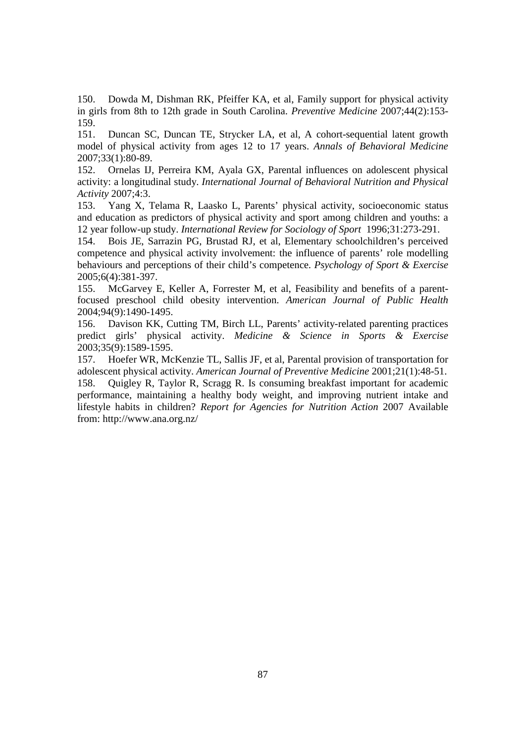150. Dowda M, Dishman RK, Pfeiffer KA, et al, Family support for physical activity in girls from 8th to 12th grade in South Carolina. *Preventive Medicine* 2007;44(2):153- 159.

151. Duncan SC, Duncan TE, Strycker LA, et al, A cohort-sequential latent growth model of physical activity from ages 12 to 17 years. *Annals of Behavioral Medicine* 2007;33(1):80-89.

152. Ornelas IJ, Perreira KM, Ayala GX, Parental influences on adolescent physical activity: a longitudinal study. *International Journal of Behavioral Nutrition and Physical Activity* 2007;4:3.

153. Yang X, Telama R, Laasko L, Parents' physical activity, socioeconomic status and education as predictors of physical activity and sport among children and youths: a 12 year follow-up study. *International Review for Sociology of Sport* 1996;31:273-291.

154. Bois JE, Sarrazin PG, Brustad RJ, et al, Elementary schoolchildren's perceived competence and physical activity involvement: the influence of parents' role modelling behaviours and perceptions of their child's competence. *Psychology of Sport & Exercise* 2005;6(4):381-397.

155. McGarvey E, Keller A, Forrester M, et al, Feasibility and benefits of a parentfocused preschool child obesity intervention. *American Journal of Public Health* 2004;94(9):1490-1495.

156. Davison KK, Cutting TM, Birch LL, Parents' activity-related parenting practices predict girls' physical activity. *Medicine & Science in Sports & Exercise* 2003;35(9):1589-1595.

157. Hoefer WR, McKenzie TL, Sallis JF, et al, Parental provision of transportation for adolescent physical activity. *American Journal of Preventive Medicine* 2001;21(1):48-51. 158. Quigley R, Taylor R, Scragg R. Is consuming breakfast important for academic performance, maintaining a healthy body weight, and improving nutrient intake and lifestyle habits in children? *Report for Agencies for Nutrition Action* 2007 Available from: http://www.ana.org.nz/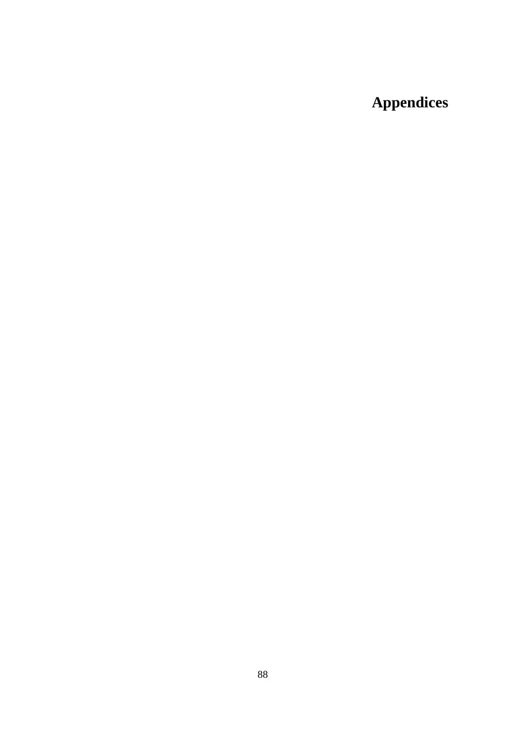## **Appendices**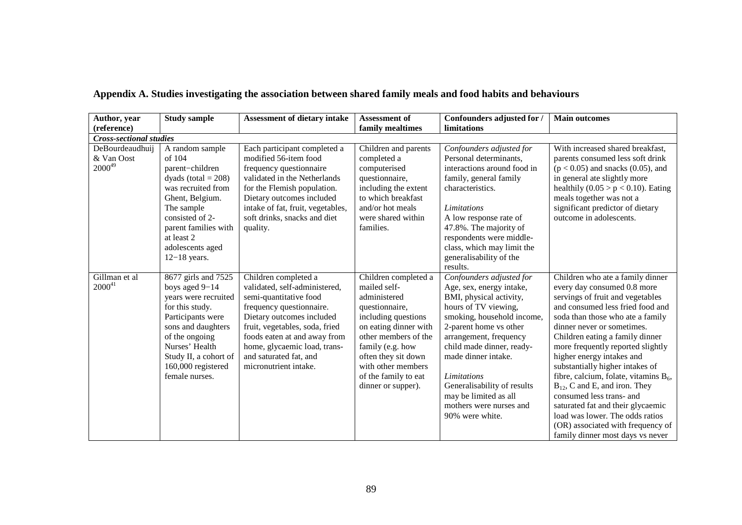| Author, year                                 | <b>Study sample</b>                                                                                                                                                                                                                | <b>Assessment of dietary intake</b>                                                                                                                                                                                                                                                           | <b>Assessment of</b>                                                                                                                                                                                                                                          | Confounders adjusted for /                                                                                                                                                                                                                                                                                                                                                | <b>Main outcomes</b>                                                                                                                                                                                                                                                                                                                                                                                                                                                                                                                                                                                                      |
|----------------------------------------------|------------------------------------------------------------------------------------------------------------------------------------------------------------------------------------------------------------------------------------|-----------------------------------------------------------------------------------------------------------------------------------------------------------------------------------------------------------------------------------------------------------------------------------------------|---------------------------------------------------------------------------------------------------------------------------------------------------------------------------------------------------------------------------------------------------------------|---------------------------------------------------------------------------------------------------------------------------------------------------------------------------------------------------------------------------------------------------------------------------------------------------------------------------------------------------------------------------|---------------------------------------------------------------------------------------------------------------------------------------------------------------------------------------------------------------------------------------------------------------------------------------------------------------------------------------------------------------------------------------------------------------------------------------------------------------------------------------------------------------------------------------------------------------------------------------------------------------------------|
| (reference)                                  |                                                                                                                                                                                                                                    |                                                                                                                                                                                                                                                                                               | family mealtimes                                                                                                                                                                                                                                              | limitations                                                                                                                                                                                                                                                                                                                                                               |                                                                                                                                                                                                                                                                                                                                                                                                                                                                                                                                                                                                                           |
| <b>Cross-sectional studies</b>               |                                                                                                                                                                                                                                    |                                                                                                                                                                                                                                                                                               |                                                                                                                                                                                                                                                               |                                                                                                                                                                                                                                                                                                                                                                           |                                                                                                                                                                                                                                                                                                                                                                                                                                                                                                                                                                                                                           |
| DeBourdeaudhuij<br>& Van Oost<br>$2000^{49}$ | A random sample<br>of 104<br>parent-children<br>dyads (total $= 208$ )<br>was recruited from<br>Ghent, Belgium.<br>The sample<br>consisted of 2-<br>parent families with<br>at least 2<br>adolescents aged<br>$12-18$ years.       | Each participant completed a<br>modified 56-item food<br>frequency questionnaire<br>validated in the Netherlands<br>for the Flemish population.<br>Dietary outcomes included<br>intake of fat, fruit, vegetables,<br>soft drinks, snacks and diet<br>quality.                                 | Children and parents<br>completed a<br>computerised<br>questionnaire,<br>including the extent<br>to which breakfast<br>and/or hot meals<br>were shared within<br>families.                                                                                    | Confounders adjusted for<br>Personal determinants,<br>interactions around food in<br>family, general family<br>characteristics.<br>Limitations<br>A low response rate of<br>47.8%. The majority of<br>respondents were middle-<br>class, which may limit the<br>generalisability of the<br>results.                                                                       | With increased shared breakfast,<br>parents consumed less soft drink<br>$(p < 0.05)$ and snacks $(0.05)$ , and<br>in general ate slightly more<br>healthily $(0.05 > p < 0.10)$ . Eating<br>meals together was not a<br>significant predictor of dietary<br>outcome in adolescents.                                                                                                                                                                                                                                                                                                                                       |
| Gillman et al<br>$2000^{41}$                 | 8677 girls and 7525<br>boys aged $9-14$<br>years were recruited<br>for this study.<br>Participants were<br>sons and daughters<br>of the ongoing<br>Nurses' Health<br>Study II, a cohort of<br>160,000 registered<br>female nurses. | Children completed a<br>validated, self-administered,<br>semi-quantitative food<br>frequency questionnaire.<br>Dietary outcomes included<br>fruit, vegetables, soda, fried<br>foods eaten at and away from<br>home, glycaemic load, trans-<br>and saturated fat, and<br>micronutrient intake. | Children completed a<br>mailed self-<br>administered<br>questionnaire,<br>including questions<br>on eating dinner with<br>other members of the<br>family (e.g. how<br>often they sit down<br>with other members<br>of the family to eat<br>dinner or supper). | Confounders adjusted for<br>Age, sex, energy intake,<br>BMI, physical activity,<br>hours of TV viewing,<br>smoking, household income,<br>2-parent home vs other<br>arrangement, frequency<br>child made dinner, ready-<br>made dinner intake.<br><b>Limitations</b><br>Generalisability of results<br>may be limited as all<br>mothers were nurses and<br>90% were white. | Children who ate a family dinner<br>every day consumed 0.8 more<br>servings of fruit and vegetables<br>and consumed less fried food and<br>soda than those who ate a family<br>dinner never or sometimes.<br>Children eating a family dinner<br>more frequently reported slightly<br>higher energy intakes and<br>substantially higher intakes of<br>fibre, calcium, folate, vitamins B <sub>6</sub> ,<br>$B_{12}$ , C and E, and iron. They<br>consumed less trans- and<br>saturated fat and their glycaemic<br>load was lower. The odds ratios<br>(OR) associated with frequency of<br>family dinner most days vs never |

## **Appendix A. Studies investigating the association between shared family meals and food habits and behaviours**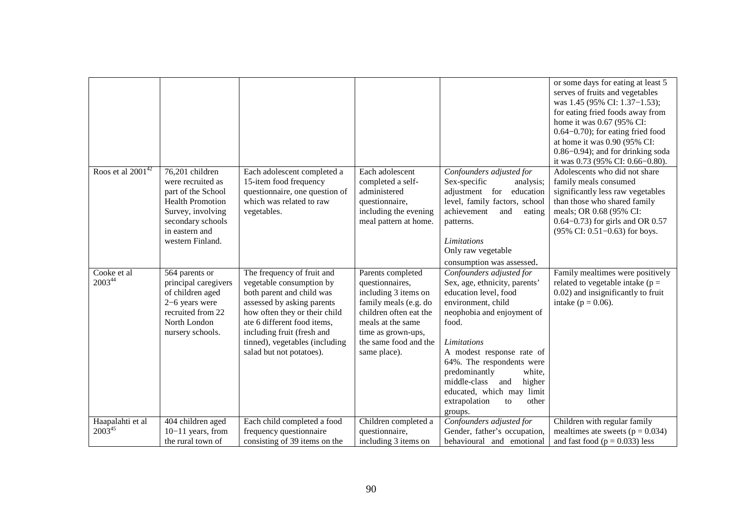|                                 |                                                                                                                                                                       |                                                                                                                                                                                                                                                                               |                                                                                                                                                                                                     |                                                                                                                                                                                                                                                                                                                                                                     | or some days for eating at least 5<br>serves of fruits and vegetables<br>was 1.45 (95% CI: 1.37–1.53);<br>for eating fried foods away from<br>home it was 0.67 (95% CI:<br>$0.64 - 0.70$ ; for eating fried food<br>at home it was 0.90 (95% CI:<br>$0.86 - 0.94$ ; and for drinking soda<br>it was 0.73 (95% CI: 0.66-0.80). |
|---------------------------------|-----------------------------------------------------------------------------------------------------------------------------------------------------------------------|-------------------------------------------------------------------------------------------------------------------------------------------------------------------------------------------------------------------------------------------------------------------------------|-----------------------------------------------------------------------------------------------------------------------------------------------------------------------------------------------------|---------------------------------------------------------------------------------------------------------------------------------------------------------------------------------------------------------------------------------------------------------------------------------------------------------------------------------------------------------------------|-------------------------------------------------------------------------------------------------------------------------------------------------------------------------------------------------------------------------------------------------------------------------------------------------------------------------------|
| Roos et al $2001^{42}$          | 76,201 children<br>were recruited as<br>part of the School<br><b>Health Promotion</b><br>Survey, involving<br>secondary schools<br>in eastern and<br>western Finland. | Each adolescent completed a<br>15-item food frequency<br>questionnaire, one question of<br>which was related to raw<br>vegetables.                                                                                                                                            | Each adolescent<br>completed a self-<br>administered<br>questionnaire,<br>including the evening<br>meal pattern at home.                                                                            | Confounders adjusted for<br>Sex-specific<br>analysis;<br>adjustment for<br>education<br>level, family factors, school<br>achievement<br>and<br>eating<br>patterns.<br>Limitations<br>Only raw vegetable<br>consumption was assessed.                                                                                                                                | Adolescents who did not share<br>family meals consumed<br>significantly less raw vegetables<br>than those who shared family<br>meals; OR 0.68 (95% CI:<br>$0.64 - 0.73$ ) for girls and OR $0.57$<br>(95% CI: 0.51-0.63) for boys.                                                                                            |
| Cooke et al<br>200344           | 564 parents or<br>principal caregivers<br>of children aged<br>2-6 years were<br>recruited from 22<br>North London<br>nursery schools.                                 | The frequency of fruit and<br>vegetable consumption by<br>both parent and child was<br>assessed by asking parents<br>how often they or their child<br>ate 6 different food items,<br>including fruit (fresh and<br>tinned), vegetables (including<br>salad but not potatoes). | Parents completed<br>questionnaires,<br>including 3 items on<br>family meals (e.g. do<br>children often eat the<br>meals at the same<br>time as grown-ups,<br>the same food and the<br>same place). | Confounders adjusted for<br>Sex, age, ethnicity, parents'<br>education level, food<br>environment, child<br>neophobia and enjoyment of<br>food.<br><b>Limitations</b><br>A modest response rate of<br>64%. The respondents were<br>predominantly<br>white,<br>middle-class<br>higher<br>and<br>educated, which may limit<br>extrapolation<br>other<br>to<br>groups. | Family mealtimes were positively<br>related to vegetable intake ( $p =$<br>0.02) and insignificantly to fruit<br>intake ( $p = 0.06$ ).                                                                                                                                                                                       |
| Haapalahti et al<br>$2003^{45}$ | 404 children aged<br>$10-11$ years, from<br>the rural town of                                                                                                         | Each child completed a food<br>frequency questionnaire<br>consisting of 39 items on the                                                                                                                                                                                       | Children completed a<br>questionnaire,<br>including 3 items on                                                                                                                                      | Confounders adjusted for<br>Gender, father's occupation,<br>behavioural and emotional                                                                                                                                                                                                                                                                               | Children with regular family<br>mealtimes ate sweets ( $p = 0.034$ )<br>and fast food ( $p = 0.033$ ) less                                                                                                                                                                                                                    |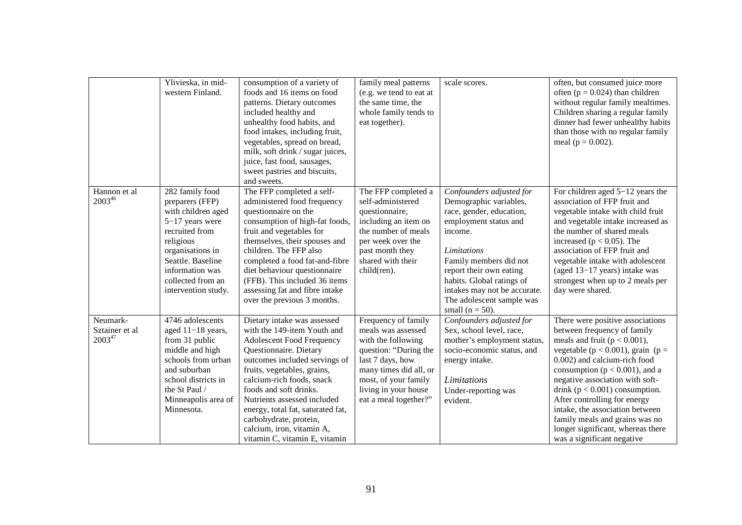|                                           | Ylivieska, in mid-<br>western Finland.                                                                                                                                                                               | consumption of a variety of<br>foods and 16 items on food<br>patterns. Dietary outcomes<br>included healthy and<br>unhealthy food habits, and<br>food intakes, including fruit,<br>vegetables, spread on bread,<br>milk, soft drink / sugar juices,<br>juice, fast food, sausages,<br>sweet pastries and biscuits,<br>and sweets.                                                                           | family meal patterns<br>(e.g. we tend to eat at<br>the same time, the<br>whole family tends to<br>eat together).                                                                                                | scale scores.                                                                                                                                                                                                                                                                                           | often, but consumed juice more<br>often ( $p = 0.024$ ) than children<br>without regular family mealtimes.<br>Children sharing a regular family<br>dinner had fewer unhealthy habits<br>than those with no regular family<br>meal ( $p = 0.002$ ).                                                                                                                                                                                                                     |
|-------------------------------------------|----------------------------------------------------------------------------------------------------------------------------------------------------------------------------------------------------------------------|-------------------------------------------------------------------------------------------------------------------------------------------------------------------------------------------------------------------------------------------------------------------------------------------------------------------------------------------------------------------------------------------------------------|-----------------------------------------------------------------------------------------------------------------------------------------------------------------------------------------------------------------|---------------------------------------------------------------------------------------------------------------------------------------------------------------------------------------------------------------------------------------------------------------------------------------------------------|------------------------------------------------------------------------------------------------------------------------------------------------------------------------------------------------------------------------------------------------------------------------------------------------------------------------------------------------------------------------------------------------------------------------------------------------------------------------|
| Hannon et al<br>200346                    | 282 family food<br>preparers (FFP)<br>with children aged<br>$5-17$ years were<br>recruited from<br>religious<br>organisations in<br>Seattle. Baseline<br>information was<br>collected from an<br>intervention study. | The FFP completed a self-<br>administered food frequency<br>questionnaire on the<br>consumption of high-fat foods,<br>fruit and vegetables for<br>themselves, their spouses and<br>children. The FFP also<br>completed a food fat-and-fibre<br>diet behaviour questionnaire<br>(FFB). This included 36 items<br>assessing fat and fibre intake<br>over the previous 3 months.                               | The FFP completed a<br>self-administered<br>questionnaire,<br>including an item on<br>the number of meals<br>per week over the<br>past month they<br>shared with their<br>child(ren).                           | Confounders adjusted for<br>Demographic variables,<br>race, gender, education,<br>employment status and<br>income.<br>Limitations<br>Family members did not<br>report their own eating<br>habits. Global ratings of<br>intakes may not be accurate.<br>The adolescent sample was<br>small ( $n = 50$ ). | For children aged $5-12$ years the<br>association of FFP fruit and<br>vegetable intake with child fruit<br>and vegetable intake increased as<br>the number of shared meals<br>increased ( $p < 0.05$ ). The<br>association of FFP fruit and<br>vegetable intake with adolescent<br>(aged 13-17 years) intake was<br>strongest when up to 2 meals per<br>day were shared.                                                                                               |
| Neumark-<br>Sztainer et al<br>$2003^{47}$ | 4746 adolescents<br>aged $11-18$ years,<br>from 31 public<br>middle and high<br>schools from urban<br>and suburban<br>school districts in<br>the St Paul /<br>Minneapolis area of<br>Minnesota.                      | Dietary intake was assessed<br>with the 149-item Youth and<br><b>Adolescent Food Frequency</b><br>Questionnaire. Dietary<br>outcomes included servings of<br>fruits, vegetables, grains,<br>calcium-rich foods, snack<br>foods and soft drinks.<br>Nutrients assessed included<br>energy, total fat, saturated fat,<br>carbohydrate, protein,<br>calcium, iron, vitamin A,<br>vitamin C, vitamin E, vitamin | Frequency of family<br>meals was assessed<br>with the following<br>question: "During the<br>last 7 days, how<br>many times did all, or<br>most, of your family<br>living in your house<br>eat a meal together?" | Confounders adjusted for<br>Sex, school level, race,<br>mother's employment status,<br>socio-economic status, and<br>energy intake.<br>Limitations<br>Under-reporting was<br>evident.                                                                                                                   | There were positive associations<br>between frequency of family<br>meals and fruit ( $p < 0.001$ ),<br>vegetable ( $p < 0.001$ ), grain ( $p =$<br>0.002) and calcium-rich food<br>consumption ( $p < 0.001$ ), and a<br>negative association with soft-<br>drink ( $p < 0.001$ ) consumption.<br>After controlling for energy<br>intake, the association between<br>family meals and grains was no<br>longer significant, whereas there<br>was a significant negative |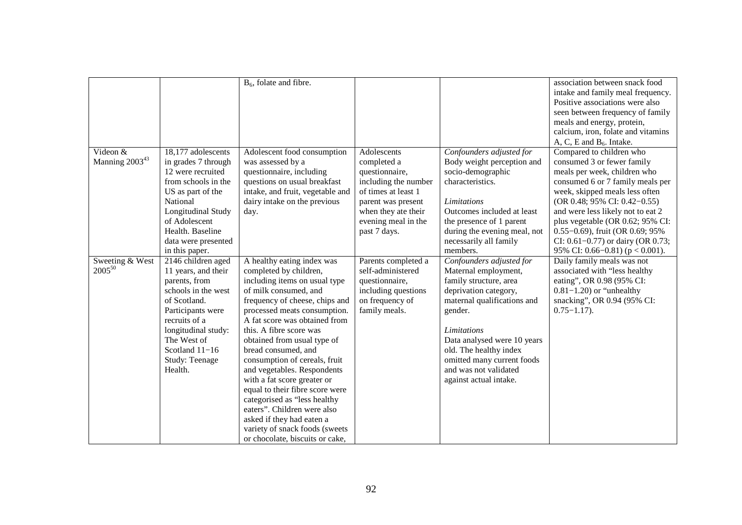|                                        |                                                                                                                                                                                                                                | $B6$ , folate and fibre.                                                                                                                                                                                                                                                                                                                                                                                                                                                                                                                                                                              |                                                                                                                                                                                 |                                                                                                                                                                                                                                                                                                               | association between snack food<br>intake and family meal frequency.<br>Positive associations were also<br>seen between frequency of family<br>meals and energy, protein,<br>calcium, iron, folate and vitamins<br>A, C, E and $B_6$ . Intake.                                                                                                                                               |
|----------------------------------------|--------------------------------------------------------------------------------------------------------------------------------------------------------------------------------------------------------------------------------|-------------------------------------------------------------------------------------------------------------------------------------------------------------------------------------------------------------------------------------------------------------------------------------------------------------------------------------------------------------------------------------------------------------------------------------------------------------------------------------------------------------------------------------------------------------------------------------------------------|---------------------------------------------------------------------------------------------------------------------------------------------------------------------------------|---------------------------------------------------------------------------------------------------------------------------------------------------------------------------------------------------------------------------------------------------------------------------------------------------------------|---------------------------------------------------------------------------------------------------------------------------------------------------------------------------------------------------------------------------------------------------------------------------------------------------------------------------------------------------------------------------------------------|
| Videon &<br>Manning 2003 <sup>43</sup> | 18,177 adolescents<br>in grades 7 through<br>12 were recruited<br>from schools in the<br>US as part of the<br>National<br>Longitudinal Study<br>of Adolescent<br>Health. Baseline<br>data were presented<br>in this paper.     | Adolescent food consumption<br>was assessed by a<br>questionnaire, including<br>questions on usual breakfast<br>intake, and fruit, vegetable and<br>dairy intake on the previous<br>day.                                                                                                                                                                                                                                                                                                                                                                                                              | Adolescents<br>completed a<br>questionnaire,<br>including the number<br>of times at least 1<br>parent was present<br>when they ate their<br>evening meal in the<br>past 7 days. | Confounders adjusted for<br>Body weight perception and<br>socio-demographic<br>characteristics.<br>Limitations<br>Outcomes included at least<br>the presence of 1 parent<br>during the evening meal, not<br>necessarily all family<br>members.                                                                | Compared to children who<br>consumed 3 or fewer family<br>meals per week, children who<br>consumed 6 or 7 family meals per<br>week, skipped meals less often<br>(OR 0.48; 95% CI: 0.42–0.55)<br>and were less likely not to eat 2<br>plus vegetable (OR 0.62; 95% CI:<br>$0.55-0.69$ , fruit (OR 0.69; 95%<br>CI: $0.61 - 0.77$ ) or dairy (OR 0.73;<br>95% CI: 0.66–0.81) ( $p < 0.001$ ). |
| Sweeting & West<br>$2005^{50}$         | 2146 children aged<br>11 years, and their<br>parents, from<br>schools in the west<br>of Scotland.<br>Participants were<br>recruits of a<br>longitudinal study:<br>The West of<br>Scotland $11-16$<br>Study: Teenage<br>Health. | A healthy eating index was<br>completed by children,<br>including items on usual type<br>of milk consumed, and<br>frequency of cheese, chips and<br>processed meats consumption.<br>A fat score was obtained from<br>this. A fibre score was<br>obtained from usual type of<br>bread consumed, and<br>consumption of cereals, fruit<br>and vegetables. Respondents<br>with a fat score greater or<br>equal to their fibre score were<br>categorised as "less healthy<br>eaters". Children were also<br>asked if they had eaten a<br>variety of snack foods (sweets<br>or chocolate, biscuits or cake, | Parents completed a<br>self-administered<br>questionnaire,<br>including questions<br>on frequency of<br>family meals.                                                           | Confounders adjusted for<br>Maternal employment,<br>family structure, area<br>deprivation category,<br>maternal qualifications and<br>gender.<br><b>Limitations</b><br>Data analysed were 10 years<br>old. The healthy index<br>omitted many current foods<br>and was not validated<br>against actual intake. | Daily family meals was not<br>associated with "less healthy<br>eating", OR 0.98 (95% CI:<br>$0.81 - 1.20$ or "unhealthy"<br>snacking", OR 0.94 (95% CI:<br>$0.75 - 1.17$ .                                                                                                                                                                                                                  |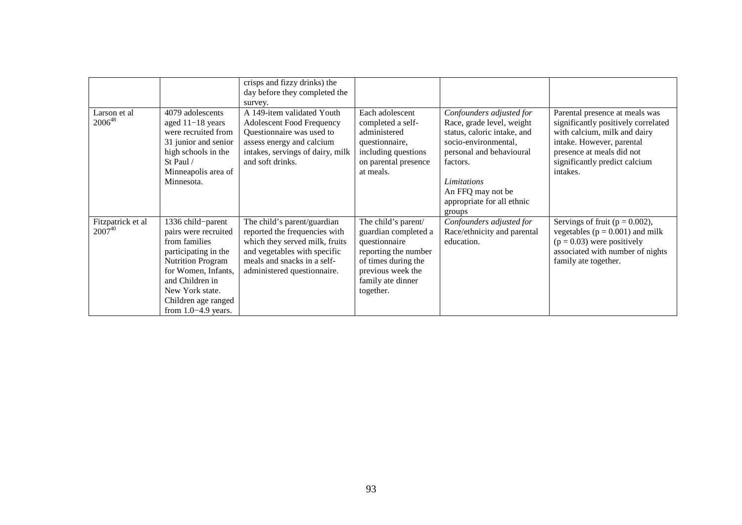|                                  |                                                                                                                                                                                                                             | crisps and fizzy drinks) the<br>day before they completed the<br>survey.                                                                                                                     |                                                                                                                                                                    |                                                                                                                                                                                                                                  |                                                                                                                                                                                                              |
|----------------------------------|-----------------------------------------------------------------------------------------------------------------------------------------------------------------------------------------------------------------------------|----------------------------------------------------------------------------------------------------------------------------------------------------------------------------------------------|--------------------------------------------------------------------------------------------------------------------------------------------------------------------|----------------------------------------------------------------------------------------------------------------------------------------------------------------------------------------------------------------------------------|--------------------------------------------------------------------------------------------------------------------------------------------------------------------------------------------------------------|
| Larson et al<br>$2006^{48}$      | 4079 adolescents<br>aged $11-18$ years<br>were recruited from<br>31 junior and senior<br>high schools in the<br>St Paul /<br>Minneapolis area of<br>Minnesota.                                                              | A 149-item validated Youth<br><b>Adolescent Food Frequency</b><br>Questionnaire was used to<br>assess energy and calcium<br>intakes, servings of dairy, milk<br>and soft drinks.             | Each adolescent<br>completed a self-<br>administered<br>questionnaire,<br>including questions<br>on parental presence<br>at meals.                                 | Confounders adjusted for<br>Race, grade level, weight<br>status, caloric intake, and<br>socio-environmental,<br>personal and behavioural<br>factors.<br>Limitations<br>An FFQ may not be<br>appropriate for all ethnic<br>groups | Parental presence at meals was<br>significantly positively correlated<br>with calcium, milk and dairy<br>intake. However, parental<br>presence at meals did not<br>significantly predict calcium<br>intakes. |
| Fitzpatrick et al<br>$2007^{40}$ | 1336 child-parent<br>pairs were recruited<br>from families<br>participating in the<br><b>Nutrition Program</b><br>for Women, Infants,<br>and Children in<br>New York state.<br>Children age ranged<br>from $1.0-4.9$ years. | The child's parent/guardian<br>reported the frequencies with<br>which they served milk, fruits<br>and vegetables with specific<br>meals and snacks in a self-<br>administered questionnaire. | The child's parent/<br>guardian completed a<br>questionnaire<br>reporting the number<br>of times during the<br>previous week the<br>family ate dinner<br>together. | Confounders adjusted for<br>Race/ethnicity and parental<br>education.                                                                                                                                                            | Servings of fruit ( $p = 0.002$ ),<br>vegetables ( $p = 0.001$ ) and milk<br>$(p = 0.03)$ were positively<br>associated with number of nights<br>family ate together.                                        |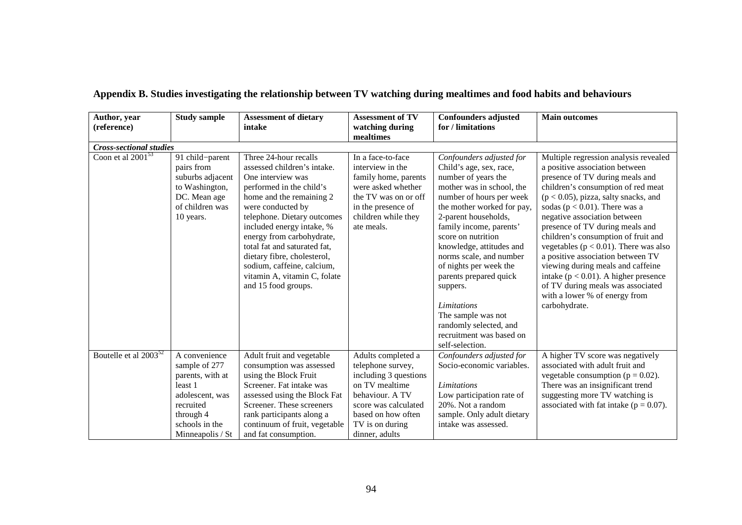| Author, year                   | <b>Study sample</b>                                                                                                 | <b>Assessment of dietary</b>                                                                                                                                                                                                                                                                                                                                                                        | <b>Assessment of TV</b>                                                                                                                                                | <b>Confounders adjusted</b>                                                                                                                                                                                                                                                                                                                                                                                                                                                            | <b>Main outcomes</b>                                                                                                                                                                                                                                                                                                                                                                                                                                                                                                                                                                                 |
|--------------------------------|---------------------------------------------------------------------------------------------------------------------|-----------------------------------------------------------------------------------------------------------------------------------------------------------------------------------------------------------------------------------------------------------------------------------------------------------------------------------------------------------------------------------------------------|------------------------------------------------------------------------------------------------------------------------------------------------------------------------|----------------------------------------------------------------------------------------------------------------------------------------------------------------------------------------------------------------------------------------------------------------------------------------------------------------------------------------------------------------------------------------------------------------------------------------------------------------------------------------|------------------------------------------------------------------------------------------------------------------------------------------------------------------------------------------------------------------------------------------------------------------------------------------------------------------------------------------------------------------------------------------------------------------------------------------------------------------------------------------------------------------------------------------------------------------------------------------------------|
| (reference)                    |                                                                                                                     | intake                                                                                                                                                                                                                                                                                                                                                                                              | watching during                                                                                                                                                        | for / limitations                                                                                                                                                                                                                                                                                                                                                                                                                                                                      |                                                                                                                                                                                                                                                                                                                                                                                                                                                                                                                                                                                                      |
|                                |                                                                                                                     |                                                                                                                                                                                                                                                                                                                                                                                                     | mealtimes                                                                                                                                                              |                                                                                                                                                                                                                                                                                                                                                                                                                                                                                        |                                                                                                                                                                                                                                                                                                                                                                                                                                                                                                                                                                                                      |
| <b>Cross-sectional studies</b> |                                                                                                                     |                                                                                                                                                                                                                                                                                                                                                                                                     |                                                                                                                                                                        |                                                                                                                                                                                                                                                                                                                                                                                                                                                                                        |                                                                                                                                                                                                                                                                                                                                                                                                                                                                                                                                                                                                      |
| Coon et al $2001^{53}$         | 91 child-parent<br>pairs from<br>suburbs adjacent<br>to Washington,<br>DC. Mean age<br>of children was<br>10 years. | Three 24-hour recalls<br>assessed children's intake.<br>One interview was<br>performed in the child's<br>home and the remaining 2<br>were conducted by<br>telephone. Dietary outcomes<br>included energy intake, %<br>energy from carbohydrate,<br>total fat and saturated fat,<br>dietary fibre, cholesterol,<br>sodium, caffeine, calcium,<br>vitamin A, vitamin C, folate<br>and 15 food groups. | In a face-to-face<br>interview in the<br>family home, parents<br>were asked whether<br>the TV was on or off<br>in the presence of<br>children while they<br>ate meals. | Confounders adjusted for<br>Child's age, sex, race,<br>number of years the<br>mother was in school, the<br>number of hours per week<br>the mother worked for pay,<br>2-parent households,<br>family income, parents'<br>score on nutrition<br>knowledge, attitudes and<br>norms scale, and number<br>of nights per week the<br>parents prepared quick<br>suppers.<br><i>Limitations</i><br>The sample was not<br>randomly selected, and<br>recruitment was based on<br>self-selection. | Multiple regression analysis revealed<br>a positive association between<br>presence of TV during meals and<br>children's consumption of red meat<br>$(p < 0.05)$ , pizza, salty snacks, and<br>sodas ( $p < 0.01$ ). There was a<br>negative association between<br>presence of TV during meals and<br>children's consumption of fruit and<br>vegetables ( $p < 0.01$ ). There was also<br>a positive association between TV<br>viewing during meals and caffeine<br>intake ( $p < 0.01$ ). A higher presence<br>of TV during meals was associated<br>with a lower % of energy from<br>carbohydrate. |
| Boutelle et al $2003^{52}$     | A convenience<br>sample of 277                                                                                      | Adult fruit and vegetable<br>consumption was assessed                                                                                                                                                                                                                                                                                                                                               | Adults completed a<br>telephone survey,                                                                                                                                | Confounders adjusted for<br>Socio-economic variables.                                                                                                                                                                                                                                                                                                                                                                                                                                  | A higher TV score was negatively<br>associated with adult fruit and                                                                                                                                                                                                                                                                                                                                                                                                                                                                                                                                  |
|                                | parents, with at                                                                                                    | using the Block Fruit                                                                                                                                                                                                                                                                                                                                                                               | including 3 questions                                                                                                                                                  |                                                                                                                                                                                                                                                                                                                                                                                                                                                                                        | vegetable consumption ( $p = 0.02$ ).                                                                                                                                                                                                                                                                                                                                                                                                                                                                                                                                                                |
|                                | least 1                                                                                                             | Screener. Fat intake was                                                                                                                                                                                                                                                                                                                                                                            | on TV mealtime                                                                                                                                                         | Limitations                                                                                                                                                                                                                                                                                                                                                                                                                                                                            | There was an insignificant trend                                                                                                                                                                                                                                                                                                                                                                                                                                                                                                                                                                     |
|                                | adolescent, was                                                                                                     | assessed using the Block Fat                                                                                                                                                                                                                                                                                                                                                                        | behaviour. A TV                                                                                                                                                        | Low participation rate of                                                                                                                                                                                                                                                                                                                                                                                                                                                              | suggesting more TV watching is                                                                                                                                                                                                                                                                                                                                                                                                                                                                                                                                                                       |
|                                | recruited                                                                                                           | Screener. These screeners                                                                                                                                                                                                                                                                                                                                                                           | score was calculated                                                                                                                                                   | 20%. Not a random                                                                                                                                                                                                                                                                                                                                                                                                                                                                      | associated with fat intake ( $p = 0.07$ ).                                                                                                                                                                                                                                                                                                                                                                                                                                                                                                                                                           |
|                                | through 4                                                                                                           | rank participants along a                                                                                                                                                                                                                                                                                                                                                                           | based on how often                                                                                                                                                     | sample. Only adult dietary                                                                                                                                                                                                                                                                                                                                                                                                                                                             |                                                                                                                                                                                                                                                                                                                                                                                                                                                                                                                                                                                                      |
|                                | schools in the                                                                                                      | continuum of fruit, vegetable                                                                                                                                                                                                                                                                                                                                                                       | TV is on during                                                                                                                                                        | intake was assessed.                                                                                                                                                                                                                                                                                                                                                                                                                                                                   |                                                                                                                                                                                                                                                                                                                                                                                                                                                                                                                                                                                                      |
|                                | Minneapolis / St                                                                                                    | and fat consumption.                                                                                                                                                                                                                                                                                                                                                                                | dinner, adults                                                                                                                                                         |                                                                                                                                                                                                                                                                                                                                                                                                                                                                                        |                                                                                                                                                                                                                                                                                                                                                                                                                                                                                                                                                                                                      |

## **Appendix B. Studies investigating the relationship between TV watching during mealtimes and food habits and behaviours**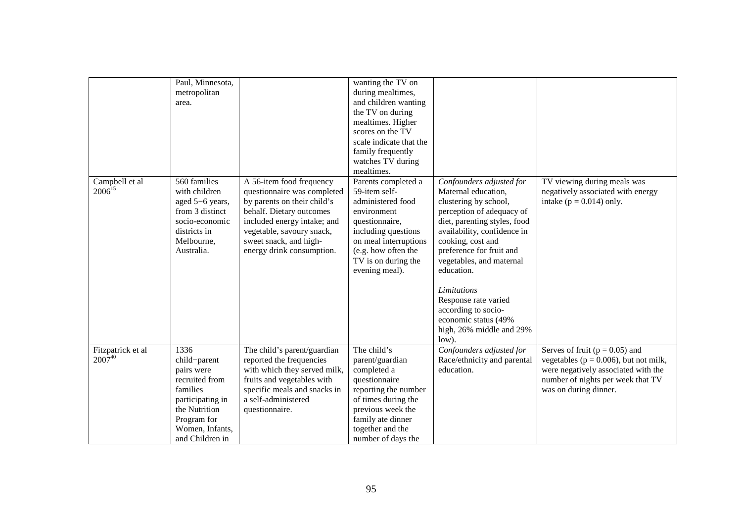|                                  | Paul, Minnesota,<br>metropolitan<br>area.                                                                                                                  |                                                                                                                                                                                                                                       | wanting the TV on<br>during mealtimes,<br>and children wanting<br>the TV on during<br>mealtimes. Higher<br>scores on the TV<br>scale indicate that the<br>family frequently<br>watches TV during<br>mealtimes. |                                                                                                                                                                                                                                                                                                                                                                                            |                                                                                                                                                                                      |
|----------------------------------|------------------------------------------------------------------------------------------------------------------------------------------------------------|---------------------------------------------------------------------------------------------------------------------------------------------------------------------------------------------------------------------------------------|----------------------------------------------------------------------------------------------------------------------------------------------------------------------------------------------------------------|--------------------------------------------------------------------------------------------------------------------------------------------------------------------------------------------------------------------------------------------------------------------------------------------------------------------------------------------------------------------------------------------|--------------------------------------------------------------------------------------------------------------------------------------------------------------------------------------|
| Campbell et al<br>$2006^{15}$    | 560 families<br>with children<br>aged 5-6 years,<br>from 3 distinct<br>socio-economic<br>districts in<br>Melbourne,<br>Australia.                          | A 56-item food frequency<br>questionnaire was completed<br>by parents on their child's<br>behalf. Dietary outcomes<br>included energy intake; and<br>vegetable, savoury snack,<br>sweet snack, and high-<br>energy drink consumption. | Parents completed a<br>59-item self-<br>administered food<br>environment<br>questionnaire,<br>including questions<br>on meal interruptions<br>(e.g. how often the<br>TV is on during the<br>evening meal).     | Confounders adjusted for<br>Maternal education,<br>clustering by school,<br>perception of adequacy of<br>diet, parenting styles, food<br>availability, confidence in<br>cooking, cost and<br>preference for fruit and<br>vegetables, and maternal<br>education.<br>Limitations<br>Response rate varied<br>according to socio-<br>economic status (49%<br>high, 26% middle and 29%<br>low). | TV viewing during meals was<br>negatively associated with energy<br>intake ( $p = 0.014$ ) only.                                                                                     |
| Fitzpatrick et al<br>$2007^{40}$ | 1336<br>child-parent<br>pairs were<br>recruited from<br>families<br>participating in<br>the Nutrition<br>Program for<br>Women, Infants,<br>and Children in | The child's parent/guardian<br>reported the frequencies<br>with which they served milk,<br>fruits and vegetables with<br>specific meals and snacks in<br>a self-administered<br>questionnaire.                                        | The child's<br>parent/guardian<br>completed a<br>questionnaire<br>reporting the number<br>of times during the<br>previous week the<br>family ate dinner<br>together and the<br>number of days the              | Confounders adjusted for<br>Race/ethnicity and parental<br>education.                                                                                                                                                                                                                                                                                                                      | Serves of fruit ( $p = 0.05$ ) and<br>vegetables ( $p = 0.006$ ), but not milk,<br>were negatively associated with the<br>number of nights per week that TV<br>was on during dinner. |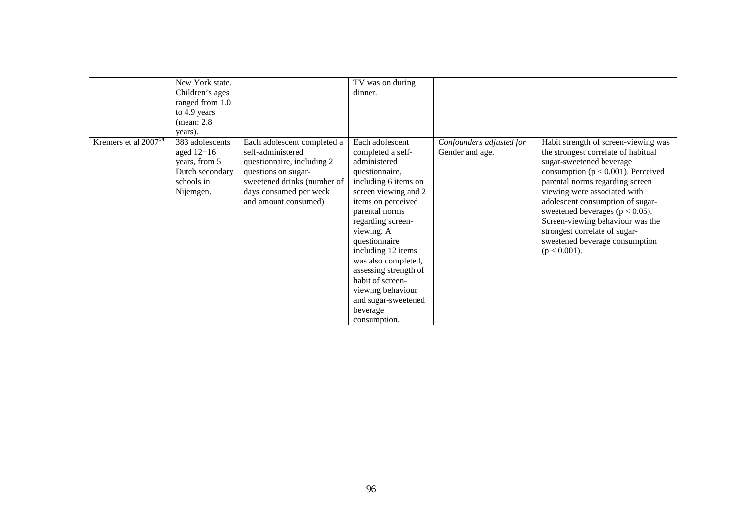|                           | New York state.                                                                                |                                                                                                                                                                | TV was on during                                                                                                                                                                                                                                           |                                             |                                                                                                                                                                                                                      |
|---------------------------|------------------------------------------------------------------------------------------------|----------------------------------------------------------------------------------------------------------------------------------------------------------------|------------------------------------------------------------------------------------------------------------------------------------------------------------------------------------------------------------------------------------------------------------|---------------------------------------------|----------------------------------------------------------------------------------------------------------------------------------------------------------------------------------------------------------------------|
|                           | Children's ages                                                                                |                                                                                                                                                                | dinner.                                                                                                                                                                                                                                                    |                                             |                                                                                                                                                                                                                      |
|                           | ranged from 1.0                                                                                |                                                                                                                                                                |                                                                                                                                                                                                                                                            |                                             |                                                                                                                                                                                                                      |
|                           | to 4.9 years                                                                                   |                                                                                                                                                                |                                                                                                                                                                                                                                                            |                                             |                                                                                                                                                                                                                      |
|                           | (mean: 2.8)                                                                                    |                                                                                                                                                                |                                                                                                                                                                                                                                                            |                                             |                                                                                                                                                                                                                      |
|                           | years).                                                                                        |                                                                                                                                                                |                                                                                                                                                                                                                                                            |                                             |                                                                                                                                                                                                                      |
| Kremers et al $2007^{54}$ | 383 adolescents<br>aged $12-16$<br>years, from 5<br>Dutch secondary<br>schools in<br>Nijemgen. | Each adolescent completed a<br>self-administered<br>questionnaire, including 2<br>questions on sugar-<br>sweetened drinks (number of<br>days consumed per week | Each adolescent<br>completed a self-<br>administered<br>questionnaire,<br>including 6 items on<br>screen viewing and 2                                                                                                                                     | Confounders adjusted for<br>Gender and age. | Habit strength of screen-viewing was<br>the strongest correlate of habitual<br>sugar-sweetened beverage<br>consumption ( $p < 0.001$ ). Perceived<br>parental norms regarding screen<br>viewing were associated with |
|                           |                                                                                                | and amount consumed).                                                                                                                                          | items on perceived<br>parental norms<br>regarding screen-<br>viewing. A<br>questionnaire<br>including 12 items<br>was also completed,<br>assessing strength of<br>habit of screen-<br>viewing behaviour<br>and sugar-sweetened<br>beverage<br>consumption. |                                             | adolescent consumption of sugar-<br>sweetened beverages ( $p < 0.05$ ).<br>Screen-viewing behaviour was the<br>strongest correlate of sugar-<br>sweetened beverage consumption<br>$(p < 0.001)$ .                    |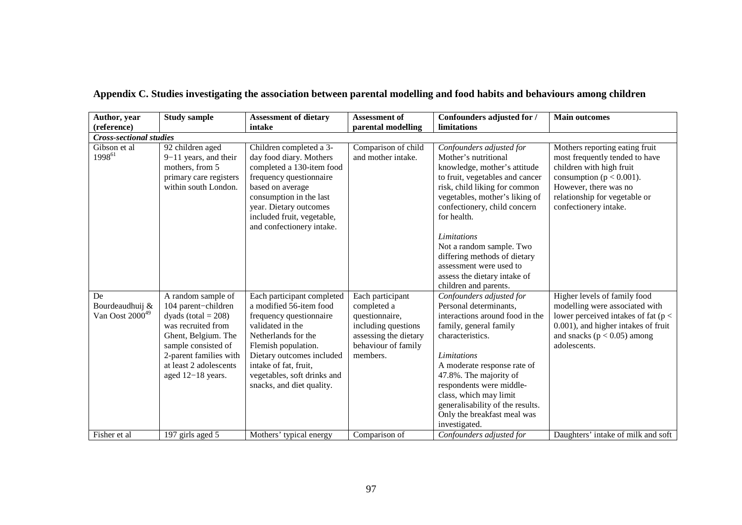| Author, year                                  | <b>Study sample</b>                                                                                                                                                                                              | <b>Assessment of dietary</b>                                                                                                                                                                                                                                         | <b>Assessment of</b>                                                                                                                 | Confounders adjusted for /                                                                                                                                                                                                                                                                                                                                                                           | <b>Main outcomes</b>                                                                                                                                                                                            |
|-----------------------------------------------|------------------------------------------------------------------------------------------------------------------------------------------------------------------------------------------------------------------|----------------------------------------------------------------------------------------------------------------------------------------------------------------------------------------------------------------------------------------------------------------------|--------------------------------------------------------------------------------------------------------------------------------------|------------------------------------------------------------------------------------------------------------------------------------------------------------------------------------------------------------------------------------------------------------------------------------------------------------------------------------------------------------------------------------------------------|-----------------------------------------------------------------------------------------------------------------------------------------------------------------------------------------------------------------|
| (reference)                                   |                                                                                                                                                                                                                  | intake                                                                                                                                                                                                                                                               | parental modelling                                                                                                                   | limitations                                                                                                                                                                                                                                                                                                                                                                                          |                                                                                                                                                                                                                 |
| <b>Cross-sectional studies</b>                |                                                                                                                                                                                                                  |                                                                                                                                                                                                                                                                      |                                                                                                                                      |                                                                                                                                                                                                                                                                                                                                                                                                      |                                                                                                                                                                                                                 |
| Gibson et al<br>199861                        | 92 children aged<br>$9-11$ years, and their<br>mothers, from 5<br>primary care registers<br>within south London.                                                                                                 | Children completed a 3-<br>day food diary. Mothers<br>completed a 130-item food<br>frequency questionnaire<br>based on average<br>consumption in the last<br>year. Dietary outcomes<br>included fruit, vegetable,<br>and confectionery intake.                       | Comparison of child<br>and mother intake.                                                                                            | Confounders adjusted for<br>Mother's nutritional<br>knowledge, mother's attitude<br>to fruit, vegetables and cancer<br>risk, child liking for common<br>vegetables, mother's liking of<br>confectionery, child concern<br>for health.<br>Limitations<br>Not a random sample. Two<br>differing methods of dietary<br>assessment were used to<br>assess the dietary intake of<br>children and parents. | Mothers reporting eating fruit<br>most frequently tended to have<br>children with high fruit<br>consumption ( $p < 0.001$ ).<br>However, there was no<br>relationship for vegetable or<br>confectionery intake. |
| De<br>Bourdeaudhuij &<br>Van Oost $2000^{49}$ | A random sample of<br>104 parent-children<br>dyads (total $= 208$ )<br>was recruited from<br>Ghent, Belgium. The<br>sample consisted of<br>2-parent families with<br>at least 2 adolescents<br>aged 12-18 years. | Each participant completed<br>a modified 56-item food<br>frequency questionnaire<br>validated in the<br>Netherlands for the<br>Flemish population.<br>Dietary outcomes included<br>intake of fat, fruit,<br>vegetables, soft drinks and<br>snacks, and diet quality. | Each participant<br>completed a<br>questionnaire,<br>including questions<br>assessing the dietary<br>behaviour of family<br>members. | Confounders adjusted for<br>Personal determinants,<br>interactions around food in the<br>family, general family<br>characteristics.<br>Limitations<br>A moderate response rate of<br>47.8%. The majority of<br>respondents were middle-<br>class, which may limit<br>generalisability of the results.<br>Only the breakfast meal was<br>investigated.                                                | Higher levels of family food<br>modelling were associated with<br>lower perceived intakes of fat ( $p <$<br>0.001), and higher intakes of fruit<br>and snacks ( $p < 0.05$ ) among<br>adolescents.              |
| Fisher et al                                  | 197 girls aged 5                                                                                                                                                                                                 | Mothers' typical energy                                                                                                                                                                                                                                              | Comparison of                                                                                                                        | Confounders adjusted for                                                                                                                                                                                                                                                                                                                                                                             | Daughters' intake of milk and soft                                                                                                                                                                              |

| Appendix C. Studies investigating the association between parental modelling and food habits and behaviours among children |  |
|----------------------------------------------------------------------------------------------------------------------------|--|
|                                                                                                                            |  |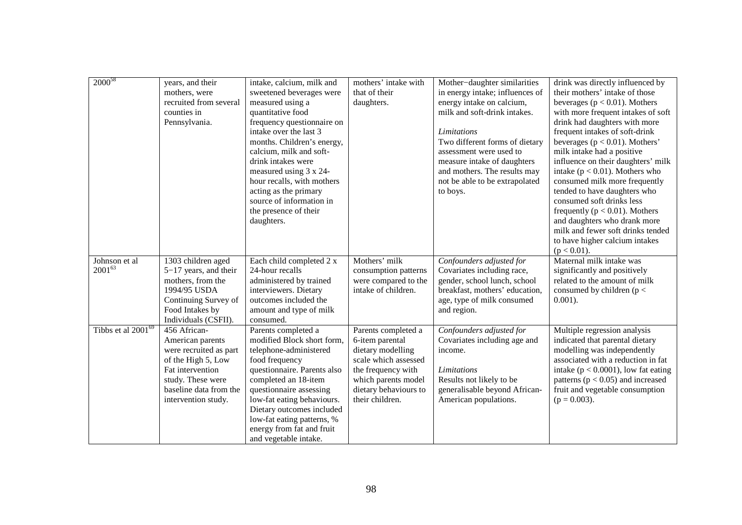| $2000^{58}$                    | years, and their<br>mothers, were<br>recruited from several<br>counties in<br>Pennsylvania.                                                                                | intake, calcium, milk and<br>sweetened beverages were<br>measured using a<br>quantitative food<br>frequency questionnaire on<br>intake over the last 3<br>months. Children's energy,<br>calcium, milk and soft-<br>drink intakes were<br>measured using 3 x 24-<br>hour recalls, with mothers<br>acting as the primary<br>source of information in<br>the presence of their<br>daughters. | mothers' intake with<br>that of their<br>daughters.                                                                                                                          | Mother-daughter similarities<br>in energy intake; influences of<br>energy intake on calcium,<br>milk and soft-drink intakes.<br>Limitations<br>Two different forms of dietary<br>assessment were used to<br>measure intake of daughters<br>and mothers. The results may<br>not be able to be extrapolated<br>to boys. | drink was directly influenced by<br>their mothers' intake of those<br>beverages ( $p < 0.01$ ). Mothers<br>with more frequent intakes of soft<br>drink had daughters with more<br>frequent intakes of soft-drink<br>beverages ( $p < 0.01$ ). Mothers'<br>milk intake had a positive<br>influence on their daughters' milk<br>intake ( $p < 0.01$ ). Mothers who<br>consumed milk more frequently<br>tended to have daughters who<br>consumed soft drinks less<br>frequently ( $p < 0.01$ ). Mothers<br>and daughters who drank more<br>milk and fewer soft drinks tended<br>to have higher calcium intakes<br>$(p < 0.01)$ . |
|--------------------------------|----------------------------------------------------------------------------------------------------------------------------------------------------------------------------|-------------------------------------------------------------------------------------------------------------------------------------------------------------------------------------------------------------------------------------------------------------------------------------------------------------------------------------------------------------------------------------------|------------------------------------------------------------------------------------------------------------------------------------------------------------------------------|-----------------------------------------------------------------------------------------------------------------------------------------------------------------------------------------------------------------------------------------------------------------------------------------------------------------------|-------------------------------------------------------------------------------------------------------------------------------------------------------------------------------------------------------------------------------------------------------------------------------------------------------------------------------------------------------------------------------------------------------------------------------------------------------------------------------------------------------------------------------------------------------------------------------------------------------------------------------|
| Johnson et al<br>$2001^{63}$   | 1303 children aged<br>$5-17$ years, and their<br>mothers, from the<br>1994/95 USDA<br>Continuing Survey of<br>Food Intakes by<br>Individuals (CSFII).                      | Each child completed 2 x<br>24-hour recalls<br>administered by trained<br>interviewers. Dietary<br>outcomes included the<br>amount and type of milk<br>consumed.                                                                                                                                                                                                                          | Mothers' milk<br>consumption patterns<br>were compared to the<br>intake of children.                                                                                         | Confounders adjusted for<br>Covariates including race,<br>gender, school lunch, school<br>breakfast, mothers' education,<br>age, type of milk consumed<br>and region.                                                                                                                                                 | Maternal milk intake was<br>significantly and positively<br>related to the amount of milk<br>consumed by children ( $p <$<br>$0.001$ ).                                                                                                                                                                                                                                                                                                                                                                                                                                                                                       |
| Tibbs et al 2001 <sup>69</sup> | 456 African-<br>American parents<br>were recruited as part<br>of the High 5, Low<br>Fat intervention<br>study. These were<br>baseline data from the<br>intervention study. | Parents completed a<br>modified Block short form,<br>telephone-administered<br>food frequency<br>questionnaire. Parents also<br>completed an 18-item<br>questionnaire assessing<br>low-fat eating behaviours.<br>Dietary outcomes included<br>low-fat eating patterns, %<br>energy from fat and fruit<br>and vegetable intake.                                                            | Parents completed a<br>6-item parental<br>dietary modelling<br>scale which assessed<br>the frequency with<br>which parents model<br>dietary behaviours to<br>their children. | Confounders adjusted for<br>Covariates including age and<br>income.<br><b>Limitations</b><br>Results not likely to be<br>generalisable beyond African-<br>American populations.                                                                                                                                       | Multiple regression analysis<br>indicated that parental dietary<br>modelling was independently<br>associated with a reduction in fat<br>intake ( $p < 0.0001$ ), low fat eating<br>patterns ( $p < 0.05$ ) and increased<br>fruit and vegetable consumption<br>$(p = 0.003)$ .                                                                                                                                                                                                                                                                                                                                                |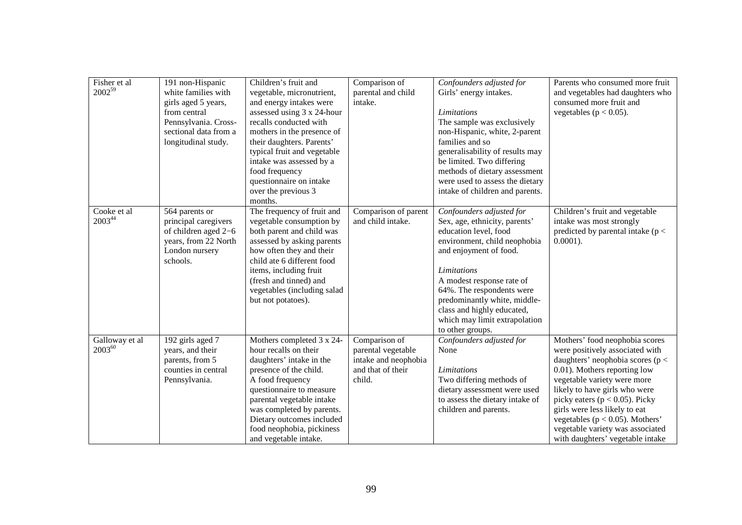| Fisher et al<br>$2002^{59}$   | 191 non-Hispanic<br>white families with<br>girls aged 5 years,<br>from central<br>Pennsylvania. Cross-<br>sectional data from a<br>longitudinal study. | Children's fruit and<br>vegetable, micronutrient,<br>and energy intakes were<br>assessed using 3 x 24-hour<br>recalls conducted with<br>mothers in the presence of<br>their daughters. Parents'<br>typical fruit and vegetable<br>intake was assessed by a<br>food frequency<br>questionnaire on intake<br>over the previous 3<br>months. | Comparison of<br>parental and child<br>intake.                                             | Confounders adjusted for<br>Girls' energy intakes.<br>Limitations<br>The sample was exclusively<br>non-Hispanic, white, 2-parent<br>families and so<br>generalisability of results may<br>be limited. Two differing<br>methods of dietary assessment<br>were used to assess the dietary<br>intake of children and parents.                      | Parents who consumed more fruit<br>and vegetables had daughters who<br>consumed more fruit and<br>vegetables ( $p < 0.05$ ).                                                                                                                                                                                                                                                                   |
|-------------------------------|--------------------------------------------------------------------------------------------------------------------------------------------------------|-------------------------------------------------------------------------------------------------------------------------------------------------------------------------------------------------------------------------------------------------------------------------------------------------------------------------------------------|--------------------------------------------------------------------------------------------|-------------------------------------------------------------------------------------------------------------------------------------------------------------------------------------------------------------------------------------------------------------------------------------------------------------------------------------------------|------------------------------------------------------------------------------------------------------------------------------------------------------------------------------------------------------------------------------------------------------------------------------------------------------------------------------------------------------------------------------------------------|
| Cooke et al<br>$2003^{44}$    | 564 parents or<br>principal caregivers<br>of children aged 2-6<br>years, from 22 North<br>London nursery<br>schools.                                   | The frequency of fruit and<br>vegetable consumption by<br>both parent and child was<br>assessed by asking parents<br>how often they and their<br>child ate 6 different food<br>items, including fruit<br>(fresh and tinned) and<br>vegetables (including salad<br>but not potatoes).                                                      | Comparison of parent<br>and child intake.                                                  | Confounders adjusted for<br>Sex, age, ethnicity, parents'<br>education level, food<br>environment, child neophobia<br>and enjoyment of food.<br><b>Limitations</b><br>A modest response rate of<br>64%. The respondents were<br>predominantly white, middle-<br>class and highly educated,<br>which may limit extrapolation<br>to other groups. | Children's fruit and vegetable<br>intake was most strongly<br>predicted by parental intake ( $p <$<br>$0.0001$ ).                                                                                                                                                                                                                                                                              |
| Galloway et al<br>$2003^{60}$ | 192 girls aged 7<br>years, and their<br>parents, from 5<br>counties in central<br>Pennsylvania.                                                        | Mothers completed 3 x 24-<br>hour recalls on their<br>daughters' intake in the<br>presence of the child.<br>A food frequency<br>questionnaire to measure<br>parental vegetable intake<br>was completed by parents.<br>Dietary outcomes included<br>food neophobia, pickiness<br>and vegetable intake.                                     | Comparison of<br>parental vegetable<br>intake and neophobia<br>and that of their<br>child. | Confounders adjusted for<br>None<br><b>Limitations</b><br>Two differing methods of<br>dietary assessment were used<br>to assess the dietary intake of<br>children and parents.                                                                                                                                                                  | Mothers' food neophobia scores<br>were positively associated with<br>daughters' neophobia scores ( $p <$<br>0.01). Mothers reporting low<br>vegetable variety were more<br>likely to have girls who were<br>picky eaters ( $p < 0.05$ ). Picky<br>girls were less likely to eat<br>vegetables ( $p < 0.05$ ). Mothers'<br>vegetable variety was associated<br>with daughters' vegetable intake |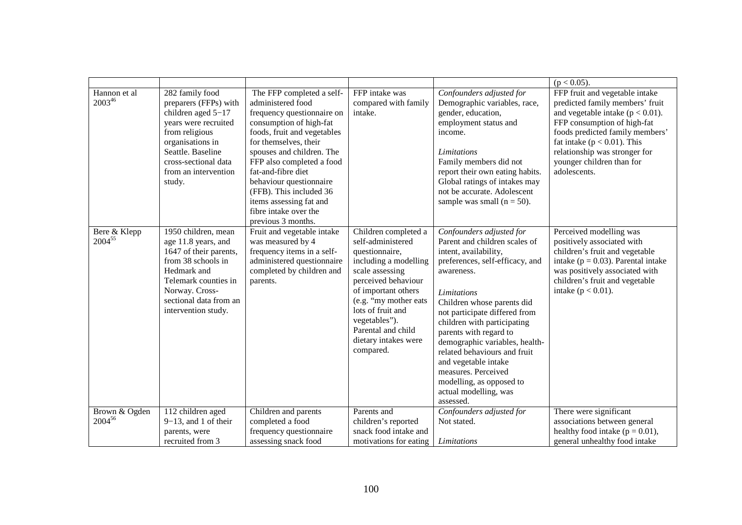|                              |                                                                                                                                                                                                               |                                                                                                                                                                                                                                                                                                                                                                                 |                                                                                                                                                                                                                                                                                 |                                                                                                                                                                                                                                                                                                                                                                                                                                                                      | $(p < 0.05)$ .                                                                                                                                                                                                                                                                               |
|------------------------------|---------------------------------------------------------------------------------------------------------------------------------------------------------------------------------------------------------------|---------------------------------------------------------------------------------------------------------------------------------------------------------------------------------------------------------------------------------------------------------------------------------------------------------------------------------------------------------------------------------|---------------------------------------------------------------------------------------------------------------------------------------------------------------------------------------------------------------------------------------------------------------------------------|----------------------------------------------------------------------------------------------------------------------------------------------------------------------------------------------------------------------------------------------------------------------------------------------------------------------------------------------------------------------------------------------------------------------------------------------------------------------|----------------------------------------------------------------------------------------------------------------------------------------------------------------------------------------------------------------------------------------------------------------------------------------------|
| Hannon et al<br>$2003^{46}$  | 282 family food<br>preparers (FFPs) with<br>children aged $5-17$<br>years were recruited<br>from religious<br>organisations in<br>Seattle. Baseline<br>cross-sectional data<br>from an intervention<br>study. | The FFP completed a self-<br>administered food<br>frequency questionnaire on<br>consumption of high-fat<br>foods, fruit and vegetables<br>for themselves, their<br>spouses and children. The<br>FFP also completed a food<br>fat-and-fibre diet<br>behaviour questionnaire<br>(FFB). This included 36<br>items assessing fat and<br>fibre intake over the<br>previous 3 months. | FFP intake was<br>compared with family<br>intake.                                                                                                                                                                                                                               | Confounders adjusted for<br>Demographic variables, race,<br>gender, education,<br>employment status and<br>income.<br><b>Limitations</b><br>Family members did not<br>report their own eating habits.<br>Global ratings of intakes may<br>not be accurate. Adolescent<br>sample was small ( $n = 50$ ).                                                                                                                                                              | FFP fruit and vegetable intake<br>predicted family members' fruit<br>and vegetable intake ( $p < 0.01$ ).<br>FFP consumption of high-fat<br>foods predicted family members'<br>fat intake ( $p < 0.01$ ). This<br>relationship was stronger for<br>younger children than for<br>adolescents. |
| Bere & Klepp<br>200455       | 1950 children, mean<br>age 11.8 years, and<br>1647 of their parents,<br>from 38 schools in<br>Hedmark and<br>Telemark counties in<br>Norway. Cross-<br>sectional data from an<br>intervention study.          | Fruit and vegetable intake<br>was measured by 4<br>frequency items in a self-<br>administered questionnaire<br>completed by children and<br>parents.                                                                                                                                                                                                                            | Children completed a<br>self-administered<br>questionnaire,<br>including a modelling<br>scale assessing<br>perceived behaviour<br>of important others<br>(e.g. "my mother eats<br>lots of fruit and<br>vegetables").<br>Parental and child<br>dietary intakes were<br>compared. | Confounders adjusted for<br>Parent and children scales of<br>intent, availability,<br>preferences, self-efficacy, and<br>awareness.<br><b>Limitations</b><br>Children whose parents did<br>not participate differed from<br>children with participating<br>parents with regard to<br>demographic variables, health-<br>related behaviours and fruit<br>and vegetable intake<br>measures. Perceived<br>modelling, as opposed to<br>actual modelling, was<br>assessed. | Perceived modelling was<br>positively associated with<br>children's fruit and vegetable<br>intake ( $p = 0.03$ ). Parental intake<br>was positively associated with<br>children's fruit and vegetable<br>intake ( $p < 0.01$ ).                                                              |
| Brown & Ogden<br>$2004^{56}$ | 112 children aged<br>$9-13$ , and 1 of their                                                                                                                                                                  | Children and parents<br>completed a food                                                                                                                                                                                                                                                                                                                                        | Parents and<br>children's reported                                                                                                                                                                                                                                              | Confounders adjusted for<br>Not stated.                                                                                                                                                                                                                                                                                                                                                                                                                              | There were significant<br>associations between general                                                                                                                                                                                                                                       |
|                              | parents, were<br>recruited from 3                                                                                                                                                                             | frequency questionnaire<br>assessing snack food                                                                                                                                                                                                                                                                                                                                 | snack food intake and<br>motivations for eating                                                                                                                                                                                                                                 | Limitations                                                                                                                                                                                                                                                                                                                                                                                                                                                          | healthy food intake ( $p = 0.01$ ),<br>general unhealthy food intake                                                                                                                                                                                                                         |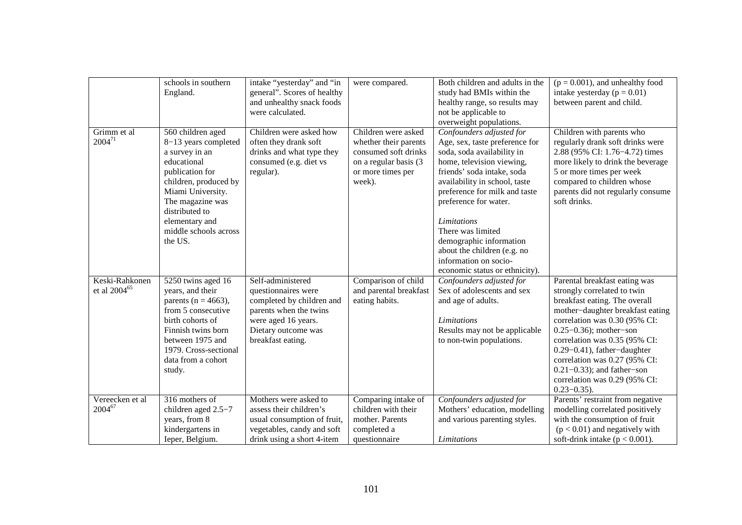|                                            | schools in southern<br>England.                                                                                                                                                                                                         | intake "yesterday" and "in<br>general". Scores of healthy<br>and unhealthy snack foods<br>were calculated.                                                         | were compared.                                                                                                               | Both children and adults in the<br>study had BMIs within the<br>healthy range, so results may<br>not be applicable to<br>overweight populations.                                                                                                                                                                                                                                                        | $(p = 0.001)$ , and unhealthy food<br>intake yesterday ( $p = 0.01$ )<br>between parent and child.                                                                                                                                                                                                                                                                                           |
|--------------------------------------------|-----------------------------------------------------------------------------------------------------------------------------------------------------------------------------------------------------------------------------------------|--------------------------------------------------------------------------------------------------------------------------------------------------------------------|------------------------------------------------------------------------------------------------------------------------------|---------------------------------------------------------------------------------------------------------------------------------------------------------------------------------------------------------------------------------------------------------------------------------------------------------------------------------------------------------------------------------------------------------|----------------------------------------------------------------------------------------------------------------------------------------------------------------------------------------------------------------------------------------------------------------------------------------------------------------------------------------------------------------------------------------------|
| Grimm et al<br>$2004^{71}$                 | 560 children aged<br>8-13 years completed<br>a survey in an<br>educational<br>publication for<br>children, produced by<br>Miami University.<br>The magazine was<br>distributed to<br>elementary and<br>middle schools across<br>the US. | Children were asked how<br>often they drank soft<br>drinks and what type they<br>consumed (e.g. diet vs<br>regular).                                               | Children were asked<br>whether their parents<br>consumed soft drinks<br>on a regular basis (3<br>or more times per<br>week). | Confounders adjusted for<br>Age, sex, taste preference for<br>soda, soda availability in<br>home, television viewing,<br>friends' soda intake, soda<br>availability in school, taste<br>preference for milk and taste<br>preference for water.<br>Limitations<br>There was limited<br>demographic information<br>about the children (e.g. no<br>information on socio-<br>economic status or ethnicity). | Children with parents who<br>regularly drank soft drinks were<br>2.88 (95% CI: 1.76–4.72) times<br>more likely to drink the beverage<br>5 or more times per week<br>compared to children whose<br>parents did not regularly consume<br>soft drinks.                                                                                                                                          |
| Keski-Rahkonen<br>et al 2004 <sup>65</sup> | 5250 twins aged 16<br>years, and their<br>parents ( $n = 4663$ ),<br>from 5 consecutive<br>birth cohorts of<br>Finnish twins born<br>between 1975 and<br>1979. Cross-sectional<br>data from a cohort<br>study.                          | Self-administered<br>questionnaires were<br>completed by children and<br>parents when the twins<br>were aged 16 years.<br>Dietary outcome was<br>breakfast eating. | Comparison of child<br>and parental breakfast<br>eating habits.                                                              | Confounders adjusted for<br>Sex of adolescents and sex<br>and age of adults.<br><b>Limitations</b><br>Results may not be applicable<br>to non-twin populations.                                                                                                                                                                                                                                         | Parental breakfast eating was<br>strongly correlated to twin<br>breakfast eating. The overall<br>mother-daughter breakfast eating<br>correlation was 0.30 (95% CI:<br>$0.25 - 0.36$ ; mother-son<br>correlation was 0.35 (95% CI:<br>$0.29 - 0.41$ , father-daughter<br>correlation was 0.27 (95% CI:<br>$0.21 - 0.33$ ; and father-son<br>correlation was 0.29 (95% CI:<br>$0.23 - 0.35$ ). |
| Vereecken et al<br>$2004^{67}$             | 316 mothers of<br>children aged 2.5-7<br>years, from 8<br>kindergartens in<br>Ieper, Belgium.                                                                                                                                           | Mothers were asked to<br>assess their children's<br>usual consumption of fruit,<br>vegetables, candy and soft<br>drink using a short 4-item                        | Comparing intake of<br>children with their<br>mother. Parents<br>completed a<br>questionnaire                                | Confounders adjusted for<br>Mothers' education, modelling<br>and various parenting styles.<br>Limitations                                                                                                                                                                                                                                                                                               | Parents' restraint from negative<br>modelling correlated positively<br>with the consumption of fruit<br>$(p < 0.01)$ and negatively with<br>soft-drink intake ( $p < 0.001$ ).                                                                                                                                                                                                               |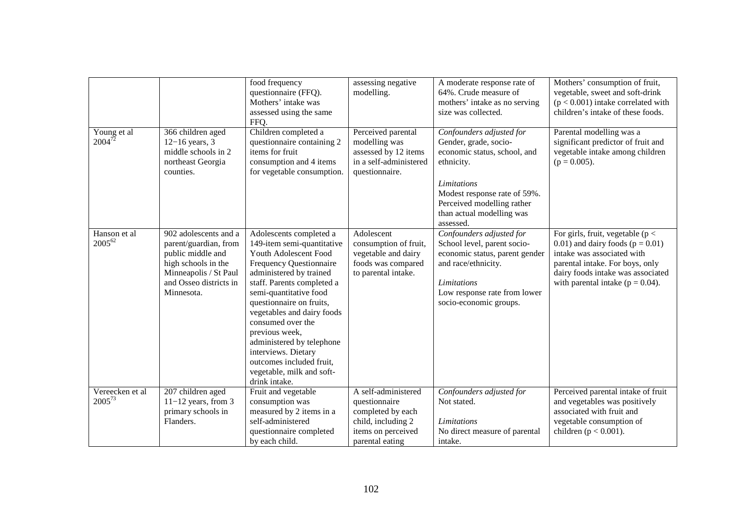|                                |                                                                                                                                                             | food frequency<br>questionnaire (FFQ).<br>Mothers' intake was<br>assessed using the same<br>FFQ.                                                                                                                                                                                                                                                                                                                            | assessing negative<br>modelling.                                                                                         | A moderate response rate of<br>64%. Crude measure of<br>mothers' intake as no serving<br>size was collected.                                                                                                           | Mothers' consumption of fruit,<br>vegetable, sweet and soft-drink<br>$(p < 0.001)$ intake correlated with<br>children's intake of these foods.                                                                               |
|--------------------------------|-------------------------------------------------------------------------------------------------------------------------------------------------------------|-----------------------------------------------------------------------------------------------------------------------------------------------------------------------------------------------------------------------------------------------------------------------------------------------------------------------------------------------------------------------------------------------------------------------------|--------------------------------------------------------------------------------------------------------------------------|------------------------------------------------------------------------------------------------------------------------------------------------------------------------------------------------------------------------|------------------------------------------------------------------------------------------------------------------------------------------------------------------------------------------------------------------------------|
| Young et al<br>$2004^{72}$     | 366 children aged<br>$12-16$ years, 3<br>middle schools in 2<br>northeast Georgia<br>counties.                                                              | Children completed a<br>questionnaire containing 2<br>items for fruit<br>consumption and 4 items<br>for vegetable consumption.                                                                                                                                                                                                                                                                                              | Perceived parental<br>modelling was<br>assessed by 12 items<br>in a self-administered<br>questionnaire.                  | Confounders adjusted for<br>Gender, grade, socio-<br>economic status, school, and<br>ethnicity.<br>Limitations<br>Modest response rate of 59%.<br>Perceived modelling rather<br>than actual modelling was<br>assessed. | Parental modelling was a<br>significant predictor of fruit and<br>vegetable intake among children<br>$(p = 0.005)$ .                                                                                                         |
| Hanson et al<br>$2005^{62}$    | 902 adolescents and a<br>parent/guardian, from<br>public middle and<br>high schools in the<br>Minneapolis / St Paul<br>and Osseo districts in<br>Minnesota. | Adolescents completed a<br>149-item semi-quantitative<br>Youth Adolescent Food<br>Frequency Questionnaire<br>administered by trained<br>staff. Parents completed a<br>semi-quantitative food<br>questionnaire on fruits,<br>vegetables and dairy foods<br>consumed over the<br>previous week,<br>administered by telephone<br>interviews. Dietary<br>outcomes included fruit.<br>vegetable, milk and soft-<br>drink intake. | Adolescent<br>consumption of fruit,<br>vegetable and dairy<br>foods was compared<br>to parental intake.                  | Confounders adjusted for<br>School level, parent socio-<br>economic status, parent gender<br>and race/ethnicity.<br>Limitations<br>Low response rate from lower<br>socio-economic groups.                              | For girls, fruit, vegetable ( $p <$<br>$(0.01)$ and dairy foods ( $p = 0.01$ )<br>intake was associated with<br>parental intake. For boys, only<br>dairy foods intake was associated<br>with parental intake ( $p = 0.04$ ). |
| Vereecken et al<br>$2005^{73}$ | 207 children aged<br>$11-12$ years, from 3<br>primary schools in<br>Flanders.                                                                               | Fruit and vegetable<br>consumption was<br>measured by 2 items in a<br>self-administered<br>questionnaire completed<br>by each child.                                                                                                                                                                                                                                                                                        | A self-administered<br>questionnaire<br>completed by each<br>child, including 2<br>items on perceived<br>parental eating | Confounders adjusted for<br>Not stated.<br>Limitations<br>No direct measure of parental<br>intake.                                                                                                                     | Perceived parental intake of fruit<br>and vegetables was positively<br>associated with fruit and<br>vegetable consumption of<br>children ( $p < 0.001$ ).                                                                    |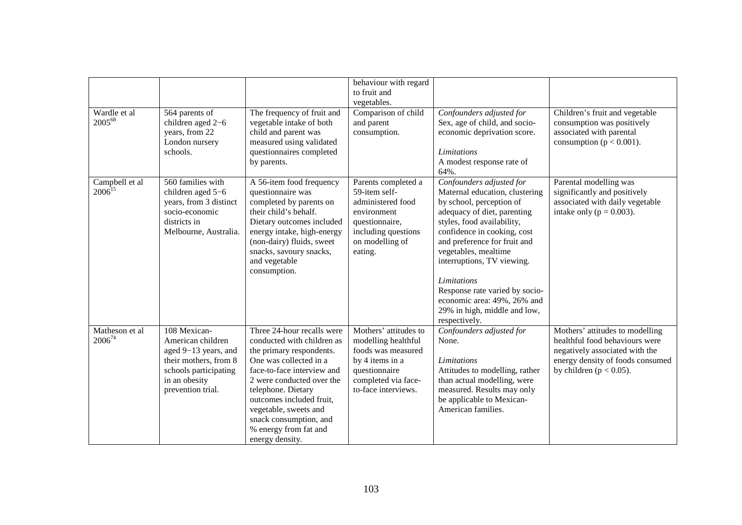| Wardle et al<br>200568        | 564 parents of<br>children aged 2-6<br>years, from 22<br>London nursery                                                                           | The frequency of fruit and<br>vegetable intake of both<br>child and parent was<br>measured using validated                                                                                                                                                                                                                 | behaviour with regard<br>to fruit and<br>vegetables.<br>Comparison of child<br>and parent<br>consumption.                                            | Confounders adjusted for<br>Sex, age of child, and socio-<br>economic deprivation score.                                                                                                                                                                                                                                                                                                                         | Children's fruit and vegetable<br>consumption was positively<br>associated with parental<br>consumption ( $p < 0.001$ ).                                               |
|-------------------------------|---------------------------------------------------------------------------------------------------------------------------------------------------|----------------------------------------------------------------------------------------------------------------------------------------------------------------------------------------------------------------------------------------------------------------------------------------------------------------------------|------------------------------------------------------------------------------------------------------------------------------------------------------|------------------------------------------------------------------------------------------------------------------------------------------------------------------------------------------------------------------------------------------------------------------------------------------------------------------------------------------------------------------------------------------------------------------|------------------------------------------------------------------------------------------------------------------------------------------------------------------------|
|                               | schools.                                                                                                                                          | questionnaires completed<br>by parents.                                                                                                                                                                                                                                                                                    |                                                                                                                                                      | <i>Limitations</i><br>A modest response rate of<br>64%.                                                                                                                                                                                                                                                                                                                                                          |                                                                                                                                                                        |
| Campbell et al<br>$2006^{15}$ | 560 families with<br>children aged 5-6<br>years, from 3 distinct<br>socio-economic<br>districts in<br>Melbourne, Australia.                       | A 56-item food frequency<br>questionnaire was<br>completed by parents on<br>their child's behalf.<br>Dietary outcomes included<br>energy intake, high-energy<br>(non-dairy) fluids, sweet<br>snacks, savoury snacks,<br>and vegetable<br>consumption.                                                                      | Parents completed a<br>59-item self-<br>administered food<br>environment<br>questionnaire,<br>including questions<br>on modelling of<br>eating.      | Confounders adjusted for<br>Maternal education, clustering<br>by school, perception of<br>adequacy of diet, parenting<br>styles, food availability,<br>confidence in cooking, cost<br>and preference for fruit and<br>vegetables, mealtime<br>interruptions, TV viewing.<br><b>Limitations</b><br>Response rate varied by socio-<br>economic area: 49%, 26% and<br>29% in high, middle and low,<br>respectively. | Parental modelling was<br>significantly and positively<br>associated with daily vegetable<br>intake only ( $p = 0.003$ ).                                              |
| Matheson et al<br>$2006^{74}$ | 108 Mexican-<br>American children<br>aged 9-13 years, and<br>their mothers, from 8<br>schools participating<br>in an obesity<br>prevention trial. | Three 24-hour recalls were<br>conducted with children as<br>the primary respondents.<br>One was collected in a<br>face-to-face interview and<br>2 were conducted over the<br>telephone. Dietary<br>outcomes included fruit,<br>vegetable, sweets and<br>snack consumption, and<br>% energy from fat and<br>energy density. | Mothers' attitudes to<br>modelling healthful<br>foods was measured<br>by 4 items in a<br>questionnaire<br>completed via face-<br>to-face interviews. | Confounders adjusted for<br>None.<br><i>Limitations</i><br>Attitudes to modelling, rather<br>than actual modelling, were<br>measured. Results may only<br>be applicable to Mexican-<br>American families.                                                                                                                                                                                                        | Mothers' attitudes to modelling<br>healthful food behaviours were<br>negatively associated with the<br>energy density of foods consumed<br>by children ( $p < 0.05$ ). |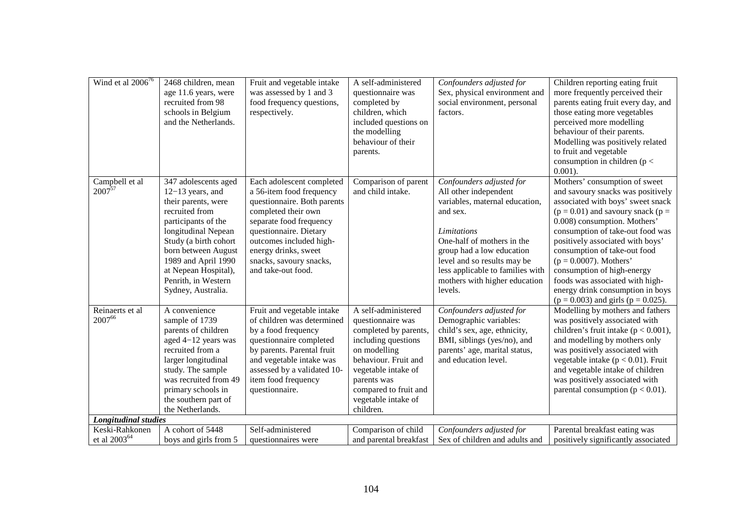| Wind et al $2006^{76}$        | 2468 children, mean<br>age 11.6 years, were<br>recruited from 98<br>schools in Belgium<br>and the Netherlands.                                                                                                                                                                | Fruit and vegetable intake<br>was assessed by 1 and 3<br>food frequency questions,<br>respectively.                                                                                                                                                                  | A self-administered<br>questionnaire was<br>completed by<br>children, which<br>included questions on<br>the modelling<br>behaviour of their<br>parents.                                                                             | Confounders adjusted for<br>Sex, physical environment and<br>social environment, personal<br>factors.                                                                                                                                                                                    | Children reporting eating fruit<br>more frequently perceived their<br>parents eating fruit every day, and<br>those eating more vegetables<br>perceived more modelling<br>behaviour of their parents.<br>Modelling was positively related<br>to fruit and vegetable<br>consumption in children ( $p <$<br>$0.001$ ).                                                                                                                                                   |
|-------------------------------|-------------------------------------------------------------------------------------------------------------------------------------------------------------------------------------------------------------------------------------------------------------------------------|----------------------------------------------------------------------------------------------------------------------------------------------------------------------------------------------------------------------------------------------------------------------|-------------------------------------------------------------------------------------------------------------------------------------------------------------------------------------------------------------------------------------|------------------------------------------------------------------------------------------------------------------------------------------------------------------------------------------------------------------------------------------------------------------------------------------|-----------------------------------------------------------------------------------------------------------------------------------------------------------------------------------------------------------------------------------------------------------------------------------------------------------------------------------------------------------------------------------------------------------------------------------------------------------------------|
| Campbell et al<br>$2007^{57}$ | 347 adolescents aged<br>$12-13$ years, and<br>their parents, were<br>recruited from<br>participants of the<br>longitudinal Nepean<br>Study (a birth cohort<br>born between August<br>1989 and April 1990<br>at Nepean Hospital),<br>Penrith, in Western<br>Sydney, Australia. | Each adolescent completed<br>a 56-item food frequency<br>questionnaire. Both parents<br>completed their own<br>separate food frequency<br>questionnaire. Dietary<br>outcomes included high-<br>energy drinks, sweet<br>snacks, savoury snacks,<br>and take-out food. | Comparison of parent<br>and child intake.                                                                                                                                                                                           | Confounders adjusted for<br>All other independent<br>variables, maternal education,<br>and sex.<br>Limitations<br>One-half of mothers in the<br>group had a low education<br>level and so results may be<br>less applicable to families with<br>mothers with higher education<br>levels. | Mothers' consumption of sweet<br>and savoury snacks was positively<br>associated with boys' sweet snack<br>$(p = 0.01)$ and savoury snack $(p =$<br>0.008) consumption. Mothers'<br>consumption of take-out food was<br>positively associated with boys'<br>consumption of take-out food<br>$(p = 0.0007)$ . Mothers'<br>consumption of high-energy<br>foods was associated with high-<br>energy drink consumption in boys<br>$(p = 0.003)$ and girls $(p = 0.025)$ . |
| Reinaerts et al<br>200766     | A convenience<br>sample of 1739<br>parents of children<br>aged 4-12 years was<br>recruited from a<br>larger longitudinal<br>study. The sample<br>was recruited from 49<br>primary schools in<br>the southern part of<br>the Netherlands.                                      | Fruit and vegetable intake<br>of children was determined<br>by a food frequency<br>questionnaire completed<br>by parents. Parental fruit<br>and vegetable intake was<br>assessed by a validated 10-<br>item food frequency<br>questionnaire.                         | A self-administered<br>questionnaire was<br>completed by parents,<br>including questions<br>on modelling<br>behaviour. Fruit and<br>vegetable intake of<br>parents was<br>compared to fruit and<br>vegetable intake of<br>children. | Confounders adjusted for<br>Demographic variables:<br>child's sex, age, ethnicity,<br>BMI, siblings (yes/no), and<br>parents' age, marital status,<br>and education level.                                                                                                               | Modelling by mothers and fathers<br>was positively associated with<br>children's fruit intake ( $p < 0.001$ ),<br>and modelling by mothers only<br>was positively associated with<br>vegetable intake ( $p < 0.01$ ). Fruit<br>and vegetable intake of children<br>was positively associated with<br>parental consumption ( $p < 0.01$ ).                                                                                                                             |
| <b>Longitudinal studies</b>   |                                                                                                                                                                                                                                                                               |                                                                                                                                                                                                                                                                      |                                                                                                                                                                                                                                     |                                                                                                                                                                                                                                                                                          |                                                                                                                                                                                                                                                                                                                                                                                                                                                                       |
| Keski-Rahkonen                | A cohort of 5448                                                                                                                                                                                                                                                              | Self-administered                                                                                                                                                                                                                                                    | Comparison of child                                                                                                                                                                                                                 | Confounders adjusted for                                                                                                                                                                                                                                                                 | Parental breakfast eating was                                                                                                                                                                                                                                                                                                                                                                                                                                         |
| et al $2003^{64}$             | boys and girls from 5                                                                                                                                                                                                                                                         | questionnaires were                                                                                                                                                                                                                                                  | and parental breakfast                                                                                                                                                                                                              | Sex of children and adults and                                                                                                                                                                                                                                                           | positively significantly associated                                                                                                                                                                                                                                                                                                                                                                                                                                   |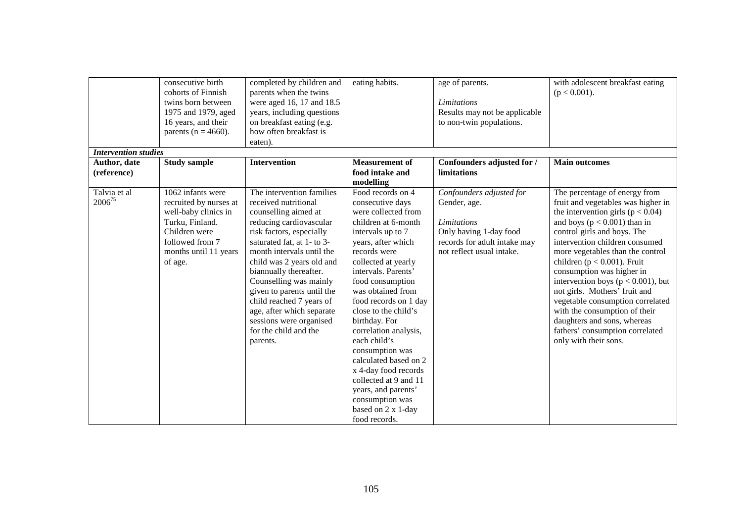|                             | consecutive birth       | completed by children and  | eating habits.        | age of parents.               | with adolescent breakfast eating       |
|-----------------------------|-------------------------|----------------------------|-----------------------|-------------------------------|----------------------------------------|
|                             | cohorts of Finnish      | parents when the twins     |                       |                               | $(p < 0.001)$ .                        |
|                             | twins born between      | were aged 16, 17 and 18.5  |                       | <b>Limitations</b>            |                                        |
|                             | 1975 and 1979, aged     | years, including questions |                       | Results may not be applicable |                                        |
|                             | 16 years, and their     | on breakfast eating (e.g.  |                       | to non-twin populations.      |                                        |
|                             | parents ( $n = 4660$ ). | how often breakfast is     |                       |                               |                                        |
|                             |                         | eaten).                    |                       |                               |                                        |
| <b>Intervention studies</b> |                         |                            |                       |                               |                                        |
| Author, date                | <b>Study sample</b>     | <b>Intervention</b>        | <b>Measurement of</b> | Confounders adjusted for /    | <b>Main outcomes</b>                   |
| (reference)                 |                         |                            | food intake and       | limitations                   |                                        |
|                             |                         |                            | modelling             |                               |                                        |
| Talvia et al                | 1062 infants were       | The intervention families  | Food records on 4     | Confounders adjusted for      | The percentage of energy from          |
| $2006^{75}$                 | recruited by nurses at  | received nutritional       | consecutive days      | Gender, age.                  | fruit and vegetables was higher in     |
|                             | well-baby clinics in    | counselling aimed at       | were collected from   |                               | the intervention girls ( $p < 0.04$ )  |
|                             | Turku, Finland.         | reducing cardiovascular    | children at 6-month   | <b>Limitations</b>            | and boys ( $p < 0.001$ ) than in       |
|                             | Children were           | risk factors, especially   | intervals up to 7     | Only having 1-day food        | control girls and boys. The            |
|                             | followed from 7         | saturated fat, at 1- to 3- | years, after which    | records for adult intake may  | intervention children consumed         |
|                             | months until 11 years   | month intervals until the  | records were          | not reflect usual intake.     | more vegetables than the control       |
|                             | of age.                 | child was 2 years old and  | collected at yearly   |                               | children ( $p < 0.001$ ). Fruit        |
|                             |                         | biannually thereafter.     | intervals. Parents'   |                               | consumption was higher in              |
|                             |                         | Counselling was mainly     | food consumption      |                               | intervention boys ( $p < 0.001$ ), but |
|                             |                         | given to parents until the | was obtained from     |                               | not girls. Mothers' fruit and          |
|                             |                         | child reached 7 years of   | food records on 1 day |                               | vegetable consumption correlated       |
|                             |                         | age, after which separate  | close to the child's  |                               | with the consumption of their          |
|                             |                         | sessions were organised    | birthday. For         |                               | daughters and sons, whereas            |
|                             |                         | for the child and the      | correlation analysis, |                               | fathers' consumption correlated        |
|                             |                         | parents.                   | each child's          |                               | only with their sons.                  |
|                             |                         |                            | consumption was       |                               |                                        |
|                             |                         |                            | calculated based on 2 |                               |                                        |
|                             |                         |                            | x 4-day food records  |                               |                                        |
|                             |                         |                            | collected at 9 and 11 |                               |                                        |
|                             |                         |                            | years, and parents'   |                               |                                        |
|                             |                         |                            | consumption was       |                               |                                        |
|                             |                         |                            | based on 2 x 1-day    |                               |                                        |
|                             |                         |                            | food records.         |                               |                                        |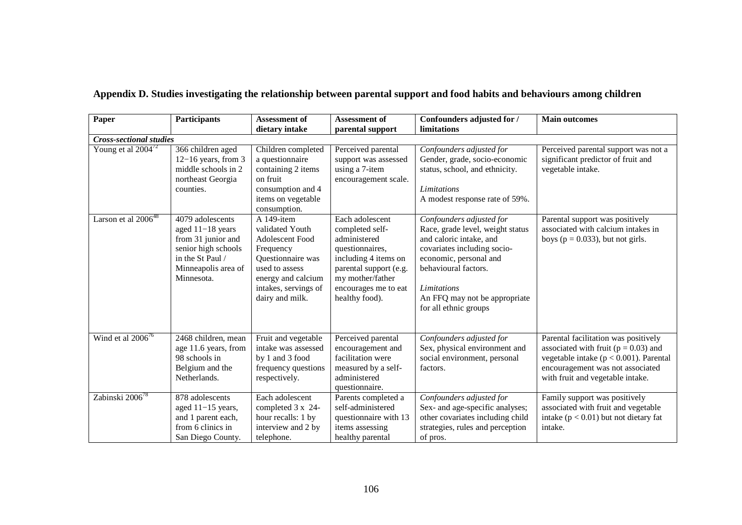| Paper                          | <b>Participants</b>                                                                                                                        | <b>Assessment of</b><br>dietary intake                                                                                                                                       | Assessment of<br>parental support                                                                                                                                                     | Confounders adjusted for /<br>limitations                                                                                                                                                                                                         | <b>Main outcomes</b>                                                                                                                                                                                   |  |  |  |
|--------------------------------|--------------------------------------------------------------------------------------------------------------------------------------------|------------------------------------------------------------------------------------------------------------------------------------------------------------------------------|---------------------------------------------------------------------------------------------------------------------------------------------------------------------------------------|---------------------------------------------------------------------------------------------------------------------------------------------------------------------------------------------------------------------------------------------------|--------------------------------------------------------------------------------------------------------------------------------------------------------------------------------------------------------|--|--|--|
| <b>Cross-sectional studies</b> |                                                                                                                                            |                                                                                                                                                                              |                                                                                                                                                                                       |                                                                                                                                                                                                                                                   |                                                                                                                                                                                                        |  |  |  |
| Young et al $2004^{72}$        | 366 children aged<br>$12-16$ years, from 3<br>middle schools in 2<br>northeast Georgia<br>counties.                                        | Children completed<br>a questionnaire<br>containing 2 items<br>on fruit<br>consumption and 4<br>items on vegetable<br>consumption.                                           | Perceived parental<br>support was assessed<br>using a 7-item<br>encouragement scale.                                                                                                  | Confounders adjusted for<br>Gender, grade, socio-economic<br>status, school, and ethnicity.<br>Limitations<br>A modest response rate of 59%.                                                                                                      | Perceived parental support was not a<br>significant predictor of fruit and<br>vegetable intake.                                                                                                        |  |  |  |
| Larson et al $2006^{48}$       | 4079 adolescents<br>aged 11-18 years<br>from 31 junior and<br>senior high schools<br>in the St Paul /<br>Minneapolis area of<br>Minnesota. | A 149-item<br>validated Youth<br><b>Adolescent Food</b><br>Frequency<br>Questionnaire was<br>used to assess<br>energy and calcium<br>intakes, servings of<br>dairy and milk. | Each adolescent<br>completed self-<br>administered<br>questionnaires,<br>including 4 items on<br>parental support (e.g.<br>my mother/father<br>encourages me to eat<br>healthy food). | Confounders adjusted for<br>Race, grade level, weight status<br>and caloric intake, and<br>covariates including socio-<br>economic, personal and<br>behavioural factors.<br>Limitations<br>An FFQ may not be appropriate<br>for all ethnic groups | Parental support was positively<br>associated with calcium intakes in<br>boys ( $p = 0.033$ ), but not girls.                                                                                          |  |  |  |
| Wind et al $2006^{76}$         | 2468 children, mean<br>age 11.6 years, from<br>98 schools in<br>Belgium and the<br>Netherlands.                                            | Fruit and vegetable<br>intake was assessed<br>by 1 and 3 food<br>frequency questions<br>respectively.                                                                        | Perceived parental<br>encouragement and<br>facilitation were<br>measured by a self-<br>administered<br>questionnaire.                                                                 | Confounders adjusted for<br>Sex, physical environment and<br>social environment, personal<br>factors.                                                                                                                                             | Parental facilitation was positively<br>associated with fruit ( $p = 0.03$ ) and<br>vegetable intake ( $p < 0.001$ ). Parental<br>encouragement was not associated<br>with fruit and vegetable intake. |  |  |  |
| Zabinski 2006 <sup>78</sup>    | 878 adolescents<br>aged $11-15$ years,<br>and 1 parent each,<br>from 6 clinics in<br>San Diego County.                                     | Each adolescent<br>completed 3 x 24-<br>hour recalls: 1 by<br>interview and 2 by<br>telephone.                                                                               | Parents completed a<br>self-administered<br>questionnaire with 13<br>items assessing<br>healthy parental                                                                              | Confounders adjusted for<br>Sex- and age-specific analyses;<br>other covariates including child<br>strategies, rules and perception<br>of pros.                                                                                                   | Family support was positively<br>associated with fruit and vegetable<br>intake ( $p < 0.01$ ) but not dietary fat<br>intake.                                                                           |  |  |  |

## **Appendix D. Studies investigating the relationship between parental support and food habits and behaviours among children**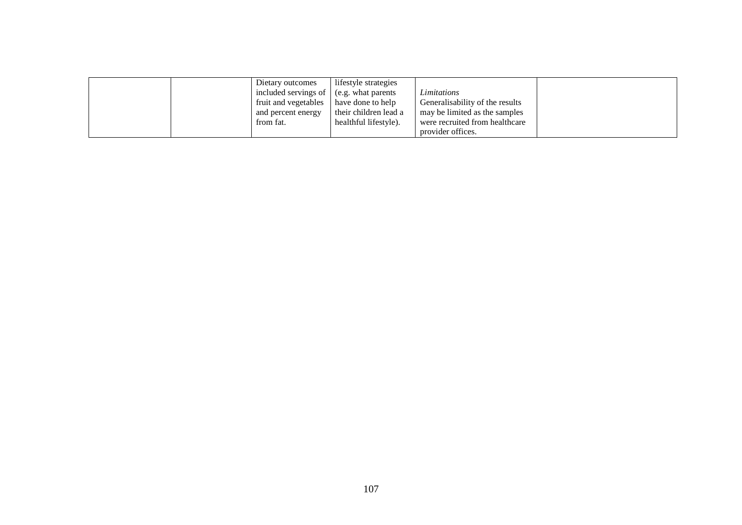|  | Dietary outcomes                                | lifestyle strategies  |                                 |  |
|--|-------------------------------------------------|-----------------------|---------------------------------|--|
|  | included servings of $\vert$ (e.g. what parents |                       | Limitations                     |  |
|  | fruit and vegetables                            | have done to help     | Generalisability of the results |  |
|  | and percent energy                              | their children lead a | may be limited as the samples   |  |
|  | from fat.                                       | healthful lifestyle). | were recruited from healthcare  |  |
|  |                                                 |                       | provider offices.               |  |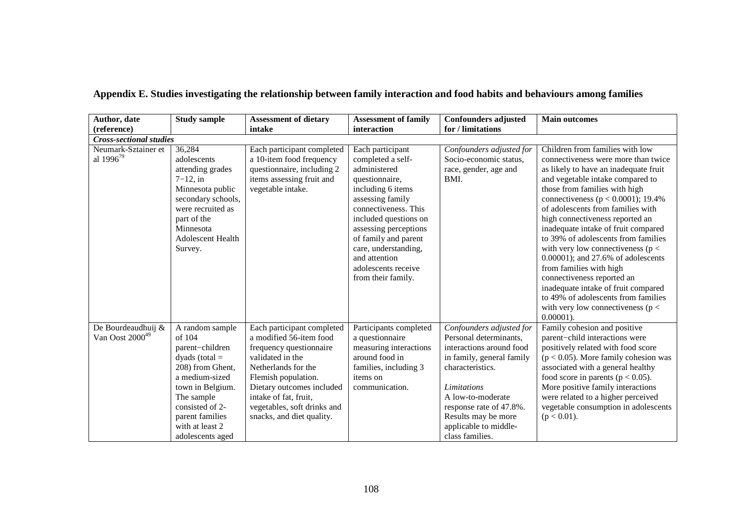| Author, date                                      | <b>Study sample</b>                                                                                                                                                                                                   | <b>Assessment of dietary</b>                                                                                                                                                                                                                                         | <b>Assessment of family</b>                                                                                                                                                                                                                                                                              | <b>Confounders adjusted</b>                                                                                                                                                                                                                                       | <b>Main outcomes</b>                                                                                                                                                                                                                                                                                                                                                                                                                                                                                                                                                                                                                                                |  |  |  |  |
|---------------------------------------------------|-----------------------------------------------------------------------------------------------------------------------------------------------------------------------------------------------------------------------|----------------------------------------------------------------------------------------------------------------------------------------------------------------------------------------------------------------------------------------------------------------------|----------------------------------------------------------------------------------------------------------------------------------------------------------------------------------------------------------------------------------------------------------------------------------------------------------|-------------------------------------------------------------------------------------------------------------------------------------------------------------------------------------------------------------------------------------------------------------------|---------------------------------------------------------------------------------------------------------------------------------------------------------------------------------------------------------------------------------------------------------------------------------------------------------------------------------------------------------------------------------------------------------------------------------------------------------------------------------------------------------------------------------------------------------------------------------------------------------------------------------------------------------------------|--|--|--|--|
| (reference)                                       |                                                                                                                                                                                                                       | intake                                                                                                                                                                                                                                                               | interaction                                                                                                                                                                                                                                                                                              | for / limitations                                                                                                                                                                                                                                                 |                                                                                                                                                                                                                                                                                                                                                                                                                                                                                                                                                                                                                                                                     |  |  |  |  |
| <b>Cross-sectional studies</b>                    |                                                                                                                                                                                                                       |                                                                                                                                                                                                                                                                      |                                                                                                                                                                                                                                                                                                          |                                                                                                                                                                                                                                                                   |                                                                                                                                                                                                                                                                                                                                                                                                                                                                                                                                                                                                                                                                     |  |  |  |  |
| Neumark-Sztainer et<br>al 1996 <sup>79</sup>      | 36,284<br>adolescents<br>attending grades<br>$7-12$ , in<br>Minnesota public<br>secondary schools,<br>were recruited as<br>part of the<br>Minnesota<br><b>Adolescent Health</b><br>Survey.                            | Each participant completed<br>a 10-item food frequency<br>questionnaire, including 2<br>items assessing fruit and<br>vegetable intake.                                                                                                                               | Each participant<br>completed a self-<br>administered<br>questionnaire,<br>including 6 items<br>assessing family<br>connectiveness. This<br>included questions on<br>assessing perceptions<br>of family and parent<br>care, understanding,<br>and attention<br>adolescents receive<br>from their family. | Confounders adjusted for<br>Socio-economic status,<br>race, gender, age and<br>BMI.                                                                                                                                                                               | Children from families with low<br>connectiveness were more than twice<br>as likely to have an inadequate fruit<br>and vegetable intake compared to<br>those from families with high<br>connectiveness ( $p < 0.0001$ ); 19.4%<br>of adolescents from families with<br>high connectiveness reported an<br>inadequate intake of fruit compared<br>to 39% of adolescents from families<br>with very low connectiveness ( $p <$<br>$0.00001$ ; and 27.6% of adolescents<br>from families with high<br>connectiveness reported an<br>inadequate intake of fruit compared<br>to 49% of adolescents from families<br>with very low connectiveness ( $p <$<br>$0.00001$ ). |  |  |  |  |
| De Bourdeaudhuij &<br>Van Oost 2000 <sup>49</sup> | A random sample<br>of 104<br>parent-children<br>dyads (total $=$<br>208) from Ghent,<br>a medium-sized<br>town in Belgium.<br>The sample<br>consisted of 2-<br>parent families<br>with at least 2<br>adolescents aged | Each participant completed<br>a modified 56-item food<br>frequency questionnaire<br>validated in the<br>Netherlands for the<br>Flemish population.<br>Dietary outcomes included<br>intake of fat, fruit,<br>vegetables, soft drinks and<br>snacks, and diet quality. | Participants completed<br>a questionnaire<br>measuring interactions<br>around food in<br>families, including 3<br>items on<br>communication.                                                                                                                                                             | Confounders adjusted for<br>Personal determinants,<br>interactions around food<br>in family, general family<br>characteristics.<br>Limitations<br>A low-to-moderate<br>response rate of 47.8%.<br>Results may be more<br>applicable to middle-<br>class families. | Family cohesion and positive<br>parent-child interactions were<br>positively related with food score<br>$(p < 0.05)$ . More family cohesion was<br>associated with a general healthy<br>food score in parents ( $p < 0.05$ ).<br>More positive family interactions<br>were related to a higher perceived<br>vegetable consumption in adolescents<br>$(p < 0.01)$ .                                                                                                                                                                                                                                                                                                  |  |  |  |  |

**Appendix E. Studies investigating the relationship between family interaction and food habits and behaviours among families**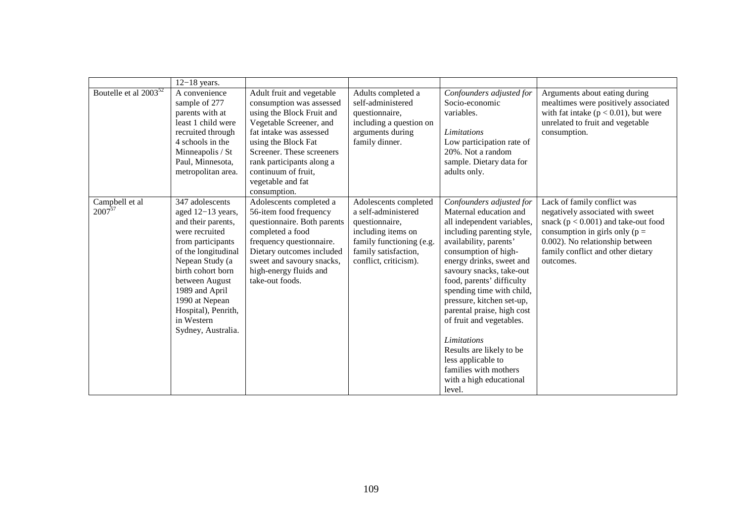|                               | $12-18$ years.                                                                                                                                                                                                                                                                    |                                                                                                                                                                                                                                                                                       |                                                                                                                                                                   |                                                                                                                                                                                                                                                                                                                                                                                                                                                                                                                 |                                                                                                                                                                                                                                      |
|-------------------------------|-----------------------------------------------------------------------------------------------------------------------------------------------------------------------------------------------------------------------------------------------------------------------------------|---------------------------------------------------------------------------------------------------------------------------------------------------------------------------------------------------------------------------------------------------------------------------------------|-------------------------------------------------------------------------------------------------------------------------------------------------------------------|-----------------------------------------------------------------------------------------------------------------------------------------------------------------------------------------------------------------------------------------------------------------------------------------------------------------------------------------------------------------------------------------------------------------------------------------------------------------------------------------------------------------|--------------------------------------------------------------------------------------------------------------------------------------------------------------------------------------------------------------------------------------|
| Boutelle et al $2003^{52}$    | A convenience<br>sample of 277<br>parents with at<br>least 1 child were<br>recruited through<br>4 schools in the<br>Minneapolis / St<br>Paul, Minnesota,<br>metropolitan area.                                                                                                    | Adult fruit and vegetable<br>consumption was assessed<br>using the Block Fruit and<br>Vegetable Screener, and<br>fat intake was assessed<br>using the Block Fat<br>Screener. These screeners<br>rank participants along a<br>continuum of fruit,<br>vegetable and fat<br>consumption. | Adults completed a<br>self-administered<br>questionnaire,<br>including a question on<br>arguments during<br>family dinner.                                        | Confounders adjusted for<br>Socio-economic<br>variables.<br>Limitations<br>Low participation rate of<br>20%. Not a random<br>sample. Dietary data for<br>adults only.                                                                                                                                                                                                                                                                                                                                           | Arguments about eating during<br>mealtimes were positively associated<br>with fat intake ( $p < 0.01$ ), but were<br>unrelated to fruit and vegetable<br>consumption.                                                                |
| Campbell et al<br>$2007^{57}$ | 347 adolescents<br>aged 12-13 years,<br>and their parents,<br>were recruited<br>from participants<br>of the longitudinal<br>Nepean Study (a<br>birth cohort born<br>between August<br>1989 and April<br>1990 at Nepean<br>Hospital), Penrith,<br>in Western<br>Sydney, Australia. | Adolescents completed a<br>56-item food frequency<br>questionnaire. Both parents<br>completed a food<br>frequency questionnaire.<br>Dietary outcomes included<br>sweet and savoury snacks,<br>high-energy fluids and<br>take-out foods.                                               | Adolescents completed<br>a self-administered<br>questionnaire,<br>including items on<br>family functioning (e.g.<br>family satisfaction,<br>conflict, criticism). | Confounders adjusted for<br>Maternal education and<br>all independent variables,<br>including parenting style,<br>availability, parents'<br>consumption of high-<br>energy drinks, sweet and<br>savoury snacks, take-out<br>food, parents' difficulty<br>spending time with child,<br>pressure, kitchen set-up,<br>parental praise, high cost<br>of fruit and vegetables.<br><i>Limitations</i><br>Results are likely to be<br>less applicable to<br>families with mothers<br>with a high educational<br>level. | Lack of family conflict was<br>negatively associated with sweet<br>snack ( $p < 0.001$ ) and take-out food<br>consumption in girls only ( $p =$<br>0.002). No relationship between<br>family conflict and other dietary<br>outcomes. |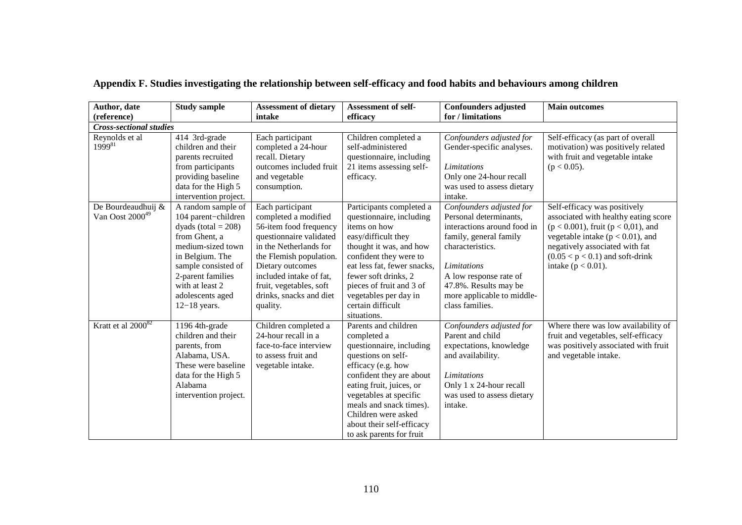| Author, date                                      | <b>Study sample</b>                                                                                                                                                                                                               | <b>Assessment of dietary</b>                                                                                                                                                                                                                                        | <b>Assessment of self-</b>                                                                                                                                                                                                                                                                               | <b>Confounders adjusted</b>                                                                                                                                                                                                                        | <b>Main outcomes</b>                                                                                                                                                                                                                                      |
|---------------------------------------------------|-----------------------------------------------------------------------------------------------------------------------------------------------------------------------------------------------------------------------------------|---------------------------------------------------------------------------------------------------------------------------------------------------------------------------------------------------------------------------------------------------------------------|----------------------------------------------------------------------------------------------------------------------------------------------------------------------------------------------------------------------------------------------------------------------------------------------------------|----------------------------------------------------------------------------------------------------------------------------------------------------------------------------------------------------------------------------------------------------|-----------------------------------------------------------------------------------------------------------------------------------------------------------------------------------------------------------------------------------------------------------|
| (reference)                                       |                                                                                                                                                                                                                                   | intake                                                                                                                                                                                                                                                              | efficacy                                                                                                                                                                                                                                                                                                 | for / limitations                                                                                                                                                                                                                                  |                                                                                                                                                                                                                                                           |
| <b>Cross-sectional studies</b>                    |                                                                                                                                                                                                                                   |                                                                                                                                                                                                                                                                     |                                                                                                                                                                                                                                                                                                          |                                                                                                                                                                                                                                                    |                                                                                                                                                                                                                                                           |
| Reynolds et al<br>$1999^{81}$                     | 414 3rd-grade<br>children and their<br>parents recruited<br>from participants<br>providing baseline<br>data for the High 5<br>intervention project.                                                                               | Each participant<br>completed a 24-hour<br>recall. Dietary<br>outcomes included fruit<br>and vegetable<br>consumption.                                                                                                                                              | Children completed a<br>self-administered<br>questionnaire, including<br>21 items assessing self-<br>efficacy.                                                                                                                                                                                           | Confounders adjusted for<br>Gender-specific analyses.<br>Limitations<br>Only one 24-hour recall<br>was used to assess dietary<br>intake.                                                                                                           | Self-efficacy (as part of overall<br>motivation) was positively related<br>with fruit and vegetable intake<br>$(p < 0.05)$ .                                                                                                                              |
| De Bourdeaudhuij &<br>Van Oost 2000 <sup>49</sup> | A random sample of<br>104 parent-children<br>dyads (total $= 208$ )<br>from Ghent, a<br>medium-sized town<br>in Belgium. The<br>sample consisted of<br>2-parent families<br>with at least 2<br>adolescents aged<br>$12-18$ years. | Each participant<br>completed a modified<br>56-item food frequency<br>questionnaire validated<br>in the Netherlands for<br>the Flemish population.<br>Dietary outcomes<br>included intake of fat,<br>fruit, vegetables, soft<br>drinks, snacks and diet<br>quality. | Participants completed a<br>questionnaire, including<br>items on how<br>easy/difficult they<br>thought it was, and how<br>confident they were to<br>eat less fat, fewer snacks,<br>fewer soft drinks, 2<br>pieces of fruit and 3 of<br>vegetables per day in<br>certain difficult<br>situations.         | Confounders adjusted for<br>Personal determinants,<br>interactions around food in<br>family, general family<br>characteristics.<br>Limitations<br>A low response rate of<br>47.8%. Results may be<br>more applicable to middle-<br>class families. | Self-efficacy was positively<br>associated with healthy eating score<br>$(p < 0.001)$ , fruit $(p < 0.01)$ , and<br>vegetable intake ( $p < 0.01$ ), and<br>negatively associated with fat<br>$(0.05 < p < 0.1)$ and soft-drink<br>intake ( $p < 0.01$ ). |
| Kratt et al 2000 <sup>82</sup>                    | 1196 4th-grade<br>children and their<br>parents, from<br>Alabama, USA.<br>These were baseline<br>data for the High 5<br>Alabama<br>intervention project.                                                                          | Children completed a<br>24-hour recall in a<br>face-to-face interview<br>to assess fruit and<br>vegetable intake.                                                                                                                                                   | Parents and children<br>completed a<br>questionnaire, including<br>questions on self-<br>efficacy (e.g. how<br>confident they are about<br>eating fruit, juices, or<br>vegetables at specific<br>meals and snack times).<br>Children were asked<br>about their self-efficacy<br>to ask parents for fruit | Confounders adjusted for<br>Parent and child<br>expectations, knowledge<br>and availability.<br>Limitations<br>Only 1 x 24-hour recall<br>was used to assess dietary<br>intake.                                                                    | Where there was low availability of<br>fruit and vegetables, self-efficacy<br>was positively associated with fruit<br>and vegetable intake.                                                                                                               |

## **Appendix F. Studies investigating the relationship between self-efficacy and food habits and behaviours among children**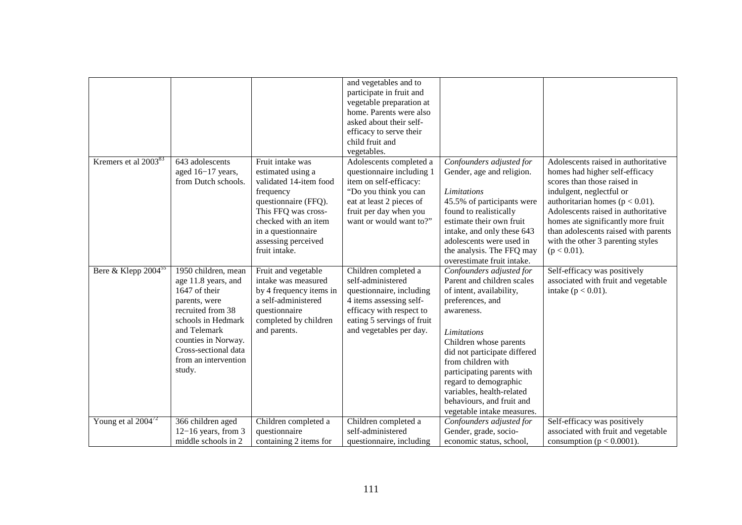|                                  |                                             |                                       | and vegetables and to<br>participate in fruit and |                                                   |                                      |
|----------------------------------|---------------------------------------------|---------------------------------------|---------------------------------------------------|---------------------------------------------------|--------------------------------------|
|                                  |                                             |                                       | vegetable preparation at                          |                                                   |                                      |
|                                  |                                             |                                       | home. Parents were also                           |                                                   |                                      |
|                                  |                                             |                                       | asked about their self-                           |                                                   |                                      |
|                                  |                                             |                                       | efficacy to serve their                           |                                                   |                                      |
|                                  |                                             |                                       | child fruit and                                   |                                                   |                                      |
|                                  |                                             |                                       | vegetables.                                       |                                                   |                                      |
| Kremers et al 2003 <sup>83</sup> | 643 adolescents                             | Fruit intake was                      | Adolescents completed a                           | Confounders adjusted for                          | Adolescents raised in authoritative  |
|                                  | aged 16-17 years,                           | estimated using a                     | questionnaire including 1                         | Gender, age and religion.                         | homes had higher self-efficacy       |
|                                  | from Dutch schools.                         | validated 14-item food                | item on self-efficacy:                            |                                                   | scores than those raised in          |
|                                  |                                             | frequency                             | "Do you think you can                             | <b>Limitations</b>                                | indulgent, neglectful or             |
|                                  |                                             | questionnaire (FFQ).                  | eat at least 2 pieces of                          | 45.5% of participants were                        | authoritarian homes ( $p < 0.01$ ).  |
|                                  |                                             | This FFQ was cross-                   | fruit per day when you                            | found to realistically                            | Adolescents raised in authoritative  |
|                                  |                                             | checked with an item                  | want or would want to?"                           | estimate their own fruit                          | homes ate significantly more fruit   |
|                                  |                                             | in a questionnaire                    |                                                   | intake, and only these 643                        | than adolescents raised with parents |
|                                  |                                             | assessing perceived                   |                                                   | adolescents were used in                          | with the other 3 parenting styles    |
|                                  |                                             | fruit intake.                         |                                                   | the analysis. The FFQ may                         | $(p < 0.01)$ .                       |
|                                  |                                             |                                       |                                                   | overestimate fruit intake.                        |                                      |
| Bere & Klepp $2004^{55}$         | 1950 children, mean                         | Fruit and vegetable                   | Children completed a                              | Confounders adjusted for                          | Self-efficacy was positively         |
|                                  | age 11.8 years, and                         | intake was measured                   | self-administered                                 | Parent and children scales                        | associated with fruit and vegetable  |
|                                  | 1647 of their                               | by 4 frequency items in               | questionnaire, including                          | of intent, availability,                          | intake ( $p < 0.01$ ).               |
|                                  | parents, were                               | a self-administered                   | 4 items assessing self-                           | preferences, and                                  |                                      |
|                                  | recruited from 38                           | questionnaire                         | efficacy with respect to                          | awareness.                                        |                                      |
|                                  | schools in Hedmark                          | completed by children                 | eating 5 servings of fruit                        |                                                   |                                      |
|                                  | and Telemark                                | and parents.                          | and vegetables per day.                           | <b>Limitations</b>                                |                                      |
|                                  | counties in Norway.<br>Cross-sectional data |                                       |                                                   | Children whose parents                            |                                      |
|                                  | from an intervention                        |                                       |                                                   | did not participate differed                      |                                      |
|                                  |                                             |                                       |                                                   | from children with                                |                                      |
|                                  | study.                                      |                                       |                                                   | participating parents with                        |                                      |
|                                  |                                             |                                       |                                                   | regard to demographic                             |                                      |
|                                  |                                             |                                       |                                                   | variables, health-related                         |                                      |
|                                  |                                             |                                       |                                                   | behaviours, and fruit and                         |                                      |
| Young et al $2004^{72}$          | 366 children aged                           |                                       | Children completed a                              | vegetable intake measures.                        | Self-efficacy was positively         |
|                                  | $12-16$ years, from 3                       | Children completed a<br>questionnaire | self-administered                                 | Confounders adjusted for<br>Gender, grade, socio- | associated with fruit and vegetable  |
|                                  | middle schools in 2                         | containing 2 items for                | questionnaire, including                          | economic status, school,                          | consumption ( $p < 0.0001$ ).        |
|                                  |                                             |                                       |                                                   |                                                   |                                      |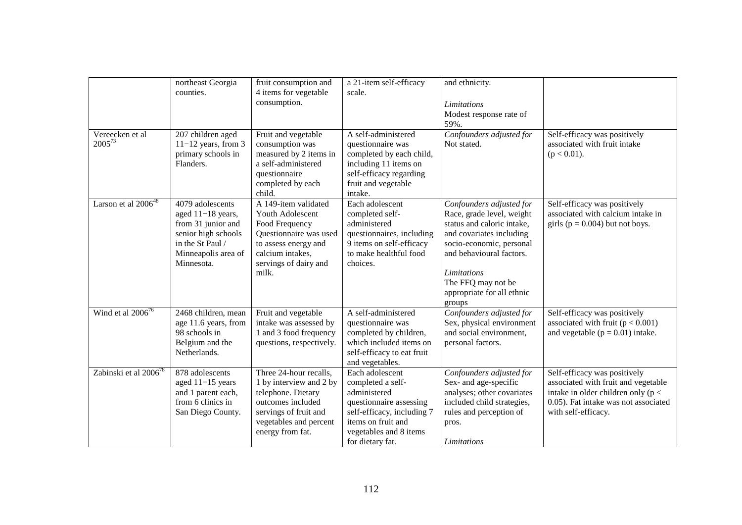|                                   | northeast Georgia<br>counties.                                                                                                              | fruit consumption and<br>4 items for vegetable<br>consumption.                                                                                                      | a 21-item self-efficacy<br>scale.                                                                                                                                                 | and ethnicity.<br>Limitations<br>Modest response rate of<br>59%.                                                                                                                                                                                     |                                                                                                                                                                             |
|-----------------------------------|---------------------------------------------------------------------------------------------------------------------------------------------|---------------------------------------------------------------------------------------------------------------------------------------------------------------------|-----------------------------------------------------------------------------------------------------------------------------------------------------------------------------------|------------------------------------------------------------------------------------------------------------------------------------------------------------------------------------------------------------------------------------------------------|-----------------------------------------------------------------------------------------------------------------------------------------------------------------------------|
| Vereecken et al<br>$2005^{73}$    | 207 children aged<br>$11-12$ years, from 3<br>primary schools in<br>Flanders.                                                               | Fruit and vegetable<br>consumption was<br>measured by 2 items in<br>a self-administered<br>questionnaire<br>completed by each<br>child.                             | A self-administered<br>questionnaire was<br>completed by each child,<br>including 11 items on<br>self-efficacy regarding<br>fruit and vegetable<br>intake.                        | Confounders adjusted for<br>Not stated.                                                                                                                                                                                                              | Self-efficacy was positively<br>associated with fruit intake<br>$(p < 0.01)$ .                                                                                              |
| Larson et al $2006^{48}$          | 4079 adolescents<br>aged 11-18 years,<br>from 31 junior and<br>senior high schools<br>in the St Paul /<br>Minneapolis area of<br>Minnesota. | A 149-item validated<br>Youth Adolescent<br>Food Frequency<br>Questionnaire was used<br>to assess energy and<br>calcium intakes,<br>servings of dairy and<br>milk.  | Each adolescent<br>completed self-<br>administered<br>questionnaires, including<br>9 items on self-efficacy<br>to make healthful food<br>choices.                                 | Confounders adjusted for<br>Race, grade level, weight<br>status and caloric intake,<br>and covariates including<br>socio-economic, personal<br>and behavioural factors.<br>Limitations<br>The FFQ may not be<br>appropriate for all ethnic<br>groups | Self-efficacy was positively<br>associated with calcium intake in<br>girls ( $p = 0.004$ ) but not boys.                                                                    |
| Wind et al $2006^{76}$            | 2468 children, mean<br>age 11.6 years, from<br>98 schools in<br>Belgium and the<br>Netherlands.                                             | Fruit and vegetable<br>intake was assessed by<br>1 and 3 food frequency<br>questions, respectively.                                                                 | A self-administered<br>questionnaire was<br>completed by children,<br>which included items on<br>self-efficacy to eat fruit<br>and vegetables.                                    | Confounders adjusted for<br>Sex, physical environment<br>and social environment,<br>personal factors.                                                                                                                                                | Self-efficacy was positively<br>associated with fruit $(p < 0.001)$<br>and vegetable ( $p = 0.01$ ) intake.                                                                 |
| Zabinski et al 2006 <sup>78</sup> | 878 adolescents<br>aged $11-15$ years<br>and 1 parent each,<br>from 6 clinics in<br>San Diego County.                                       | Three 24-hour recalls,<br>1 by interview and 2 by<br>telephone. Dietary<br>outcomes included<br>servings of fruit and<br>vegetables and percent<br>energy from fat. | Each adolescent<br>completed a self-<br>administered<br>questionnaire assessing<br>self-efficacy, including 7<br>items on fruit and<br>vegetables and 8 items<br>for dietary fat. | Confounders adjusted for<br>Sex- and age-specific<br>analyses; other covariates<br>included child strategies,<br>rules and perception of<br>pros.<br>Limitations                                                                                     | Self-efficacy was positively<br>associated with fruit and vegetable<br>intake in older children only ( $p <$<br>0.05). Fat intake was not associated<br>with self-efficacy. |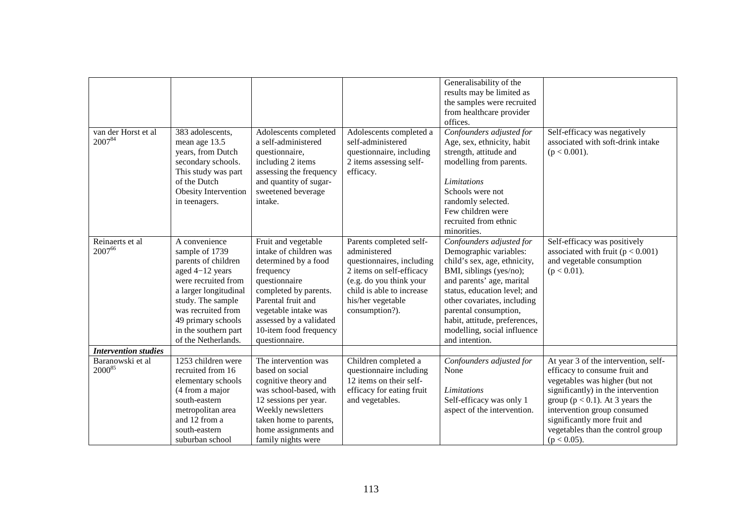| van der Horst et al<br>200784 | 383 adolescents,<br>mean age 13.5                                                                                                                                                                                                         | Adolescents completed<br>a self-administered                                                                                                                                                                                                      | Adolescents completed a<br>self-administered                                                                                                                                                    | Generalisability of the<br>results may be limited as<br>the samples were recruited<br>from healthcare provider<br>offices.<br>Confounders adjusted for<br>Age, sex, ethnicity, habit                                                                                                                                 | Self-efficacy was negatively<br>associated with soft-drink intake                                                                                                                                                                                                                        |
|-------------------------------|-------------------------------------------------------------------------------------------------------------------------------------------------------------------------------------------------------------------------------------------|---------------------------------------------------------------------------------------------------------------------------------------------------------------------------------------------------------------------------------------------------|-------------------------------------------------------------------------------------------------------------------------------------------------------------------------------------------------|----------------------------------------------------------------------------------------------------------------------------------------------------------------------------------------------------------------------------------------------------------------------------------------------------------------------|------------------------------------------------------------------------------------------------------------------------------------------------------------------------------------------------------------------------------------------------------------------------------------------|
|                               | years, from Dutch<br>secondary schools.<br>This study was part<br>of the Dutch                                                                                                                                                            | questionnaire,<br>including 2 items<br>assessing the frequency<br>and quantity of sugar-                                                                                                                                                          | questionnaire, including<br>2 items assessing self-<br>efficacy.                                                                                                                                | strength, attitude and<br>modelling from parents.<br>Limitations                                                                                                                                                                                                                                                     | $(p < 0.001)$ .                                                                                                                                                                                                                                                                          |
|                               | Obesity Intervention<br>in teenagers.                                                                                                                                                                                                     | sweetened beverage<br>intake.                                                                                                                                                                                                                     |                                                                                                                                                                                                 | Schools were not<br>randomly selected.<br>Few children were                                                                                                                                                                                                                                                          |                                                                                                                                                                                                                                                                                          |
|                               |                                                                                                                                                                                                                                           |                                                                                                                                                                                                                                                   |                                                                                                                                                                                                 | recruited from ethnic<br>minorities.                                                                                                                                                                                                                                                                                 |                                                                                                                                                                                                                                                                                          |
| Reinaerts et al<br>200766     | A convenience<br>sample of 1739<br>parents of children<br>aged 4-12 years<br>were recruited from<br>a larger longitudinal<br>study. The sample<br>was recruited from<br>49 primary schools<br>in the southern part<br>of the Netherlands. | Fruit and vegetable<br>intake of children was<br>determined by a food<br>frequency<br>questionnaire<br>completed by parents.<br>Parental fruit and<br>vegetable intake was<br>assessed by a validated<br>10-item food frequency<br>questionnaire. | Parents completed self-<br>administered<br>questionnaires, including<br>2 items on self-efficacy<br>(e.g. do you think your<br>child is able to increase<br>his/her vegetable<br>consumption?). | Confounders adjusted for<br>Demographic variables:<br>child's sex, age, ethnicity,<br>BMI, siblings (yes/no);<br>and parents' age, marital<br>status, education level; and<br>other covariates, including<br>parental consumption,<br>habit, attitude, preferences,<br>modelling, social influence<br>and intention. | Self-efficacy was positively<br>associated with fruit $(p < 0.001)$<br>and vegetable consumption<br>$(p < 0.01)$ .                                                                                                                                                                       |
| <b>Intervention studies</b>   |                                                                                                                                                                                                                                           |                                                                                                                                                                                                                                                   |                                                                                                                                                                                                 |                                                                                                                                                                                                                                                                                                                      |                                                                                                                                                                                                                                                                                          |
| Baranowski et al<br>200085    | 1253 children were<br>recruited from 16<br>elementary schools<br>(4 from a major<br>south-eastern<br>metropolitan area<br>and 12 from a<br>south-eastern                                                                                  | The intervention was<br>based on social<br>cognitive theory and<br>was school-based, with<br>12 sessions per year.<br>Weekly newsletters<br>taken home to parents,<br>home assignments and                                                        | Children completed a<br>questionnaire including<br>12 items on their self-<br>efficacy for eating fruit<br>and vegetables.                                                                      | Confounders adjusted for<br>None<br>Limitations<br>Self-efficacy was only 1<br>aspect of the intervention.                                                                                                                                                                                                           | At year 3 of the intervention, self-<br>efficacy to consume fruit and<br>vegetables was higher (but not<br>significantly) in the intervention<br>group ( $p < 0.1$ ). At 3 years the<br>intervention group consumed<br>significantly more fruit and<br>vegetables than the control group |
|                               | suburban school                                                                                                                                                                                                                           | family nights were                                                                                                                                                                                                                                |                                                                                                                                                                                                 |                                                                                                                                                                                                                                                                                                                      | $(p < 0.05)$ .                                                                                                                                                                                                                                                                           |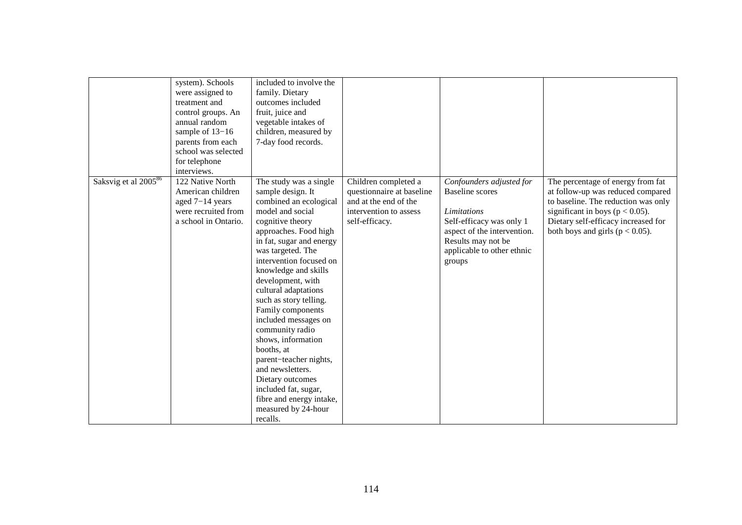|                                  | system). Schools<br>were assigned to<br>treatment and<br>control groups. An<br>annual random<br>sample of 13-16<br>parents from each<br>school was selected<br>for telephone<br>interviews. | included to involve the<br>family. Dietary<br>outcomes included<br>fruit, juice and<br>vegetable intakes of<br>children, measured by<br>7-day food records.                                                                                                                                                                                                                                                                                                                                                                                                                    |                                                                                                                        |                                                                                                                                                                                            |                                                                                                                                                                                                                                    |
|----------------------------------|---------------------------------------------------------------------------------------------------------------------------------------------------------------------------------------------|--------------------------------------------------------------------------------------------------------------------------------------------------------------------------------------------------------------------------------------------------------------------------------------------------------------------------------------------------------------------------------------------------------------------------------------------------------------------------------------------------------------------------------------------------------------------------------|------------------------------------------------------------------------------------------------------------------------|--------------------------------------------------------------------------------------------------------------------------------------------------------------------------------------------|------------------------------------------------------------------------------------------------------------------------------------------------------------------------------------------------------------------------------------|
| Saksvig et al 2005 <sup>86</sup> | 122 Native North<br>American children<br>aged 7-14 years<br>were recruited from<br>a school in Ontario.                                                                                     | The study was a single<br>sample design. It<br>combined an ecological<br>model and social<br>cognitive theory<br>approaches. Food high<br>in fat, sugar and energy<br>was targeted. The<br>intervention focused on<br>knowledge and skills<br>development, with<br>cultural adaptations<br>such as story telling.<br>Family components<br>included messages on<br>community radio<br>shows, information<br>booths, at<br>parent-teacher nights,<br>and newsletters.<br>Dietary outcomes<br>included fat, sugar,<br>fibre and energy intake,<br>measured by 24-hour<br>recalls. | Children completed a<br>questionnaire at baseline<br>and at the end of the<br>intervention to assess<br>self-efficacy. | Confounders adjusted for<br><b>Baseline</b> scores<br>Limitations<br>Self-efficacy was only 1<br>aspect of the intervention.<br>Results may not be<br>applicable to other ethnic<br>groups | The percentage of energy from fat<br>at follow-up was reduced compared<br>to baseline. The reduction was only<br>significant in boys ( $p < 0.05$ ).<br>Dietary self-efficacy increased for<br>both boys and girls ( $p < 0.05$ ). |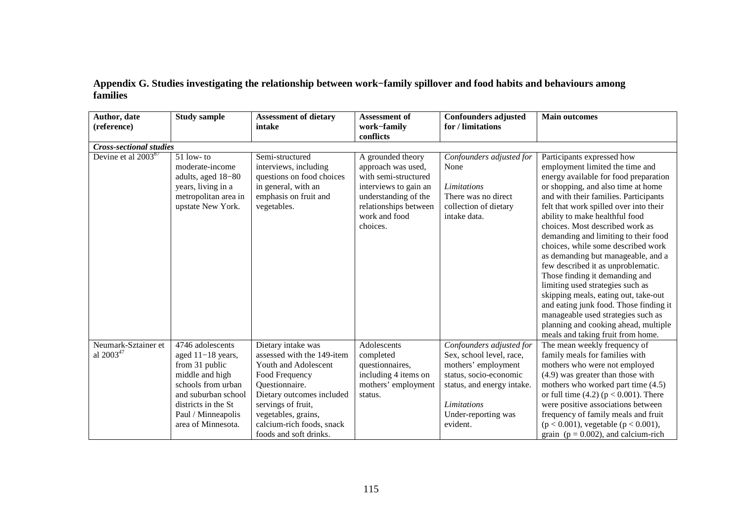## **Appendix G. Studies investigating the relationship between work−family spillover and food habits and behaviours among families**

| Author, date<br>(reference)                  | <b>Study sample</b>                                                                                                                                                                          | <b>Assessment of dietary</b><br>intake                                                                                                                                                                                                        | <b>Assessment of</b><br>work-family<br>conflicts                                                                                                                       | <b>Confounders adjusted</b><br>for / limitations                                                                                                                                      | <b>Main outcomes</b>                                                                                                                                                                                                                                                                                                                                                                                                                                                                                                                                                                                                                                                                                                                      |
|----------------------------------------------|----------------------------------------------------------------------------------------------------------------------------------------------------------------------------------------------|-----------------------------------------------------------------------------------------------------------------------------------------------------------------------------------------------------------------------------------------------|------------------------------------------------------------------------------------------------------------------------------------------------------------------------|---------------------------------------------------------------------------------------------------------------------------------------------------------------------------------------|-------------------------------------------------------------------------------------------------------------------------------------------------------------------------------------------------------------------------------------------------------------------------------------------------------------------------------------------------------------------------------------------------------------------------------------------------------------------------------------------------------------------------------------------------------------------------------------------------------------------------------------------------------------------------------------------------------------------------------------------|
| <b>Cross-sectional studies</b>               |                                                                                                                                                                                              |                                                                                                                                                                                                                                               |                                                                                                                                                                        |                                                                                                                                                                                       |                                                                                                                                                                                                                                                                                                                                                                                                                                                                                                                                                                                                                                                                                                                                           |
| Devine et al 2003 <sup>87</sup>              | $51$ low-to<br>moderate-income<br>adults, aged 18-80<br>years, living in a<br>metropolitan area in<br>upstate New York.                                                                      | Semi-structured<br>interviews, including<br>questions on food choices<br>in general, with an<br>emphasis on fruit and<br>vegetables.                                                                                                          | A grounded theory<br>approach was used,<br>with semi-structured<br>interviews to gain an<br>understanding of the<br>relationships between<br>work and food<br>choices. | Confounders adjusted for<br>None<br>Limitations<br>There was no direct<br>collection of dietary<br>intake data.                                                                       | Participants expressed how<br>employment limited the time and<br>energy available for food preparation<br>or shopping, and also time at home<br>and with their families. Participants<br>felt that work spilled over into their<br>ability to make healthful food<br>choices. Most described work as<br>demanding and limiting to their food<br>choices, while some described work<br>as demanding but manageable, and a<br>few described it as unproblematic.<br>Those finding it demanding and<br>limiting used strategies such as<br>skipping meals, eating out, take-out<br>and eating junk food. Those finding it<br>manageable used strategies such as<br>planning and cooking ahead, multiple<br>meals and taking fruit from home. |
| Neumark-Sztainer et<br>al 2003 <sup>47</sup> | 4746 adolescents<br>aged $11-18$ years,<br>from 31 public<br>middle and high<br>schools from urban<br>and suburban school<br>districts in the St<br>Paul / Minneapolis<br>area of Minnesota. | Dietary intake was<br>assessed with the 149-item<br>Youth and Adolescent<br>Food Frequency<br>Questionnaire.<br>Dietary outcomes included<br>servings of fruit,<br>vegetables, grains,<br>calcium-rich foods, snack<br>foods and soft drinks. | Adolescents<br>completed<br>questionnaires,<br>including 4 items on<br>mothers' employment<br>status.                                                                  | Confounders adjusted for<br>Sex, school level, race,<br>mothers' employment<br>status, socio-economic<br>status, and energy intake.<br>Limitations<br>Under-reporting was<br>evident. | The mean weekly frequency of<br>family meals for families with<br>mothers who were not employed<br>$(4.9)$ was greater than those with<br>mothers who worked part time (4.5)<br>or full time $(4.2)$ ( $p < 0.001$ ). There<br>were positive associations between<br>frequency of family meals and fruit<br>$(p < 0.001)$ , vegetable $(p < 0.001)$ ,<br>grain ( $p = 0.002$ ), and calcium-rich                                                                                                                                                                                                                                                                                                                                          |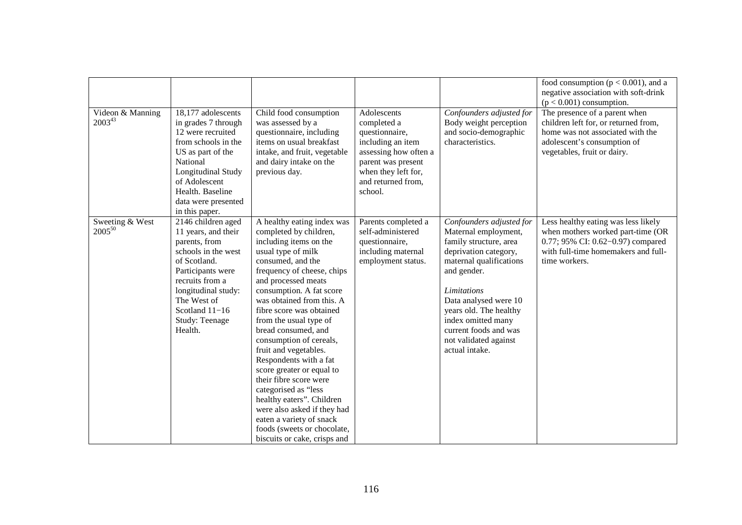|                                 |                                                                                                                                                                                                                                |                                                                                                                                                                                                                                                                                                                                                                                                                                                                                                                                                                                                                                          |                                                                                                                                                                          |                                                                                                                                                                                                                                                                                                                  | food consumption ( $p < 0.001$ ), and a<br>negative association with soft-drink<br>$(p < 0.001)$ consumption.                                                           |
|---------------------------------|--------------------------------------------------------------------------------------------------------------------------------------------------------------------------------------------------------------------------------|------------------------------------------------------------------------------------------------------------------------------------------------------------------------------------------------------------------------------------------------------------------------------------------------------------------------------------------------------------------------------------------------------------------------------------------------------------------------------------------------------------------------------------------------------------------------------------------------------------------------------------------|--------------------------------------------------------------------------------------------------------------------------------------------------------------------------|------------------------------------------------------------------------------------------------------------------------------------------------------------------------------------------------------------------------------------------------------------------------------------------------------------------|-------------------------------------------------------------------------------------------------------------------------------------------------------------------------|
| Videon & Manning<br>$2003^{43}$ | 18,177 adolescents<br>in grades 7 through<br>12 were recruited<br>from schools in the<br>US as part of the<br>National<br>Longitudinal Study<br>of Adolescent<br>Health. Baseline<br>data were presented<br>in this paper.     | Child food consumption<br>was assessed by a<br>questionnaire, including<br>items on usual breakfast<br>intake, and fruit, vegetable<br>and dairy intake on the<br>previous day.                                                                                                                                                                                                                                                                                                                                                                                                                                                          | Adolescents<br>completed a<br>questionnaire,<br>including an item<br>assessing how often a<br>parent was present<br>when they left for,<br>and returned from,<br>school. | Confounders adjusted for<br>Body weight perception<br>and socio-demographic<br>characteristics.                                                                                                                                                                                                                  | The presence of a parent when<br>children left for, or returned from,<br>home was not associated with the<br>adolescent's consumption of<br>vegetables, fruit or dairy. |
| Sweeting & West<br>$2005^{50}$  | 2146 children aged<br>11 years, and their<br>parents, from<br>schools in the west<br>of Scotland.<br>Participants were<br>recruits from a<br>longitudinal study:<br>The West of<br>Scotland 11-16<br>Study: Teenage<br>Health. | A healthy eating index was<br>completed by children,<br>including items on the<br>usual type of milk<br>consumed, and the<br>frequency of cheese, chips<br>and processed meats<br>consumption. A fat score<br>was obtained from this. A<br>fibre score was obtained<br>from the usual type of<br>bread consumed, and<br>consumption of cereals,<br>fruit and vegetables.<br>Respondents with a fat<br>score greater or equal to<br>their fibre score were<br>categorised as "less<br>healthy eaters". Children<br>were also asked if they had<br>eaten a variety of snack<br>foods (sweets or chocolate,<br>biscuits or cake, crisps and | Parents completed a<br>self-administered<br>questionnaire,<br>including maternal<br>employment status.                                                                   | Confounders adjusted for<br>Maternal employment,<br>family structure, area<br>deprivation category,<br>maternal qualifications<br>and gender.<br><b>Limitations</b><br>Data analysed were 10<br>years old. The healthy<br>index omitted many<br>current foods and was<br>not validated against<br>actual intake. | Less healthy eating was less likely<br>when mothers worked part-time (OR<br>0.77; 95% CI: 0.62-0.97) compared<br>with full-time homemakers and full-<br>time workers.   |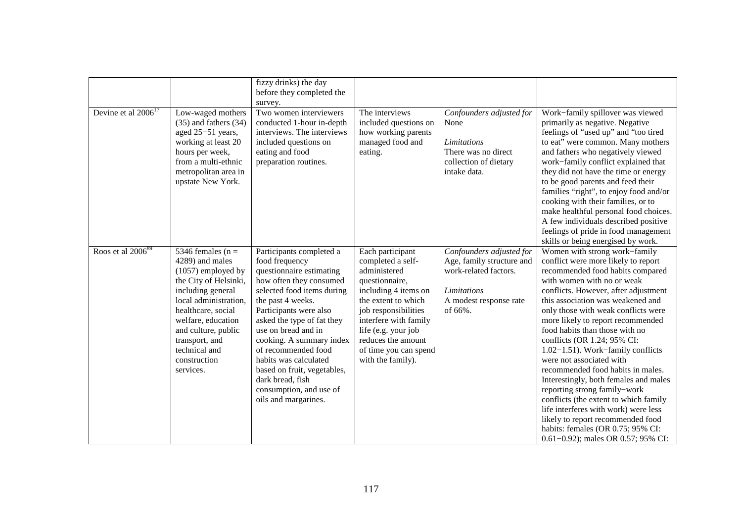|                               |                                                                                                                                                                                                                                                                           | fizzy drinks) the day<br>before they completed the<br>survey.                                                                                                                                                                                                                                                                                                                                                         |                                                                                                                                                                                                                                                                    |                                                                                                                                           |                                                                                                                                                                                                                                                                                                                                                                                                                                                                                                                                                                                                                                                                                                                                                      |
|-------------------------------|---------------------------------------------------------------------------------------------------------------------------------------------------------------------------------------------------------------------------------------------------------------------------|-----------------------------------------------------------------------------------------------------------------------------------------------------------------------------------------------------------------------------------------------------------------------------------------------------------------------------------------------------------------------------------------------------------------------|--------------------------------------------------------------------------------------------------------------------------------------------------------------------------------------------------------------------------------------------------------------------|-------------------------------------------------------------------------------------------------------------------------------------------|------------------------------------------------------------------------------------------------------------------------------------------------------------------------------------------------------------------------------------------------------------------------------------------------------------------------------------------------------------------------------------------------------------------------------------------------------------------------------------------------------------------------------------------------------------------------------------------------------------------------------------------------------------------------------------------------------------------------------------------------------|
| Devine et al $2006^{17}$      | Low-waged mothers<br>$(35)$ and fathers $(34)$<br>aged 25-51 years,<br>working at least 20<br>hours per week,<br>from a multi-ethnic<br>metropolitan area in<br>upstate New York.                                                                                         | Two women interviewers<br>conducted 1-hour in-depth<br>interviews. The interviews<br>included questions on<br>eating and food<br>preparation routines.                                                                                                                                                                                                                                                                | The interviews<br>included questions on<br>how working parents<br>managed food and<br>eating.                                                                                                                                                                      | Confounders adjusted for<br>None<br>Limitations<br>There was no direct<br>collection of dietary<br>intake data.                           | Work-family spillover was viewed<br>primarily as negative. Negative<br>feelings of "used up" and "too tired<br>to eat" were common. Many mothers<br>and fathers who negatively viewed<br>work-family conflict explained that<br>they did not have the time or energy<br>to be good parents and feed their<br>families "right", to enjoy food and/or<br>cooking with their families, or to<br>make healthful personal food choices.<br>A few individuals described positive<br>feelings of pride in food management<br>skills or being energised by work.                                                                                                                                                                                             |
| Roos et al 2006 <sup>89</sup> | 5346 females ( $n =$<br>4289) and males<br>$(1057)$ employed by<br>the City of Helsinki,<br>including general<br>local administration,<br>healthcare, social<br>welfare, education<br>and culture, public<br>transport, and<br>technical and<br>construction<br>services. | Participants completed a<br>food frequency<br>questionnaire estimating<br>how often they consumed<br>selected food items during<br>the past 4 weeks.<br>Participants were also<br>asked the type of fat they<br>use on bread and in<br>cooking. A summary index<br>of recommended food<br>habits was calculated<br>based on fruit, vegetables,<br>dark bread, fish<br>consumption, and use of<br>oils and margarines. | Each participant<br>completed a self-<br>administered<br>questionnaire,<br>including 4 items on<br>the extent to which<br>job responsibilities<br>interfere with family<br>life (e.g. your job<br>reduces the amount<br>of time you can spend<br>with the family). | Confounders adjusted for<br>Age, family structure and<br>work-related factors.<br><b>Limitations</b><br>A modest response rate<br>of 66%. | Women with strong work-family<br>conflict were more likely to report<br>recommended food habits compared<br>with women with no or weak<br>conflicts. However, after adjustment<br>this association was weakened and<br>only those with weak conflicts were<br>more likely to report recommended<br>food habits than those with no<br>conflicts (OR 1.24; 95% CI:<br>1.02-1.51). Work-family conflicts<br>were not associated with<br>recommended food habits in males.<br>Interestingly, both females and males<br>reporting strong family-work<br>conflicts (the extent to which family<br>life interferes with work) were less<br>likely to report recommended food<br>habits: females (OR 0.75; 95% CI:<br>$0.61 - 0.92$ ; males OR 0.57; 95% CI: |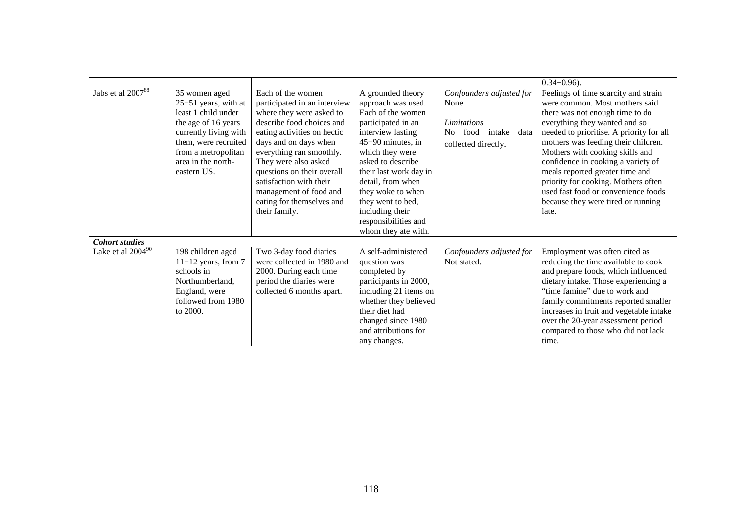|                               |                                                                                                                                                                                                  |                                                                                                                                                                                                                                                                                                                                                         |                                                                                                                                                                                                                                                                                                                                   |                                                                                                     | $0.34 - 0.96$ ).                                                                                                                                                                                                                                                                                                                                                                                                                                                       |
|-------------------------------|--------------------------------------------------------------------------------------------------------------------------------------------------------------------------------------------------|---------------------------------------------------------------------------------------------------------------------------------------------------------------------------------------------------------------------------------------------------------------------------------------------------------------------------------------------------------|-----------------------------------------------------------------------------------------------------------------------------------------------------------------------------------------------------------------------------------------------------------------------------------------------------------------------------------|-----------------------------------------------------------------------------------------------------|------------------------------------------------------------------------------------------------------------------------------------------------------------------------------------------------------------------------------------------------------------------------------------------------------------------------------------------------------------------------------------------------------------------------------------------------------------------------|
| Jabs et al 2007 <sup>88</sup> | 35 women aged<br>25-51 years, with at<br>least 1 child under<br>the age of 16 years<br>currently living with<br>them, were recruited<br>from a metropolitan<br>area in the north-<br>eastern US. | Each of the women<br>participated in an interview<br>where they were asked to<br>describe food choices and<br>eating activities on hectic<br>days and on days when<br>everything ran smoothly.<br>They were also asked<br>questions on their overall<br>satisfaction with their<br>management of food and<br>eating for themselves and<br>their family. | A grounded theory<br>approach was used.<br>Each of the women<br>participated in an<br>interview lasting<br>$45-90$ minutes, in<br>which they were<br>asked to describe<br>their last work day in<br>detail, from when<br>they woke to when<br>they went to bed,<br>including their<br>responsibilities and<br>whom they ate with. | Confounders adjusted for<br>None<br>Limitations<br>No food<br>intake<br>data<br>collected directly. | Feelings of time scarcity and strain<br>were common. Most mothers said<br>there was not enough time to do<br>everything they wanted and so<br>needed to prioritise. A priority for all<br>mothers was feeding their children.<br>Mothers with cooking skills and<br>confidence in cooking a variety of<br>meals reported greater time and<br>priority for cooking. Mothers often<br>used fast food or convenience foods<br>because they were tired or running<br>late. |
| <b>Cohort studies</b>         |                                                                                                                                                                                                  |                                                                                                                                                                                                                                                                                                                                                         |                                                                                                                                                                                                                                                                                                                                   |                                                                                                     |                                                                                                                                                                                                                                                                                                                                                                                                                                                                        |
| Lake et al $2004^{90}$        | 198 children aged<br>$11-12$ years, from 7<br>schools in<br>Northumberland,<br>England, were<br>followed from 1980<br>to 2000.                                                                   | Two 3-day food diaries<br>were collected in 1980 and<br>2000. During each time<br>period the diaries were<br>collected 6 months apart.                                                                                                                                                                                                                  | A self-administered<br>question was<br>completed by<br>participants in 2000,<br>including 21 items on<br>whether they believed<br>their diet had<br>changed since 1980<br>and attributions for<br>any changes.                                                                                                                    | Confounders adjusted for<br>Not stated.                                                             | Employment was often cited as<br>reducing the time available to cook<br>and prepare foods, which influenced<br>dietary intake. Those experiencing a<br>"time famine" due to work and<br>family commitments reported smaller<br>increases in fruit and vegetable intake<br>over the 20-year assessment period<br>compared to those who did not lack<br>time.                                                                                                            |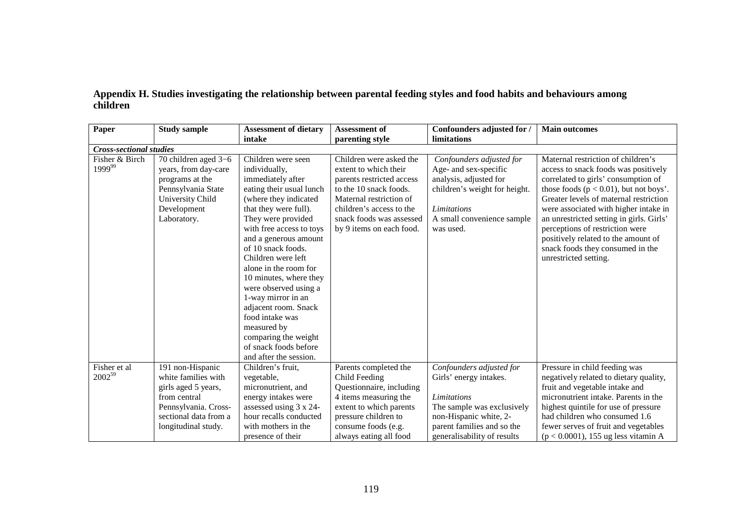|          | Appendix H. Studies investigating the relationship between parental feeding styles and food habits and behaviours among |  |  |
|----------|-------------------------------------------------------------------------------------------------------------------------|--|--|
| children |                                                                                                                         |  |  |

| Paper                              | <b>Study sample</b>                                                                                                                                    | <b>Assessment of dietary</b>                                                                                                                                                                                                                                                                                                                                                                                                                                                                         | <b>Assessment of</b>                                                                                                                                                                                                   | Confounders adjusted for                                                                                                                                                               | <b>Main outcomes</b>                                                                                                                                                                                                                                                                                                                                                                                                                  |
|------------------------------------|--------------------------------------------------------------------------------------------------------------------------------------------------------|------------------------------------------------------------------------------------------------------------------------------------------------------------------------------------------------------------------------------------------------------------------------------------------------------------------------------------------------------------------------------------------------------------------------------------------------------------------------------------------------------|------------------------------------------------------------------------------------------------------------------------------------------------------------------------------------------------------------------------|----------------------------------------------------------------------------------------------------------------------------------------------------------------------------------------|---------------------------------------------------------------------------------------------------------------------------------------------------------------------------------------------------------------------------------------------------------------------------------------------------------------------------------------------------------------------------------------------------------------------------------------|
|                                    |                                                                                                                                                        | intake                                                                                                                                                                                                                                                                                                                                                                                                                                                                                               | parenting style                                                                                                                                                                                                        | limitations                                                                                                                                                                            |                                                                                                                                                                                                                                                                                                                                                                                                                                       |
| <b>Cross-sectional studies</b>     |                                                                                                                                                        |                                                                                                                                                                                                                                                                                                                                                                                                                                                                                                      |                                                                                                                                                                                                                        |                                                                                                                                                                                        |                                                                                                                                                                                                                                                                                                                                                                                                                                       |
| Fisher & Birch<br>199999           | 70 children aged 3-6<br>years, from day-care<br>programs at the<br>Pennsylvania State<br>University Child<br>Development<br>Laboratory.                | Children were seen<br>individually,<br>immediately after<br>eating their usual lunch<br>(where they indicated<br>that they were full).<br>They were provided<br>with free access to toys<br>and a generous amount<br>of 10 snack foods.<br>Children were left<br>alone in the room for<br>10 minutes, where they<br>were observed using a<br>1-way mirror in an<br>adjacent room. Snack<br>food intake was<br>measured by<br>comparing the weight<br>of snack foods before<br>and after the session. | Children were asked the<br>extent to which their<br>parents restricted access<br>to the 10 snack foods.<br>Maternal restriction of<br>children's access to the<br>snack foods was assessed<br>by 9 items on each food. | Confounders adjusted for<br>Age- and sex-specific<br>analysis, adjusted for<br>children's weight for height.<br><b>Limitations</b><br>A small convenience sample<br>was used.          | Maternal restriction of children's<br>access to snack foods was positively<br>correlated to girls' consumption of<br>those foods ( $p < 0.01$ ), but not boys'.<br>Greater levels of maternal restriction<br>were associated with higher intake in<br>an unrestricted setting in girls. Girls'<br>perceptions of restriction were<br>positively related to the amount of<br>snack foods they consumed in the<br>unrestricted setting. |
| Fisher et al<br>2002 <sup>59</sup> | 191 non-Hispanic<br>white families with<br>girls aged 5 years,<br>from central<br>Pennsylvania. Cross-<br>sectional data from a<br>longitudinal study. | Children's fruit,<br>vegetable,<br>micronutrient, and<br>energy intakes were<br>assessed using 3 x 24-<br>hour recalls conducted<br>with mothers in the<br>presence of their                                                                                                                                                                                                                                                                                                                         | Parents completed the<br>Child Feeding<br>Questionnaire, including<br>4 items measuring the<br>extent to which parents<br>pressure children to<br>consume foods (e.g.<br>always eating all food                        | Confounders adjusted for<br>Girls' energy intakes.<br>Limitations<br>The sample was exclusively<br>non-Hispanic white, 2-<br>parent families and so the<br>generalisability of results | Pressure in child feeding was<br>negatively related to dietary quality,<br>fruit and vegetable intake and<br>micronutrient intake. Parents in the<br>highest quintile for use of pressure<br>had children who consumed 1.6<br>fewer serves of fruit and vegetables<br>$(p < 0.0001)$ , 155 ug less vitamin A                                                                                                                          |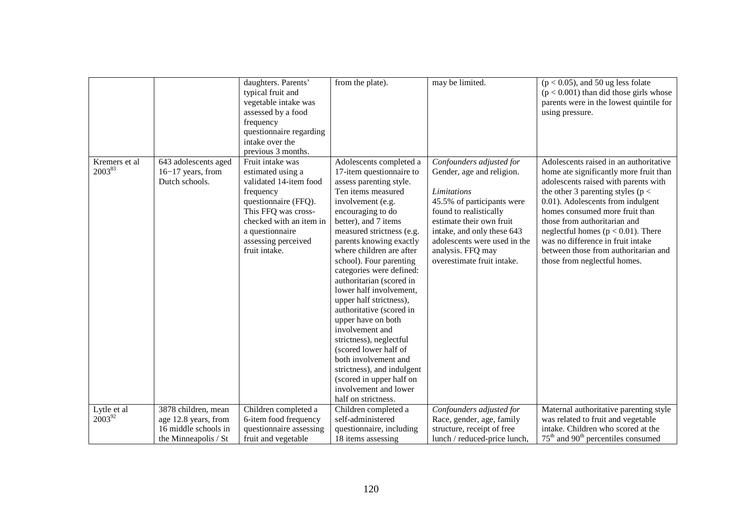|                         |                                                                                             | daughters. Parents'<br>typical fruit and<br>vegetable intake was<br>assessed by a food<br>frequency<br>questionnaire regarding<br>intake over the<br>previous 3 months.                                           | from the plate).                                                                                                                                                                                                                                                                                                                                                                                                                                                                                                                                                                                                                                               | may be limited.                                                                                                                                                                                                                                                           | $(p < 0.05)$ , and 50 ug less folate<br>$(p < 0.001)$ than did those girls whose<br>parents were in the lowest quintile for<br>using pressure.                                                                                                                                                                                                                                                                                 |
|-------------------------|---------------------------------------------------------------------------------------------|-------------------------------------------------------------------------------------------------------------------------------------------------------------------------------------------------------------------|----------------------------------------------------------------------------------------------------------------------------------------------------------------------------------------------------------------------------------------------------------------------------------------------------------------------------------------------------------------------------------------------------------------------------------------------------------------------------------------------------------------------------------------------------------------------------------------------------------------------------------------------------------------|---------------------------------------------------------------------------------------------------------------------------------------------------------------------------------------------------------------------------------------------------------------------------|--------------------------------------------------------------------------------------------------------------------------------------------------------------------------------------------------------------------------------------------------------------------------------------------------------------------------------------------------------------------------------------------------------------------------------|
| Kremers et al<br>200383 | 643 adolescents aged<br>$16-17$ years, from<br>Dutch schools.                               | Fruit intake was<br>estimated using a<br>validated 14-item food<br>frequency<br>questionnaire (FFQ).<br>This FFQ was cross-<br>checked with an item in<br>a questionnaire<br>assessing perceived<br>fruit intake. | Adolescents completed a<br>17-item questionnaire to<br>assess parenting style.<br>Ten items measured<br>involvement (e.g.<br>encouraging to do<br>better), and 7 items<br>measured strictness (e.g.<br>parents knowing exactly<br>where children are after<br>school). Four parenting<br>categories were defined:<br>authoritarian (scored in<br>lower half involvement,<br>upper half strictness),<br>authoritative (scored in<br>upper have on both<br>involvement and<br>strictness), neglectful<br>(scored lower half of<br>both involvement and<br>strictness), and indulgent<br>(scored in upper half on<br>involvement and lower<br>half on strictness. | Confounders adjusted for<br>Gender, age and religion.<br>Limitations<br>45.5% of participants were<br>found to realistically<br>estimate their own fruit<br>intake, and only these 643<br>adolescents were used in the<br>analysis. FFQ may<br>overestimate fruit intake. | Adolescents raised in an authoritative<br>home ate significantly more fruit than<br>adolescents raised with parents with<br>the other 3 parenting styles ( $p <$<br>0.01). Adolescents from indulgent<br>homes consumed more fruit than<br>those from authoritarian and<br>neglectful homes ( $p < 0.01$ ). There<br>was no difference in fruit intake<br>between those from authoritarian and<br>those from neglectful homes. |
| Lytle et al<br>200392   | 3878 children, mean<br>age 12.8 years, from<br>16 middle schools in<br>the Minneapolis / St | Children completed a<br>6-item food frequency<br>questionnaire assessing<br>fruit and vegetable                                                                                                                   | Children completed a<br>self-administered<br>questionnaire, including<br>18 items assessing                                                                                                                                                                                                                                                                                                                                                                                                                                                                                                                                                                    | Confounders adjusted for<br>Race, gender, age, family<br>structure, receipt of free<br>lunch / reduced-price lunch,                                                                                                                                                       | Maternal authoritative parenting style<br>was related to fruit and vegetable<br>intake. Children who scored at the<br>$75th$ and 90 <sup>th</sup> percentiles consumed                                                                                                                                                                                                                                                         |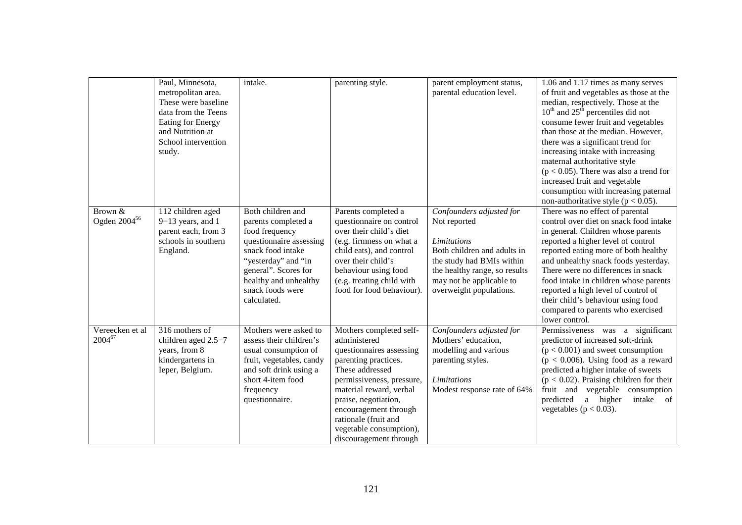|                                                   | Paul, Minnesota,<br>metropolitan area.<br>These were baseline<br>data from the Teens<br>Eating for Energy<br>and Nutrition at<br>School intervention<br>study. | intake.                                                                                                                                                                                                               | parenting style.                                                                                                                                                                                                                                                                                     | parent employment status,<br>parental education level.                                                                                                                                                             | 1.06 and 1.17 times as many serves<br>of fruit and vegetables as those at the<br>median, respectively. Those at the<br>$10^{th}$ and $25^{th}$ percentiles did not<br>consume fewer fruit and vegetables<br>than those at the median. However,<br>there was a significant trend for<br>increasing intake with increasing<br>maternal authoritative style<br>$(p < 0.05)$ . There was also a trend for<br>increased fruit and vegetable<br>consumption with increasing paternal<br>non-authoritative style ( $p < 0.05$ ). |
|---------------------------------------------------|----------------------------------------------------------------------------------------------------------------------------------------------------------------|-----------------------------------------------------------------------------------------------------------------------------------------------------------------------------------------------------------------------|------------------------------------------------------------------------------------------------------------------------------------------------------------------------------------------------------------------------------------------------------------------------------------------------------|--------------------------------------------------------------------------------------------------------------------------------------------------------------------------------------------------------------------|---------------------------------------------------------------------------------------------------------------------------------------------------------------------------------------------------------------------------------------------------------------------------------------------------------------------------------------------------------------------------------------------------------------------------------------------------------------------------------------------------------------------------|
| Brown $\overline{\&}$<br>Ogden 2004 <sup>56</sup> | 112 children aged<br>$9-13$ years, and 1<br>parent each, from 3<br>schools in southern<br>England.                                                             | Both children and<br>parents completed a<br>food frequency<br>questionnaire assessing<br>snack food intake<br>"yesterday" and "in<br>general". Scores for<br>healthy and unhealthy<br>snack foods were<br>calculated. | Parents completed a<br>questionnaire on control<br>over their child's diet<br>(e.g. firmness on what a<br>child eats), and control<br>over their child's<br>behaviour using food<br>(e.g. treating child with<br>food for food behaviour).                                                           | Confounders adjusted for<br>Not reported<br><b>Limitations</b><br>Both children and adults in<br>the study had BMIs within<br>the healthy range, so results<br>may not be applicable to<br>overweight populations. | There was no effect of parental<br>control over diet on snack food intake<br>in general. Children whose parents<br>reported a higher level of control<br>reported eating more of both healthy<br>and unhealthy snack foods yesterday.<br>There were no differences in snack<br>food intake in children whose parents<br>reported a high level of control of<br>their child's behaviour using food<br>compared to parents who exercised<br>lower control.                                                                  |
| Vereecken et al<br>$2004^{67}$                    | 316 mothers of<br>children aged 2.5-7<br>years, from 8<br>kindergartens in<br>Ieper, Belgium.                                                                  | Mothers were asked to<br>assess their children's<br>usual consumption of<br>fruit, vegetables, candy<br>and soft drink using a<br>short 4-item food<br>frequency<br>questionnaire.                                    | Mothers completed self-<br>administered<br>questionnaires assessing<br>parenting practices.<br>These addressed<br>permissiveness, pressure,<br>material reward, verbal<br>praise, negotiation,<br>encouragement through<br>rationale (fruit and<br>vegetable consumption),<br>discouragement through | Confounders adjusted for<br>Mothers' education,<br>modelling and various<br>parenting styles.<br>Limitations<br>Modest response rate of 64%                                                                        | Permissiveness was a significant<br>predictor of increased soft-drink<br>$(p < 0.001)$ and sweet consumption<br>$(p < 0.006)$ . Using food as a reward<br>predicted a higher intake of sweets<br>$(p < 0.02)$ . Praising children for their<br>fruit and vegetable consumption<br>predicted<br>a higher<br>intake of<br>vegetables ( $p < 0.03$ ).                                                                                                                                                                        |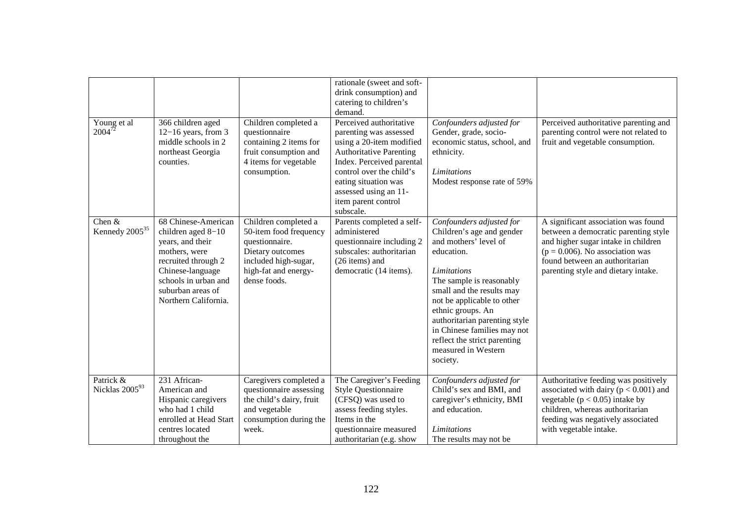| Young et al<br>$2004^{72}$             | 366 children aged<br>$12-16$ years, from 3<br>middle schools in 2<br>northeast Georgia<br>counties.                                                                                            | Children completed a<br>questionnaire<br>containing 2 items for<br>fruit consumption and<br>4 items for vegetable<br>consumption.                    | rationale (sweet and soft-<br>drink consumption) and<br>catering to children's<br>demand.<br>Perceived authoritative<br>parenting was assessed<br>using a 20-item modified<br><b>Authoritative Parenting</b><br>Index. Perceived parental<br>control over the child's<br>eating situation was<br>assessed using an 11-<br>item parent control<br>subscale. | Confounders adjusted for<br>Gender, grade, socio-<br>economic status, school, and<br>ethnicity.<br><b>Limitations</b><br>Modest response rate of 59%                                                                                                                                                                                                              | Perceived authoritative parenting and<br>parenting control were not related to<br>fruit and vegetable consumption.                                                                                                                |
|----------------------------------------|------------------------------------------------------------------------------------------------------------------------------------------------------------------------------------------------|------------------------------------------------------------------------------------------------------------------------------------------------------|------------------------------------------------------------------------------------------------------------------------------------------------------------------------------------------------------------------------------------------------------------------------------------------------------------------------------------------------------------|-------------------------------------------------------------------------------------------------------------------------------------------------------------------------------------------------------------------------------------------------------------------------------------------------------------------------------------------------------------------|-----------------------------------------------------------------------------------------------------------------------------------------------------------------------------------------------------------------------------------|
| Chen $&$<br>Kennedy 2005 <sup>35</sup> | 68 Chinese-American<br>children aged 8-10<br>years, and their<br>mothers, were<br>recruited through 2<br>Chinese-language<br>schools in urban and<br>suburban areas of<br>Northern California. | Children completed a<br>50-item food frequency<br>questionnaire.<br>Dietary outcomes<br>included high-sugar,<br>high-fat and energy-<br>dense foods. | Parents completed a self-<br>administered<br>questionnaire including 2<br>subscales: authoritarian<br>(26 items) and<br>democratic (14 items).                                                                                                                                                                                                             | Confounders adjusted for<br>Children's age and gender<br>and mothers' level of<br>education.<br><b>Limitations</b><br>The sample is reasonably<br>small and the results may<br>not be applicable to other<br>ethnic groups. An<br>authoritarian parenting style<br>in Chinese families may not<br>reflect the strict parenting<br>measured in Western<br>society. | A significant association was found<br>between a democratic parenting style<br>and higher sugar intake in children<br>$(p = 0.006)$ . No association was<br>found between an authoritarian<br>parenting style and dietary intake. |
| Patrick &<br>Nicklas 200593            | 231 African-<br>American and<br>Hispanic caregivers<br>who had 1 child<br>enrolled at Head Start<br>centres located<br>throughout the                                                          | Caregivers completed a<br>questionnaire assessing<br>the child's dairy, fruit<br>and vegetable<br>consumption during the<br>week.                    | The Caregiver's Feeding<br><b>Style Questionnaire</b><br>(CFSQ) was used to<br>assess feeding styles.<br>Items in the<br>questionnaire measured<br>authoritarian (e.g. show                                                                                                                                                                                | Confounders adjusted for<br>Child's sex and BMI, and<br>caregiver's ethnicity, BMI<br>and education.<br><b>Limitations</b><br>The results may not be                                                                                                                                                                                                              | Authoritative feeding was positively<br>associated with dairy ( $p < 0.001$ ) and<br>vegetable ( $p < 0.05$ ) intake by<br>children, whereas authoritarian<br>feeding was negatively associated<br>with vegetable intake.         |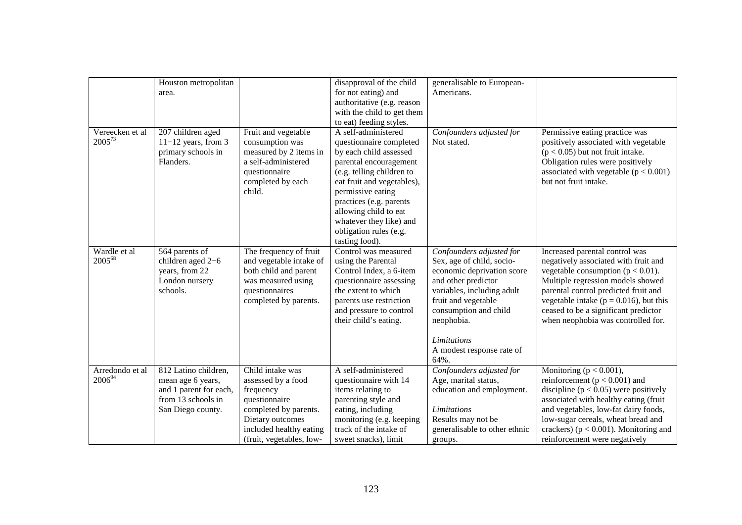|                                | Houston metropolitan<br>area.                                                                                  |                                                                                                                                                                          | disapproval of the child<br>for not eating) and<br>authoritative (e.g. reason<br>with the child to get them<br>to eat) feeding styles.                                                                                                                                                                        | generalisable to European-<br>Americans.                                                                                                                                                                                                                          |                                                                                                                                                                                                                                                                                                                          |
|--------------------------------|----------------------------------------------------------------------------------------------------------------|--------------------------------------------------------------------------------------------------------------------------------------------------------------------------|---------------------------------------------------------------------------------------------------------------------------------------------------------------------------------------------------------------------------------------------------------------------------------------------------------------|-------------------------------------------------------------------------------------------------------------------------------------------------------------------------------------------------------------------------------------------------------------------|--------------------------------------------------------------------------------------------------------------------------------------------------------------------------------------------------------------------------------------------------------------------------------------------------------------------------|
| Vereecken et al<br>200573      | 207 children aged<br>$11-12$ years, from 3<br>primary schools in<br>Flanders.                                  | Fruit and vegetable<br>consumption was<br>measured by 2 items in<br>a self-administered<br>questionnaire<br>completed by each<br>child.                                  | A self-administered<br>questionnaire completed<br>by each child assessed<br>parental encouragement<br>(e.g. telling children to<br>eat fruit and vegetables),<br>permissive eating<br>practices (e.g. parents<br>allowing child to eat<br>whatever they like) and<br>obligation rules (e.g.<br>tasting food). | Confounders adjusted for<br>Not stated.                                                                                                                                                                                                                           | Permissive eating practice was<br>positively associated with vegetable<br>$(p < 0.05)$ but not fruit intake.<br>Obligation rules were positively<br>associated with vegetable $(p < 0.001)$<br>but not fruit intake.                                                                                                     |
| Wardle et al<br>200568         | 564 parents of<br>children aged 2-6<br>years, from 22<br>London nursery<br>schools.                            | The frequency of fruit<br>and vegetable intake of<br>both child and parent<br>was measured using<br>questionnaires<br>completed by parents.                              | Control was measured<br>using the Parental<br>Control Index, a 6-item<br>questionnaire assessing<br>the extent to which<br>parents use restriction<br>and pressure to control<br>their child's eating.                                                                                                        | Confounders adjusted for<br>Sex, age of child, socio-<br>economic deprivation score<br>and other predictor<br>variables, including adult<br>fruit and vegetable<br>consumption and child<br>neophobia.<br><b>Limitations</b><br>A modest response rate of<br>64%. | Increased parental control was<br>negatively associated with fruit and<br>vegetable consumption ( $p < 0.01$ ).<br>Multiple regression models showed<br>parental control predicted fruit and<br>vegetable intake ( $p = 0.016$ ), but this<br>ceased to be a significant predictor<br>when neophobia was controlled for. |
| Arredondo et al<br>$2006^{94}$ | 812 Latino children,<br>mean age 6 years,<br>and 1 parent for each,<br>from 13 schools in<br>San Diego county. | Child intake was<br>assessed by a food<br>frequency<br>questionnaire<br>completed by parents.<br>Dietary outcomes<br>included healthy eating<br>(fruit, vegetables, low- | A self-administered<br>questionnaire with 14<br>items relating to<br>parenting style and<br>eating, including<br>monitoring (e.g. keeping<br>track of the intake of<br>sweet snacks), limit                                                                                                                   | Confounders adjusted for<br>Age, marital status,<br>education and employment.<br>Limitations<br>Results may not be<br>generalisable to other ethnic<br>groups.                                                                                                    | Monitoring ( $p < 0.001$ ),<br>reinforcement ( $p < 0.001$ ) and<br>discipline ( $p < 0.05$ ) were positively<br>associated with healthy eating (fruit<br>and vegetables, low-fat dairy foods,<br>low-sugar cereals, wheat bread and<br>crackers) ( $p < 0.001$ ). Monitoring and<br>reinforcement were negatively       |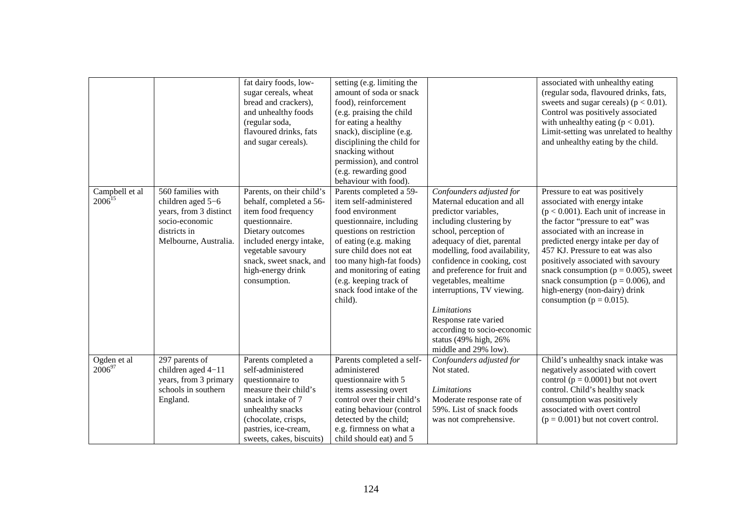|                               |                                                                                                                             | fat dairy foods, low-<br>sugar cereals, wheat<br>bread and crackers),<br>and unhealthy foods<br>(regular soda,<br>flavoured drinks, fats<br>and sugar cereals).                                                                   | setting (e.g. limiting the<br>amount of soda or snack<br>food), reinforcement<br>(e.g. praising the child<br>for eating a healthy<br>snack), discipline (e.g.<br>disciplining the child for<br>snacking without<br>permission), and control<br>(e.g. rewarding good<br>behaviour with food).                |                                                                                                                                                                                                                                                                                                                                                                                                                                                      | associated with unhealthy eating<br>(regular soda, flavoured drinks, fats,<br>sweets and sugar cereals) ( $p < 0.01$ ).<br>Control was positively associated<br>with unhealthy eating ( $p < 0.01$ ).<br>Limit-setting was unrelated to healthy<br>and unhealthy eating by the child.                                                                                                                                                                    |
|-------------------------------|-----------------------------------------------------------------------------------------------------------------------------|-----------------------------------------------------------------------------------------------------------------------------------------------------------------------------------------------------------------------------------|-------------------------------------------------------------------------------------------------------------------------------------------------------------------------------------------------------------------------------------------------------------------------------------------------------------|------------------------------------------------------------------------------------------------------------------------------------------------------------------------------------------------------------------------------------------------------------------------------------------------------------------------------------------------------------------------------------------------------------------------------------------------------|----------------------------------------------------------------------------------------------------------------------------------------------------------------------------------------------------------------------------------------------------------------------------------------------------------------------------------------------------------------------------------------------------------------------------------------------------------|
| Campbell et al<br>$2006^{15}$ | 560 families with<br>children aged 5-6<br>years, from 3 distinct<br>socio-economic<br>districts in<br>Melbourne, Australia. | Parents, on their child's<br>behalf, completed a 56-<br>item food frequency<br>questionnaire.<br>Dietary outcomes<br>included energy intake,<br>vegetable savoury<br>snack, sweet snack, and<br>high-energy drink<br>consumption. | Parents completed a 59-<br>item self-administered<br>food environment<br>questionnaire, including<br>questions on restriction<br>of eating (e.g. making<br>sure child does not eat<br>too many high-fat foods)<br>and monitoring of eating<br>(e.g. keeping track of<br>snack food intake of the<br>child). | Confounders adjusted for<br>Maternal education and all<br>predictor variables,<br>including clustering by<br>school, perception of<br>adequacy of diet, parental<br>modelling, food availability,<br>confidence in cooking, cost<br>and preference for fruit and<br>vegetables, mealtime<br>interruptions, TV viewing.<br><b>Limitations</b><br>Response rate varied<br>according to socio-economic<br>status (49% high, 26%<br>middle and 29% low). | Pressure to eat was positively<br>associated with energy intake<br>$(p < 0.001)$ . Each unit of increase in<br>the factor "pressure to eat" was<br>associated with an increase in<br>predicted energy intake per day of<br>457 KJ. Pressure to eat was also<br>positively associated with savoury<br>snack consumption ( $p = 0.005$ ), sweet<br>snack consumption ( $p = 0.006$ ), and<br>high-energy (non-dairy) drink<br>consumption ( $p = 0.015$ ). |
| Ogden et al<br>$2006^{97}$    | 297 parents of<br>children aged 4-11<br>years, from 3 primary<br>schools in southern<br>England.                            | Parents completed a<br>self-administered<br>questionnaire to<br>measure their child's<br>snack intake of 7<br>unhealthy snacks<br>(chocolate, crisps,<br>pastries, ice-cream,<br>sweets, cakes, biscuits)                         | Parents completed a self-<br>administered<br>questionnaire with 5<br>items assessing overt<br>control over their child's<br>eating behaviour (control<br>detected by the child;<br>e.g. firmness on what a<br>child should eat) and 5                                                                       | Confounders adjusted for<br>Not stated.<br><b>Limitations</b><br>Moderate response rate of<br>59%. List of snack foods<br>was not comprehensive.                                                                                                                                                                                                                                                                                                     | Child's unhealthy snack intake was<br>negatively associated with covert<br>control ( $p = 0.0001$ ) but not overt<br>control. Child's healthy snack<br>consumption was positively<br>associated with overt control<br>$(p = 0.001)$ but not covert control.                                                                                                                                                                                              |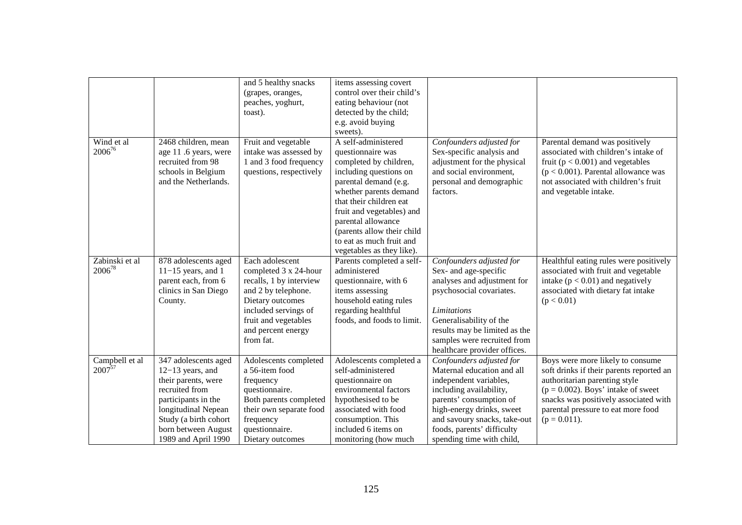|                |                       | and 5 healthy snacks<br>(grapes, oranges, | items assessing covert<br>control over their child's |                               |                                          |
|----------------|-----------------------|-------------------------------------------|------------------------------------------------------|-------------------------------|------------------------------------------|
|                |                       | peaches, yoghurt,                         | eating behaviour (not                                |                               |                                          |
|                |                       | toast).                                   | detected by the child;                               |                               |                                          |
|                |                       |                                           | e.g. avoid buying                                    |                               |                                          |
|                |                       |                                           | sweets).                                             |                               |                                          |
| Wind et al     | 2468 children, mean   | Fruit and vegetable                       | A self-administered                                  | Confounders adjusted for      | Parental demand was positively           |
| 200676         | age 11 .6 years, were | intake was assessed by                    | questionnaire was                                    | Sex-specific analysis and     | associated with children's intake of     |
|                | recruited from 98     | 1 and 3 food frequency                    | completed by children,                               | adjustment for the physical   | fruit ( $p < 0.001$ ) and vegetables     |
|                | schools in Belgium    | questions, respectively                   | including questions on                               | and social environment,       | $(p < 0.001)$ . Parental allowance was   |
|                | and the Netherlands.  |                                           | parental demand (e.g.                                | personal and demographic      | not associated with children's fruit     |
|                |                       |                                           | whether parents demand                               | factors.                      | and vegetable intake.                    |
|                |                       |                                           | that their children eat                              |                               |                                          |
|                |                       |                                           | fruit and vegetables) and                            |                               |                                          |
|                |                       |                                           | parental allowance                                   |                               |                                          |
|                |                       |                                           | (parents allow their child                           |                               |                                          |
|                |                       |                                           | to eat as much fruit and                             |                               |                                          |
|                |                       |                                           | vegetables as they like).                            |                               |                                          |
| Zabinski et al | 878 adolescents aged  | Each adolescent                           | Parents completed a self-                            | Confounders adjusted for      | Healthful eating rules were positively   |
| $2006^{78}$    | $11-15$ years, and 1  | completed 3 x 24-hour                     | administered                                         | Sex- and age-specific         | associated with fruit and vegetable      |
|                | parent each, from 6   | recalls, 1 by interview                   | questionnaire, with 6                                | analyses and adjustment for   | intake ( $p < 0.01$ ) and negatively     |
|                | clinics in San Diego  | and 2 by telephone.                       | items assessing                                      | psychosocial covariates.      | associated with dietary fat intake       |
|                | County.               | Dietary outcomes                          | household eating rules                               |                               | (p < 0.01)                               |
|                |                       | included servings of                      | regarding healthful                                  | <b>Limitations</b>            |                                          |
|                |                       | fruit and vegetables                      | foods, and foods to limit.                           | Generalisability of the       |                                          |
|                |                       | and percent energy                        |                                                      | results may be limited as the |                                          |
|                |                       | from fat.                                 |                                                      | samples were recruited from   |                                          |
|                |                       |                                           |                                                      | healthcare provider offices.  |                                          |
| Campbell et al | 347 adolescents aged  | Adolescents completed                     | Adolescents completed a                              | Confounders adjusted for      | Boys were more likely to consume         |
| $2007^{57}$    | $12-13$ years, and    | a 56-item food                            | self-administered                                    | Maternal education and all    | soft drinks if their parents reported an |
|                | their parents, were   | frequency                                 | questionnaire on                                     | independent variables,        | authoritarian parenting style            |
|                | recruited from        | questionnaire.                            | environmental factors                                | including availability,       | $(p = 0.002)$ . Boys' intake of sweet    |
|                | participants in the   | Both parents completed                    | hypothesised to be                                   | parents' consumption of       | snacks was positively associated with    |
|                | longitudinal Nepean   | their own separate food                   | associated with food                                 | high-energy drinks, sweet     | parental pressure to eat more food       |
|                | Study (a birth cohort | frequency                                 | consumption. This                                    | and savoury snacks, take-out  | $(p = 0.011)$ .                          |
|                | born between August   | questionnaire.                            | included 6 items on                                  | foods, parents' difficulty    |                                          |
|                | 1989 and April 1990   | Dietary outcomes                          | monitoring (how much                                 | spending time with child,     |                                          |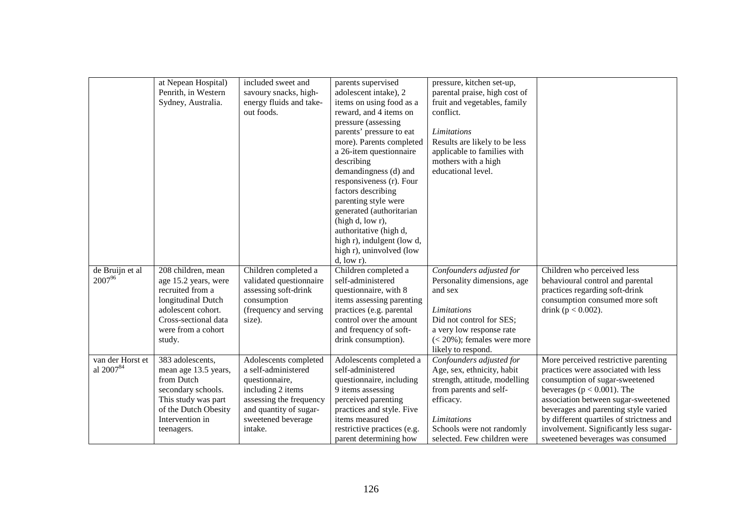|                               | at Nepean Hospital)<br>Penrith, in Western<br>Sydney, Australia.                                                                                                   | included sweet and<br>savoury snacks, high-<br>energy fluids and take-<br>out foods.                                                                                      | parents supervised<br>adolescent intake), 2<br>items on using food as a<br>reward, and 4 items on<br>pressure (assessing<br>parents' pressure to eat<br>more). Parents completed<br>a 26-item questionnaire<br>describing<br>demandingness (d) and<br>responsiveness (r). Four<br>factors describing<br>parenting style were<br>generated (authoritarian<br>(high d, low r),<br>authoritative (high d,<br>high r), indulgent (low d,<br>high r), uninvolved (low<br>$d, low r$ ). | pressure, kitchen set-up,<br>parental praise, high cost of<br>fruit and vegetables, family<br>conflict.<br>Limitations<br>Results are likely to be less<br>applicable to families with<br>mothers with a high<br>educational level. |                                                                                                                                                                                                                                                                                                                                                          |
|-------------------------------|--------------------------------------------------------------------------------------------------------------------------------------------------------------------|---------------------------------------------------------------------------------------------------------------------------------------------------------------------------|-----------------------------------------------------------------------------------------------------------------------------------------------------------------------------------------------------------------------------------------------------------------------------------------------------------------------------------------------------------------------------------------------------------------------------------------------------------------------------------|-------------------------------------------------------------------------------------------------------------------------------------------------------------------------------------------------------------------------------------|----------------------------------------------------------------------------------------------------------------------------------------------------------------------------------------------------------------------------------------------------------------------------------------------------------------------------------------------------------|
| de Bruijn et al<br>200796     | 208 children, mean<br>age 15.2 years, were<br>recruited from a<br>longitudinal Dutch<br>adolescent cohort.<br>Cross-sectional data<br>were from a cohort<br>study. | Children completed a<br>validated questionnaire<br>assessing soft-drink<br>consumption<br>(frequency and serving<br>size).                                                | Children completed a<br>self-administered<br>questionnaire, with 8<br>items assessing parenting<br>practices (e.g. parental<br>control over the amount<br>and frequency of soft-<br>drink consumption).                                                                                                                                                                                                                                                                           | Confounders adjusted for<br>Personality dimensions, age<br>and sex<br>Limitations<br>Did not control for SES;<br>a very low response rate<br>$(< 20\%)$ ; females were more<br>likely to respond.                                   | Children who perceived less<br>behavioural control and parental<br>practices regarding soft-drink<br>consumption consumed more soft<br>drink ( $p < 0.002$ ).                                                                                                                                                                                            |
| van der Horst et<br>al 200784 | 383 adolescents,<br>mean age 13.5 years,<br>from Dutch<br>secondary schools.<br>This study was part<br>of the Dutch Obesity<br>Intervention in<br>teenagers.       | Adolescents completed<br>a self-administered<br>questionnaire,<br>including 2 items<br>assessing the frequency<br>and quantity of sugar-<br>sweetened beverage<br>intake. | Adolescents completed a<br>self-administered<br>questionnaire, including<br>9 items assessing<br>perceived parenting<br>practices and style. Five<br>items measured<br>restrictive practices (e.g.<br>parent determining how                                                                                                                                                                                                                                                      | Confounders adjusted for<br>Age, sex, ethnicity, habit<br>strength, attitude, modelling<br>from parents and self-<br>efficacy.<br><b>Limitations</b><br>Schools were not randomly<br>selected. Few children were                    | More perceived restrictive parenting<br>practices were associated with less<br>consumption of sugar-sweetened<br>beverages ( $p < 0.001$ ). The<br>association between sugar-sweetened<br>beverages and parenting style varied<br>by different quartiles of strictness and<br>involvement. Significantly less sugar-<br>sweetened beverages was consumed |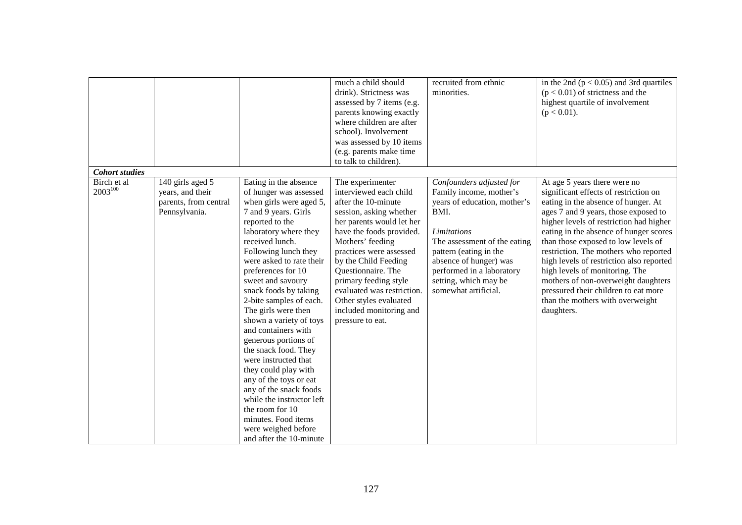| <b>Cohort studies</b> |                                                            |                                                                                                                                                                                                                                                                                                                                                                                                                                                                                                                                                                                                                                                   | much a child should<br>drink). Strictness was<br>assessed by 7 items (e.g.<br>parents knowing exactly<br>where children are after<br>school). Involvement<br>was assessed by 10 items<br>(e.g. parents make time<br>to talk to children).                                                                                                                      | recruited from ethnic<br>minorities.                                                                                                                                                                                                             | in the 2nd ( $p < 0.05$ ) and 3rd quartiles<br>$(p < 0.01)$ of strictness and the<br>highest quartile of involvement<br>$(p < 0.01)$ .                                                                                                                                                                                                                                                                                                                                                                   |
|-----------------------|------------------------------------------------------------|---------------------------------------------------------------------------------------------------------------------------------------------------------------------------------------------------------------------------------------------------------------------------------------------------------------------------------------------------------------------------------------------------------------------------------------------------------------------------------------------------------------------------------------------------------------------------------------------------------------------------------------------------|----------------------------------------------------------------------------------------------------------------------------------------------------------------------------------------------------------------------------------------------------------------------------------------------------------------------------------------------------------------|--------------------------------------------------------------------------------------------------------------------------------------------------------------------------------------------------------------------------------------------------|----------------------------------------------------------------------------------------------------------------------------------------------------------------------------------------------------------------------------------------------------------------------------------------------------------------------------------------------------------------------------------------------------------------------------------------------------------------------------------------------------------|
| Birch et al           | 140 girls aged 5                                           | Eating in the absence                                                                                                                                                                                                                                                                                                                                                                                                                                                                                                                                                                                                                             | The experimenter                                                                                                                                                                                                                                                                                                                                               | Confounders adjusted for                                                                                                                                                                                                                         | At age 5 years there were no                                                                                                                                                                                                                                                                                                                                                                                                                                                                             |
| $2003^{100}$          | years, and their<br>parents, from central<br>Pennsylvania. | of hunger was assessed<br>when girls were aged 5,<br>7 and 9 years. Girls<br>reported to the<br>laboratory where they<br>received lunch.<br>Following lunch they<br>were asked to rate their<br>preferences for 10<br>sweet and savoury<br>snack foods by taking<br>2-bite samples of each.<br>The girls were then<br>shown a variety of toys<br>and containers with<br>generous portions of<br>the snack food. They<br>were instructed that<br>they could play with<br>any of the toys or eat<br>any of the snack foods<br>while the instructor left<br>the room for 10<br>minutes. Food items<br>were weighed before<br>and after the 10-minute | interviewed each child<br>after the 10-minute<br>session, asking whether<br>her parents would let her<br>have the foods provided.<br>Mothers' feeding<br>practices were assessed<br>by the Child Feeding<br>Questionnaire. The<br>primary feeding style<br>evaluated was restriction.<br>Other styles evaluated<br>included monitoring and<br>pressure to eat. | Family income, mother's<br>years of education, mother's<br>BMI.<br>Limitations<br>The assessment of the eating<br>pattern (eating in the<br>absence of hunger) was<br>performed in a laboratory<br>setting, which may be<br>somewhat artificial. | significant effects of restriction on<br>eating in the absence of hunger. At<br>ages 7 and 9 years, those exposed to<br>higher levels of restriction had higher<br>eating in the absence of hunger scores<br>than those exposed to low levels of<br>restriction. The mothers who reported<br>high levels of restriction also reported<br>high levels of monitoring. The<br>mothers of non-overweight daughters<br>pressured their children to eat more<br>than the mothers with overweight<br>daughters. |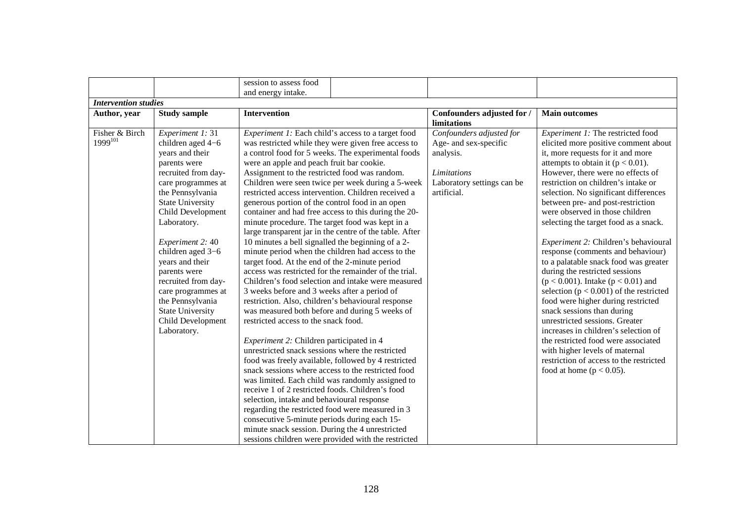|                             |                                                                                                                                                                                                                                                                                                                                                                                                                      | session to assess food                                                                                                                                                                                                                                                                                                                                                                                                                                                                                                                                                                                                                                                                                                                                                                                                                                                                                                                                                                                                                                                                                                                                                                                                                                                                                                                                                                                                                                                                                                                                                                                                                                         |                                                                                                                            |                                                                                                                                                                                                                                                                                                                                                                                                                                                                                                                                                                                                                                                                                                                                                                                                                                                                                                                                                   |
|-----------------------------|----------------------------------------------------------------------------------------------------------------------------------------------------------------------------------------------------------------------------------------------------------------------------------------------------------------------------------------------------------------------------------------------------------------------|----------------------------------------------------------------------------------------------------------------------------------------------------------------------------------------------------------------------------------------------------------------------------------------------------------------------------------------------------------------------------------------------------------------------------------------------------------------------------------------------------------------------------------------------------------------------------------------------------------------------------------------------------------------------------------------------------------------------------------------------------------------------------------------------------------------------------------------------------------------------------------------------------------------------------------------------------------------------------------------------------------------------------------------------------------------------------------------------------------------------------------------------------------------------------------------------------------------------------------------------------------------------------------------------------------------------------------------------------------------------------------------------------------------------------------------------------------------------------------------------------------------------------------------------------------------------------------------------------------------------------------------------------------------|----------------------------------------------------------------------------------------------------------------------------|---------------------------------------------------------------------------------------------------------------------------------------------------------------------------------------------------------------------------------------------------------------------------------------------------------------------------------------------------------------------------------------------------------------------------------------------------------------------------------------------------------------------------------------------------------------------------------------------------------------------------------------------------------------------------------------------------------------------------------------------------------------------------------------------------------------------------------------------------------------------------------------------------------------------------------------------------|
|                             |                                                                                                                                                                                                                                                                                                                                                                                                                      | and energy intake.                                                                                                                                                                                                                                                                                                                                                                                                                                                                                                                                                                                                                                                                                                                                                                                                                                                                                                                                                                                                                                                                                                                                                                                                                                                                                                                                                                                                                                                                                                                                                                                                                                             |                                                                                                                            |                                                                                                                                                                                                                                                                                                                                                                                                                                                                                                                                                                                                                                                                                                                                                                                                                                                                                                                                                   |
| <b>Intervention studies</b> |                                                                                                                                                                                                                                                                                                                                                                                                                      |                                                                                                                                                                                                                                                                                                                                                                                                                                                                                                                                                                                                                                                                                                                                                                                                                                                                                                                                                                                                                                                                                                                                                                                                                                                                                                                                                                                                                                                                                                                                                                                                                                                                |                                                                                                                            |                                                                                                                                                                                                                                                                                                                                                                                                                                                                                                                                                                                                                                                                                                                                                                                                                                                                                                                                                   |
| Author, year                | <b>Study sample</b>                                                                                                                                                                                                                                                                                                                                                                                                  | <b>Intervention</b>                                                                                                                                                                                                                                                                                                                                                                                                                                                                                                                                                                                                                                                                                                                                                                                                                                                                                                                                                                                                                                                                                                                                                                                                                                                                                                                                                                                                                                                                                                                                                                                                                                            | Confounders adjusted for /<br>limitations                                                                                  | <b>Main outcomes</b>                                                                                                                                                                                                                                                                                                                                                                                                                                                                                                                                                                                                                                                                                                                                                                                                                                                                                                                              |
| Fisher & Birch<br>1999101   | Experiment 1: 31<br>children aged 4-6<br>years and their<br>parents were<br>recruited from day-<br>care programmes at<br>the Pennsylvania<br><b>State University</b><br>Child Development<br>Laboratory.<br>Experiment 2: 40<br>children aged 3-6<br>years and their<br>parents were<br>recruited from day-<br>care programmes at<br>the Pennsylvania<br><b>State University</b><br>Child Development<br>Laboratory. | Experiment 1: Each child's access to a target food<br>was restricted while they were given free access to<br>a control food for 5 weeks. The experimental foods<br>were an apple and peach fruit bar cookie.<br>Assignment to the restricted food was random.<br>Children were seen twice per week during a 5-week<br>restricted access intervention. Children received a<br>generous portion of the control food in an open<br>container and had free access to this during the 20-<br>minute procedure. The target food was kept in a<br>large transparent jar in the centre of the table. After<br>10 minutes a bell signalled the beginning of a 2-<br>minute period when the children had access to the<br>target food. At the end of the 2-minute period<br>access was restricted for the remainder of the trial.<br>Children's food selection and intake were measured<br>3 weeks before and 3 weeks after a period of<br>restriction. Also, children's behavioural response<br>was measured both before and during 5 weeks of<br>restricted access to the snack food.<br>Experiment 2: Children participated in 4<br>unrestricted snack sessions where the restricted<br>food was freely available, followed by 4 restricted<br>snack sessions where access to the restricted food<br>was limited. Each child was randomly assigned to<br>receive 1 of 2 restricted foods. Children's food<br>selection, intake and behavioural response<br>regarding the restricted food were measured in 3<br>consecutive 5-minute periods during each 15-<br>minute snack session. During the 4 unrestricted<br>sessions children were provided with the restricted | Confounders adjusted for<br>Age- and sex-specific<br>analysis.<br>Limitations<br>Laboratory settings can be<br>artificial. | Experiment 1: The restricted food<br>elicited more positive comment about<br>it, more requests for it and more<br>attempts to obtain it ( $p < 0.01$ ).<br>However, there were no effects of<br>restriction on children's intake or<br>selection. No significant differences<br>between pre- and post-restriction<br>were observed in those children<br>selecting the target food as a snack.<br>Experiment 2: Children's behavioural<br>response (comments and behaviour)<br>to a palatable snack food was greater<br>during the restricted sessions<br>$(p < 0.001)$ . Intake $(p < 0.01)$ and<br>selection ( $p < 0.001$ ) of the restricted<br>food were higher during restricted<br>snack sessions than during<br>unrestricted sessions. Greater<br>increases in children's selection of<br>the restricted food were associated<br>with higher levels of maternal<br>restriction of access to the restricted<br>food at home ( $p < 0.05$ ). |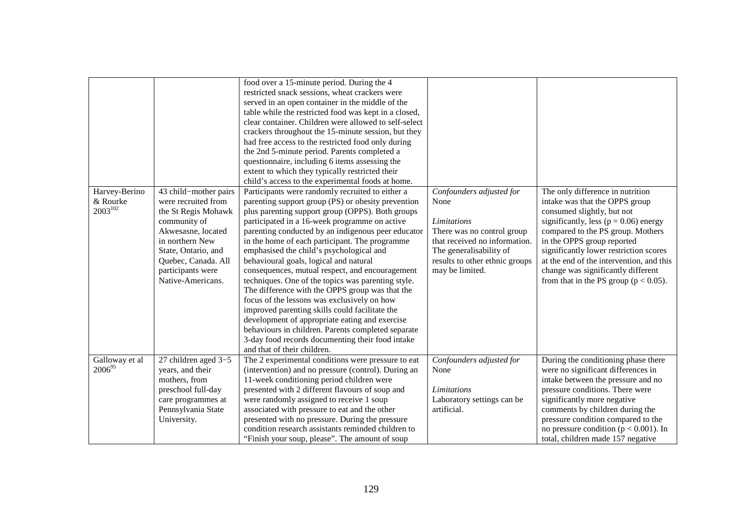|                                           |                                                                                                                                                                                                                      | food over a 15-minute period. During the 4<br>restricted snack sessions, wheat crackers were<br>served in an open container in the middle of the<br>table while the restricted food was kept in a closed,<br>clear container. Children were allowed to self-select<br>crackers throughout the 15-minute session, but they<br>had free access to the restricted food only during<br>the 2nd 5-minute period. Parents completed a<br>questionnaire, including 6 items assessing the<br>extent to which they typically restricted their<br>child's access to the experimental foods at home.                                                                                                                                                                                                                                                                         |                                                                                                                                                                                                       |                                                                                                                                                                                                                                                                                                                                                                                           |
|-------------------------------------------|----------------------------------------------------------------------------------------------------------------------------------------------------------------------------------------------------------------------|-------------------------------------------------------------------------------------------------------------------------------------------------------------------------------------------------------------------------------------------------------------------------------------------------------------------------------------------------------------------------------------------------------------------------------------------------------------------------------------------------------------------------------------------------------------------------------------------------------------------------------------------------------------------------------------------------------------------------------------------------------------------------------------------------------------------------------------------------------------------|-------------------------------------------------------------------------------------------------------------------------------------------------------------------------------------------------------|-------------------------------------------------------------------------------------------------------------------------------------------------------------------------------------------------------------------------------------------------------------------------------------------------------------------------------------------------------------------------------------------|
| Harvey-Berino<br>& Rourke<br>$2003^{102}$ | 43 child-mother pairs<br>were recruited from<br>the St Regis Mohawk<br>community of<br>Akwesasne, located<br>in northern New<br>State, Ontario, and<br>Quebec, Canada. All<br>participants were<br>Native-Americans. | Participants were randomly recruited to either a<br>parenting support group (PS) or obesity prevention<br>plus parenting support group (OPPS). Both groups<br>participated in a 16-week programme on active<br>parenting conducted by an indigenous peer educator<br>in the home of each participant. The programme<br>emphasised the child's psychological and<br>behavioural goals, logical and natural<br>consequences, mutual respect, and encouragement<br>techniques. One of the topics was parenting style.<br>The difference with the OPPS group was that the<br>focus of the lessons was exclusively on how<br>improved parenting skills could facilitate the<br>development of appropriate eating and exercise<br>behaviours in children. Parents completed separate<br>3-day food records documenting their food intake<br>and that of their children. | Confounders adjusted for<br>None<br><b>Limitations</b><br>There was no control group<br>that received no information.<br>The generalisability of<br>results to other ethnic groups<br>may be limited. | The only difference in nutrition<br>intake was that the OPPS group<br>consumed slightly, but not<br>significantly, less ( $p = 0.06$ ) energy<br>compared to the PS group. Mothers<br>in the OPPS group reported<br>significantly lower restriction scores<br>at the end of the intervention, and this<br>change was significantly different<br>from that in the PS group ( $p < 0.05$ ). |
| Galloway et al<br>$2006^{95}$             | 27 children aged 3-5<br>years, and their<br>mothers, from<br>preschool full-day<br>care programmes at<br>Pennsylvania State<br>University.                                                                           | The 2 experimental conditions were pressure to eat<br>(intervention) and no pressure (control). During an<br>11-week conditioning period children were<br>presented with 2 different flavours of soup and<br>were randomly assigned to receive 1 soup<br>associated with pressure to eat and the other<br>presented with no pressure. During the pressure<br>condition research assistants reminded children to<br>"Finish your soup, please". The amount of soup                                                                                                                                                                                                                                                                                                                                                                                                 | Confounders adjusted for<br>None<br><i>Limitations</i><br>Laboratory settings can be<br>artificial.                                                                                                   | During the conditioning phase there<br>were no significant differences in<br>intake between the pressure and no<br>pressure conditions. There were<br>significantly more negative<br>comments by children during the<br>pressure condition compared to the<br>no pressure condition ( $p < 0.001$ ). In<br>total, children made 157 negative                                              |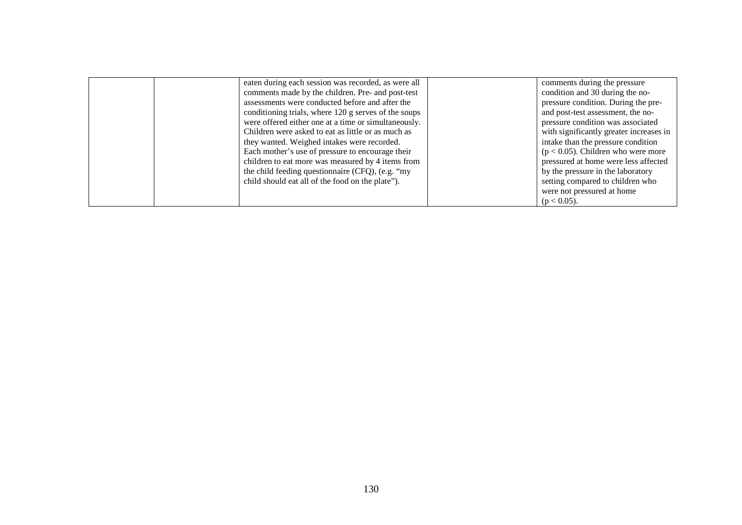| eaten during each session was recorded, as were all  | comments during the pressure            |
|------------------------------------------------------|-----------------------------------------|
| comments made by the children. Pre- and post-test    | condition and 30 during the no-         |
| assessments were conducted before and after the      | pressure condition. During the pre-     |
| conditioning trials, where 120 g serves of the soups | and post-test assessment, the no-       |
| were offered either one at a time or simultaneously. | pressure condition was associated       |
| Children were asked to eat as little or as much as   | with significantly greater increases in |
| they wanted. Weighed intakes were recorded.          | intake than the pressure condition      |
| Each mother's use of pressure to encourage their     | $(p < 0.05)$ . Children who were more   |
| children to eat more was measured by 4 items from    | pressured at home were less affected    |
| the child feeding questionnaire (CFQ), (e.g. "my     | by the pressure in the laboratory       |
| child should eat all of the food on the plate").     | setting compared to children who        |
|                                                      | were not pressured at home              |
|                                                      | $(p < 0.05)$ .                          |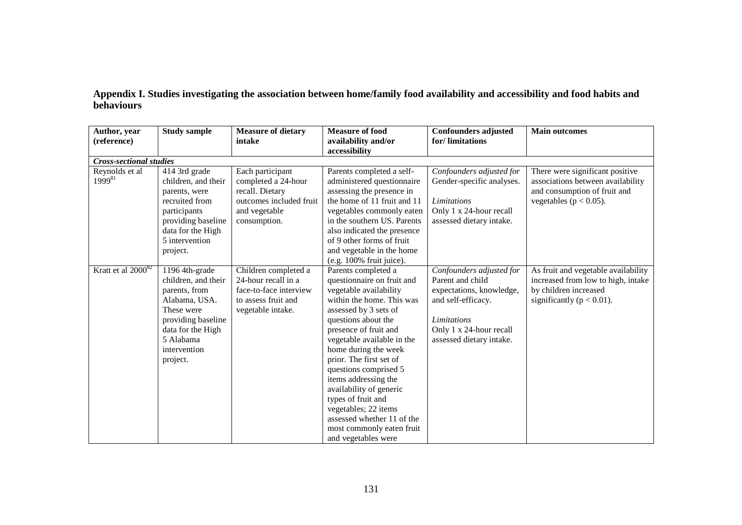| Appendix I. Studies investigating the association between home/family food availability and accessibility and food habits and |  |  |
|-------------------------------------------------------------------------------------------------------------------------------|--|--|
| behaviours                                                                                                                    |  |  |

| Author, year<br>(reference)    | <b>Study sample</b>                                                                                                                                                       | <b>Measure of dietary</b><br>intake                                                                                    | <b>Measure of food</b><br>availability and/or                                                                                                                                                                                                                                                                                                                                                                                                                                  | <b>Confounders adjusted</b><br>for/limitations                                                                                                                              | <b>Main outcomes</b>                                                                                                                |
|--------------------------------|---------------------------------------------------------------------------------------------------------------------------------------------------------------------------|------------------------------------------------------------------------------------------------------------------------|--------------------------------------------------------------------------------------------------------------------------------------------------------------------------------------------------------------------------------------------------------------------------------------------------------------------------------------------------------------------------------------------------------------------------------------------------------------------------------|-----------------------------------------------------------------------------------------------------------------------------------------------------------------------------|-------------------------------------------------------------------------------------------------------------------------------------|
|                                |                                                                                                                                                                           |                                                                                                                        | accessibility                                                                                                                                                                                                                                                                                                                                                                                                                                                                  |                                                                                                                                                                             |                                                                                                                                     |
| <b>Cross-sectional studies</b> |                                                                                                                                                                           |                                                                                                                        |                                                                                                                                                                                                                                                                                                                                                                                                                                                                                |                                                                                                                                                                             |                                                                                                                                     |
| Reynolds et al<br>$1999^{81}$  | 414 3rd grade<br>children, and their<br>parents, were<br>recruited from<br>participants<br>providing baseline<br>data for the High<br>5 intervention<br>project.          | Each participant<br>completed a 24-hour<br>recall. Dietary<br>outcomes included fruit<br>and vegetable<br>consumption. | Parents completed a self-<br>administered questionnaire<br>assessing the presence in<br>the home of 11 fruit and 11<br>vegetables commonly eaten<br>in the southern US. Parents<br>also indicated the presence<br>of 9 other forms of fruit<br>and vegetable in the home<br>(e.g. 100% fruit juice).                                                                                                                                                                           | Confounders adjusted for<br>Gender-specific analyses.<br>Limitations<br>Only 1 x 24-hour recall<br>assessed dietary intake.                                                 | There were significant positive<br>associations between availability<br>and consumption of fruit and<br>vegetables ( $p < 0.05$ ).  |
| Kratt et al $2000^{82}$        | 1196 4th-grade<br>children, and their<br>parents, from<br>Alabama, USA.<br>These were<br>providing baseline<br>data for the High<br>5 Alabama<br>intervention<br>project. | Children completed a<br>24-hour recall in a<br>face-to-face interview<br>to assess fruit and<br>vegetable intake.      | Parents completed a<br>questionnaire on fruit and<br>vegetable availability<br>within the home. This was<br>assessed by 3 sets of<br>questions about the<br>presence of fruit and<br>vegetable available in the<br>home during the week<br>prior. The first set of<br>questions comprised 5<br>items addressing the<br>availability of generic<br>types of fruit and<br>vegetables; 22 items<br>assessed whether 11 of the<br>most commonly eaten fruit<br>and vegetables were | Confounders adjusted for<br>Parent and child<br>expectations, knowledge,<br>and self-efficacy.<br><b>Limitations</b><br>Only 1 x 24-hour recall<br>assessed dietary intake. | As fruit and vegetable availability<br>increased from low to high, intake<br>by children increased<br>significantly ( $p < 0.01$ ). |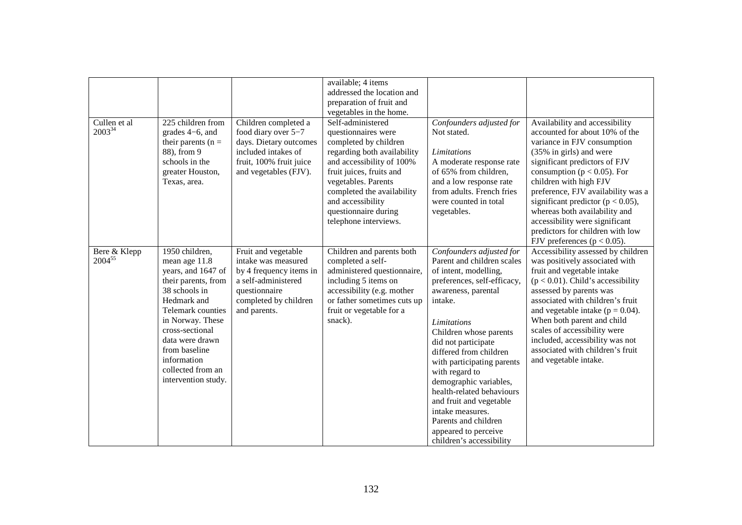| Cullen $et$ al<br>200334    | 225 children from<br>grades 4–6, and<br>their parents ( $n =$<br>88), from 9<br>schools in the<br>greater Houston,<br>Texas, area.                                                                                                                                      | Children completed a<br>food diary over 5-7<br>days. Dietary outcomes<br>included intakes of<br>fruit, 100% fruit juice<br>and vegetables (FJV).       | available; 4 items<br>addressed the location and<br>preparation of fruit and<br>vegetables in the home.<br>Self-administered<br>questionnaires were<br>completed by children<br>regarding both availability<br>and accessibility of 100%<br>fruit juices, fruits and<br>vegetables. Parents<br>completed the availability<br>and accessibility<br>questionnaire during<br>telephone interviews. | Confounders adjusted for<br>Not stated.<br>Limitations<br>A moderate response rate<br>of 65% from children,<br>and a low response rate<br>from adults. French fries<br>were counted in total<br>vegetables.                                                                                                                                                                                                                                                                  | Availability and accessibility<br>accounted for about 10% of the<br>variance in FJV consumption<br>(35% in girls) and were<br>significant predictors of FJV<br>consumption ( $p < 0.05$ ). For<br>children with high FJV<br>preference, FJV availability was a<br>significant predictor ( $p < 0.05$ ),<br>whereas both availability and<br>accessibility were significant<br>predictors for children with low<br>FJV preferences ( $p < 0.05$ ). |
|-----------------------------|-------------------------------------------------------------------------------------------------------------------------------------------------------------------------------------------------------------------------------------------------------------------------|--------------------------------------------------------------------------------------------------------------------------------------------------------|-------------------------------------------------------------------------------------------------------------------------------------------------------------------------------------------------------------------------------------------------------------------------------------------------------------------------------------------------------------------------------------------------|------------------------------------------------------------------------------------------------------------------------------------------------------------------------------------------------------------------------------------------------------------------------------------------------------------------------------------------------------------------------------------------------------------------------------------------------------------------------------|---------------------------------------------------------------------------------------------------------------------------------------------------------------------------------------------------------------------------------------------------------------------------------------------------------------------------------------------------------------------------------------------------------------------------------------------------|
| Bere & Klepp<br>$2004^{55}$ | 1950 children,<br>mean age 11.8<br>years, and 1647 of<br>their parents, from<br>38 schools in<br>Hedmark and<br>Telemark counties<br>in Norway. These<br>cross-sectional<br>data were drawn<br>from baseline<br>information<br>collected from an<br>intervention study. | Fruit and vegetable<br>intake was measured<br>by 4 frequency items in<br>a self-administered<br>questionnaire<br>completed by children<br>and parents. | Children and parents both<br>completed a self-<br>administered questionnaire,<br>including 5 items on<br>accessibility (e.g. mother<br>or father sometimes cuts up<br>fruit or vegetable for a<br>snack).                                                                                                                                                                                       | Confounders adjusted for<br>Parent and children scales<br>of intent, modelling,<br>preferences, self-efficacy,<br>awareness, parental<br>intake.<br>Limitations<br>Children whose parents<br>did not participate<br>differed from children<br>with participating parents<br>with regard to<br>demographic variables,<br>health-related behaviours<br>and fruit and vegetable<br>intake measures.<br>Parents and children<br>appeared to perceive<br>children's accessibility | Accessibility assessed by children<br>was positively associated with<br>fruit and vegetable intake<br>$(p < 0.01)$ . Child's accessibility<br>assessed by parents was<br>associated with children's fruit<br>and vegetable intake ( $p = 0.04$ ).<br>When both parent and child<br>scales of accessibility were<br>included, accessibility was not<br>associated with children's fruit<br>and vegetable intake.                                   |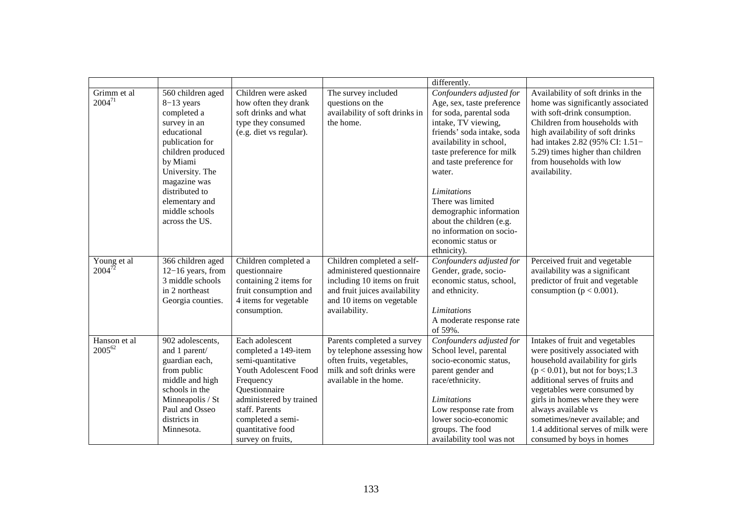|                             |                                                                                                                                                                                                                                                |                                                                                                                                                                                                                                 |                                                                                                                                                                        | differently.                                                                                                                                                                                                                                                                                                                                                                                            |                                                                                                                                                                                                                                                                                                                                                                                |
|-----------------------------|------------------------------------------------------------------------------------------------------------------------------------------------------------------------------------------------------------------------------------------------|---------------------------------------------------------------------------------------------------------------------------------------------------------------------------------------------------------------------------------|------------------------------------------------------------------------------------------------------------------------------------------------------------------------|---------------------------------------------------------------------------------------------------------------------------------------------------------------------------------------------------------------------------------------------------------------------------------------------------------------------------------------------------------------------------------------------------------|--------------------------------------------------------------------------------------------------------------------------------------------------------------------------------------------------------------------------------------------------------------------------------------------------------------------------------------------------------------------------------|
| Grimm et al<br>$2004^{71}$  | 560 children aged<br>$8-13$ years<br>completed a<br>survey in an<br>educational<br>publication for<br>children produced<br>by Miami<br>University. The<br>magazine was<br>distributed to<br>elementary and<br>middle schools<br>across the US. | Children were asked<br>how often they drank<br>soft drinks and what<br>type they consumed<br>(e.g. diet vs regular).                                                                                                            | The survey included<br>questions on the<br>availability of soft drinks in<br>the home.                                                                                 | Confounders adjusted for<br>Age, sex, taste preference<br>for soda, parental soda<br>intake, TV viewing,<br>friends' soda intake, soda<br>availability in school,<br>taste preference for milk<br>and taste preference for<br>water.<br><b>Limitations</b><br>There was limited<br>demographic information<br>about the children (e.g.<br>no information on socio-<br>economic status or<br>ethnicity). | Availability of soft drinks in the<br>home was significantly associated<br>with soft-drink consumption.<br>Children from households with<br>high availability of soft drinks<br>had intakes 2.82 (95% CI: 1.51-<br>5.29) times higher than children<br>from households with low<br>availability.                                                                               |
| Young et al<br>$2004^{72}$  | 366 children aged<br>$12-16$ years, from<br>3 middle schools<br>in 2 northeast<br>Georgia counties.                                                                                                                                            | Children completed a<br>questionnaire<br>containing 2 items for<br>fruit consumption and<br>4 items for vegetable<br>consumption.                                                                                               | Children completed a self-<br>administered questionnaire<br>including 10 items on fruit<br>and fruit juices availability<br>and 10 items on vegetable<br>availability. | Confounders adjusted for<br>Gender, grade, socio-<br>economic status, school,<br>and ethnicity.<br><b>Limitations</b><br>A moderate response rate<br>of 59%.                                                                                                                                                                                                                                            | Perceived fruit and vegetable<br>availability was a significant<br>predictor of fruit and vegetable<br>consumption ( $p < 0.001$ ).                                                                                                                                                                                                                                            |
| Hanson et al<br>$2005^{62}$ | 902 adolescents,<br>and 1 parent/<br>guardian each,<br>from public<br>middle and high<br>schools in the<br>Minneapolis / St<br>Paul and Osseo<br>districts in<br>Minnesota.                                                                    | Each adolescent<br>completed a 149-item<br>semi-quantitative<br>Youth Adolescent Food<br>Frequency<br>Questionnaire<br>administered by trained<br>staff. Parents<br>completed a semi-<br>quantitative food<br>survey on fruits, | Parents completed a survey<br>by telephone assessing how<br>often fruits, vegetables,<br>milk and soft drinks were<br>available in the home.                           | Confounders adjusted for<br>School level, parental<br>socio-economic status,<br>parent gender and<br>race/ethnicity.<br>Limitations<br>Low response rate from<br>lower socio-economic<br>groups. The food<br>availability tool was not                                                                                                                                                                  | Intakes of fruit and vegetables<br>were positively associated with<br>household availability for girls<br>$(p < 0.01)$ , but not for boys; 1.3<br>additional serves of fruits and<br>vegetables were consumed by<br>girls in homes where they were<br>always available vs<br>sometimes/never available; and<br>1.4 additional serves of milk were<br>consumed by boys in homes |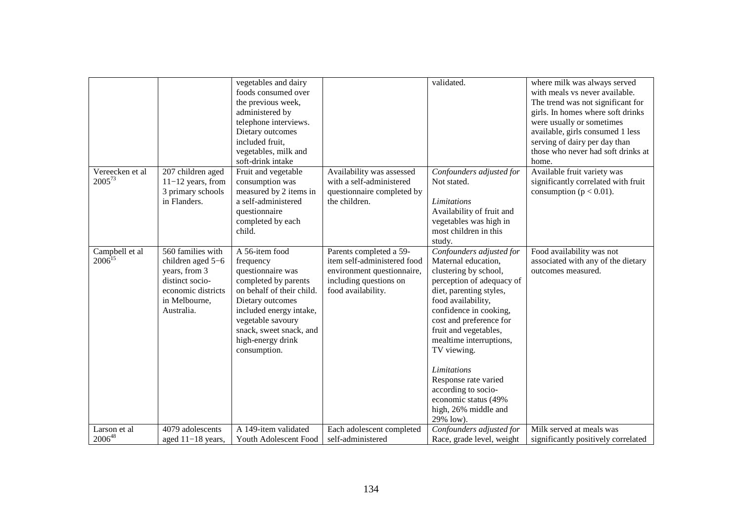|                                |                                                                                                                                 | vegetables and dairy<br>foods consumed over<br>the previous week,<br>administered by<br>telephone interviews.<br>Dietary outcomes<br>included fruit,<br>vegetables, milk and<br>soft-drink intake                                         |                                                                                                                                      | validated.                                                                                                                                                                                                                                                                                                                                                                                                       | where milk was always served<br>with meals vs never available.<br>The trend was not significant for<br>girls. In homes where soft drinks<br>were usually or sometimes<br>available, girls consumed 1 less<br>serving of dairy per day than<br>those who never had soft drinks at<br>home. |
|--------------------------------|---------------------------------------------------------------------------------------------------------------------------------|-------------------------------------------------------------------------------------------------------------------------------------------------------------------------------------------------------------------------------------------|--------------------------------------------------------------------------------------------------------------------------------------|------------------------------------------------------------------------------------------------------------------------------------------------------------------------------------------------------------------------------------------------------------------------------------------------------------------------------------------------------------------------------------------------------------------|-------------------------------------------------------------------------------------------------------------------------------------------------------------------------------------------------------------------------------------------------------------------------------------------|
| Vereecken et al<br>$2005^{73}$ | 207 children aged<br>$11-12$ years, from<br>3 primary schools<br>in Flanders.                                                   | Fruit and vegetable<br>consumption was<br>measured by 2 items in<br>a self-administered<br>questionnaire<br>completed by each<br>child.                                                                                                   | Availability was assessed<br>with a self-administered<br>questionnaire completed by<br>the children.                                 | Confounders adjusted for<br>Not stated.<br>Limitations<br>Availability of fruit and<br>vegetables was high in<br>most children in this<br>study.                                                                                                                                                                                                                                                                 | Available fruit variety was<br>significantly correlated with fruit<br>consumption ( $p < 0.01$ ).                                                                                                                                                                                         |
| Campbell et al<br>$2006^{15}$  | 560 families with<br>children aged 5-6<br>years, from 3<br>distinct socio-<br>economic districts<br>in Melbourne,<br>Australia. | A 56-item food<br>frequency<br>questionnaire was<br>completed by parents<br>on behalf of their child.<br>Dietary outcomes<br>included energy intake,<br>vegetable savoury<br>snack, sweet snack, and<br>high-energy drink<br>consumption. | Parents completed a 59-<br>item self-administered food<br>environment questionnaire,<br>including questions on<br>food availability. | Confounders adjusted for<br>Maternal education,<br>clustering by school,<br>perception of adequacy of<br>diet, parenting styles,<br>food availability,<br>confidence in cooking,<br>cost and preference for<br>fruit and vegetables,<br>mealtime interruptions,<br>TV viewing.<br><b>Limitations</b><br>Response rate varied<br>according to socio-<br>economic status (49%<br>high, 26% middle and<br>29% low). | Food availability was not<br>associated with any of the dietary<br>outcomes measured.                                                                                                                                                                                                     |
| Larson et al                   | 4079 adolescents                                                                                                                | A 149-item validated                                                                                                                                                                                                                      | Each adolescent completed                                                                                                            | Confounders adjusted for                                                                                                                                                                                                                                                                                                                                                                                         | Milk served at meals was                                                                                                                                                                                                                                                                  |
| $2006^{48}$                    | aged $11-18$ years,                                                                                                             | Youth Adolescent Food                                                                                                                                                                                                                     | self-administered                                                                                                                    | Race, grade level, weight                                                                                                                                                                                                                                                                                                                                                                                        | significantly positively correlated                                                                                                                                                                                                                                                       |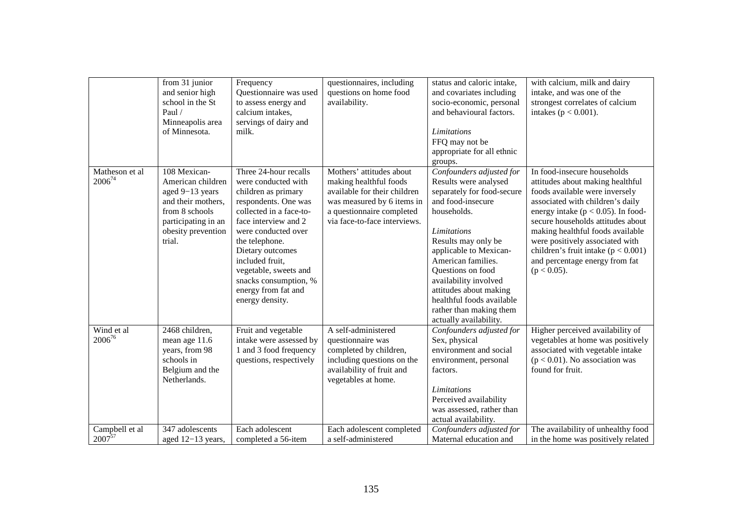|                               | from 31 junior<br>and senior high<br>school in the St<br>Paul $/$<br>Minneapolis area<br>of Minnesota.                                              | Frequency<br>Questionnaire was used<br>to assess energy and<br>calcium intakes,<br>servings of dairy and<br>milk.                                                                                                                                                                                                          | questionnaires, including<br>questions on home food<br>availability.                                                                                                          | status and caloric intake,<br>and covariates including<br>socio-economic, personal<br>and behavioural factors.<br>Limitations<br>FFQ may not be<br>appropriate for all ethnic<br>groups.                                                                                                                                                                                   | with calcium, milk and dairy<br>intake, and was one of the<br>strongest correlates of calcium<br>intakes ( $p < 0.001$ ).                                                                                                                                                                                                                                                                  |
|-------------------------------|-----------------------------------------------------------------------------------------------------------------------------------------------------|----------------------------------------------------------------------------------------------------------------------------------------------------------------------------------------------------------------------------------------------------------------------------------------------------------------------------|-------------------------------------------------------------------------------------------------------------------------------------------------------------------------------|----------------------------------------------------------------------------------------------------------------------------------------------------------------------------------------------------------------------------------------------------------------------------------------------------------------------------------------------------------------------------|--------------------------------------------------------------------------------------------------------------------------------------------------------------------------------------------------------------------------------------------------------------------------------------------------------------------------------------------------------------------------------------------|
| Matheson et al<br>$2006^{74}$ | 108 Mexican-<br>American children<br>aged 9-13 years<br>and their mothers,<br>from 8 schools<br>participating in an<br>obesity prevention<br>trial. | Three 24-hour recalls<br>were conducted with<br>children as primary<br>respondents. One was<br>collected in a face-to-<br>face interview and 2<br>were conducted over<br>the telephone.<br>Dietary outcomes<br>included fruit,<br>vegetable, sweets and<br>snacks consumption, %<br>energy from fat and<br>energy density. | Mothers' attitudes about<br>making healthful foods<br>available for their children<br>was measured by 6 items in<br>a questionnaire completed<br>via face-to-face interviews. | Confounders adjusted for<br>Results were analysed<br>separately for food-secure<br>and food-insecure<br>households.<br><b>Limitations</b><br>Results may only be<br>applicable to Mexican-<br>American families.<br>Questions on food<br>availability involved<br>attitudes about making<br>healthful foods available<br>rather than making them<br>actually availability. | In food-insecure households<br>attitudes about making healthful<br>foods available were inversely<br>associated with children's daily<br>energy intake ( $p < 0.05$ ). In food-<br>secure households attitudes about<br>making healthful foods available<br>were positively associated with<br>children's fruit intake ( $p < 0.001$ )<br>and percentage energy from fat<br>$(p < 0.05)$ . |
| Wind et al<br>$2006^{76}$     | 2468 children,<br>mean age 11.6<br>years, from 98<br>schools in<br>Belgium and the<br>Netherlands.                                                  | Fruit and vegetable<br>intake were assessed by<br>1 and 3 food frequency<br>questions, respectively                                                                                                                                                                                                                        | A self-administered<br>questionnaire was<br>completed by children,<br>including questions on the<br>availability of fruit and<br>vegetables at home.                          | Confounders adjusted for<br>Sex, physical<br>environment and social<br>environment, personal<br>factors.<br>Limitations<br>Perceived availability<br>was assessed, rather than<br>actual availability.                                                                                                                                                                     | Higher perceived availability of<br>vegetables at home was positively<br>associated with vegetable intake<br>$(p < 0.01)$ . No association was<br>found for fruit.                                                                                                                                                                                                                         |
| Campbell et al<br>$2007^{57}$ | 347 adolescents<br>aged 12-13 years,                                                                                                                | Each adolescent<br>completed a 56-item                                                                                                                                                                                                                                                                                     | Each adolescent completed<br>a self-administered                                                                                                                              | $\overline{\mathit{Conf}}$ ounders adjusted for<br>Maternal education and                                                                                                                                                                                                                                                                                                  | The availability of unhealthy food<br>in the home was positively related                                                                                                                                                                                                                                                                                                                   |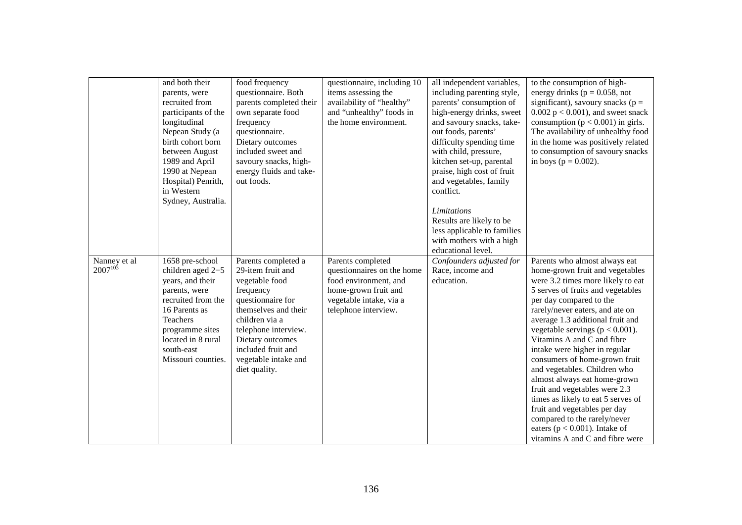|                              | and both their<br>parents, were<br>recruited from<br>participants of the<br>longitudinal<br>Nepean Study (a<br>birth cohort born<br>between August<br>1989 and April<br>1990 at Nepean<br>Hospital) Penrith,<br>in Western<br>Sydney, Australia. | food frequency<br>questionnaire. Both<br>parents completed their<br>own separate food<br>frequency<br>questionnaire.<br>Dietary outcomes<br>included sweet and<br>savoury snacks, high-<br>energy fluids and take-<br>out foods.                  | questionnaire, including 10<br>items assessing the<br>availability of "healthy"<br>and "unhealthy" foods in<br>the home environment.                | all independent variables,<br>including parenting style,<br>parents' consumption of<br>high-energy drinks, sweet<br>and savoury snacks, take-<br>out foods, parents'<br>difficulty spending time<br>with child, pressure,<br>kitchen set-up, parental<br>praise, high cost of fruit<br>and vegetables, family<br>conflict.<br>Limitations<br>Results are likely to be<br>less applicable to families<br>with mothers with a high<br>educational level. | to the consumption of high-<br>energy drinks ( $p = 0.058$ , not<br>significant), savoury snacks ( $p =$<br>$0.002$ p < 0.001), and sweet snack<br>consumption ( $p < 0.001$ ) in girls.<br>The availability of unhealthy food<br>in the home was positively related<br>to consumption of savoury snacks<br>in boys ( $p = 0.002$ ).                                                                                                                                                                                                                                                                                                                               |
|------------------------------|--------------------------------------------------------------------------------------------------------------------------------------------------------------------------------------------------------------------------------------------------|---------------------------------------------------------------------------------------------------------------------------------------------------------------------------------------------------------------------------------------------------|-----------------------------------------------------------------------------------------------------------------------------------------------------|--------------------------------------------------------------------------------------------------------------------------------------------------------------------------------------------------------------------------------------------------------------------------------------------------------------------------------------------------------------------------------------------------------------------------------------------------------|--------------------------------------------------------------------------------------------------------------------------------------------------------------------------------------------------------------------------------------------------------------------------------------------------------------------------------------------------------------------------------------------------------------------------------------------------------------------------------------------------------------------------------------------------------------------------------------------------------------------------------------------------------------------|
| Nanney et al<br>$2007^{103}$ | 1658 pre-school<br>children aged 2-5<br>years, and their<br>parents, were<br>recruited from the<br>16 Parents as<br>Teachers<br>programme sites<br>located in 8 rural<br>south-east<br>Missouri counties.                                        | Parents completed a<br>29-item fruit and<br>vegetable food<br>frequency<br>questionnaire for<br>themselves and their<br>children via a<br>telephone interview.<br>Dietary outcomes<br>included fruit and<br>vegetable intake and<br>diet quality. | Parents completed<br>questionnaires on the home<br>food environment, and<br>home-grown fruit and<br>vegetable intake, via a<br>telephone interview. | Confounders adjusted for<br>Race, income and<br>education.                                                                                                                                                                                                                                                                                                                                                                                             | Parents who almost always eat<br>home-grown fruit and vegetables<br>were 3.2 times more likely to eat<br>5 serves of fruits and vegetables<br>per day compared to the<br>rarely/never eaters, and ate on<br>average 1.3 additional fruit and<br>vegetable servings ( $p < 0.001$ ).<br>Vitamins A and C and fibre<br>intake were higher in regular<br>consumers of home-grown fruit<br>and vegetables. Children who<br>almost always eat home-grown<br>fruit and vegetables were 2.3<br>times as likely to eat 5 serves of<br>fruit and vegetables per day<br>compared to the rarely/never<br>eaters ( $p < 0.001$ ). Intake of<br>vitamins A and C and fibre were |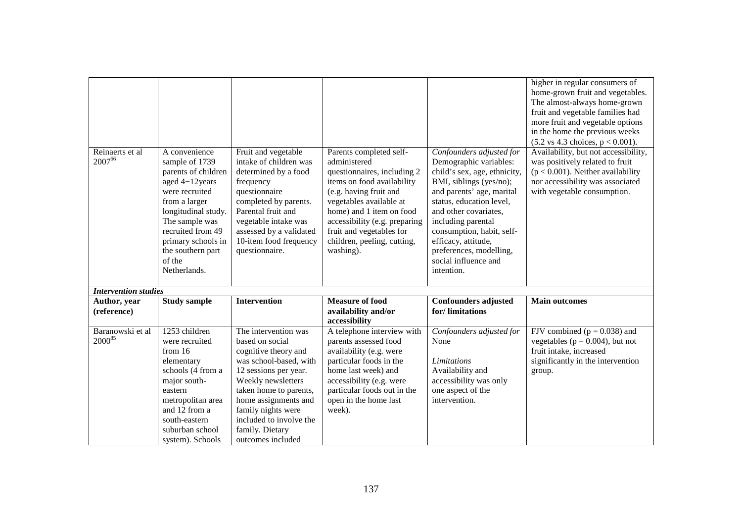|                             |                                                                                                                                                                                                                                                |                                                                                                                                                                                                                                                                                     |                                                                                                                                                                                                                                                                                                |                                                                                                                                                                                                                                                                                                                                            | higher in regular consumers of<br>home-grown fruit and vegetables.<br>The almost-always home-grown<br>fruit and vegetable families had<br>more fruit and vegetable options<br>in the home the previous weeks<br>$(5.2 \text{ vs } 4.3 \text{ choices}, p < 0.001).$ |
|-----------------------------|------------------------------------------------------------------------------------------------------------------------------------------------------------------------------------------------------------------------------------------------|-------------------------------------------------------------------------------------------------------------------------------------------------------------------------------------------------------------------------------------------------------------------------------------|------------------------------------------------------------------------------------------------------------------------------------------------------------------------------------------------------------------------------------------------------------------------------------------------|--------------------------------------------------------------------------------------------------------------------------------------------------------------------------------------------------------------------------------------------------------------------------------------------------------------------------------------------|---------------------------------------------------------------------------------------------------------------------------------------------------------------------------------------------------------------------------------------------------------------------|
| Reinaerts et al<br>200766   | A convenience<br>sample of 1739<br>parents of children<br>aged 4-12years<br>were recruited<br>from a larger<br>longitudinal study.<br>The sample was<br>recruited from 49<br>primary schools in<br>the southern part<br>of the<br>Netherlands. | Fruit and vegetable<br>intake of children was<br>determined by a food<br>frequency<br>questionnaire<br>completed by parents.<br>Parental fruit and<br>vegetable intake was<br>assessed by a validated<br>10-item food frequency<br>questionnaire.                                   | Parents completed self-<br>administered<br>questionnaires, including 2<br>items on food availability<br>(e.g. having fruit and<br>vegetables available at<br>home) and 1 item on food<br>accessibility (e.g. preparing<br>fruit and vegetables for<br>children, peeling, cutting,<br>washing). | Confounders adjusted for<br>Demographic variables:<br>child's sex, age, ethnicity,<br>BMI, siblings (yes/no);<br>and parents' age, marital<br>status, education level,<br>and other covariates,<br>including parental<br>consumption, habit, self-<br>efficacy, attitude,<br>preferences, modelling,<br>social influence and<br>intention. | Availability, but not accessibility,<br>was positively related to fruit<br>$(p < 0.001)$ . Neither availability<br>nor accessibility was associated<br>with vegetable consumption.                                                                                  |
| <b>Intervention studies</b> |                                                                                                                                                                                                                                                |                                                                                                                                                                                                                                                                                     |                                                                                                                                                                                                                                                                                                |                                                                                                                                                                                                                                                                                                                                            |                                                                                                                                                                                                                                                                     |
| Author, year<br>(reference) | <b>Study sample</b>                                                                                                                                                                                                                            | <b>Intervention</b>                                                                                                                                                                                                                                                                 | <b>Measure of food</b><br>availability and/or<br>accessibility                                                                                                                                                                                                                                 | <b>Confounders adjusted</b><br>for/limitations                                                                                                                                                                                                                                                                                             | <b>Main outcomes</b>                                                                                                                                                                                                                                                |
| Baranowski et al<br>200085  | 1253 children<br>were recruited<br>from $16$<br>elementary<br>schools (4 from a<br>major south-<br>eastern<br>metropolitan area<br>and 12 from a<br>south-eastern<br>suburban school<br>system). Schools                                       | The intervention was<br>based on social<br>cognitive theory and<br>was school-based, with<br>12 sessions per year.<br>Weekly newsletters<br>taken home to parents,<br>home assignments and<br>family nights were<br>included to involve the<br>family. Dietary<br>outcomes included | A telephone interview with<br>parents assessed food<br>availability (e.g. were<br>particular foods in the<br>home last week) and<br>accessibility (e.g. were<br>particular foods out in the<br>open in the home last<br>week).                                                                 | Confounders adjusted for<br>None<br>Limitations<br>Availability and<br>accessibility was only<br>one aspect of the<br>intervention.                                                                                                                                                                                                        | FJV combined ( $p = 0.038$ ) and<br>vegetables ( $p = 0.004$ ), but not<br>fruit intake, increased<br>significantly in the intervention<br>group.                                                                                                                   |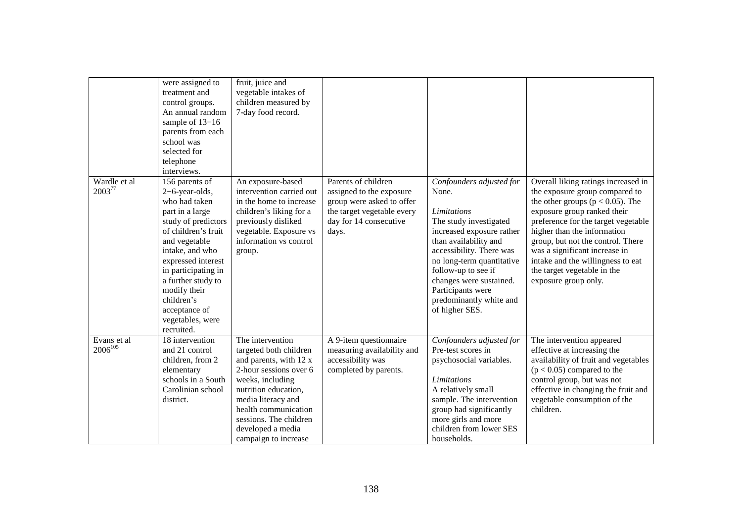|                              | were assigned to<br>treatment and<br>control groups.<br>An annual random<br>sample of 13-16<br>parents from each<br>school was<br>selected for<br>telephone<br>interviews.                                                                                                                                 | fruit, juice and<br>vegetable intakes of<br>children measured by<br>7-day food record.                                                                                                                                                                          |                                                                                                                                               |                                                                                                                                                                                                                                                                                                                      |                                                                                                                                                                                                                                                                                                                                                                                      |
|------------------------------|------------------------------------------------------------------------------------------------------------------------------------------------------------------------------------------------------------------------------------------------------------------------------------------------------------|-----------------------------------------------------------------------------------------------------------------------------------------------------------------------------------------------------------------------------------------------------------------|-----------------------------------------------------------------------------------------------------------------------------------------------|----------------------------------------------------------------------------------------------------------------------------------------------------------------------------------------------------------------------------------------------------------------------------------------------------------------------|--------------------------------------------------------------------------------------------------------------------------------------------------------------------------------------------------------------------------------------------------------------------------------------------------------------------------------------------------------------------------------------|
| Wardle et al<br>200377       | 156 parents of<br>2-6-year-olds,<br>who had taken<br>part in a large<br>study of predictors<br>of children's fruit<br>and vegetable<br>intake, and who<br>expressed interest<br>in participating in<br>a further study to<br>modify their<br>children's<br>acceptance of<br>vegetables, were<br>recruited. | An exposure-based<br>intervention carried out<br>in the home to increase<br>children's liking for a<br>previously disliked<br>vegetable. Exposure vs<br>information vs control<br>group.                                                                        | Parents of children<br>assigned to the exposure<br>group were asked to offer<br>the target vegetable every<br>day for 14 consecutive<br>days. | Confounders adjusted for<br>None.<br><b>Limitations</b><br>The study investigated<br>increased exposure rather<br>than availability and<br>accessibility. There was<br>no long-term quantitative<br>follow-up to see if<br>changes were sustained.<br>Participants were<br>predominantly white and<br>of higher SES. | Overall liking ratings increased in<br>the exposure group compared to<br>the other groups ( $p < 0.05$ ). The<br>exposure group ranked their<br>preference for the target vegetable<br>higher than the information<br>group, but not the control. There<br>was a significant increase in<br>intake and the willingness to eat<br>the target vegetable in the<br>exposure group only. |
| Evans et al.<br>$2006^{105}$ | 18 intervention<br>and 21 control<br>children, from 2<br>elementary<br>schools in a South<br>Carolinian school<br>district.                                                                                                                                                                                | The intervention<br>targeted both children<br>and parents, with 12 x<br>2-hour sessions over 6<br>weeks, including<br>nutrition education,<br>media literacy and<br>health communication<br>sessions. The children<br>developed a media<br>campaign to increase | A 9-item questionnaire<br>measuring availability and<br>accessibility was<br>completed by parents.                                            | Confounders adjusted for<br>Pre-test scores in<br>psychosocial variables.<br><b>Limitations</b><br>A relatively small<br>sample. The intervention<br>group had significantly<br>more girls and more<br>children from lower SES<br>households.                                                                        | The intervention appeared<br>effective at increasing the<br>availability of fruit and vegetables<br>$(p < 0.05)$ compared to the<br>control group, but was not<br>effective in changing the fruit and<br>vegetable consumption of the<br>children.                                                                                                                                   |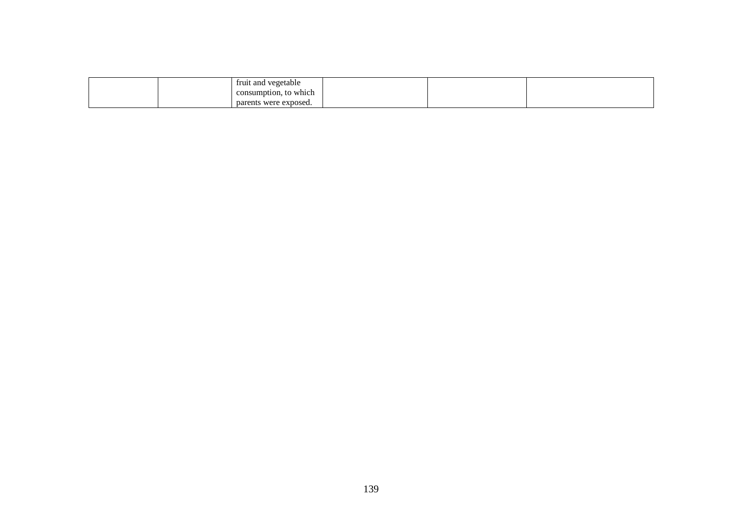|  | fruit and vegetable   |  |  |
|--|-----------------------|--|--|
|  | consumption, to which |  |  |
|  | parents were exposed. |  |  |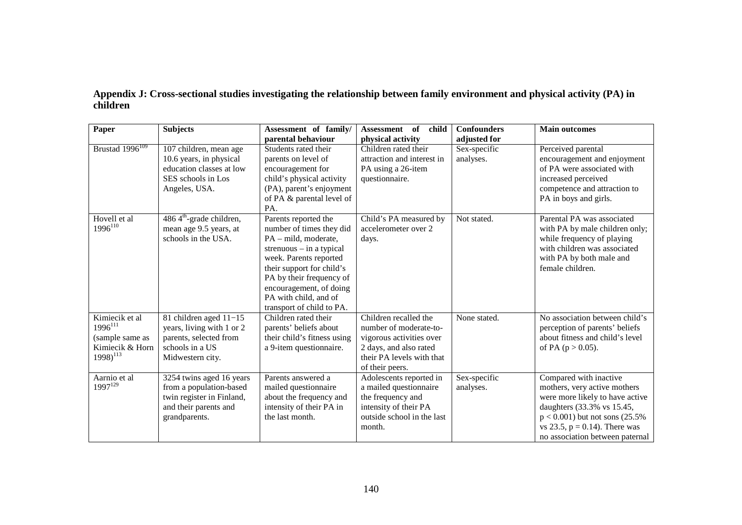|          | Appendix J: Cross-sectional studies investigating the relationship between family environment and physical activity (PA) in |  |
|----------|-----------------------------------------------------------------------------------------------------------------------------|--|
| children |                                                                                                                             |  |

| Paper                                                                                 | <b>Subjects</b>                                                                                                            | Assessment of family/                                                                                                                                                                                                                                                      | Assessment of<br>child                                                                                                                                | <b>Confounders</b>        | <b>Main outcomes</b>                                                                                                                                                                                                                 |
|---------------------------------------------------------------------------------------|----------------------------------------------------------------------------------------------------------------------------|----------------------------------------------------------------------------------------------------------------------------------------------------------------------------------------------------------------------------------------------------------------------------|-------------------------------------------------------------------------------------------------------------------------------------------------------|---------------------------|--------------------------------------------------------------------------------------------------------------------------------------------------------------------------------------------------------------------------------------|
|                                                                                       |                                                                                                                            | parental behaviour                                                                                                                                                                                                                                                         | physical activity                                                                                                                                     | adjusted for              |                                                                                                                                                                                                                                      |
| Brustad 1996 <sup>109</sup>                                                           | 107 children, mean age<br>10.6 years, in physical<br>education classes at low<br>SES schools in Los<br>Angeles, USA.       | Students rated their<br>parents on level of<br>encouragement for<br>child's physical activity<br>(PA), parent's enjoyment<br>of PA & parental level of<br>PA.                                                                                                              | Children rated their<br>attraction and interest in<br>PA using a 26-item<br>questionnaire.                                                            | Sex-specific<br>analyses. | Perceived parental<br>encouragement and enjoyment<br>of PA were associated with<br>increased perceived<br>competence and attraction to<br>PA in boys and girls.                                                                      |
| Hovell et al<br>$1996^{110}$                                                          | $4864^{\text{th}}$ -grade children,<br>mean age 9.5 years, at<br>schools in the USA.                                       | Parents reported the<br>number of times they did<br>PA - mild, moderate,<br>strenuous $-$ in a typical<br>week. Parents reported<br>their support for child's<br>PA by their frequency of<br>encouragement, of doing<br>PA with child, and of<br>transport of child to PA. | Child's PA measured by<br>accelerometer over 2<br>days.                                                                                               | Not stated.               | Parental PA was associated<br>with PA by male children only;<br>while frequency of playing<br>with children was associated<br>with PA by both male and<br>female children.                                                           |
| Kimiecik et al<br>$1996^{111}$<br>(sample same as<br>Kimiecik & Horn<br>$1998)^{113}$ | 81 children aged 11-15<br>years, living with 1 or 2<br>parents, selected from<br>schools in a US<br>Midwestern city.       | Children rated their<br>parents' beliefs about<br>their child's fitness using<br>a 9-item questionnaire.                                                                                                                                                                   | Children recalled the<br>number of moderate-to-<br>vigorous activities over<br>2 days, and also rated<br>their PA levels with that<br>of their peers. | None stated.              | No association between child's<br>perception of parents' beliefs<br>about fitness and child's level<br>of PA $(p > 0.05)$ .                                                                                                          |
| Aarnio et al<br>$1997^{129}$                                                          | 3254 twins aged 16 years<br>from a population-based<br>twin register in Finland,<br>and their parents and<br>grandparents. | Parents answered a<br>mailed questionnaire<br>about the frequency and<br>intensity of their PA in<br>the last month.                                                                                                                                                       | Adolescents reported in<br>a mailed questionnaire<br>the frequency and<br>intensity of their PA<br>outside school in the last<br>month.               | Sex-specific<br>analyses. | Compared with inactive<br>mothers, very active mothers<br>were more likely to have active<br>daughters (33.3% vs 15.45,<br>$p < 0.001$ ) but not sons (25.5%)<br>vs 23.5, $p = 0.14$ ). There was<br>no association between paternal |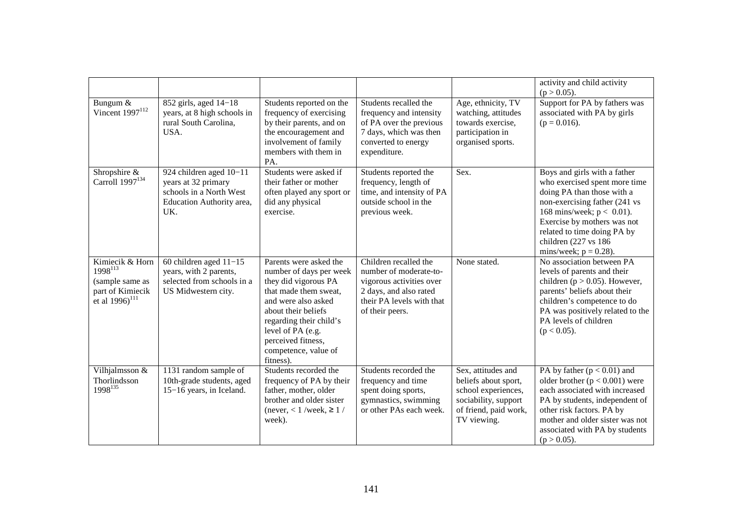|                                                                                                       |                                                                                                               |                                                                                                                                                                                                                                                             |                                                                                                                                                       |                                                                                                                                   | activity and child activity<br>$(p > 0.05)$ .                                                                                                                                                                                                                                  |
|-------------------------------------------------------------------------------------------------------|---------------------------------------------------------------------------------------------------------------|-------------------------------------------------------------------------------------------------------------------------------------------------------------------------------------------------------------------------------------------------------------|-------------------------------------------------------------------------------------------------------------------------------------------------------|-----------------------------------------------------------------------------------------------------------------------------------|--------------------------------------------------------------------------------------------------------------------------------------------------------------------------------------------------------------------------------------------------------------------------------|
| Bungum &<br>Vincent $1997^{112}$                                                                      | 852 girls, aged 14-18<br>years, at 8 high schools in<br>rural South Carolina,<br>USA.                         | Students reported on the<br>frequency of exercising<br>by their parents, and on<br>the encouragement and<br>involvement of family<br>members with them in<br>PA.                                                                                            | Students recalled the<br>frequency and intensity<br>of PA over the previous<br>7 days, which was then<br>converted to energy<br>expenditure.          | Age, ethnicity, TV<br>watching, attitudes<br>towards exercise,<br>participation in<br>organised sports.                           | Support for PA by fathers was<br>associated with PA by girls<br>$(p = 0.016)$ .                                                                                                                                                                                                |
| Shropshire &<br>Carroll 1997 <sup>134</sup>                                                           | 924 children aged 10-11<br>years at 32 primary<br>schools in a North West<br>Education Authority area,<br>UK. | Students were asked if<br>their father or mother<br>often played any sport or<br>did any physical<br>exercise.                                                                                                                                              | Students reported the<br>frequency, length of<br>time, and intensity of PA<br>outside school in the<br>previous week.                                 | Sex.                                                                                                                              | Boys and girls with a father<br>who exercised spent more time<br>doing PA than those with a<br>non-exercising father (241 vs<br>168 mins/week; $p < 0.01$ ).<br>Exercise by mothers was not<br>related to time doing PA by<br>children (227 vs 186<br>mins/week; $p = 0.28$ ). |
| Kimiecik & Horn<br>$1998^{113}$<br>(sample same as<br>part of Kimiecik<br>et al $1996$ <sup>111</sup> | 60 children aged $11-15$<br>years, with 2 parents,<br>selected from schools in a<br>US Midwestern city.       | Parents were asked the<br>number of days per week<br>they did vigorous PA<br>that made them sweat,<br>and were also asked<br>about their beliefs<br>regarding their child's<br>level of PA (e.g.<br>perceived fitness,<br>competence, value of<br>fitness). | Children recalled the<br>number of moderate-to-<br>vigorous activities over<br>2 days, and also rated<br>their PA levels with that<br>of their peers. | None stated.                                                                                                                      | No association between PA<br>levels of parents and their<br>children ( $p > 0.05$ ). However,<br>parents' beliefs about their<br>children's competence to do<br>PA was positively related to the<br>PA levels of children<br>$(p < 0.05)$ .                                    |
| Vilhjalmsson &<br>Thorlindsson<br>1998135                                                             | 1131 random sample of<br>10th-grade students, aged<br>15-16 years, in Iceland.                                | Students recorded the<br>frequency of PA by their<br>father, mother, older<br>brother and older sister<br>(never, $< 1$ /week, $\ge 1$ /<br>week).                                                                                                          | Students recorded the<br>frequency and time<br>spent doing sports,<br>gymnastics, swimming<br>or other PAs each week.                                 | Sex, attitudes and<br>beliefs about sport,<br>school experiences,<br>sociability, support<br>of friend, paid work,<br>TV viewing. | PA by father $(p < 0.01)$ and<br>older brother $(p < 0.001)$ were<br>each associated with increased<br>PA by students, independent of<br>other risk factors. PA by<br>mother and older sister was not<br>associated with PA by students<br>$(p > 0.05)$ .                      |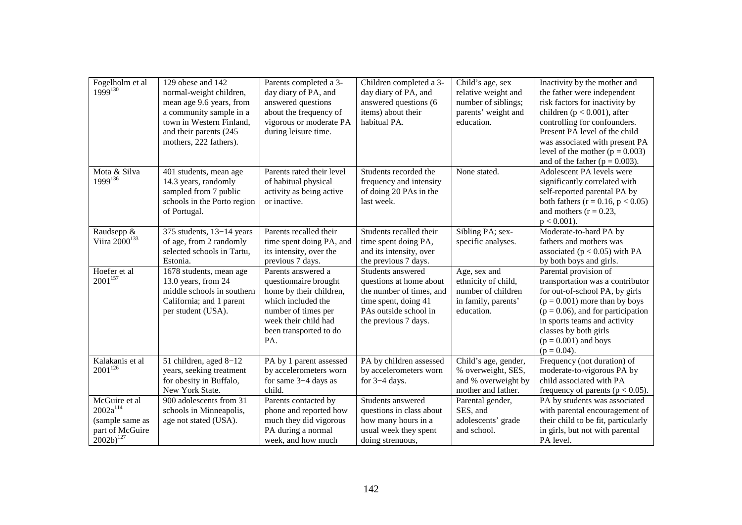| Fogelholm et al<br>$1999^{130}$                                                        | 129 obese and 142<br>normal-weight children,<br>mean age 9.6 years, from<br>a community sample in a<br>town in Western Finland,<br>and their parents (245)<br>mothers, 222 fathers). | Parents completed a 3-<br>day diary of PA, and<br>answered questions<br>about the frequency of<br>vigorous or moderate PA<br>during leisure time.                            | Children completed a 3-<br>day diary of PA, and<br>answered questions (6<br>items) about their<br>habitual PA.                                    | Child's age, sex<br>relative weight and<br>number of siblings;<br>parents' weight and<br>education. | Inactivity by the mother and<br>the father were independent<br>risk factors for inactivity by<br>children ( $p < 0.001$ ), after<br>controlling for confounders.<br>Present PA level of the child<br>was associated with present PA<br>level of the mother ( $p = 0.003$ )<br>and of the father ( $p = 0.003$ ). |
|----------------------------------------------------------------------------------------|--------------------------------------------------------------------------------------------------------------------------------------------------------------------------------------|------------------------------------------------------------------------------------------------------------------------------------------------------------------------------|---------------------------------------------------------------------------------------------------------------------------------------------------|-----------------------------------------------------------------------------------------------------|------------------------------------------------------------------------------------------------------------------------------------------------------------------------------------------------------------------------------------------------------------------------------------------------------------------|
| Mota & Silva<br>$1999^{136}$                                                           | 401 students, mean age<br>14.3 years, randomly<br>sampled from 7 public<br>schools in the Porto region<br>of Portugal.                                                               | Parents rated their level<br>of habitual physical<br>activity as being active<br>or inactive.                                                                                | Students recorded the<br>frequency and intensity<br>of doing 20 PAs in the<br>last week.                                                          | None stated.                                                                                        | Adolescent PA levels were<br>significantly correlated with<br>self-reported parental PA by<br>both fathers $(r = 0.16, p < 0.05)$<br>and mothers $(r = 0.23,$<br>$p < 0.001$ ).                                                                                                                                  |
| Raudsepp &<br>Viira 2000 <sup>133</sup>                                                | 375 students, $13-14$ years<br>of age, from 2 randomly<br>selected schools in Tartu,<br>Estonia.                                                                                     | Parents recalled their<br>time spent doing PA, and<br>its intensity, over the<br>previous 7 days.                                                                            | Students recalled their<br>time spent doing PA,<br>and its intensity, over<br>the previous 7 days.                                                | Sibling PA; sex-<br>specific analyses.                                                              | Moderate-to-hard PA by<br>fathers and mothers was<br>associated ( $p < 0.05$ ) with PA<br>by both boys and girls.                                                                                                                                                                                                |
| Hoefer et al<br>$2001^{157}$                                                           | 1678 students, mean age<br>13.0 years, from 24<br>middle schools in southern<br>California; and 1 parent<br>per student (USA).                                                       | Parents answered a<br>questionnaire brought<br>home by their children,<br>which included the<br>number of times per<br>week their child had<br>been transported to do<br>PA. | Students answered<br>questions at home about<br>the number of times, and<br>time spent, doing 41<br>PAs outside school in<br>the previous 7 days. | Age, sex and<br>ethnicity of child,<br>number of children<br>in family, parents'<br>education.      | Parental provision of<br>transportation was a contributor<br>for out-of-school PA, by girls<br>$(p = 0.001)$ more than by boys<br>$(p = 0.06)$ , and for participation<br>in sports teams and activity<br>classes by both girls<br>$(p = 0.001)$ and boys<br>$(p = 0.04)$ .                                      |
| Kalakanis et al<br>$2001^{126}$                                                        | 51 children, aged 8-12<br>years, seeking treatment<br>for obesity in Buffalo,<br>New York State.                                                                                     | PA by 1 parent assessed<br>by accelerometers worn<br>for same $3-4$ days as<br>child.                                                                                        | PA by children assessed<br>by accelerometers worn<br>for 3-4 days.                                                                                | Child's age, gender,<br>% overweight, SES,<br>and % overweight by<br>mother and father.             | Frequency (not duration) of<br>moderate-to-vigorous PA by<br>child associated with PA<br>frequency of parents ( $p < 0.05$ ).                                                                                                                                                                                    |
| McGuire et al<br>$2002a^{114}$<br>(sample same as<br>part of McGuire<br>$2002b)^{127}$ | 900 adolescents from 31<br>schools in Minneapolis,<br>age not stated (USA).                                                                                                          | Parents contacted by<br>phone and reported how<br>much they did vigorous<br>PA during a normal<br>week, and how much                                                         | Students answered<br>questions in class about<br>how many hours in a<br>usual week they spent<br>doing strenuous,                                 | Parental gender,<br>SES, and<br>adolescents' grade<br>and school.                                   | PA by students was associated<br>with parental encouragement of<br>their child to be fit, particularly<br>in girls, but not with parental<br>PA level.                                                                                                                                                           |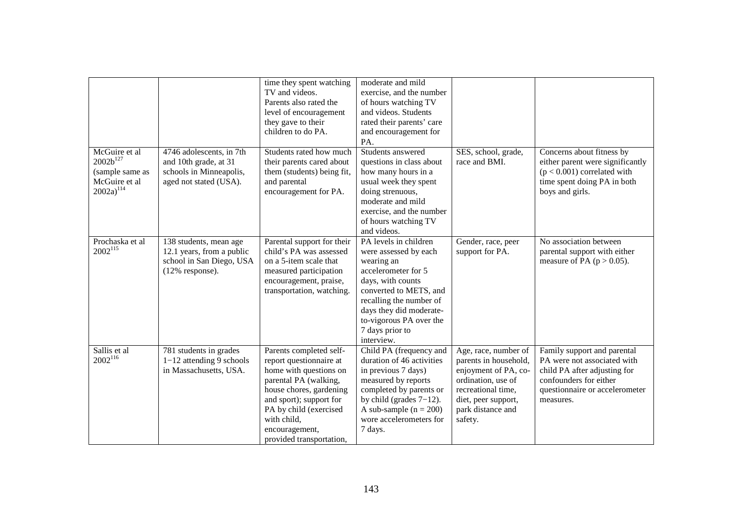|                                                                                      |                                                                                                        | time they spent watching<br>TV and videos.<br>Parents also rated the<br>level of encouragement<br>they gave to their<br>children to do PA.                                                                                                         | moderate and mild<br>exercise, and the number<br>of hours watching TV<br>and videos. Students<br>rated their parents' care<br>and encouragement for<br>PA.                                                                                           |                                                                                                                                                                          |                                                                                                                                                                     |
|--------------------------------------------------------------------------------------|--------------------------------------------------------------------------------------------------------|----------------------------------------------------------------------------------------------------------------------------------------------------------------------------------------------------------------------------------------------------|------------------------------------------------------------------------------------------------------------------------------------------------------------------------------------------------------------------------------------------------------|--------------------------------------------------------------------------------------------------------------------------------------------------------------------------|---------------------------------------------------------------------------------------------------------------------------------------------------------------------|
| McGuire et al<br>$2002b^{127}$<br>(sample same as<br>McGuire et al<br>$2002a)^{114}$ | 4746 adolescents, in 7th<br>and 10th grade, at 31<br>schools in Minneapolis,<br>aged not stated (USA). | Students rated how much<br>their parents cared about<br>them (students) being fit,<br>and parental<br>encouragement for PA.                                                                                                                        | Students answered<br>questions in class about<br>how many hours in a<br>usual week they spent<br>doing strenuous,<br>moderate and mild<br>exercise, and the number<br>of hours watching TV<br>and videos.                                            | SES, school, grade,<br>race and BMI.                                                                                                                                     | Concerns about fitness by<br>either parent were significantly<br>$(p < 0.001)$ correlated with<br>time spent doing PA in both<br>boys and girls.                    |
| Prochaska et al<br>$2002^{115}$                                                      | 138 students, mean age<br>12.1 years, from a public<br>school in San Diego, USA<br>(12% response).     | Parental support for their<br>child's PA was assessed<br>on a 5-item scale that<br>measured participation<br>encouragement, praise,<br>transportation, watching.                                                                                   | PA levels in children<br>were assessed by each<br>wearing an<br>accelerometer for 5<br>days, with counts<br>converted to METS, and<br>recalling the number of<br>days they did moderate-<br>to-vigorous PA over the<br>7 days prior to<br>interview. | Gender, race, peer<br>support for PA.                                                                                                                                    | No association between<br>parental support with either<br>measure of PA $(p > 0.05)$ .                                                                              |
| Sallis et al<br>$2002^{116}$                                                         | 781 students in grades<br>$1-12$ attending 9 schools<br>in Massachusetts, USA.                         | Parents completed self-<br>report questionnaire at<br>home with questions on<br>parental PA (walking,<br>house chores, gardening<br>and sport); support for<br>PA by child (exercised<br>with child.<br>encouragement,<br>provided transportation, | Child PA (frequency and<br>duration of 46 activities<br>in previous 7 days)<br>measured by reports<br>completed by parents or<br>by child (grades $7-12$ ).<br>A sub-sample $(n = 200)$<br>wore accelerometers for<br>7 days.                        | Age, race, number of<br>parents in household,<br>enjoyment of PA, co-<br>ordination, use of<br>recreational time,<br>diet, peer support,<br>park distance and<br>safety. | Family support and parental<br>PA were not associated with<br>child PA after adjusting for<br>confounders for either<br>questionnaire or accelerometer<br>measures. |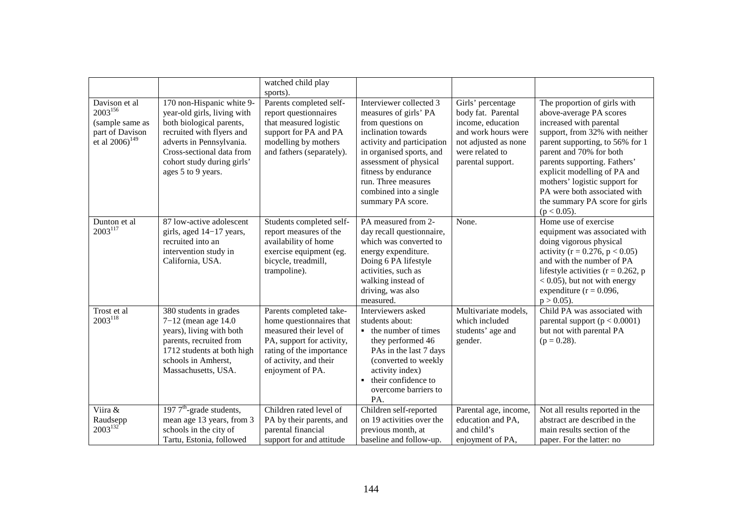|                                                                                                    |                                                                                                                                                                                                                                | watched child play<br>sports).                                                                                                                                                        |                                                                                                                                                                                                                                                                                |                                                                                                                                                     |                                                                                                                                                                                                                                                                                                                                                                         |
|----------------------------------------------------------------------------------------------------|--------------------------------------------------------------------------------------------------------------------------------------------------------------------------------------------------------------------------------|---------------------------------------------------------------------------------------------------------------------------------------------------------------------------------------|--------------------------------------------------------------------------------------------------------------------------------------------------------------------------------------------------------------------------------------------------------------------------------|-----------------------------------------------------------------------------------------------------------------------------------------------------|-------------------------------------------------------------------------------------------------------------------------------------------------------------------------------------------------------------------------------------------------------------------------------------------------------------------------------------------------------------------------|
| Davison et al<br>$2003^{156}$<br>(sample same as<br>part of Davison<br>et al $2006$ <sup>149</sup> | 170 non-Hispanic white 9-<br>year-old girls, living with<br>both biological parents,<br>recruited with flyers and<br>adverts in Pennsylvania.<br>Cross-sectional data from<br>cohort study during girls'<br>ages 5 to 9 years. | Parents completed self-<br>report questionnaires<br>that measured logistic<br>support for PA and PA<br>modelling by mothers<br>and fathers (separately).                              | Interviewer collected 3<br>measures of girls' PA<br>from questions on<br>inclination towards<br>activity and participation<br>in organised sports, and<br>assessment of physical<br>fitness by endurance<br>run. Three measures<br>combined into a single<br>summary PA score. | Girls' percentage<br>body fat. Parental<br>income, education<br>and work hours were<br>not adjusted as none<br>were related to<br>parental support. | The proportion of girls with<br>above-average PA scores<br>increased with parental<br>support, from 32% with neither<br>parent supporting, to 56% for 1<br>parent and 70% for both<br>parents supporting. Fathers'<br>explicit modelling of PA and<br>mothers' logistic support for<br>PA were both associated with<br>the summary PA score for girls<br>$(p < 0.05)$ . |
| Dunton et al<br>$2003^{117}$                                                                       | 87 low-active adolescent<br>girls, aged 14–17 years,<br>recruited into an<br>intervention study in<br>California, USA.                                                                                                         | Students completed self-<br>report measures of the<br>availability of home<br>exercise equipment (eg.<br>bicycle, treadmill,<br>trampoline).                                          | PA measured from 2-<br>day recall questionnaire,<br>which was converted to<br>energy expenditure.<br>Doing 6 PA lifestyle<br>activities, such as<br>walking instead of<br>driving, was also<br>measured.                                                                       | None.                                                                                                                                               | Home use of exercise<br>equipment was associated with<br>doing vigorous physical<br>activity ( $r = 0.276$ , $p < 0.05$ )<br>and with the number of PA<br>lifestyle activities ( $r = 0.262$ , p<br>$< 0.05$ ), but not with energy<br>expenditure ( $r = 0.096$ ,<br>$p > 0.05$ ).                                                                                     |
| Trost et al<br>$2003^{118}$                                                                        | 380 students in grades<br>$7 - 12$ (mean age 14.0)<br>years), living with both<br>parents, recruited from<br>1712 students at both high<br>schools in Amherst,<br>Massachusetts, USA.                                          | Parents completed take-<br>home questionnaires that<br>measured their level of<br>PA, support for activity,<br>rating of the importance<br>of activity, and their<br>enjoyment of PA. | Interviewers asked<br>students about:<br>• the number of times<br>they performed 46<br>PAs in the last 7 days<br>(converted to weekly<br>activity index)<br>their confidence to<br>$\blacksquare$<br>overcome barriers to<br>PA.                                               | Multivariate models,<br>which included<br>students' age and<br>gender.                                                                              | Child PA was associated with<br>parental support $(p < 0.0001)$<br>but not with parental PA<br>$(p = 0.28)$ .                                                                                                                                                                                                                                                           |
| Viira &<br>Raudsepp<br>$2003^{132}$                                                                | 197 $7^{\text{th}}$ -grade students,<br>mean age 13 years, from 3<br>schools in the city of<br>Tartu, Estonia, followed                                                                                                        | Children rated level of<br>PA by their parents, and<br>parental financial<br>support for and attitude                                                                                 | Children self-reported<br>on 19 activities over the<br>previous month, at<br>baseline and follow-up.                                                                                                                                                                           | Parental age, income,<br>education and PA,<br>and child's<br>enjoyment of PA,                                                                       | Not all results reported in the<br>abstract are described in the<br>main results section of the<br>paper. For the latter: no                                                                                                                                                                                                                                            |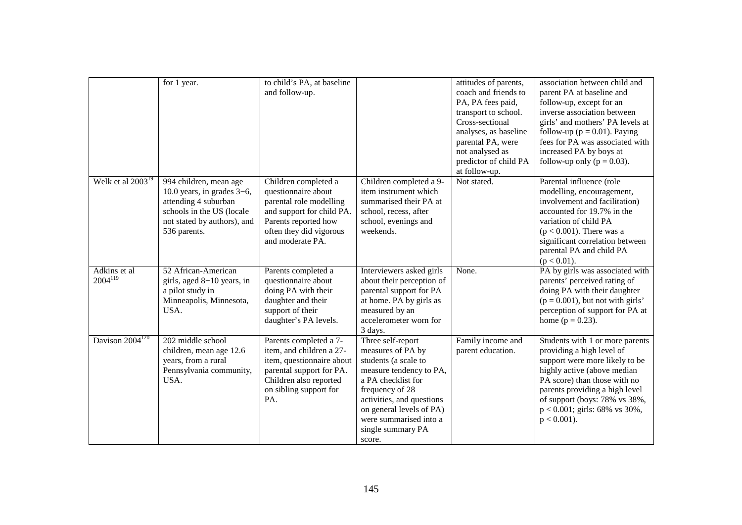|                              | for 1 year.                                                                                                                                                 | to child's PA, at baseline<br>and follow-up.                                                                                                                               |                                                                                                                                                                                                                                                      | attitudes of parents,<br>coach and friends to<br>PA, PA fees paid,<br>transport to school.<br>Cross-sectional<br>analyses, as baseline<br>parental PA, were<br>not analysed as<br>predictor of child PA<br>at follow-up. | association between child and<br>parent PA at baseline and<br>follow-up, except for an<br>inverse association between<br>girls' and mothers' PA levels at<br>follow-up ( $p = 0.01$ ). Paying<br>fees for PA was associated with<br>increased PA by boys at<br>follow-up only ( $p = 0.03$ ). |
|------------------------------|-------------------------------------------------------------------------------------------------------------------------------------------------------------|----------------------------------------------------------------------------------------------------------------------------------------------------------------------------|------------------------------------------------------------------------------------------------------------------------------------------------------------------------------------------------------------------------------------------------------|--------------------------------------------------------------------------------------------------------------------------------------------------------------------------------------------------------------------------|-----------------------------------------------------------------------------------------------------------------------------------------------------------------------------------------------------------------------------------------------------------------------------------------------|
| Welk et al $2003^{19}$       | 994 children, mean age<br>10.0 years, in grades $3-6$ ,<br>attending 4 suburban<br>schools in the US (locale<br>not stated by authors), and<br>536 parents. | Children completed a<br>questionnaire about<br>parental role modelling<br>and support for child PA.<br>Parents reported how<br>often they did vigorous<br>and moderate PA. | Children completed a 9-<br>item instrument which<br>summarised their PA at<br>school, recess, after<br>school, evenings and<br>weekends.                                                                                                             | Not stated.                                                                                                                                                                                                              | Parental influence (role<br>modelling, encouragement,<br>involvement and facilitation)<br>accounted for 19.7% in the<br>variation of child PA<br>$(p < 0.001)$ . There was a<br>significant correlation between<br>parental PA and child PA<br>$(p < 0.01)$ .                                 |
| Adkins et al<br>$2004^{119}$ | 52 African-American<br>girls, aged 8-10 years, in<br>a pilot study in<br>Minneapolis, Minnesota,<br>USA.                                                    | Parents completed a<br>questionnaire about<br>doing PA with their<br>daughter and their<br>support of their<br>daughter's PA levels.                                       | Interviewers asked girls<br>about their perception of<br>parental support for PA<br>at home. PA by girls as<br>measured by an<br>accelerometer worn for<br>3 days.                                                                                   | None.                                                                                                                                                                                                                    | PA by girls was associated with<br>parents' perceived rating of<br>doing PA with their daughter<br>$(p = 0.001)$ , but not with girls'<br>perception of support for PA at<br>home $(p = 0.23)$ .                                                                                              |
| Davison 2004 <sup>120</sup>  | 202 middle school<br>children, mean age 12.6<br>years, from a rural<br>Pennsylvania community,<br>USA.                                                      | Parents completed a 7-<br>item, and children a 27-<br>item, questionnaire about<br>parental support for PA.<br>Children also reported<br>on sibling support for<br>PA.     | Three self-report<br>measures of PA by<br>students (a scale to<br>measure tendency to PA,<br>a PA checklist for<br>frequency of 28<br>activities, and questions<br>on general levels of PA)<br>were summarised into a<br>single summary PA<br>score. | Family income and<br>parent education.                                                                                                                                                                                   | Students with 1 or more parents<br>providing a high level of<br>support were more likely to be<br>highly active (above median<br>PA score) than those with no<br>parents providing a high level<br>of support (boys: 78% vs 38%,<br>$p < 0.001$ ; girls: 68% vs 30%,<br>$p < 0.001$ ).        |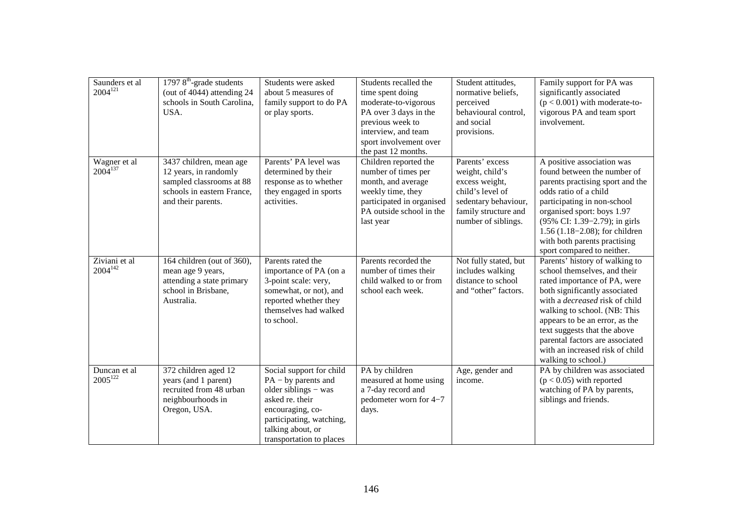| Saunders et al<br>$2004^{121}$ | $1797$ $8^{\text{th}}$ -grade students<br>(out of 4044) attending 24<br>schools in South Carolina,<br>USA.                       | Students were asked<br>about 5 measures of<br>family support to do PA<br>or play sports.                                                                                                      | Students recalled the<br>time spent doing<br>moderate-to-vigorous<br>PA over 3 days in the<br>previous week to<br>interview, and team<br>sport involvement over<br>the past 12 months. | Student attitudes,<br>normative beliefs,<br>perceived<br>behavioural control,<br>and social<br>provisions.                                      | Family support for PA was<br>significantly associated<br>$(p < 0.001)$ with moderate-to-<br>vigorous PA and team sport<br>involvement.                                                                                                                                                                                                                                  |
|--------------------------------|----------------------------------------------------------------------------------------------------------------------------------|-----------------------------------------------------------------------------------------------------------------------------------------------------------------------------------------------|----------------------------------------------------------------------------------------------------------------------------------------------------------------------------------------|-------------------------------------------------------------------------------------------------------------------------------------------------|-------------------------------------------------------------------------------------------------------------------------------------------------------------------------------------------------------------------------------------------------------------------------------------------------------------------------------------------------------------------------|
| Wagner et al<br>$2004^{137}$   | 3437 children, mean age<br>12 years, in randomly<br>sampled classrooms at 88<br>schools in eastern France,<br>and their parents. | Parents' PA level was<br>determined by their<br>response as to whether<br>they engaged in sports<br>activities.                                                                               | Children reported the<br>number of times per<br>month, and average<br>weekly time, they<br>participated in organised<br>PA outside school in the<br>last year                          | Parents' excess<br>weight, child's<br>excess weight,<br>child's level of<br>sedentary behaviour,<br>family structure and<br>number of siblings. | A positive association was<br>found between the number of<br>parents practising sport and the<br>odds ratio of a child<br>participating in non-school<br>organised sport: boys 1.97<br>(95% CI: 1.39–2.79); in girls<br>$1.56(1.18-2.08)$ ; for children<br>with both parents practising<br>sport compared to neither.                                                  |
| Ziviani et al<br>$2004^{142}$  | 164 children (out of 360),<br>mean age 9 years,<br>attending a state primary<br>school in Brisbane,<br>Australia.                | Parents rated the<br>importance of PA (on a<br>3-point scale: very,<br>somewhat, or not), and<br>reported whether they<br>themselves had walked<br>to school.                                 | Parents recorded the<br>number of times their<br>child walked to or from<br>school each week.                                                                                          | Not fully stated, but<br>includes walking<br>distance to school<br>and "other" factors.                                                         | Parents' history of walking to<br>school themselves, and their<br>rated importance of PA, were<br>both significantly associated<br>with a <i>decreased</i> risk of child<br>walking to school. (NB: This<br>appears to be an error, as the<br>text suggests that the above<br>parental factors are associated<br>with an increased risk of child<br>walking to school.) |
| Duncan et al<br>$2005^{122}$   | 372 children aged 12<br>years (and 1 parent)<br>recruited from 48 urban<br>neighbourhoods in<br>Oregon, USA.                     | Social support for child<br>$PA - by parents and$<br>older siblings - was<br>asked re. their<br>encouraging, co-<br>participating, watching,<br>talking about, or<br>transportation to places | PA by children<br>measured at home using<br>a 7-day record and<br>pedometer worn for 4-7<br>days.                                                                                      | Age, gender and<br>income.                                                                                                                      | PA by children was associated<br>$(p < 0.05)$ with reported<br>watching of PA by parents,<br>siblings and friends.                                                                                                                                                                                                                                                      |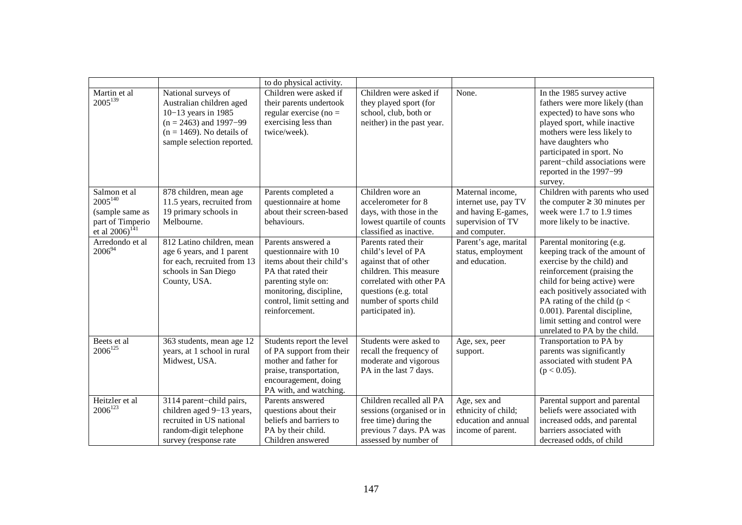|                                                                                                   |                                                                                                                                                                  | to do physical activity.                                                                                                                                                                          |                                                                                                                                                                                                   |                                                                                                       |                                                                                                                                                                                                                                                                                                                                  |
|---------------------------------------------------------------------------------------------------|------------------------------------------------------------------------------------------------------------------------------------------------------------------|---------------------------------------------------------------------------------------------------------------------------------------------------------------------------------------------------|---------------------------------------------------------------------------------------------------------------------------------------------------------------------------------------------------|-------------------------------------------------------------------------------------------------------|----------------------------------------------------------------------------------------------------------------------------------------------------------------------------------------------------------------------------------------------------------------------------------------------------------------------------------|
| Martin et al<br>$2005^{139}$                                                                      | National surveys of<br>Australian children aged<br>10-13 years in 1985<br>$(n = 2463)$ and 1997–99<br>$(n = 1469)$ . No details of<br>sample selection reported. | Children were asked if<br>their parents undertook<br>regular exercise (no $=$<br>exercising less than<br>twice/week).                                                                             | Children were asked if<br>they played sport (for<br>school, club, both or<br>neither) in the past year.                                                                                           | None.                                                                                                 | In the 1985 survey active<br>fathers were more likely (than<br>expected) to have sons who<br>played sport, while inactive<br>mothers were less likely to<br>have daughters who<br>participated in sport. No<br>parent-child associations were<br>reported in the 1997-99<br>survey.                                              |
| Salmon et al<br>$2005^{140}$<br>(sample same as<br>part of Timperio<br>et al 2006) <sup>141</sup> | 878 children, mean age<br>11.5 years, recruited from<br>19 primary schools in<br>Melbourne.                                                                      | Parents completed a<br>questionnaire at home<br>about their screen-based<br>behaviours.                                                                                                           | Children wore an<br>accelerometer for 8<br>days, with those in the<br>lowest quartile of counts<br>classified as inactive.                                                                        | Maternal income,<br>internet use, pay TV<br>and having E-games,<br>supervision of TV<br>and computer. | Children with parents who used<br>the computer $\geq 30$ minutes per<br>week were 1.7 to 1.9 times<br>more likely to be inactive.                                                                                                                                                                                                |
| Arredondo et al<br>$2006^{94}$                                                                    | 812 Latino children, mean<br>age 6 years, and 1 parent<br>for each, recruited from 13<br>schools in San Diego<br>County, USA.                                    | Parents answered a<br>questionnaire with 10<br>items about their child's<br>PA that rated their<br>parenting style on:<br>monitoring, discipline,<br>control, limit setting and<br>reinforcement. | Parents rated their<br>child's level of PA<br>against that of other<br>children. This measure<br>correlated with other PA<br>questions (e.g. total<br>number of sports child<br>participated in). | Parent's age, marital<br>status, employment<br>and education.                                         | Parental monitoring (e.g.<br>keeping track of the amount of<br>exercise by the child) and<br>reinforcement (praising the<br>child for being active) were<br>each positively associated with<br>PA rating of the child ( $p <$<br>0.001). Parental discipline,<br>limit setting and control were<br>unrelated to PA by the child. |
| Beets et al<br>$2006^{125}$                                                                       | 363 students, mean age 12<br>years, at 1 school in rural<br>Midwest, USA.                                                                                        | Students report the level<br>of PA support from their<br>mother and father for<br>praise, transportation,<br>encouragement, doing<br>PA with, and watching.                                       | Students were asked to<br>recall the frequency of<br>moderate and vigorous<br>PA in the last 7 days.                                                                                              | Age, sex, peer<br>support.                                                                            | Transportation to PA by<br>parents was significantly<br>associated with student PA<br>$(p < 0.05)$ .                                                                                                                                                                                                                             |
| Heitzler et al<br>$2006^{123}$                                                                    | 3114 parent-child pairs,<br>children aged 9-13 years,<br>recruited in US national<br>random-digit telephone<br>survey (response rate                             | Parents answered<br>questions about their<br>beliefs and barriers to<br>PA by their child.<br>Children answered                                                                                   | Children recalled all PA<br>sessions (organised or in<br>free time) during the<br>previous 7 days. PA was<br>assessed by number of                                                                | Age, sex and<br>ethnicity of child;<br>education and annual<br>income of parent.                      | Parental support and parental<br>beliefs were associated with<br>increased odds, and parental<br>barriers associated with<br>decreased odds, of child                                                                                                                                                                            |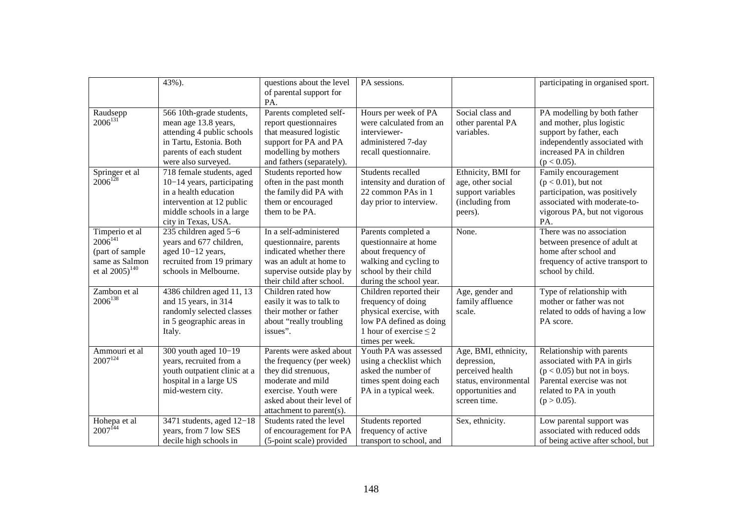|                          | 43%).                                                 | questions about the level                       | PA sessions.                            |                                 | participating in organised sport.                        |
|--------------------------|-------------------------------------------------------|-------------------------------------------------|-----------------------------------------|---------------------------------|----------------------------------------------------------|
|                          |                                                       | of parental support for                         |                                         |                                 |                                                          |
|                          |                                                       | PA.                                             |                                         |                                 |                                                          |
| Raudsepp<br>$2006^{131}$ | 566 10th-grade students,                              | Parents completed self-                         | Hours per week of PA                    | Social class and                | PA modelling by both father                              |
|                          | mean age 13.8 years,                                  | report questionnaires<br>that measured logistic | were calculated from an<br>interviewer- | other parental PA<br>variables. | and mother, plus logistic                                |
|                          | attending 4 public schools<br>in Tartu, Estonia. Both | support for PA and PA                           | administered 7-day                      |                                 | support by father, each<br>independently associated with |
|                          | parents of each student                               | modelling by mothers                            | recall questionnaire.                   |                                 | increased PA in children                                 |
|                          | were also surveyed.                                   | and fathers (separately).                       |                                         |                                 | $(p < 0.05)$ .                                           |
| Springer et al           | 718 female students, aged                             | Students reported how                           | Students recalled                       | Ethnicity, BMI for              | Family encouragement                                     |
| $2006^{128}$             | 10-14 years, participating                            | often in the past month                         | intensity and duration of               | age, other social               | $(p < 0.01)$ , but not                                   |
|                          | in a health education                                 | the family did PA with                          | 22 common PAs in 1                      | support variables               | participation, was positively                            |
|                          | intervention at 12 public                             | them or encouraged                              | day prior to interview.                 | (including from                 | associated with moderate-to-                             |
|                          | middle schools in a large                             | them to be PA.                                  |                                         | peers).                         | vigorous PA, but not vigorous                            |
|                          | city in Texas, USA.                                   |                                                 |                                         |                                 | PA.                                                      |
| Timperio et al           | 235 children aged 5-6                                 | In a self-administered                          | Parents completed a                     | None.                           | There was no association                                 |
| $2006^{141}$             | years and 677 children,                               | questionnaire, parents                          | questionnaire at home                   |                                 | between presence of adult at                             |
| (part of sample          | aged 10-12 years,                                     | indicated whether there                         | about frequency of                      |                                 | home after school and                                    |
| same as Salmon           | recruited from 19 primary                             | was an adult at home to                         | walking and cycling to                  |                                 | frequency of active transport to                         |
| et al $2005)^{140}$      | schools in Melbourne.                                 | supervise outside play by                       | school by their child                   |                                 | school by child.                                         |
|                          |                                                       | their child after school.                       | during the school year.                 |                                 |                                                          |
| Zambon et al             | 4386 children aged 11, 13                             | Children rated how                              | Children reported their                 | Age, gender and                 | Type of relationship with                                |
| $2006^{138}$             | and 15 years, in 314                                  | easily it was to talk to                        | frequency of doing                      | family affluence                | mother or father was not                                 |
|                          | randomly selected classes                             | their mother or father                          | physical exercise, with                 | scale.                          | related to odds of having a low                          |
|                          | in 5 geographic areas in                              | about "really troubling                         | low PA defined as doing                 |                                 | PA score.                                                |
|                          | Italy.                                                | issues".                                        | 1 hour of exercise $\leq$ 2             |                                 |                                                          |
|                          |                                                       |                                                 | times per week.                         |                                 |                                                          |
| Ammouri et al            | 300 youth aged $10-19$                                | Parents were asked about                        | Youth PA was assessed                   | Age, BMI, ethnicity,            | Relationship with parents                                |
| $2007^{124}$             | years, recruited from a                               | the frequency (per week)                        | using a checklist which                 | depression,                     | associated with PA in girls                              |
|                          | youth outpatient clinic at a                          | they did strenuous,                             | asked the number of                     | perceived health                | $(p < 0.05)$ but not in boys.                            |
|                          | hospital in a large US                                | moderate and mild                               | times spent doing each                  | status, environmental           | Parental exercise was not                                |
|                          | mid-western city.                                     | exercise. Youth were                            | PA in a typical week.                   | opportunities and               | related to PA in youth                                   |
|                          |                                                       | asked about their level of                      |                                         | screen time.                    | $(p > 0.05)$ .                                           |
|                          |                                                       | attachment to parent(s).                        |                                         |                                 |                                                          |
| Hohepa et al             | 3471 students, aged $12-18$                           | Students rated the level                        | Students reported                       | Sex, ethnicity.                 | Low parental support was                                 |
| $2007^{144}$             | years, from 7 low SES                                 | of encouragement for PA                         | frequency of active                     |                                 | associated with reduced odds                             |
|                          | decile high schools in                                | (5-point scale) provided                        | transport to school, and                |                                 | of being active after school, but                        |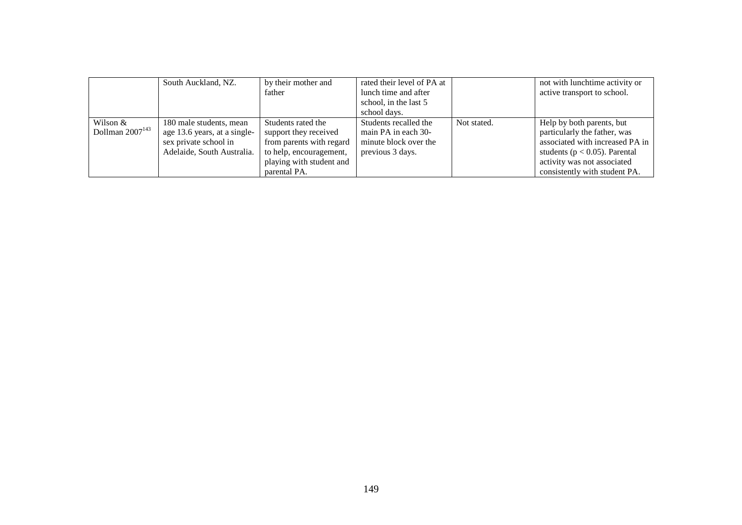|                                  | South Auckland, NZ.                                                                                            | by their mother and<br>father                                                                                                                  | rated their level of PA at<br>lunch time and after<br>school, in the last 5<br>school days. |             | not with lunchtime activity or<br>active transport to school.                                                                                                                                     |
|----------------------------------|----------------------------------------------------------------------------------------------------------------|------------------------------------------------------------------------------------------------------------------------------------------------|---------------------------------------------------------------------------------------------|-------------|---------------------------------------------------------------------------------------------------------------------------------------------------------------------------------------------------|
| Wilson &<br>Dollman $2007^{143}$ | 180 male students, mean<br>age 13.6 years, at a single-<br>sex private school in<br>Adelaide, South Australia. | Students rated the<br>support they received<br>from parents with regard<br>to help, encouragement,<br>playing with student and<br>parental PA. | Students recalled the<br>main PA in each 30-<br>minute block over the<br>previous 3 days.   | Not stated. | Help by both parents, but<br>particularly the father, was<br>associated with increased PA in<br>students ( $p < 0.05$ ). Parental<br>activity was not associated<br>consistently with student PA. |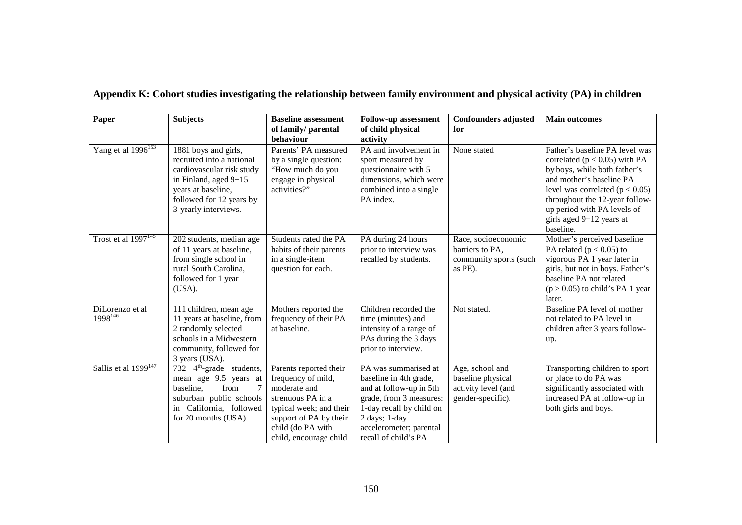| Paper                                  | <b>Subjects</b>                                                                                                                                                                    | <b>Baseline assessment</b><br>of family/ parental<br>behaviour                                                                                                                        | <b>Follow-up assessment</b><br>of child physical<br>activity                                                                                                                                         | <b>Confounders adjusted</b><br>for                                               | <b>Main outcomes</b>                                                                                                                                                                                                                                                             |
|----------------------------------------|------------------------------------------------------------------------------------------------------------------------------------------------------------------------------------|---------------------------------------------------------------------------------------------------------------------------------------------------------------------------------------|------------------------------------------------------------------------------------------------------------------------------------------------------------------------------------------------------|----------------------------------------------------------------------------------|----------------------------------------------------------------------------------------------------------------------------------------------------------------------------------------------------------------------------------------------------------------------------------|
| Yang et al $\overline{1996}^{153}$     | 1881 boys and girls,<br>recruited into a national<br>cardiovascular risk study<br>in Finland, aged 9-15<br>years at baseline,<br>followed for 12 years by<br>3-yearly interviews.  | Parents' PA measured<br>by a single question:<br>"How much do you<br>engage in physical<br>activities?"                                                                               | PA and involvement in<br>sport measured by<br>questionnaire with 5<br>dimensions, which were<br>combined into a single<br>PA index.                                                                  | None stated                                                                      | Father's baseline PA level was<br>correlated ( $p < 0.05$ ) with PA<br>by boys, while both father's<br>and mother's baseline PA<br>level was correlated ( $p < 0.05$ )<br>throughout the 12-year follow-<br>up period with PA levels of<br>girls aged 9-12 years at<br>baseline. |
| Trost et al $1997^{145}$               | 202 students, median age<br>of 11 years at baseline,<br>from single school in<br>rural South Carolina,<br>followed for 1 year<br>(USA).                                            | Students rated the PA<br>habits of their parents<br>in a single-item<br>question for each.                                                                                            | PA during 24 hours<br>prior to interview was<br>recalled by students.                                                                                                                                | Race, socioeconomic<br>barriers to PA,<br>community sports (such<br>as PE).      | Mother's perceived baseline<br>PA related ( $p < 0.05$ ) to<br>vigorous PA 1 year later in<br>girls, but not in boys. Father's<br>baseline PA not related<br>$(p > 0.05)$ to child's PA 1 year<br>later.                                                                         |
| DiLorenzo et al<br>1998 <sup>146</sup> | 111 children, mean age<br>11 years at baseline, from<br>2 randomly selected<br>schools in a Midwestern<br>community, followed for<br>3 years (USA).                                | Mothers reported the<br>frequency of their PA<br>at baseline.                                                                                                                         | Children recorded the<br>time (minutes) and<br>intensity of a range of<br>PAs during the 3 days<br>prior to interview.                                                                               | Not stated.                                                                      | Baseline PA level of mother<br>not related to PA level in<br>children after 3 years follow-<br>up.                                                                                                                                                                               |
| Sallis et al 1999 <sup>147</sup>       | $\overline{732}$ 4 <sup>th</sup> -grade students,<br>mean age 9.5 years at<br>baseline.<br>from<br>7<br>suburban public schools<br>in California, followed<br>for 20 months (USA). | Parents reported their<br>frequency of mild,<br>moderate and<br>strenuous PA in a<br>typical week; and their<br>support of PA by their<br>child (do PA with<br>child, encourage child | PA was summarised at<br>baseline in 4th grade,<br>and at follow-up in 5th<br>grade, from 3 measures:<br>1-day recall by child on<br>2 days; 1-day<br>accelerometer; parental<br>recall of child's PA | Age, school and<br>baseline physical<br>activity level (and<br>gender-specific). | Transporting children to sport<br>or place to do PA was<br>significantly associated with<br>increased PA at follow-up in<br>both girls and boys.                                                                                                                                 |

# **Appendix K: Cohort studies investigating the relationship between family environment and physical activity (PA) in children**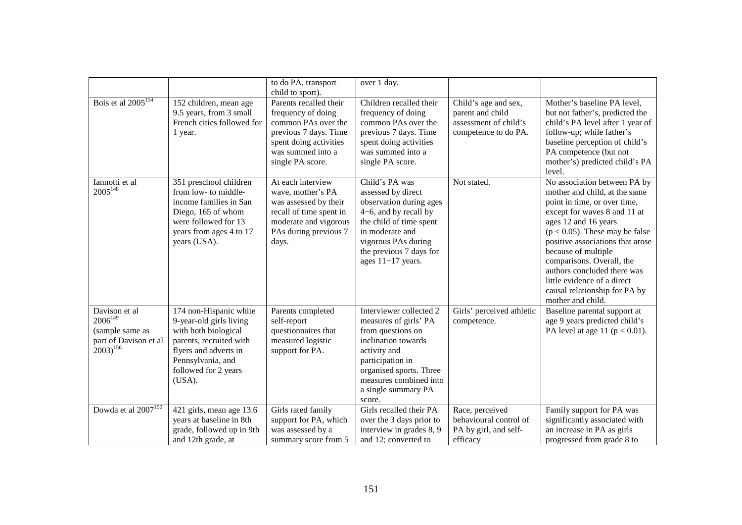|                                                                                            |                                                                                                                                                                                      | to do PA, transport<br>child to sport).                                                                                                                         | over 1 day.                                                                                                                                                                                                            |                                                                                           |                                                                                                                                                                                                                                                                                                                                                                                                        |
|--------------------------------------------------------------------------------------------|--------------------------------------------------------------------------------------------------------------------------------------------------------------------------------------|-----------------------------------------------------------------------------------------------------------------------------------------------------------------|------------------------------------------------------------------------------------------------------------------------------------------------------------------------------------------------------------------------|-------------------------------------------------------------------------------------------|--------------------------------------------------------------------------------------------------------------------------------------------------------------------------------------------------------------------------------------------------------------------------------------------------------------------------------------------------------------------------------------------------------|
| Bois et al $2005^{154}$                                                                    | $\overline{152}$ children, mean age<br>9.5 years, from 3 small<br>French cities followed for<br>1 year.                                                                              | Parents recalled their<br>frequency of doing<br>common PAs over the<br>previous 7 days. Time<br>spent doing activities<br>was summed into a<br>single PA score. | Children recalled their<br>frequency of doing<br>common PAs over the<br>previous 7 days. Time<br>spent doing activities<br>was summed into a<br>single PA score.                                                       | Child's age and sex,<br>parent and child<br>assessment of child's<br>competence to do PA. | Mother's baseline PA level,<br>but not father's, predicted the<br>child's PA level after 1 year of<br>follow-up; while father's<br>baseline perception of child's<br>PA competence (but not<br>mother's) predicted child's PA<br>level.                                                                                                                                                                |
| Iannotti et al<br>$2005^{148}$                                                             | 351 preschool children<br>from low- to middle-<br>income families in San<br>Diego, 165 of whom<br>were followed for 13<br>years from ages 4 to 17<br>years (USA).                    | At each interview<br>wave, mother's PA<br>was assessed by their<br>recall of time spent in<br>moderate and vigorous<br>PAs during previous 7<br>days.           | Child's PA was<br>assessed by direct<br>observation during ages<br>$4-6$ , and by recall by<br>the child of time spent<br>in moderate and<br>vigorous PAs during<br>the previous 7 days for<br>ages $11-17$ years.     | Not stated.                                                                               | No association between PA by<br>mother and child, at the same<br>point in time, or over time,<br>except for waves 8 and 11 at<br>ages 12 and 16 years<br>$(p < 0.05)$ . These may be false<br>positive associations that arose<br>because of multiple<br>comparisons. Overall, the<br>authors concluded there was<br>little evidence of a direct<br>causal relationship for PA by<br>mother and child. |
| Davison et al<br>$2006^{149}$<br>(sample same as<br>part of Davison et al<br>$2003)^{156}$ | 174 non-Hispanic white<br>9-year-old girls living<br>with both biological<br>parents, recruited with<br>flyers and adverts in<br>Pennsylvania, and<br>followed for 2 years<br>(USA). | Parents completed<br>self-report<br>questionnaires that<br>measured logistic<br>support for PA.                                                                 | Interviewer collected 2<br>measures of girls' PA<br>from questions on<br>inclination towards<br>activity and<br>participation in<br>organised sports. Three<br>measures combined into<br>a single summary PA<br>score. | Girls' perceived athletic<br>competence.                                                  | Baseline parental support at<br>age 9 years predicted child's<br>PA level at age 11 ( $p < 0.01$ ).                                                                                                                                                                                                                                                                                                    |
| Dowda et al 2007 <sup>150</sup>                                                            | 421 girls, mean age 13.6<br>years at baseline in 8th<br>grade, followed up in 9th<br>and 12th grade, at                                                                              | Girls rated family<br>support for PA, which<br>was assessed by a<br>summary score from 5                                                                        | Girls recalled their PA<br>over the 3 days prior to<br>interview in grades 8, 9<br>and 12; converted to                                                                                                                | Race, perceived<br>behavioural control of<br>PA by girl, and self-<br>efficacy            | Family support for PA was<br>significantly associated with<br>an increase in PA as girls<br>progressed from grade 8 to                                                                                                                                                                                                                                                                                 |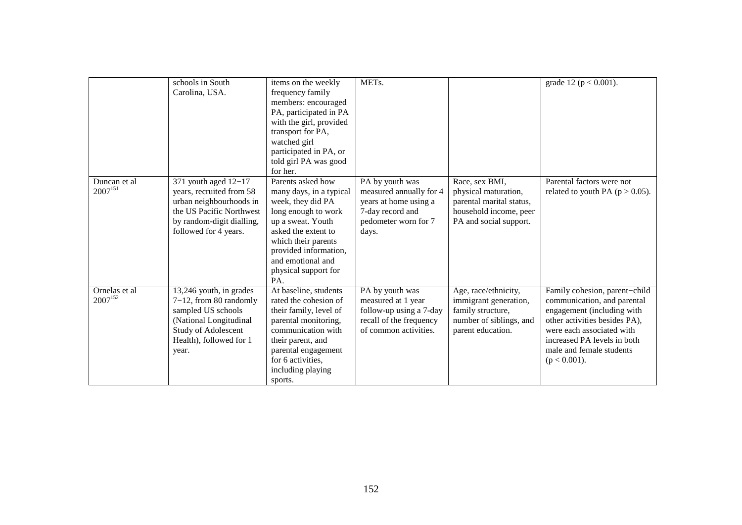|               | schools in South          | items on the weekly     | METs.                   |                          | grade 12 ( $p < 0.001$ ).           |
|---------------|---------------------------|-------------------------|-------------------------|--------------------------|-------------------------------------|
|               | Carolina, USA.            | frequency family        |                         |                          |                                     |
|               |                           | members: encouraged     |                         |                          |                                     |
|               |                           | PA, participated in PA  |                         |                          |                                     |
|               |                           | with the girl, provided |                         |                          |                                     |
|               |                           | transport for PA,       |                         |                          |                                     |
|               |                           | watched girl            |                         |                          |                                     |
|               |                           | participated in PA, or  |                         |                          |                                     |
|               |                           | told girl PA was good   |                         |                          |                                     |
|               |                           | for her.                |                         |                          |                                     |
| Duncan et al  | 371 youth aged $12-17$    | Parents asked how       | PA by youth was         | Race, sex BMI,           | Parental factors were not           |
| $2007^{151}$  | years, recruited from 58  | many days, in a typical | measured annually for 4 | physical maturation,     | related to youth PA ( $p > 0.05$ ). |
|               | urban neighbourhoods in   | week, they did PA       | years at home using a   | parental marital status, |                                     |
|               | the US Pacific Northwest  | long enough to work     | 7-day record and        | household income, peer   |                                     |
|               | by random-digit dialling, | up a sweat. Youth       | pedometer worn for 7    | PA and social support.   |                                     |
|               | followed for 4 years.     | asked the extent to     | days.                   |                          |                                     |
|               |                           | which their parents     |                         |                          |                                     |
|               |                           | provided information,   |                         |                          |                                     |
|               |                           | and emotional and       |                         |                          |                                     |
|               |                           | physical support for    |                         |                          |                                     |
|               |                           | PA.                     |                         |                          |                                     |
| Ornelas et al | 13,246 youth, in grades   | At baseline, students   | PA by youth was         | Age, race/ethnicity,     | Family cohesion, parent-child       |
| $2007^{152}$  | $7-12$ , from 80 randomly | rated the cohesion of   | measured at 1 year      | immigrant generation,    | communication, and parental         |
|               | sampled US schools        | their family, level of  | follow-up using a 7-day | family structure,        | engagement (including with          |
|               | (National Longitudinal    | parental monitoring,    | recall of the frequency | number of siblings, and  | other activities besides PA),       |
|               | Study of Adolescent       | communication with      | of common activities.   | parent education.        | were each associated with           |
|               | Health), followed for 1   | their parent, and       |                         |                          | increased PA levels in both         |
|               | year.                     | parental engagement     |                         |                          | male and female students            |
|               |                           | for 6 activities,       |                         |                          | $(p < 0.001)$ .                     |
|               |                           | including playing       |                         |                          |                                     |
|               |                           | sports.                 |                         |                          |                                     |
|               |                           |                         |                         |                          |                                     |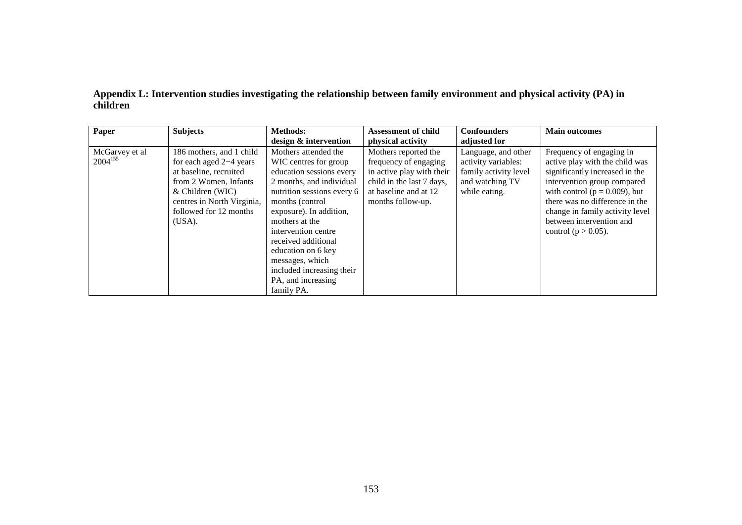| Paper                          | <b>Subjects</b>                                                                                                                                                                                | <b>Methods:</b>                                                                                                                                                                                                                                                                                                                                              | <b>Assessment of child</b>                                                                                                                            | <b>Confounders</b>                                                                                      | <b>Main outcomes</b>                                                                                                                                                                                                                                                                         |
|--------------------------------|------------------------------------------------------------------------------------------------------------------------------------------------------------------------------------------------|--------------------------------------------------------------------------------------------------------------------------------------------------------------------------------------------------------------------------------------------------------------------------------------------------------------------------------------------------------------|-------------------------------------------------------------------------------------------------------------------------------------------------------|---------------------------------------------------------------------------------------------------------|----------------------------------------------------------------------------------------------------------------------------------------------------------------------------------------------------------------------------------------------------------------------------------------------|
|                                |                                                                                                                                                                                                | design & intervention                                                                                                                                                                                                                                                                                                                                        | physical activity                                                                                                                                     | adjusted for                                                                                            |                                                                                                                                                                                                                                                                                              |
| McGarvey et al<br>$2004^{155}$ | 186 mothers, and 1 child<br>for each aged $2-4$ years<br>at baseline, recruited<br>from 2 Women, Infants<br>& Children (WIC)<br>centres in North Virginia,<br>followed for 12 months<br>(USA). | Mothers attended the<br>WIC centres for group<br>education sessions every<br>2 months, and individual<br>nutrition sessions every 6<br>months (control)<br>exposure). In addition,<br>mothers at the<br>intervention centre<br>received additional<br>education on 6 key<br>messages, which<br>included increasing their<br>PA, and increasing<br>family PA. | Mothers reported the<br>frequency of engaging<br>in active play with their<br>child in the last 7 days,<br>at baseline and at 12<br>months follow-up. | Language, and other<br>activity variables:<br>family activity level<br>and watching TV<br>while eating. | Frequency of engaging in<br>active play with the child was<br>significantly increased in the<br>intervention group compared<br>with control ( $p = 0.009$ ), but<br>there was no difference in the<br>change in family activity level<br>between intervention and<br>control ( $p > 0.05$ ). |

**Appendix L: Intervention studies investigating the relationship between family environment and physical activity (PA) in children**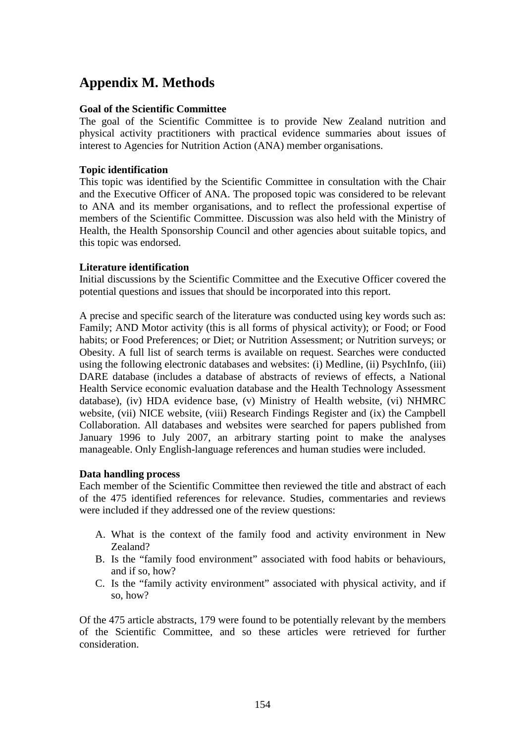# **Appendix M. Methods**

#### **Goal of the Scientific Committee**

The goal of the Scientific Committee is to provide New Zealand nutrition and physical activity practitioners with practical evidence summaries about issues of interest to Agencies for Nutrition Action (ANA) member organisations.

# **Topic identification**

This topic was identified by the Scientific Committee in consultation with the Chair and the Executive Officer of ANA. The proposed topic was considered to be relevant to ANA and its member organisations, and to reflect the professional expertise of members of the Scientific Committee. Discussion was also held with the Ministry of Health, the Health Sponsorship Council and other agencies about suitable topics, and this topic was endorsed.

# **Literature identification**

Initial discussions by the Scientific Committee and the Executive Officer covered the potential questions and issues that should be incorporated into this report.

A precise and specific search of the literature was conducted using key words such as: Family; AND Motor activity (this is all forms of physical activity); or Food; or Food habits; or Food Preferences; or Diet; or Nutrition Assessment; or Nutrition surveys; or Obesity. A full list of search terms is available on request. Searches were conducted using the following electronic databases and websites: (i) Medline, (ii) PsychInfo, (iii) DARE database (includes a database of abstracts of reviews of effects, a National Health Service economic evaluation database and the Health Technology Assessment database), (iv) HDA evidence base, (v) Ministry of Health website, (vi) NHMRC website, (vii) NICE website, (viii) Research Findings Register and (ix) the Campbell Collaboration. All databases and websites were searched for papers published from January 1996 to July 2007, an arbitrary starting point to make the analyses manageable. Only English-language references and human studies were included.

#### **Data handling process**

Each member of the Scientific Committee then reviewed the title and abstract of each of the 475 identified references for relevance. Studies, commentaries and reviews were included if they addressed one of the review questions:

- A. What is the context of the family food and activity environment in New Zealand?
- B. Is the "family food environment" associated with food habits or behaviours, and if so, how?
- C. Is the "family activity environment" associated with physical activity, and if so, how?

Of the 475 article abstracts, 179 were found to be potentially relevant by the members of the Scientific Committee, and so these articles were retrieved for further consideration.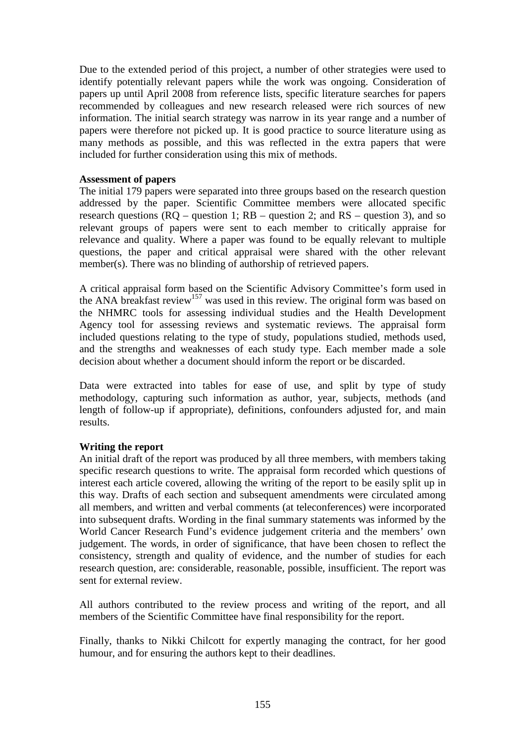Due to the extended period of this project, a number of other strategies were used to identify potentially relevant papers while the work was ongoing. Consideration of papers up until April 2008 from reference lists, specific literature searches for papers recommended by colleagues and new research released were rich sources of new information. The initial search strategy was narrow in its year range and a number of papers were therefore not picked up. It is good practice to source literature using as many methods as possible, and this was reflected in the extra papers that were included for further consideration using this mix of methods.

#### **Assessment of papers**

The initial 179 papers were separated into three groups based on the research question addressed by the paper. Scientific Committee members were allocated specific research questions  $(RQ - question 1; RB - question 2; and RS - question 3)$ , and so relevant groups of papers were sent to each member to critically appraise for relevance and quality. Where a paper was found to be equally relevant to multiple questions, the paper and critical appraisal were shared with the other relevant member(s). There was no blinding of authorship of retrieved papers.

A critical appraisal form based on the Scientific Advisory Committee's form used in the ANA breakfast review<sup>157</sup> was used in this review. The original form was based on the NHMRC tools for assessing individual studies and the Health Development Agency tool for assessing reviews and systematic reviews. The appraisal form included questions relating to the type of study, populations studied, methods used, and the strengths and weaknesses of each study type. Each member made a sole decision about whether a document should inform the report or be discarded.

Data were extracted into tables for ease of use, and split by type of study methodology, capturing such information as author, year, subjects, methods (and length of follow-up if appropriate), definitions, confounders adjusted for, and main results.

# **Writing the report**

An initial draft of the report was produced by all three members, with members taking specific research questions to write. The appraisal form recorded which questions of interest each article covered, allowing the writing of the report to be easily split up in this way. Drafts of each section and subsequent amendments were circulated among all members, and written and verbal comments (at teleconferences) were incorporated into subsequent drafts. Wording in the final summary statements was informed by the World Cancer Research Fund's evidence judgement criteria and the members' own judgement. The words, in order of significance, that have been chosen to reflect the consistency, strength and quality of evidence, and the number of studies for each research question, are: considerable, reasonable, possible, insufficient. The report was sent for external review.

All authors contributed to the review process and writing of the report, and all members of the Scientific Committee have final responsibility for the report.

Finally, thanks to Nikki Chilcott for expertly managing the contract, for her good humour, and for ensuring the authors kept to their deadlines.